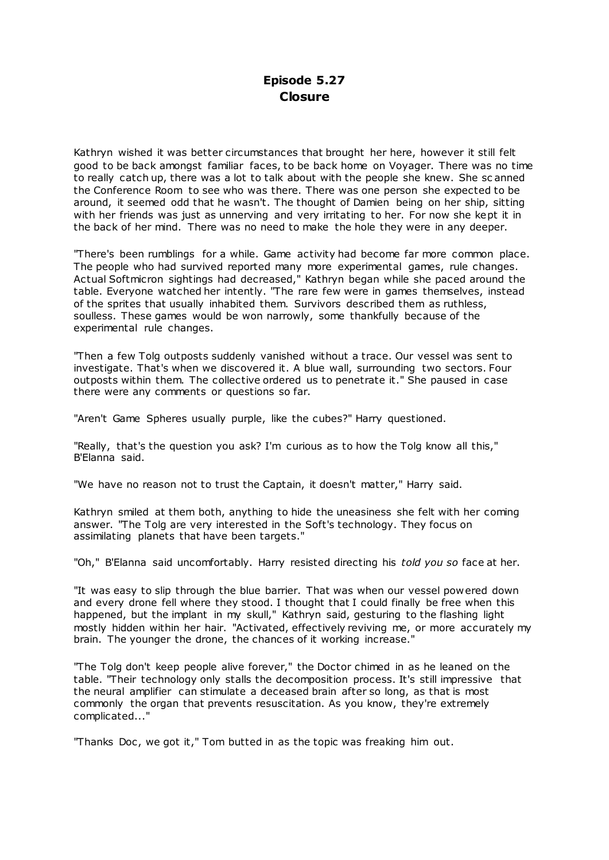Kathryn wished it was better circumstances that brought her here, however it still felt good to be back amongst familiar faces, to be back home on Voyager. There was no time to really catch up, there was a lot to talk about with the people she knew. She sc anned the Conference Room to see who was there. There was one person she expected to be around, it seemed odd that he wasn't. The thought of Damien being on her ship, sitting with her friends was just as unnerving and very irritating to her. For now she kept it in the back of her mind. There was no need to make the hole they were in any deeper.

"There's been rumblings for a while. Game activity had become far more common place. The people who had survived reported many more experimental games, rule changes. Actual Softmicron sightings had decreased," Kathryn began while she paced around the table. Everyone watched her intently. "The rare few were in games themselves, instead of the sprites that usually inhabited them. Survivors described them as ruthless, soulless. These games would be won narrowly, some thankfully because of the experimental rule changes.

"Then a few Tolg outposts suddenly vanished without a trace. Our vessel was sent to investigate. That's when we discovered it. A blue wall, surrounding two sectors. Four outposts within them. The collective ordered us to penetrate it." She paused in case there were any comments or questions so far.

"Aren't Game Spheres usually purple, like the cubes?" Harry questioned.

"Really, that's the question you ask? I'm curious as to how the Tolg know all this," B'Elanna said.

"We have no reason not to trust the Captain, it doesn't matter," Harry said.

Kathryn smiled at them both, anything to hide the uneasiness she felt with her coming answer. "The Tolg are very interested in the Soft's technology. They focus on assimilating planets that have been targets."

"Oh," B'Elanna said uncomfortably. Harry resisted directing his *told you so* face at her.

"It was easy to slip through the blue barrier. That was when our vessel powered down and every drone fell where they stood. I thought that I could finally be free when this happened, but the implant in my skull," Kathryn said, gesturing to the flashing light mostly hidden within her hair. "Activated, effectively reviving me, or more accurately my brain. The younger the drone, the chances of it working increase."

"The Tolg don't keep people alive forever," the Doctor chimed in as he leaned on the table. "Their technology only stalls the decomposition process. It's still impressive that the neural amplifier can stimulate a deceased brain after so long, as that is most commonly the organ that prevents resuscitation. As you know, they're extremely complicated..."

"Thanks Doc , we got it," Tom butted in as the topic was freaking him out.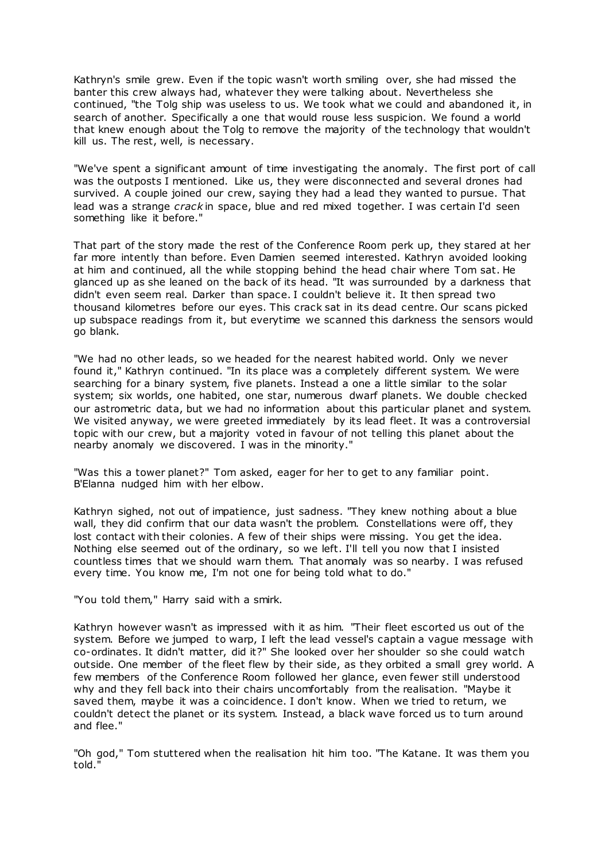Kathryn's smile grew. Even if the topic wasn't worth smiling over, she had missed the banter this crew always had, whatever they were talking about. Nevertheless she continued, "the Tolg ship was useless to us. We took what we could and abandoned it, in search of another. Specifically a one that would rouse less suspicion. We found a world that knew enough about the Tolg to remove the majority of the technology that wouldn't kill us. The rest, well, is necessary.

"We've spent a significant amount of time investigating the anomaly. The first port of call was the outposts I mentioned. Like us, they were disconnected and several drones had survived. A couple joined our crew, saying they had a lead they wanted to pursue. That lead was a strange *crack* in space, blue and red mixed together. I was certain I'd seen something like it before."

That part of the story made the rest of the Conference Room perk up, they stared at her far more intently than before. Even Damien seemed interested. Kathryn avoided looking at him and continued, all the while stopping behind the head chair where Tom sat. He glanced up as she leaned on the back of its head. "It was surrounded by a darkness that didn't even seem real. Darker than space. I couldn't believe it. It then spread two thousand kilometres before our eyes. This crack sat in its dead centre. Our scans picked up subspace readings from it, but everytime we scanned this darkness the sensors would go blank.

"We had no other leads, so we headed for the nearest habited world. Only we never found it," Kathryn continued. "In its place was a completely different system. We were searching for a binary system, five planets. Instead a one a little similar to the solar system; six worlds, one habited, one star, numerous dwarf planets. We double checked our astrometric data, but we had no information about this particular planet and system. We visited anyway, we were greeted immediately by its lead fleet. It was a controversial topic with our crew, but a majority voted in favour of not telling this planet about the nearby anomaly we discovered. I was in the minority."

"Was this a tower planet?" Tom asked, eager for her to get to any familiar point. B'Elanna nudged him with her elbow.

Kathryn sighed, not out of impatience, just sadness. "They knew nothing about a blue wall, they did confirm that our data wasn't the problem. Constellations were off, they lost contact with their colonies. A few of their ships were missing. You get the idea. Nothing else seemed out of the ordinary, so we left. I'll tell you now that I insisted countless times that we should warn them. That anomaly was so nearby. I was refused every time. You know me, I'm not one for being told what to do."

"You told them," Harry said with a smirk.

Kathryn however wasn't as impressed with it as him. "Their fleet escorted us out of the system. Before we jumped to warp, I left the lead vessel's captain a vague message with co-ordinates. It didn't matter, did it?" She looked over her shoulder so she could watch outside. One member of the fleet flew by their side, as they orbited a small grey world. A few members of the Conference Room followed her glance, even fewer still understood why and they fell back into their chairs uncomfortably from the realisation. "Maybe it saved them, maybe it was a coincidence. I don't know. When we tried to return, we couldn't detect the planet or its system. Instead, a black wave forced us to turn around and flee."

"Oh god," Tom stuttered when the realisation hit him too. "The Katane. It was them you told."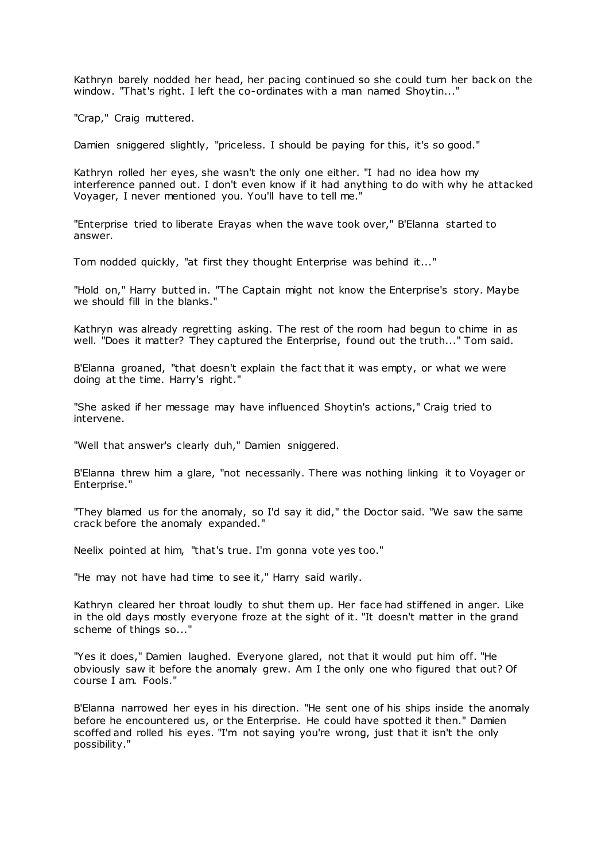Kathryn barely nodded her head, her pacing continued so she could turn her back on the window. "That's right. I left the co-ordinates with a man named Shoytin..."

"Crap," Craig muttered.

Damien sniggered slightly, "priceless. I should be paying for this, it's so good."

Kathryn rolled her eyes, she wasn't the only one either. "I had no idea how my interference panned out. I don't even know if it had anything to do with why he attacked Voyager, I never mentioned you. You'll have to tell me."

"Enterprise tried to liberate Erayas when the wave took over," B'Elanna started to answer.

Tom nodded quickly, "at first they thought Enterprise was behind it..."

"Hold on," Harry butted in. "The Captain might not know the Enterprise's story. Maybe we should fill in the blanks."

Kathryn was already regretting asking. The rest of the room had begun to chime in as well. "Does it matter? They captured the Enterprise, found out the truth..." Tom said.

B'Elanna groaned, "that doesn't explain the fact that it was empty, or what we were doing at the time. Harry's right."

"She asked if her message may have influenced Shoytin's actions," Craig tried to intervene.

"Well that answer's clearly duh," Damien sniggered.

B'Elanna threw him a glare, "not necessarily. There was nothing linking it to Voyager or Enterprise."

"They blamed us for the anomaly, so I'd say it did," the Doctor said. "We saw the same crack before the anomaly expanded."

Neelix pointed at him, "that's true. I'm gonna vote yes too."

"He may not have had time to see it," Harry said warily.

Kathryn cleared her throat loudly to shut them up. Her face had stiffened in anger. Like in the old days mostly everyone froze at the sight of it. "It doesn't matter in the grand scheme of things so..."

"Yes it does," Damien laughed. Everyone glared, not that it would put him off. "He obviously saw it before the anomaly grew. Am I the only one who figured that out? Of course I am. Fools."

B'Elanna narrowed her eyes in his direction. "He sent one of his ships inside the anomaly before he encountered us, or the Enterprise. He could have spotted it then." Damien scoffed and rolled his eyes. "I'm not saying you're wrong, just that it isn't the only possibility."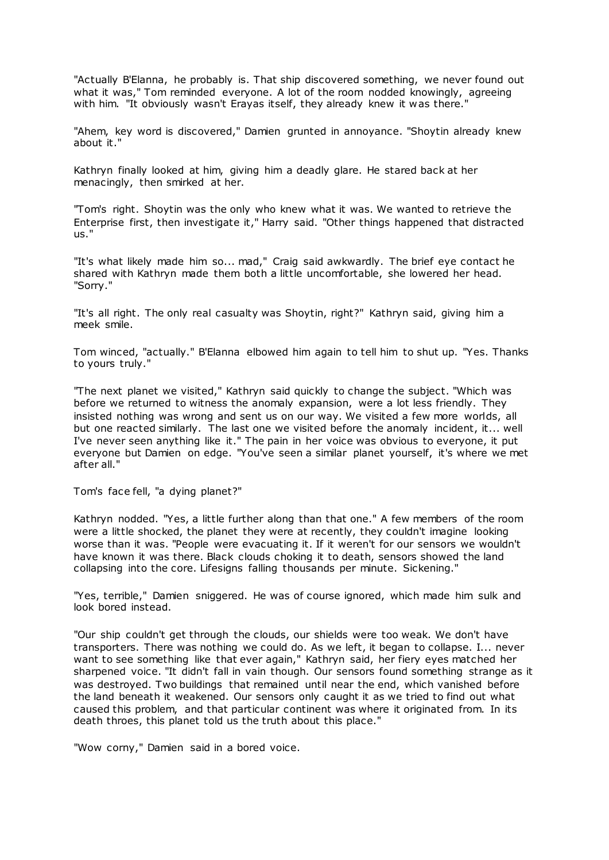"Actually B'Elanna, he probably is. That ship discovered something, we never found out what it was," Tom reminded everyone. A lot of the room nodded knowingly, agreeing with him. "It obviously wasn't Erayas itself, they already knew it was there."

"Ahem, key word is discovered," Damien grunted in annoyance. "Shoytin already knew about it."

Kathryn finally looked at him, giving him a deadly glare. He stared back at her menacingly, then smirked at her.

"Tom's right. Shoytin was the only who knew what it was. We wanted to retrieve the Enterprise first, then investigate it," Harry said. "Other things happened that distracted us."

"It's what likely made him so... mad," Craig said awkwardly. The brief eye contact he shared with Kathryn made them both a little uncomfortable, she lowered her head. "Sorry."

"It's all right. The only real casualty was Shoytin, right?" Kathryn said, giving him a meek smile.

Tom winced, "actually." B'Elanna elbowed him again to tell him to shut up. "Yes. Thanks to yours truly."

"The next planet we visited," Kathryn said quickly to change the subject. "Which was before we returned to witness the anomaly expansion, were a lot less friendly. They insisted nothing was wrong and sent us on our way. We visited a few more worlds, all but one reacted similarly. The last one we visited before the anomaly incident, it... well I've never seen anything like it." The pain in her voice was obvious to everyone, it put everyone but Damien on edge. "You've seen a similar planet yourself, it's where we met after all."

Tom's face fell, "a dying planet?"

Kathryn nodded. "Yes, a little further along than that one." A few members of the room were a little shocked, the planet they were at recently, they couldn't imagine looking worse than it was. "People were evacuating it. If it weren't for our sensors we wouldn't have known it was there. Black clouds choking it to death, sensors showed the land collapsing into the core. Lifesigns falling thousands per minute. Sickening."

"Yes, terrible," Damien sniggered. He was of course ignored, which made him sulk and look bored instead.

"Our ship couldn't get through the clouds, our shields were too weak. We don't have transporters. There was nothing we could do. As we left, it began to collapse. I... never want to see something like that ever again," Kathryn said, her fiery eyes matched her sharpened voice. "It didn't fall in vain though. Our sensors found something strange as it was destroyed. Two buildings that remained until near the end, which vanished before the land beneath it weakened. Our sensors only caught it as we tried to find out what caused this problem, and that particular continent was where it originated from. In its death throes, this planet told us the truth about this place."

"Wow corny," Damien said in a bored voice.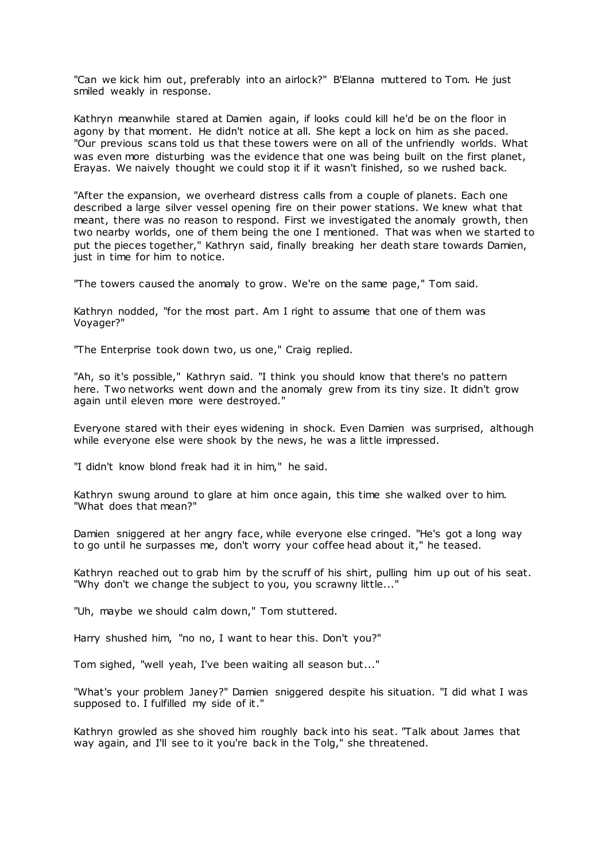"Can we kick him out, preferably into an airlock?" B'Elanna muttered to Tom. He just smiled weakly in response.

Kathryn meanwhile stared at Damien again, if looks could kill he'd be on the floor in agony by that moment. He didn't notice at all. She kept a lock on him as she paced. "Our previous scans told us that these towers were on all of the unfriendly worlds. What was even more disturbing was the evidence that one was being built on the first planet, Erayas. We naively thought we could stop it if it wasn't finished, so we rushed back.

"After the expansion, we overheard distress calls from a couple of planets. Each one described a large silver vessel opening fire on their power stations. We knew what that meant, there was no reason to respond. First we investigated the anomaly growth, then two nearby worlds, one of them being the one I mentioned. That was when we started to put the pieces together," Kathryn said, finally breaking her death stare towards Damien, just in time for him to notice.

"The towers caused the anomaly to grow. We're on the same page," Tom said.

Kathryn nodded, "for the most part. Am I right to assume that one of them was Voyager?"

"The Enterprise took down two, us one," Craig replied.

"Ah, so it's possible," Kathryn said. "I think you should know that there's no pattern here. Two networks went down and the anomaly grew from its tiny size. It didn't grow again until eleven more were destroyed."

Everyone stared with their eyes widening in shock. Even Damien was surprised, although while everyone else were shook by the news, he was a little impressed.

"I didn't know blond freak had it in him," he said.

Kathryn swung around to glare at him once again, this time she walked over to him. "What does that mean?"

Damien sniggered at her angry face, while everyone else cringed. "He's got a long way to go until he surpasses me, don't worry your coffee head about it," he teased.

Kathryn reached out to grab him by the scruff of his shirt, pulling him up out of his seat. "Why don't we change the subject to you, you scrawny little..."

"Uh, maybe we should calm down," Tom stuttered.

Harry shushed him, "no no, I want to hear this. Don't you?"

Tom sighed, "well yeah, I've been waiting all season but..."

"What's your problem Janey?" Damien sniggered despite his situation. "I did what I was supposed to. I fulfilled my side of it."

Kathryn growled as she shoved him roughly back into his seat. "Talk about James that way again, and I'll see to it you're back in the Tolg," she threatened.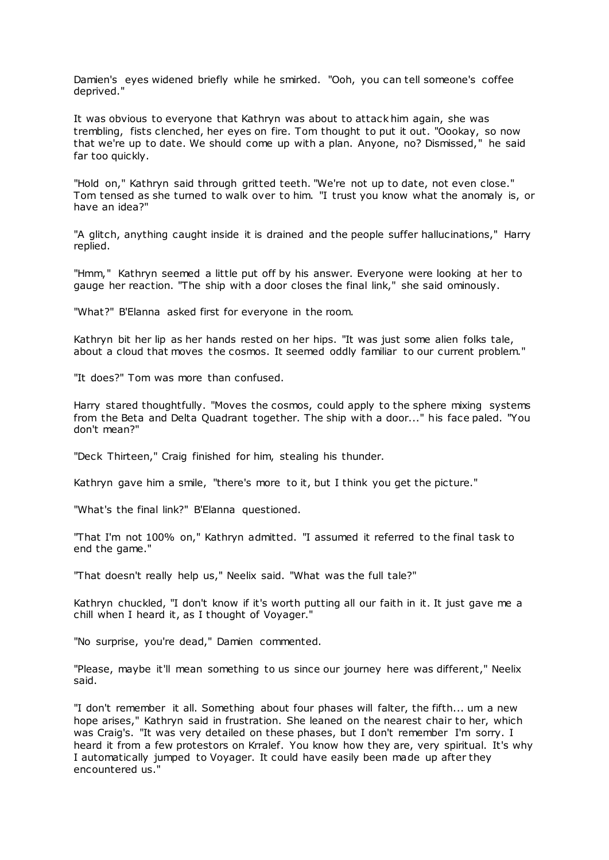Damien's eyes widened briefly while he smirked. "Ooh, you can tell someone's coffee deprived."

It was obvious to everyone that Kathryn was about to attack him again, she was trembling, fists clenched, her eyes on fire. Tom thought to put it out. "Oookay, so now that we're up to date. We should come up with a plan. Anyone, no? Dismissed," he said far too quickly.

"Hold on," Kathryn said through gritted teeth. "We're not up to date, not even close." Tom tensed as she turned to walk over to him. "I trust you know what the anomaly is, or have an idea?"

"A glitch, anything caught inside it is drained and the people suffer hallucinations," Harry replied.

"Hmm," Kathryn seemed a little put off by his answer. Everyone were looking at her to gauge her reaction. "The ship with a door closes the final link," she said ominously.

"What?" B'Elanna asked first for everyone in the room.

Kathryn bit her lip as her hands rested on her hips. "It was just some alien folks tale, about a cloud that moves the cosmos. It seemed oddly familiar to our current problem."

"It does?" Tom was more than confused.

Harry stared thoughtfully. "Moves the cosmos, could apply to the sphere mixing systems from the Beta and Delta Quadrant together. The ship with a door..." his face paled. "You don't mean?"

"Deck Thirteen," Craig finished for him, stealing his thunder.

Kathryn gave him a smile, "there's more to it, but I think you get the picture."

"What's the final link?" B'Elanna questioned.

"That I'm not 100% on," Kathryn admitted. "I assumed it referred to the final task to end the game."

"That doesn't really help us," Neelix said. "What was the full tale?"

Kathryn chuckled, "I don't know if it's worth putting all our faith in it. It just gave me a chill when I heard it, as I thought of Voyager."

"No surprise, you're dead," Damien commented.

"Please, maybe it'll mean something to us since our journey here was different," Neelix said.

"I don't remember it all. Something about four phases will falter, the fifth... um a new hope arises," Kathryn said in frustration. She leaned on the nearest chair to her, which was Craig's. "It was very detailed on these phases, but I don't remember I'm sorry. I heard it from a few protestors on Krralef. You know how they are, very spiritual. It's why I automatically jumped to Voyager. It could have easily been made up after they encountered us."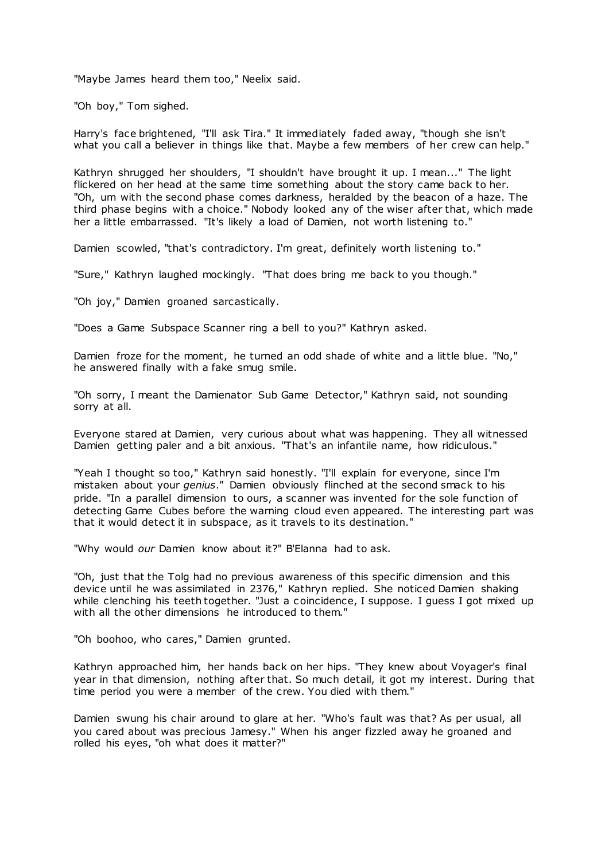"Maybe James heard them too," Neelix said.

"Oh boy," Tom sighed.

Harry's face brightened, "I'll ask Tira." It immediately faded away, "though she isn't what you call a believer in things like that. Maybe a few members of her crew can help."

Kathryn shrugged her shoulders, "I shouldn't have brought it up. I mean..." The light flickered on her head at the same time something about the story came back to her. "Oh, um with the second phase comes darkness, heralded by the beacon of a haze. The third phase begins with a choice." Nobody looked any of the wiser after that, which made her a little embarrassed. "It's likely a load of Damien, not worth listening to."

Damien scowled, "that's contradictory. I'm great, definitely worth listening to."

"Sure," Kathryn laughed mockingly. "That does bring me back to you though."

"Oh joy," Damien groaned sarcastically.

"Does a Game Subspace Scanner ring a bell to you?" Kathryn asked.

Damien froze for the moment, he turned an odd shade of white and a little blue. "No," he answered finally with a fake smug smile.

"Oh sorry, I meant the Damienator Sub Game Detector," Kathryn said, not sounding sorry at all.

Everyone stared at Damien, very curious about what was happening. They all witnessed Damien getting paler and a bit anxious. "That's an infantile name, how ridiculous."

"Yeah I thought so too," Kathryn said honestly. "I'll explain for everyone, since I'm mistaken about your *genius*." Damien obviously flinched at the second smack to his pride. "In a parallel dimension to ours, a scanner was invented for the sole function of detecting Game Cubes before the warning cloud even appeared. The interesting part was that it would detect it in subspace, as it travels to its destination."

"Why would *our* Damien know about it?" B'Elanna had to ask.

"Oh, just that the Tolg had no previous awareness of this specific dimension and this device until he was assimilated in 2376," Kathryn replied. She noticed Damien shaking while clenching his teeth together. "Just a coincidence, I suppose. I guess I got mixed up with all the other dimensions he introduced to them."

"Oh boohoo, who cares," Damien grunted.

Kathryn approached him, her hands back on her hips. "They knew about Voyager's final year in that dimension, nothing after that. So much detail, it got my interest. During that time period you were a member of the crew. You died with them."

Damien swung his chair around to glare at her. "Who's fault was that? As per usual, all you cared about was precious Jamesy." When his anger fizzled away he groaned and rolled his eyes, "oh what does it matter?"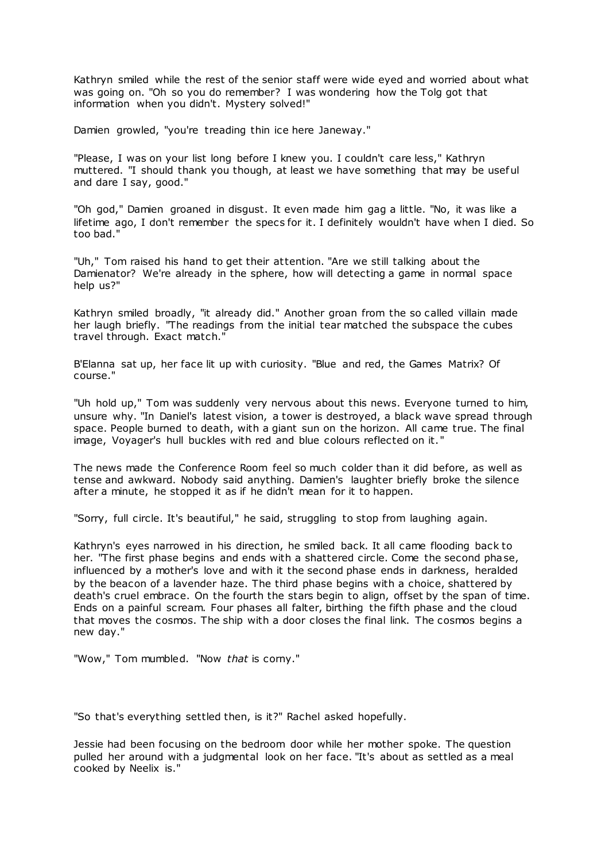Kathryn smiled while the rest of the senior staff were wide eyed and worried about what was going on. "Oh so you do remember? I was wondering how the Tolg got that information when you didn't. Mystery solved!"

Damien growled, "you're treading thin ice here Janeway."

"Please, I was on your list long before I knew you. I couldn't care less," Kathryn muttered. "I should thank you though, at least we have something that may be useful and dare I say, good."

"Oh god," Damien groaned in disgust. It even made him gag a little. "No, it was like a lifetime ago, I don't remember the specs for it. I definitely wouldn't have when I died. So too bad."

"Uh," Tom raised his hand to get their attention. "Are we still talking about the Damienator? We're already in the sphere, how will detecting a game in normal space help us?"

Kathryn smiled broadly, "it already did." Another groan from the so called villain made her laugh briefly. "The readings from the initial tear matched the subspace the cubes travel through. Exact match."

B'Elanna sat up, her face lit up with curiosity. "Blue and red, the Games Matrix? Of course."

"Uh hold up," Tom was suddenly very nervous about this news. Everyone turned to him, unsure why. "In Daniel's latest vision, a tower is destroyed, a black wave spread through space. People burned to death, with a giant sun on the horizon. All came true. The final image, Voyager's hull buckles with red and blue colours reflected on it."

The news made the Conference Room feel so much colder than it did before, as well as tense and awkward. Nobody said anything. Damien's laughter briefly broke the silence after a minute, he stopped it as if he didn't mean for it to happen.

"Sorry, full circle. It's beautiful," he said, struggling to stop from laughing again.

Kathryn's eyes narrowed in his direction, he smiled back. It all came flooding back to her. "The first phase begins and ends with a shattered circle. Come the second phase, influenced by a mother's love and with it the second phase ends in darkness, heralded by the beacon of a lavender haze. The third phase begins with a choice, shattered by death's cruel embrace. On the fourth the stars begin to align, offset by the span of time. Ends on a painful scream. Four phases all falter, birthing the fifth phase and the cloud that moves the cosmos. The ship with a door closes the final link. The cosmos begins a new day."

"Wow," Tom mumbled. "Now *that* is corny."

"So that's everything settled then, is it?" Rachel asked hopefully.

Jessie had been focusing on the bedroom door while her mother spoke. The question pulled her around with a judgmental look on her face. "It's about as settled as a meal cooked by Neelix is."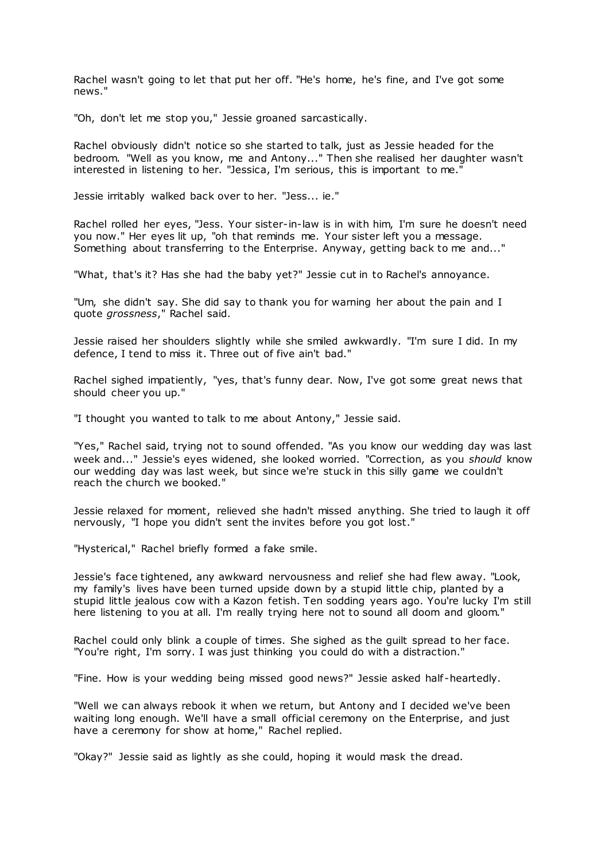Rachel wasn't going to let that put her off. "He's home, he's fine, and I've got some news."

"Oh, don't let me stop you," Jessie groaned sarcastically.

Rachel obviously didn't notice so she started to talk, just as Jessie headed for the bedroom. "Well as you know, me and Antony..." Then she realised her daughter wasn't interested in listening to her. "Jessica, I'm serious, this is important to me."

Jessie irritably walked back over to her. "Jess... ie."

Rachel rolled her eyes, "Jess. Your sister-in-law is in with him, I'm sure he doesn't need you now." Her eyes lit up, "oh that reminds me. Your sister left you a message. Something about transferring to the Enterprise. Anyway, getting back to me and..."

"What, that's it? Has she had the baby yet?" Jessie cut in to Rachel's annoyance.

"Um, she didn't say. She did say to thank you for warning her about the pain and I quote *grossness*," Rachel said.

Jessie raised her shoulders slightly while she smiled awkwardly. "I'm sure I did. In my defence, I tend to miss it. Three out of five ain't bad."

Rachel sighed impatiently, "yes, that's funny dear. Now, I've got some great news that should cheer you up."

"I thought you wanted to talk to me about Antony," Jessie said.

"Yes," Rachel said, trying not to sound offended. "As you know our wedding day was last week and..." Jessie's eyes widened, she looked worried. "Correction, as you *should* know our wedding day was last week, but since we're stuck in this silly game we couldn't reach the church we booked."

Jessie relaxed for moment, relieved she hadn't missed anything. She tried to laugh it off nervously, "I hope you didn't sent the invites before you got lost."

"Hysterical," Rachel briefly formed a fake smile.

Jessie's face tightened, any awkward nervousness and relief she had flew away. "Look, my family's lives have been turned upside down by a stupid little chip, planted by a stupid little jealous cow with a Kazon fetish. Ten sodding years ago. You're lucky I'm still here listening to you at all. I'm really trying here not to sound all doom and gloom."

Rachel could only blink a couple of times. She sighed as the guilt spread to her face. "You're right, I'm sorry. I was just thinking you could do with a distraction."

"Fine. How is your wedding being missed good news?" Jessie asked half -heartedly.

"Well we can always rebook it when we return, but Antony and I decided we've been waiting long enough. We'll have a small official ceremony on the Enterprise, and just have a ceremony for show at home," Rachel replied.

"Okay?" Jessie said as lightly as she could, hoping it would mask the dread.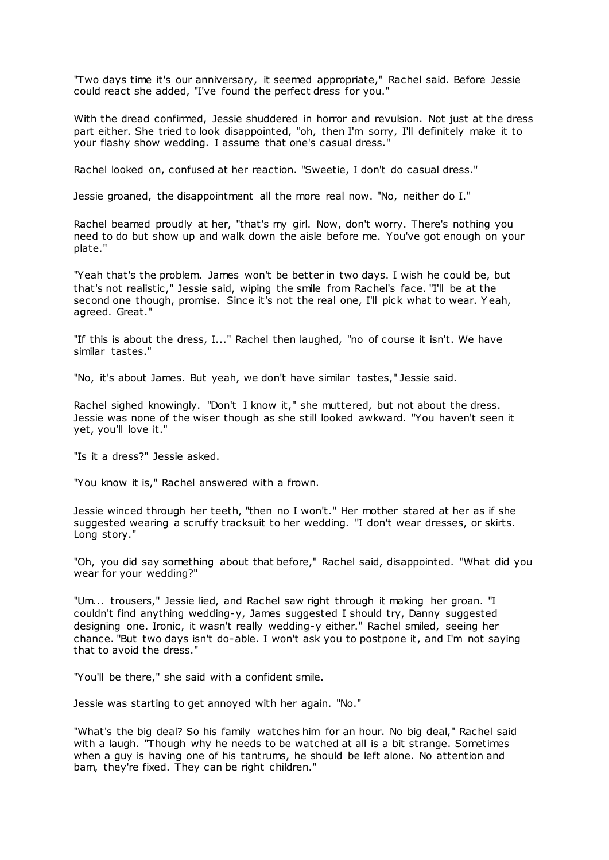"Two days time it's our anniversary, it seemed appropriate," Rachel said. Before Jessie could react she added, "I've found the perfect dress for you."

With the dread confirmed, Jessie shuddered in horror and revulsion. Not just at the dress part either. She tried to look disappointed, "oh, then I'm sorry, I'll definitely make it to your flashy show wedding. I assume that one's casual dress."

Rachel looked on, confused at her reaction. "Sweetie, I don't do casual dress."

Jessie groaned, the disappointment all the more real now. "No, neither do I."

Rachel beamed proudly at her, "that's my girl. Now, don't worry. There's nothing you need to do but show up and walk down the aisle before me. You've got enough on your plate."

"Yeah that's the problem. James won't be better in two days. I wish he could be, but that's not realistic ," Jessie said, wiping the smile from Rachel's face. "I'll be at the second one though, promise. Since it's not the real one, I'll pick what to wear. Y eah, agreed. Great."

"If this is about the dress, I..." Rachel then laughed, "no of course it isn't. We have similar tastes."

"No, it's about James. But yeah, we don't have similar tastes," Jessie said.

Rachel sighed knowingly. "Don't I know it," she muttered, but not about the dress. Jessie was none of the wiser though as she still looked awkward. "You haven't seen it yet, you'll love it."

"Is it a dress?" Jessie asked.

"You know it is," Rachel answered with a frown.

Jessie winced through her teeth, "then no I won't." Her mother stared at her as if she suggested wearing a scruffy tracksuit to her wedding. "I don't wear dresses, or skirts. Long story."

"Oh, you did say something about that before," Rachel said, disappointed. "What did you wear for your wedding?"

"Um... trousers," Jessie lied, and Rachel saw right through it making her groan. "I couldn't find anything wedding-y, James suggested I should try, Danny suggested designing one. Ironic, it wasn't really wedding-y either." Rachel smiled, seeing her chance. "But two days isn't do-able. I won't ask you to postpone it, and I'm not saying that to avoid the dress."

"You'll be there," she said with a confident smile.

Jessie was starting to get annoyed with her again. "No."

"What's the big deal? So his family watches him for an hour. No big deal," Rachel said with a laugh. "Though why he needs to be watched at all is a bit strange. Sometimes when a guy is having one of his tantrums, he should be left alone. No attention and bam, they're fixed. They can be right children."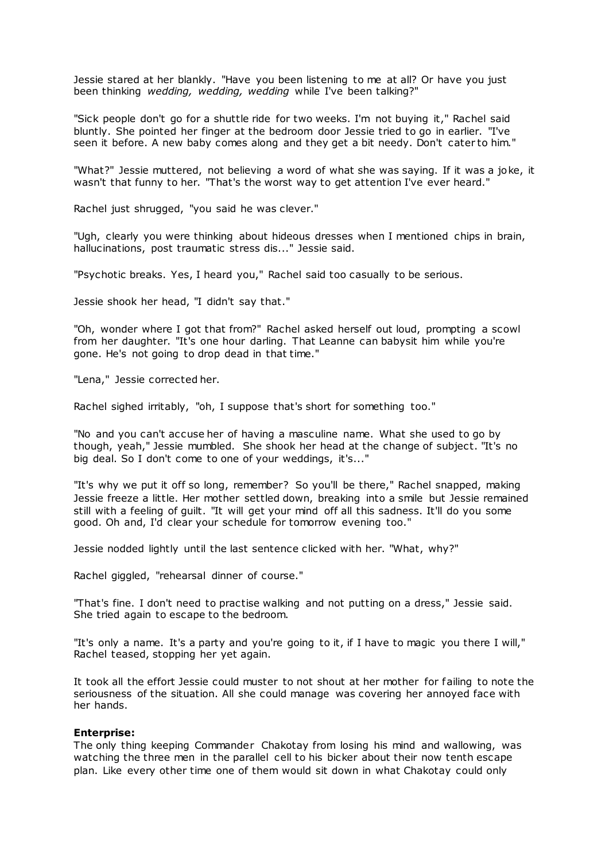Jessie stared at her blankly. "Have you been listening to me at all? Or have you just been thinking *wedding, wedding, wedding* while I've been talking?"

"Sick people don't go for a shuttle ride for two weeks. I'm not buying it," Rachel said bluntly. She pointed her finger at the bedroom door Jessie tried to go in earlier. "I've seen it before. A new baby comes along and they get a bit needy. Don't cater to him."

"What?" Jessie muttered, not believing a word of what she was saying. If it was a joke, it wasn't that funny to her. "That's the worst way to get attention I've ever heard."

Rachel just shrugged, "you said he was clever."

"Ugh, clearly you were thinking about hideous dresses when I mentioned chips in brain, hallucinations, post traumatic stress dis..." Jessie said.

"Psychotic breaks. Yes, I heard you," Rachel said too casually to be serious.

Jessie shook her head, "I didn't say that."

"Oh, wonder where I got that from?" Rachel asked herself out loud, prompting a scowl from her daughter. "It's one hour darling. That Leanne can babysit him while you're gone. He's not going to drop dead in that time."

"Lena," Jessie corrected her.

Rachel sighed irritably, "oh, I suppose that's short for something too."

"No and you can't accuse her of having a masculine name. What she used to go by though, yeah," Jessie mumbled. She shook her head at the change of subject. "It's no big deal. So I don't come to one of your weddings, it's..."

"It's why we put it off so long, remember? So you'll be there," Rachel snapped, making Jessie freeze a little. Her mother settled down, breaking into a smile but Jessie remained still with a feeling of guilt. "It will get your mind off all this sadness. It'll do you some good. Oh and, I'd clear your schedule for tomorrow evening too."

Jessie nodded lightly until the last sentence clicked with her. "What, why?"

Rachel giggled, "rehearsal dinner of course."

"That's fine. I don't need to practise walking and not putting on a dress," Jessie said. She tried again to escape to the bedroom.

"It's only a name. It's a party and you're going to it, if I have to magic you there I will," Rachel teased, stopping her yet again.

It took all the effort Jessie could muster to not shout at her mother for failing to note the seriousness of the situation. All she could manage was covering her annoyed face with her hands.

# **Enterprise:**

The only thing keeping Commander Chakotay from losing his mind and wallowing, was watching the three men in the parallel cell to his bicker about their now tenth escape plan. Like every other time one of them would sit down in what Chakotay could only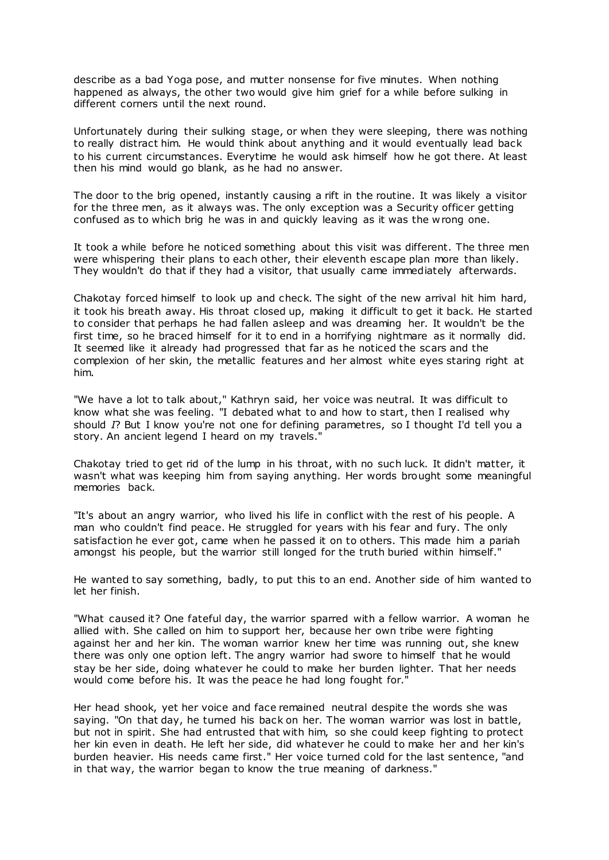describe as a bad Yoga pose, and mutter nonsense for five minutes. When nothing happened as always, the other two would give him grief for a while before sulking in different corners until the next round.

Unfortunately during their sulking stage, or when they were sleeping, there was nothing to really distract him. He would think about anything and it would eventually lead back to his current circumstances. Everytime he would ask himself how he got there. At least then his mind would go blank, as he had no answer.

The door to the brig opened, instantly causing a rift in the routine. It was likely a visitor for the three men, as it always was. The only exception was a Security officer getting confused as to which brig he was in and quickly leaving as it was the wrong one.

It took a while before he noticed something about this visit was different. The three men were whispering their plans to each other, their eleventh escape plan more than likely. They wouldn't do that if they had a visitor, that usually came immediately afterwards.

Chakotay forced himself to look up and check. The sight of the new arrival hit him hard, it took his breath away. His throat closed up, making it difficult to get it back. He started to consider that perhaps he had fallen asleep and was dreaming her. It wouldn't be the first time, so he braced himself for it to end in a horrifying nightmare as it normally did. It seemed like it already had progressed that far as he noticed the scars and the complexion of her skin, the metallic features and her almost white eyes staring right at him.

"We have a lot to talk about," Kathryn said, her voice was neutral. It was difficult to know what she was feeling. "I debated what to and how to start, then I realised why should *I*? But I know you're not one for defining parametres, so I thought I'd tell you a story. An ancient legend I heard on my travels."

Chakotay tried to get rid of the lump in his throat, with no such luck. It didn't matter, it wasn't what was keeping him from saying anything. Her words brought some meaningful memories back.

"It's about an angry warrior, who lived his life in conflict with the rest of his people. A man who couldn't find peace. He struggled for years with his fear and fury. The only satisfaction he ever got, came when he passed it on to others. This made him a pariah amongst his people, but the warrior still longed for the truth buried within himself."

He wanted to say something, badly, to put this to an end. Another side of him wanted to let her finish.

"What caused it? One fateful day, the warrior sparred with a fellow warrior. A woman he allied with. She called on him to support her, because her own tribe were fighting against her and her kin. The woman warrior knew her time was running out, she knew there was only one option left. The angry warrior had swore to himself that he would stay be her side, doing whatever he could to make her burden lighter. That her needs would come before his. It was the peace he had long fought for."

Her head shook, yet her voice and face remained neutral despite the words she was saying. "On that day, he turned his back on her. The woman warrior was lost in battle, but not in spirit. She had entrusted that with him, so she could keep fighting to protect her kin even in death. He left her side, did whatever he could to make her and her kin's burden heavier. His needs came first." Her voice turned cold for the last sentence, "and in that way, the warrior began to know the true meaning of darkness."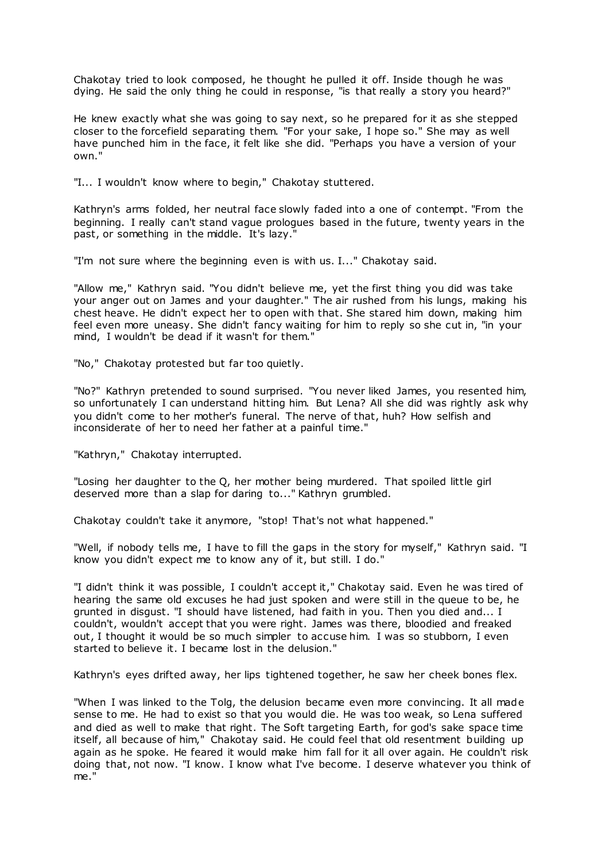Chakotay tried to look composed, he thought he pulled it off. Inside though he was dying. He said the only thing he could in response, "is that really a story you heard?"

He knew exactly what she was going to say next, so he prepared for it as she stepped closer to the forcefield separating them. "For your sake, I hope so." She may as well have punched him in the face, it felt like she did. "Perhaps you have a version of your own."

"I... I wouldn't know where to begin," Chakotay stuttered.

Kathryn's arms folded, her neutral face slowly faded into a one of contempt. "From the beginning. I really can't stand vague prologues based in the future, twenty years in the past, or something in the middle. It's lazy."

"I'm not sure where the beginning even is with us. I..." Chakotay said.

"Allow me," Kathryn said. "You didn't believe me, yet the first thing you did was take your anger out on James and your daughter." The air rushed from his lungs, making his chest heave. He didn't expect her to open with that. She stared him down, making him feel even more uneasy. She didn't fancy waiting for him to reply so she cut in, "in your mind, I wouldn't be dead if it wasn't for them."

"No," Chakotay protested but far too quietly.

"No?" Kathryn pretended to sound surprised. "You never liked James, you resented him, so unfortunately I can understand hitting him. But Lena? All she did was rightly ask why you didn't come to her mother's funeral. The nerve of that, huh? How selfish and inconsiderate of her to need her father at a painful time."

"Kathryn," Chakotay interrupted.

"Losing her daughter to the Q, her mother being murdered. That spoiled little girl deserved more than a slap for daring to..." Kathryn grumbled.

Chakotay couldn't take it anymore, "stop! That's not what happened."

"Well, if nobody tells me, I have to fill the gaps in the story for myself," Kathryn said. "I know you didn't expect me to know any of it, but still. I do."

"I didn't think it was possible, I couldn't accept it," Chakotay said. Even he was tired of hearing the same old excuses he had just spoken and were still in the queue to be, he grunted in disgust. "I should have listened, had faith in you. Then you died and... I couldn't, wouldn't accept that you were right. James was there, bloodied and freaked out, I thought it would be so much simpler to accuse him. I was so stubborn, I even started to believe it. I became lost in the delusion."

Kathryn's eyes drifted away, her lips tightened together, he saw her cheek bones flex.

"When I was linked to the Tolg, the delusion became even more convincing. It all made sense to me. He had to exist so that you would die. He was too weak, so Lena suffered and died as well to make that right. The Soft targeting Earth, for god's sake space time itself, all because of him," Chakotay said. He could feel that old resentment building up again as he spoke. He feared it would make him fall for it all over again. He couldn't risk doing that, not now. "I know. I know what I've become. I deserve whatever you think of me."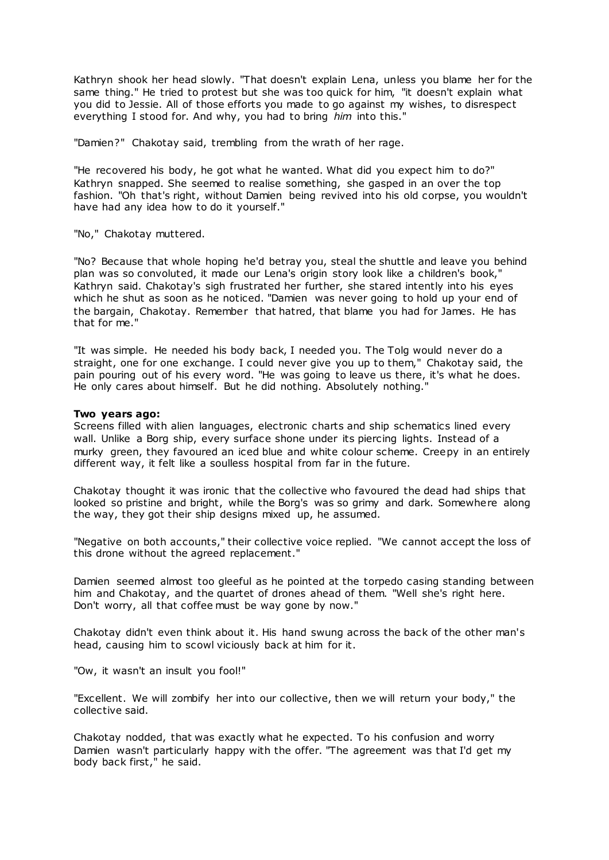Kathryn shook her head slowly. "That doesn't explain Lena, unless you blame her for the same thing." He tried to protest but she was too quick for him, "it doesn't explain what you did to Jessie. All of those efforts you made to go against my wishes, to disrespect everything I stood for. And why, you had to bring *him* into this."

"Damien?" Chakotay said, trembling from the wrath of her rage.

"He recovered his body, he got what he wanted. What did you expect him to do?" Kathryn snapped. She seemed to realise something, she gasped in an over the top fashion. "Oh that's right, without Damien being revived into his old corpse, you wouldn't have had any idea how to do it yourself."

"No," Chakotay muttered.

"No? Because that whole hoping he'd betray you, steal the shuttle and leave you behind plan was so convoluted, it made our Lena's origin story look like a children's book," Kathryn said. Chakotay's sigh frustrated her further, she stared intently into his eyes which he shut as soon as he noticed. "Damien was never going to hold up your end of the bargain, Chakotay. Remember that hatred, that blame you had for James. He has that for me."

"It was simple. He needed his body back, I needed you. The Tolg would never do a straight, one for one exchange. I could never give you up to them," Chakotay said, the pain pouring out of his every word. "He was going to leave us there, it's what he does. He only cares about himself. But he did nothing. Absolutely nothing."

## **Two years ago:**

Screens filled with alien languages, electronic charts and ship schematics lined every wall. Unlike a Borg ship, every surface shone under its piercing lights. Instead of a murky green, they favoured an iced blue and white colour scheme. Creepy in an entirely different way, it felt like a soulless hospital from far in the future.

Chakotay thought it was ironic that the collective who favoured the dead had ships that looked so pristine and bright, while the Borg's was so grimy and dark. Somewhere along the way, they got their ship designs mixed up, he assumed.

"Negative on both accounts," their collective voice replied. "We cannot accept the loss of this drone without the agreed replacement."

Damien seemed almost too gleeful as he pointed at the torpedo casing standing between him and Chakotay, and the quartet of drones ahead of them. "Well she's right here. Don't worry, all that coffee must be way gone by now."

Chakotay didn't even think about it. His hand swung across the back of the other man's head, causing him to scowl viciously back at him for it.

"Ow, it wasn't an insult you fool!"

"Excellent. We will zombify her into our collective, then we will return your body," the collective said.

Chakotay nodded, that was exactly what he expected. To his confusion and worry Damien wasn't particularly happy with the offer. "The agreement was that I'd get my body back first," he said.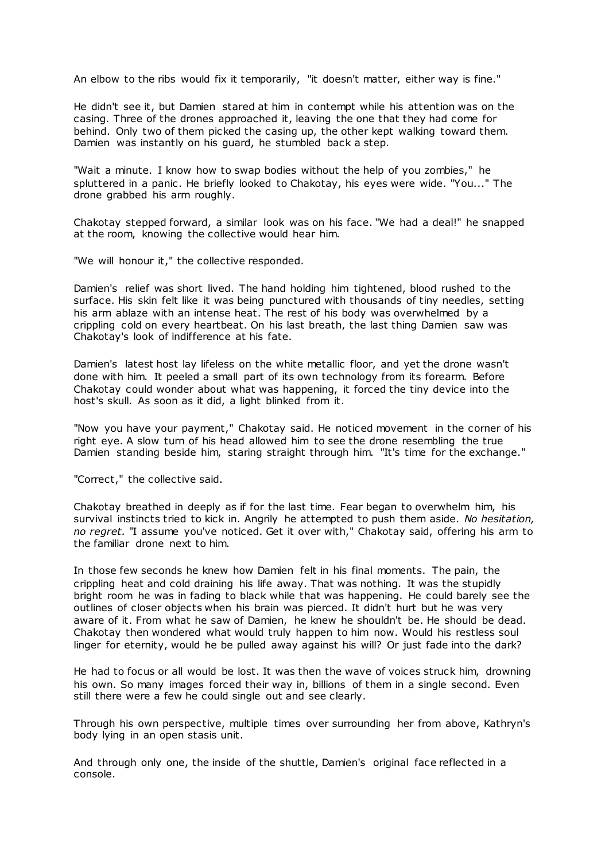An elbow to the ribs would fix it temporarily, "it doesn't matter, either way is fine."

He didn't see it, but Damien stared at him in contempt while his attention was on the casing. Three of the drones approached it, leaving the one that they had come for behind. Only two of them picked the casing up, the other kept walking toward them. Damien was instantly on his guard, he stumbled back a step.

"Wait a minute. I know how to swap bodies without the help of you zombies," he spluttered in a panic . He briefly looked to Chakotay, his eyes were wide. "You..." The drone grabbed his arm roughly.

Chakotay stepped forward, a similar look was on his face. "We had a deal!" he snapped at the room, knowing the collective would hear him.

"We will honour it," the collective responded.

Damien's relief was short lived. The hand holding him tightened, blood rushed to the surface. His skin felt like it was being punctured with thousands of tiny needles, setting his arm ablaze with an intense heat. The rest of his body was overwhelmed by a crippling cold on every heartbeat. On his last breath, the last thing Damien saw was Chakotay's look of indifference at his fate.

Damien's latest host lay lifeless on the white metallic floor, and yet the drone wasn't done with him. It peeled a small part of its own technology from its forearm. Before Chakotay could wonder about what was happening, it forced the tiny device into the host's skull. As soon as it did, a light blinked from it.

"Now you have your payment," Chakotay said. He noticed movement in the corner of his right eye. A slow turn of his head allowed him to see the drone resembling the true Damien standing beside him, staring straight through him. "It's time for the exchange."

"Correct," the collective said.

Chakotay breathed in deeply as if for the last time. Fear began to overwhelm him, his survival instincts tried to kick in. Angrily he attempted to push them aside. *No hesitation, no regret.* "I assume you've noticed. Get it over with," Chakotay said, offering his arm to the familiar drone next to him.

In those few seconds he knew how Damien felt in his final moments. The pain, the crippling heat and cold draining his life away. That was nothing. It was the stupidly bright room he was in fading to black while that was happening. He could barely see the outlines of closer objects when his brain was pierced. It didn't hurt but he was very aware of it. From what he saw of Damien, he knew he shouldn't be. He should be dead. Chakotay then wondered what would truly happen to him now. Would his restless soul linger for eternity, would he be pulled away against his will? Or just fade into the dark?

He had to focus or all would be lost. It was then the wave of voices struck him, drowning his own. So many images forced their way in, billions of them in a single second. Even still there were a few he could single out and see clearly.

Through his own perspective, multiple times over surrounding her from above, Kathryn's body lying in an open stasis unit.

And through only one, the inside of the shuttle, Damien's original face reflected in a console.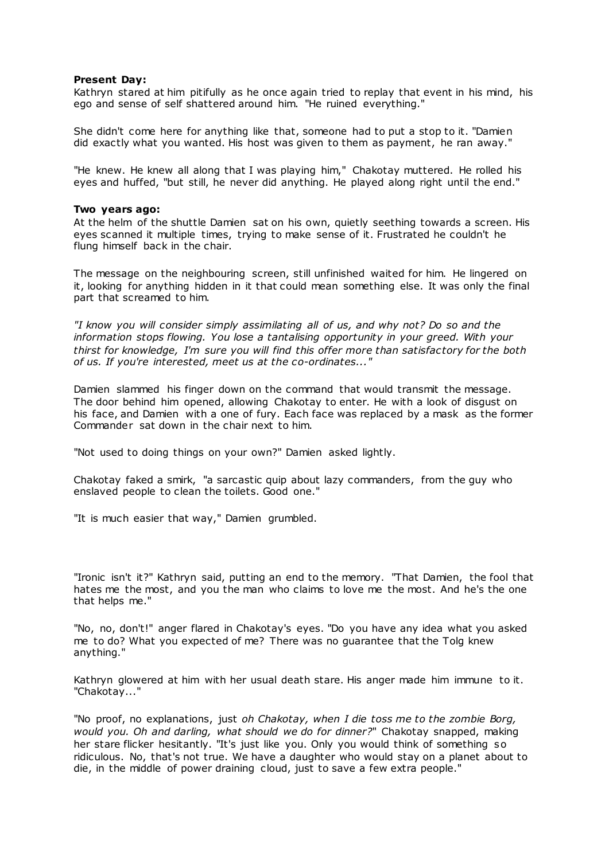# **Present Day:**

Kathryn stared at him pitifully as he once again tried to replay that event in his mind, his ego and sense of self shattered around him. "He ruined everything."

She didn't come here for anything like that, someone had to put a stop to it. "Damien did exactly what you wanted. His host was given to them as payment, he ran away."

"He knew. He knew all along that I was playing him," Chakotay muttered. He rolled his eyes and huffed, "but still, he never did anything. He played along right until the end."

#### **Two years ago:**

At the helm of the shuttle Damien sat on his own, quietly seething towards a screen. His eyes scanned it multiple times, trying to make sense of it. Frustrated he couldn't he flung himself back in the chair.

The message on the neighbouring screen, still unfinished waited for him. He lingered on it, looking for anything hidden in it that could mean something else. It was only the final part that screamed to him.

*"I know you will consider simply assimilating all of us, and why not? Do so and the information stops flowing. You lose a tantalising opportunity in your greed. With your thirst for knowledge, I'm sure you will find this offer more than satisfactory for the both of us. If you're interested, meet us at the co-ordinates..."*

Damien slammed his finger down on the command that would transmit the message. The door behind him opened, allowing Chakotay to enter. He with a look of disgust on his face, and Damien with a one of fury. Each face was replaced by a mask as the former Commander sat down in the chair next to him.

"Not used to doing things on your own?" Damien asked lightly.

Chakotay faked a smirk, "a sarcastic quip about lazy commanders, from the guy who enslaved people to clean the toilets. Good one."

"It is much easier that way," Damien grumbled.

"Ironic isn't it?" Kathryn said, putting an end to the memory. "That Damien, the fool that hates me the most, and you the man who claims to love me the most. And he's the one that helps me."

"No, no, don't!" anger flared in Chakotay's eyes. "Do you have any idea what you asked me to do? What you expected of me? There was no guarantee that the Tolg knew anything."

Kathryn glowered at him with her usual death stare. His anger made him immune to it. "Chakotay..."

"No proof, no explanations, just *oh Chakotay, when I die toss me to the zombie Borg, would you. Oh and darling, what should we do for dinner?*" Chakotay snapped, making her stare flicker hesitantly. "It's just like you. Only you would think of something so ridiculous. No, that's not true. We have a daughter who would stay on a planet about to die, in the middle of power draining cloud, just to save a few extra people."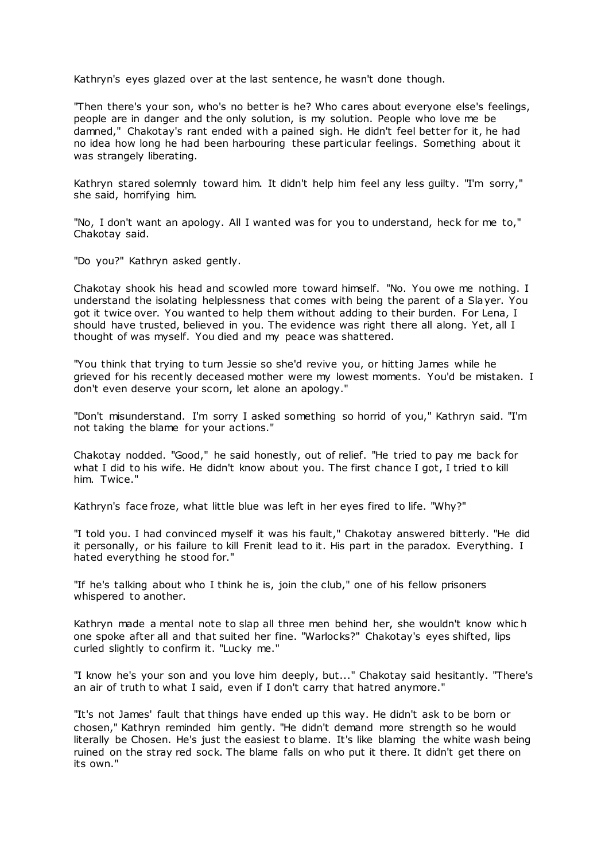Kathryn's eyes glazed over at the last sentence, he wasn't done though.

"Then there's your son, who's no better is he? Who cares about everyone else's feelings, people are in danger and the only solution, is my solution. People who love me be damned," Chakotay's rant ended with a pained sigh. He didn't feel better for it, he had no idea how long he had been harbouring these particular feelings. Something about it was strangely liberating.

Kathryn stared solemnly toward him. It didn't help him feel any less guilty. "I'm sorry," she said, horrifying him.

"No, I don't want an apology. All I wanted was for you to understand, heck for me to," Chakotay said.

"Do you?" Kathryn asked gently.

Chakotay shook his head and scowled more toward himself. "No. You owe me nothing. I understand the isolating helplessness that comes with being the parent of a Slayer. You got it twice over. You wanted to help them without adding to their burden. For Lena, I should have trusted, believed in you. The evidence was right there all along. Yet, all I thought of was myself. You died and my peace was shattered.

"You think that trying to turn Jessie so she'd revive you, or hitting James while he grieved for his recently deceased mother were my lowest moments. You'd be mistaken. I don't even deserve your scorn, let alone an apology."

"Don't misunderstand. I'm sorry I asked something so horrid of you," Kathryn said. "I'm not taking the blame for your actions."

Chakotay nodded. "Good," he said honestly, out of relief. "He tried to pay me back for what I did to his wife. He didn't know about you. The first chance I got, I tried to kill him. Twice."

Kathryn's face froze, what little blue was left in her eyes fired to life. "Why?"

"I told you. I had convinced myself it was his fault," Chakotay answered bitterly. "He did it personally, or his failure to kill Frenit lead to it. His part in the paradox. Everything. I hated everything he stood for."

"If he's talking about who I think he is, join the club," one of his fellow prisoners whispered to another.

Kathryn made a mental note to slap all three men behind her, she wouldn't know whic h one spoke after all and that suited her fine. "Warlocks?" Chakotay's eyes shifted, lips curled slightly to confirm it. "Lucky me."

"I know he's your son and you love him deeply, but..." Chakotay said hesitantly. "There's an air of truth to what I said, even if I don't carry that hatred anymore."

"It's not James' fault that things have ended up this way. He didn't ask to be born or chosen," Kathryn reminded him gently. "He didn't demand more strength so he would literally be Chosen. He's just the easiest to blame. It's like blaming the white wash being ruined on the stray red sock. The blame falls on who put it there. It didn't get there on its own."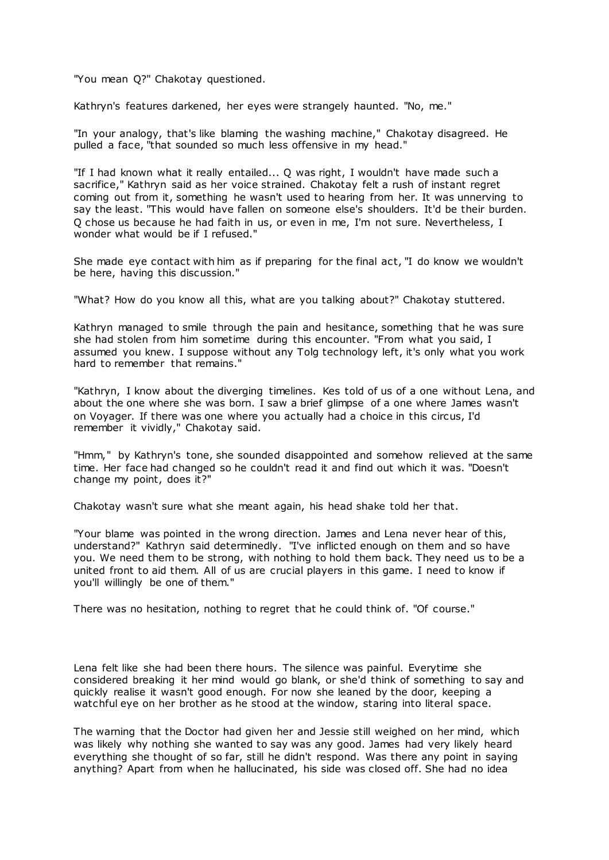"You mean Q?" Chakotay questioned.

Kathryn's features darkened, her eyes were strangely haunted. "No, me."

"In your analogy, that's like blaming the washing machine," Chakotay disagreed. He pulled a face, "that sounded so much less offensive in my head."

"If I had known what it really entailed... Q was right, I wouldn't have made such a sacrifice," Kathryn said as her voice strained. Chakotay felt a rush of instant regret coming out from it, something he wasn't used to hearing from her. It was unnerving to say the least. "This would have fallen on someone else's shoulders. It'd be their burden. Q chose us because he had faith in us, or even in me, I'm not sure. Nevertheless, I wonder what would be if I refused."

She made eye contact with him as if preparing for the final act, "I do know we wouldn't be here, having this discussion."

"What? How do you know all this, what are you talking about?" Chakotay stuttered.

Kathryn managed to smile through the pain and hesitance, something that he was sure she had stolen from him sometime during this encounter. "From what you said, I assumed you knew. I suppose without any Tolg technology left, it's only what you work hard to remember that remains."

"Kathryn, I know about the diverging timelines. Kes told of us of a one without Lena, and about the one where she was born. I saw a brief glimpse of a one where James wasn't on Voyager. If there was one where you actually had a choice in this circus, I'd remember it vividly," Chakotay said.

"Hmm," by Kathryn's tone, she sounded disappointed and somehow relieved at the same time. Her face had changed so he couldn't read it and find out which it was. "Doesn't change my point, does it?"

Chakotay wasn't sure what she meant again, his head shake told her that.

"Your blame was pointed in the wrong direction. James and Lena never hear of this, understand?" Kathryn said determinedly. "I've inflicted enough on them and so have you. We need them to be strong, with nothing to hold them back. They need us to be a united front to aid them. All of us are crucial players in this game. I need to know if you'll willingly be one of them."

There was no hesitation, nothing to regret that he could think of. "Of course."

Lena felt like she had been there hours. The silence was painful. Everytime she considered breaking it her mind would go blank, or she'd think of something to say and quickly realise it wasn't good enough. For now she leaned by the door, keeping a watchful eye on her brother as he stood at the window, staring into literal space.

The warning that the Doctor had given her and Jessie still weighed on her mind, which was likely why nothing she wanted to say was any good. James had very likely heard everything she thought of so far, still he didn't respond. Was there any point in saying anything? Apart from when he hallucinated, his side was closed off. She had no idea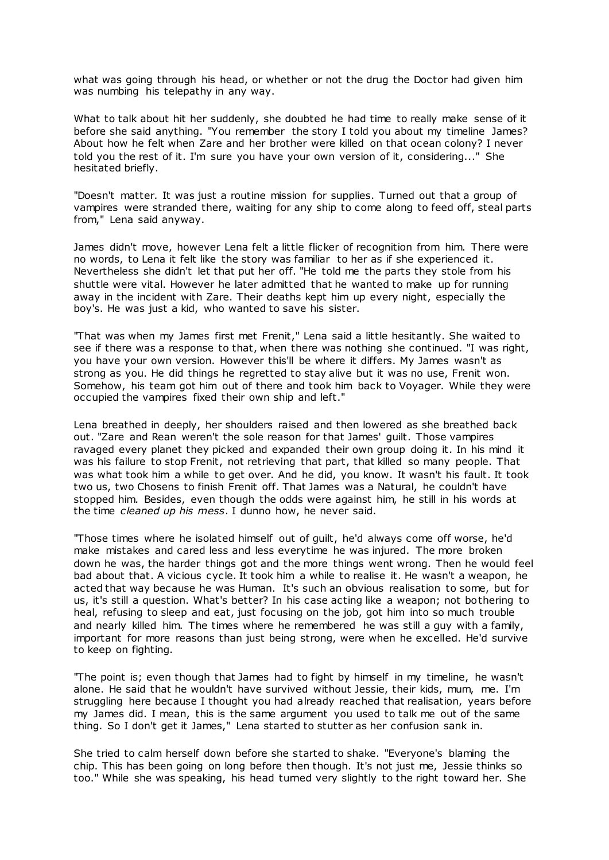what was going through his head, or whether or not the drug the Doctor had given him was numbing his telepathy in any way.

What to talk about hit her suddenly, she doubted he had time to really make sense of it before she said anything. "You remember the story I told you about my timeline James? About how he felt when Zare and her brother were killed on that ocean colony? I never told you the rest of it. I'm sure you have your own version of it, considering..." She hesitated briefly.

"Doesn't matter. It was just a routine mission for supplies. Turned out that a group of vampires were stranded there, waiting for any ship to come along to feed off, steal parts from," Lena said anyway.

James didn't move, however Lena felt a little flicker of recognition from him. There were no words, to Lena it felt like the story was familiar to her as if she experienced it. Nevertheless she didn't let that put her off. "He told me the parts they stole from his shuttle were vital. However he later admitted that he wanted to make up for running away in the incident with Zare. Their deaths kept him up every night, especially the boy's. He was just a kid, who wanted to save his sister.

"That was when my James first met Frenit," Lena said a little hesitantly. She waited to see if there was a response to that, when there was nothing she continued. "I was right, you have your own version. However this'll be where it differs. My James wasn't as strong as you. He did things he regretted to stay alive but it was no use, Frenit won. Somehow, his team got him out of there and took him back to Voyager. While they were occupied the vampires fixed their own ship and left."

Lena breathed in deeply, her shoulders raised and then lowered as she breathed back out. "Zare and Rean weren't the sole reason for that James' guilt. Those vampires ravaged every planet they picked and expanded their own group doing it. In his mind it was his failure to stop Frenit, not retrieving that part, that killed so many people. That was what took him a while to get over. And he did, you know. It wasn't his fault. It took two us, two Chosens to finish Frenit off. That James was a Natural, he couldn't have stopped him. Besides, even though the odds were against him, he still in his words at the time *cleaned up his mess*. I dunno how, he never said.

"Those times where he isolated himself out of guilt, he'd always come off worse, he'd make mistakes and cared less and less everytime he was injured. The more broken down he was, the harder things got and the more things went wrong. Then he would feel bad about that. A vicious cycle. It took him a while to realise it. He wasn't a weapon, he acted that way because he was Human. It's such an obvious realisation to some, but for us, it's still a question. What's better? In his case acting like a weapon; not bothering to heal, refusing to sleep and eat, just focusing on the job, got him into so much trouble and nearly killed him. The times where he remembered he was still a guy with a family, important for more reasons than just being strong, were when he excelled. He'd survive to keep on fighting.

"The point is; even though that James had to fight by himself in my timeline, he wasn't alone. He said that he wouldn't have survived without Jessie, their kids, mum, me. I'm struggling here because I thought you had already reached that realisation, years before my James did. I mean, this is the same argument you used to talk me out of the same thing. So I don't get it James," Lena started to stutter as her confusion sank in.

She tried to calm herself down before she started to shake. "Everyone's blaming the chip. This has been going on long before then though. It's not just me, Jessie thinks so too." While she was speaking, his head turned very slightly to the right toward her. She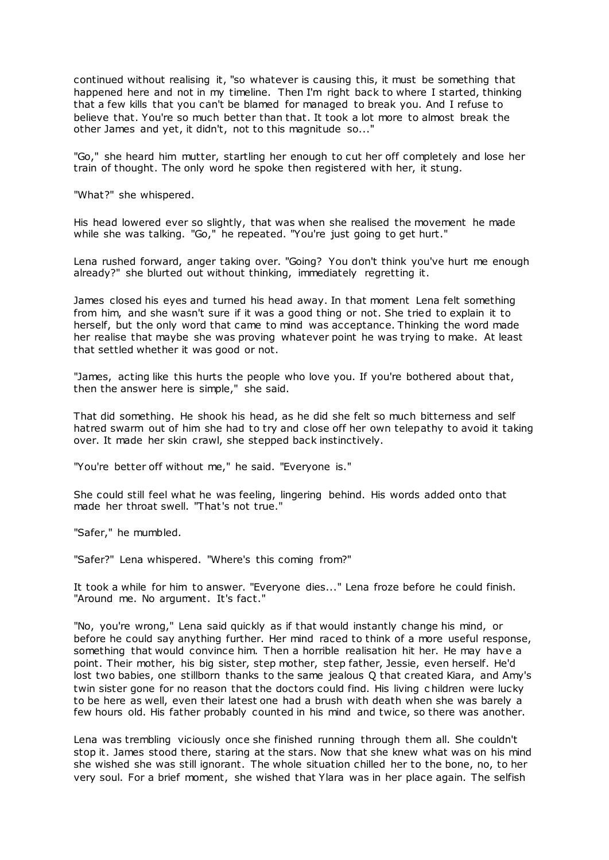continued without realising it, "so whatever is causing this, it must be something that happened here and not in my timeline. Then I'm right back to where I started, thinking that a few kills that you can't be blamed for managed to break you. And I refuse to believe that. You're so much better than that. It took a lot more to almost break the other James and yet, it didn't, not to this magnitude so..."

"Go," she heard him mutter, startling her enough to cut her off completely and lose her train of thought. The only word he spoke then registered with her, it stung.

"What?" she whispered.

His head lowered ever so slightly, that was when she realised the movement he made while she was talking. "Go," he repeated. "You're just going to get hurt."

Lena rushed forward, anger taking over. "Going? You don't think you've hurt me enough already?" she blurted out without thinking, immediately regretting it.

James closed his eyes and turned his head away. In that moment Lena felt something from him, and she wasn't sure if it was a good thing or not. She tried to explain it to herself, but the only word that came to mind was acceptance. Thinking the word made her realise that maybe she was proving whatever point he was trying to make. At least that settled whether it was good or not.

"James, acting like this hurts the people who love you. If you're bothered about that, then the answer here is simple," she said.

That did something. He shook his head, as he did she felt so much bitterness and self hatred swarm out of him she had to try and close off her own telepathy to avoid it taking over. It made her skin crawl, she stepped back instinctively.

"You're better off without me," he said. "Everyone is."

She could still feel what he was feeling, lingering behind. His words added onto that made her throat swell. "That's not true."

"Safer," he mumbled.

"Safer?" Lena whispered. "Where's this coming from?"

It took a while for him to answer. "Everyone dies..." Lena froze before he could finish. "Around me. No argument. It's fact."

"No, you're wrong," Lena said quickly as if that would instantly change his mind, or before he could say anything further. Her mind raced to think of a more useful response, something that would convince him. Then a horrible realisation hit her. He may have a point. Their mother, his big sister, step mother, step father, Jessie, even herself. He'd lost two babies, one stillborn thanks to the same jealous Q that created Kiara, and Amy's twin sister gone for no reason that the doctors could find. His living c hildren were lucky to be here as well, even their latest one had a brush with death when she was barely a few hours old. His father probably counted in his mind and twice, so there was another.

Lena was trembling viciously once she finished running through them all. She couldn't stop it. James stood there, staring at the stars. Now that she knew what was on his mind she wished she was still ignorant. The whole situation chilled her to the bone, no, to her very soul. For a brief moment, she wished that Ylara was in her place again. The selfish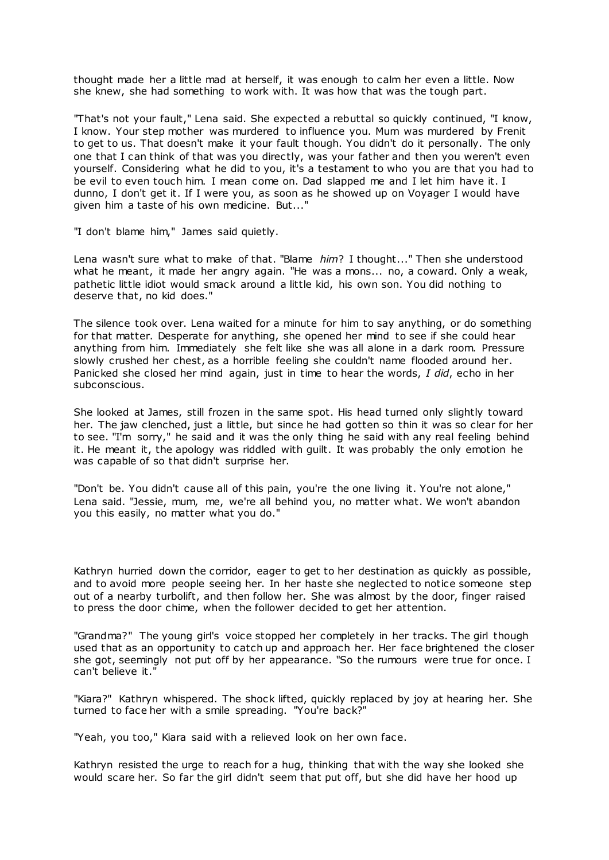thought made her a little mad at herself, it was enough to calm her even a little. Now she knew, she had something to work with. It was how that was the tough part.

"That's not your fault," Lena said. She expected a rebuttal so quickly continued, "I know, I know. Your step mother was murdered to influence you. Mum was murdered by Frenit to get to us. That doesn't make it your fault though. You didn't do it personally. The only one that I can think of that was you directly, was your father and then you weren't even yourself. Considering what he did to you, it's a testament to who you are that you had to be evil to even touch him. I mean come on. Dad slapped me and I let him have it. I dunno, I don't get it. If I were you, as soon as he showed up on Voyager I would have given him a taste of his own medicine. But..."

"I don't blame him," James said quietly.

Lena wasn't sure what to make of that. "Blame *him*? I thought..." Then she understood what he meant, it made her angry again. "He was a mons... no, a coward. Only a weak, pathetic little idiot would smack around a little kid, his own son. You did nothing to deserve that, no kid does."

The silence took over. Lena waited for a minute for him to say anything, or do something for that matter. Desperate for anything, she opened her mind to see if she could hear anything from him. Immediately she felt like she was all alone in a dark room. Pressure slowly crushed her chest, as a horrible feeling she couldn't name flooded around her. Panicked she closed her mind again, just in time to hear the words, *I did*, echo in her subconscious.

She looked at James, still frozen in the same spot. His head turned only slightly toward her. The jaw clenched, just a little, but since he had gotten so thin it was so clear for her to see. "I'm sorry," he said and it was the only thing he said with any real feeling behind it. He meant it, the apology was riddled with guilt. It was probably the only emotion he was capable of so that didn't surprise her.

"Don't be. You didn't cause all of this pain, you're the one living it. You're not alone," Lena said. "Jessie, mum, me, we're all behind you, no matter what. We won't abandon you this easily, no matter what you do."

Kathryn hurried down the corridor, eager to get to her destination as quickly as possible, and to avoid more people seeing her. In her haste she neglected to notice someone step out of a nearby turbolift, and then follow her. She was almost by the door, finger raised to press the door chime, when the follower decided to get her attention.

"Grandma?" The young girl's voice stopped her completely in her tracks. The girl though used that as an opportunity to catch up and approach her. Her face brightened the closer she got, seemingly not put off by her appearance. "So the rumours were true for once. I can't believe it."

"Kiara?" Kathryn whispered. The shock lifted, quickly replaced by joy at hearing her. She turned to face her with a smile spreading. "You're back?"

"Yeah, you too," Kiara said with a relieved look on her own face.

Kathryn resisted the urge to reach for a hug, thinking that with the way she looked she would scare her. So far the girl didn't seem that put off, but she did have her hood up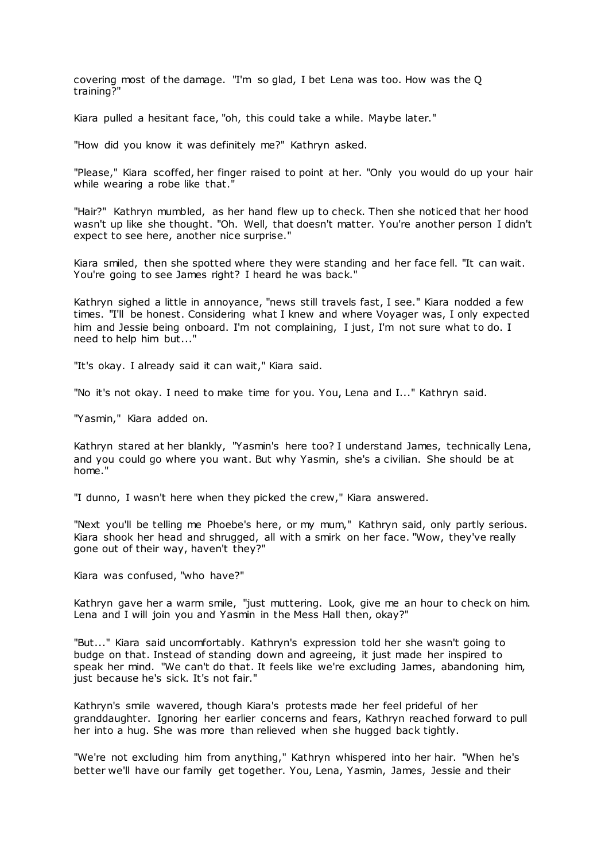covering most of the damage. "I'm so glad, I bet Lena was too. How was the Q training?"

Kiara pulled a hesitant face, "oh, this could take a while. Maybe later."

"How did you know it was definitely me?" Kathryn asked.

"Please," Kiara scoffed, her finger raised to point at her. "Only you would do up your hair while wearing a robe like that."

"Hair?" Kathryn mumbled, as her hand flew up to check. Then she noticed that her hood wasn't up like she thought. "Oh. Well, that doesn't matter. You're another person I didn't expect to see here, another nice surprise."

Kiara smiled, then she spotted where they were standing and her face fell. "It can wait. You're going to see James right? I heard he was back."

Kathryn sighed a little in annoyance, "news still travels fast, I see." Kiara nodded a few times. "I'll be honest. Considering what I knew and where Voyager was, I only expected him and Jessie being onboard. I'm not complaining, I just, I'm not sure what to do. I need to help him but..."

"It's okay. I already said it can wait," Kiara said.

"No it's not okay. I need to make time for you. You, Lena and I..." Kathryn said.

"Yasmin," Kiara added on.

Kathryn stared at her blankly, "Yasmin's here too? I understand James, technically Lena, and you could go where you want. But why Yasmin, she's a civilian. She should be at home."

"I dunno, I wasn't here when they picked the crew," Kiara answered.

"Next you'll be telling me Phoebe's here, or my mum," Kathryn said, only partly serious. Kiara shook her head and shrugged, all with a smirk on her face. "Wow, they've really gone out of their way, haven't they?"

Kiara was confused, "who have?"

Kathryn gave her a warm smile, "just muttering. Look, give me an hour to check on him. Lena and I will join you and Yasmin in the Mess Hall then, okay?"

"But..." Kiara said uncomfortably. Kathryn's expression told her she wasn't going to budge on that. Instead of standing down and agreeing, it just made her inspired to speak her mind. "We can't do that. It feels like we're excluding James, abandoning him, just because he's sick. It's not fair."

Kathryn's smile wavered, though Kiara's protests made her feel prideful of her granddaughter. Ignoring her earlier concerns and fears, Kathryn reached forward to pull her into a hug. She was more than relieved when she hugged back tightly.

"We're not excluding him from anything," Kathryn whispered into her hair. "When he's better we'll have our family get together. You, Lena, Yasmin, James, Jessie and their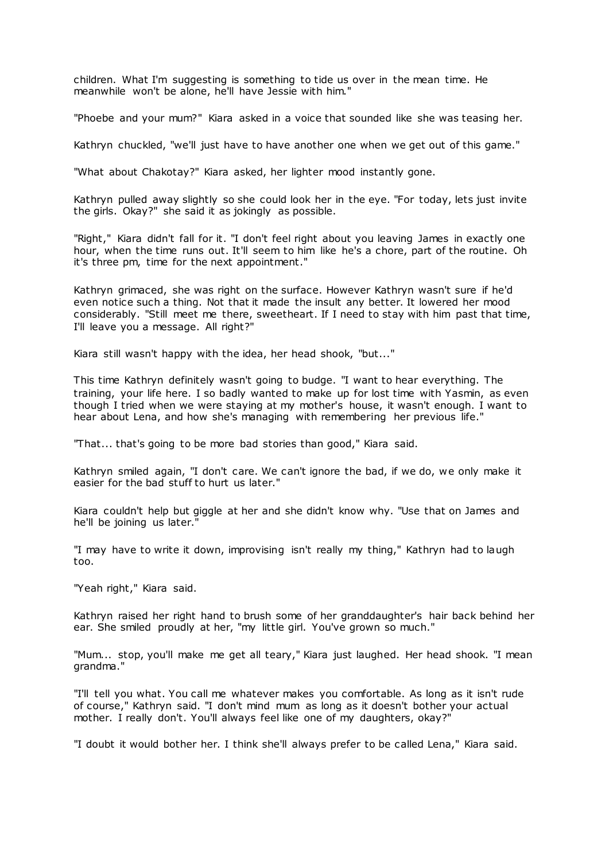children. What I'm suggesting is something to tide us over in the mean time. He meanwhile won't be alone, he'll have Jessie with him."

"Phoebe and your mum?" Kiara asked in a voice that sounded like she was teasing her.

Kathryn chuckled, "we'll just have to have another one when we get out of this game."

"What about Chakotay?" Kiara asked, her lighter mood instantly gone.

Kathryn pulled away slightly so she could look her in the eye. "For today, lets just invite the girls. Okay?" she said it as jokingly as possible.

"Right," Kiara didn't fall for it. "I don't feel right about you leaving James in exactly one hour, when the time runs out. It'll seem to him like he's a chore, part of the routine. Oh it's three pm, time for the next appointment."

Kathryn grimaced, she was right on the surface. However Kathryn wasn't sure if he'd even notice such a thing. Not that it made the insult any better. It lowered her mood considerably. "Still meet me there, sweetheart. If I need to stay with him past that time, I'll leave you a message. All right?"

Kiara still wasn't happy with the idea, her head shook, "but..."

This time Kathryn definitely wasn't going to budge. "I want to hear everything. The training, your life here. I so badly wanted to make up for lost time with Yasmin, as even though I tried when we were staying at my mother's house, it wasn't enough. I want to hear about Lena, and how she's managing with remembering her previous life."

"That... that's going to be more bad stories than good," Kiara said.

Kathryn smiled again, "I don't care. We can't ignore the bad, if we do, we only make it easier for the bad stuff to hurt us later."

Kiara couldn't help but giggle at her and she didn't know why. "Use that on James and he'll be joining us later."

"I may have to write it down, improvising isn't really my thing," Kathryn had to laugh too.

"Yeah right," Kiara said.

Kathryn raised her right hand to brush some of her granddaughter's hair back behind her ear. She smiled proudly at her, "my little girl. You've grown so much."

"Mum... stop, you'll make me get all teary," Kiara just laughed. Her head shook. "I mean grandma."

"I'll tell you what. You call me whatever makes you comfortable. As long as it isn't rude of course," Kathryn said. "I don't mind mum as long as it doesn't bother your actual mother. I really don't. You'll always feel like one of my daughters, okay?"

"I doubt it would bother her. I think she'll always prefer to be called Lena," Kiara said.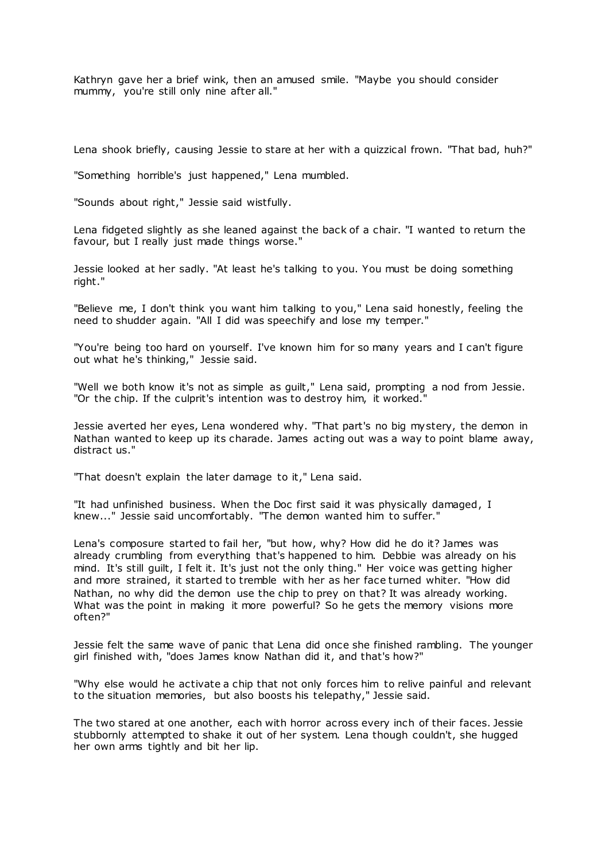Kathryn gave her a brief wink, then an amused smile. "Maybe you should consider mummy, you're still only nine after all."

Lena shook briefly, causing Jessie to stare at her with a quizzical frown. "That bad, huh?"

"Something horrible's just happened," Lena mumbled.

"Sounds about right," Jessie said wistfully.

Lena fidgeted slightly as she leaned against the back of a chair. "I wanted to return the favour, but I really just made things worse."

Jessie looked at her sadly. "At least he's talking to you. You must be doing something right."

"Believe me, I don't think you want him talking to you," Lena said honestly, feeling the need to shudder again. "All I did was speechify and lose my temper."

"You're being too hard on yourself. I've known him for so many years and I can't figure out what he's thinking," Jessie said.

"Well we both know it's not as simple as guilt," Lena said, prompting a nod from Jessie. "Or the chip. If the culprit's intention was to destroy him, it worked."

Jessie averted her eyes, Lena wondered why. "That part's no big mystery, the demon in Nathan wanted to keep up its charade. James acting out was a way to point blame away, distract us."

"That doesn't explain the later damage to it," Lena said.

"It had unfinished business. When the Doc first said it was physically damaged, I knew..." Jessie said uncomfortably. "The demon wanted him to suffer."

Lena's composure started to fail her, "but how, why? How did he do it? James was already crumbling from everything that's happened to him. Debbie was already on his mind. It's still guilt, I felt it. It's just not the only thing." Her voice was getting higher and more strained, it started to tremble with her as her face turned whiter. "How did Nathan, no why did the demon use the chip to prey on that? It was already working. What was the point in making it more powerful? So he gets the memory visions more often?"

Jessie felt the same wave of panic that Lena did once she finished rambling. The younger girl finished with, "does James know Nathan did it, and that's how?"

"Why else would he activate a chip that not only forces him to relive painful and relevant to the situation memories, but also boosts his telepathy," Jessie said.

The two stared at one another, each with horror across every inch of their faces. Jessie stubbornly attempted to shake it out of her system. Lena though couldn't, she hugged her own arms tightly and bit her lip.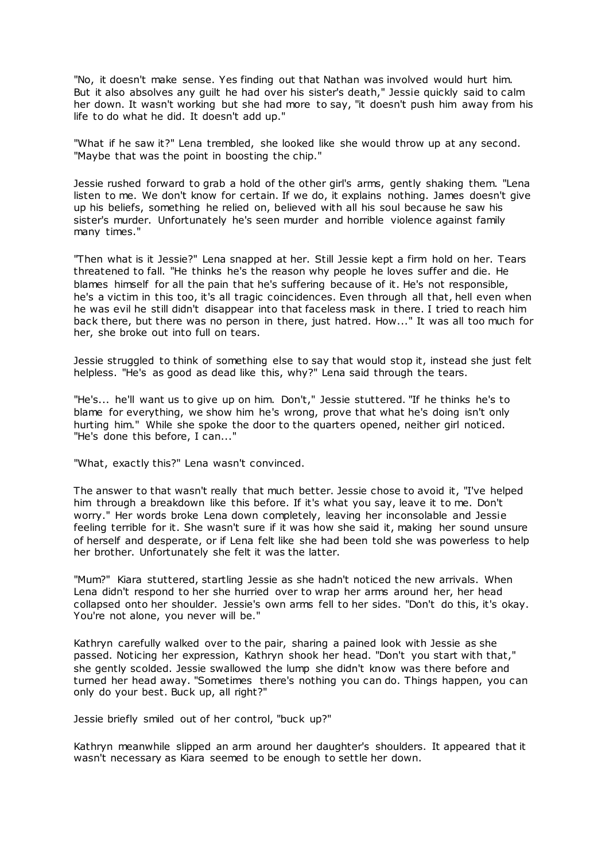"No, it doesn't make sense. Yes finding out that Nathan was involved would hurt him. But it also absolves any guilt he had over his sister's death," Jessie quickly said to calm her down. It wasn't working but she had more to say, "it doesn't push him away from his life to do what he did. It doesn't add up."

"What if he saw it?" Lena trembled, she looked like she would throw up at any second. "Maybe that was the point in boosting the chip."

Jessie rushed forward to grab a hold of the other girl's arms, gently shaking them. "Lena listen to me. We don't know for certain. If we do, it explains nothing. James doesn't give up his beliefs, something he relied on, believed with all his soul because he saw his sister's murder. Unfortunately he's seen murder and horrible violence against family many times."

"Then what is it Jessie?" Lena snapped at her. Still Jessie kept a firm hold on her. Tears threatened to fall. "He thinks he's the reason why people he loves suffer and die. He blames himself for all the pain that he's suffering because of it. He's not responsible, he's a victim in this too, it's all tragic coincidences. Even through all that, hell even when he was evil he still didn't disappear into that faceless mask in there. I tried to reach him back there, but there was no person in there, just hatred. How..." It was all too much for her, she broke out into full on tears.

Jessie struggled to think of something else to say that would stop it, instead she just felt helpless. "He's as good as dead like this, why?" Lena said through the tears.

"He's... he'll want us to give up on him. Don't," Jessie stuttered. "If he thinks he's to blame for everything, we show him he's wrong, prove that what he's doing isn't only hurting him." While she spoke the door to the quarters opened, neither girl noticed. "He's done this before, I can..."

"What, exactly this?" Lena wasn't convinced.

The answer to that wasn't really that much better. Jessie chose to avoid it, "I've helped him through a breakdown like this before. If it's what you say, leave it to me. Don't worry." Her words broke Lena down completely, leaving her inconsolable and Jessie feeling terrible for it. She wasn't sure if it was how she said it, making her sound unsure of herself and desperate, or if Lena felt like she had been told she was powerless to help her brother. Unfortunately she felt it was the latter.

"Mum?" Kiara stuttered, startling Jessie as she hadn't noticed the new arrivals. When Lena didn't respond to her she hurried over to wrap her arms around her, her head collapsed onto her shoulder. Jessie's own arms fell to her sides. "Don't do this, it's okay. You're not alone, you never will be."

Kathryn carefully walked over to the pair, sharing a pained look with Jessie as she passed. Noticing her expression, Kathryn shook her head. "Don't you start with that," she gently scolded. Jessie swallowed the lump she didn't know was there before and turned her head away. "Sometimes there's nothing you can do. Things happen, you can only do your best. Buck up, all right?"

Jessie briefly smiled out of her control, "buck up?"

Kathryn meanwhile slipped an arm around her daughter's shoulders. It appeared that it wasn't necessary as Kiara seemed to be enough to settle her down.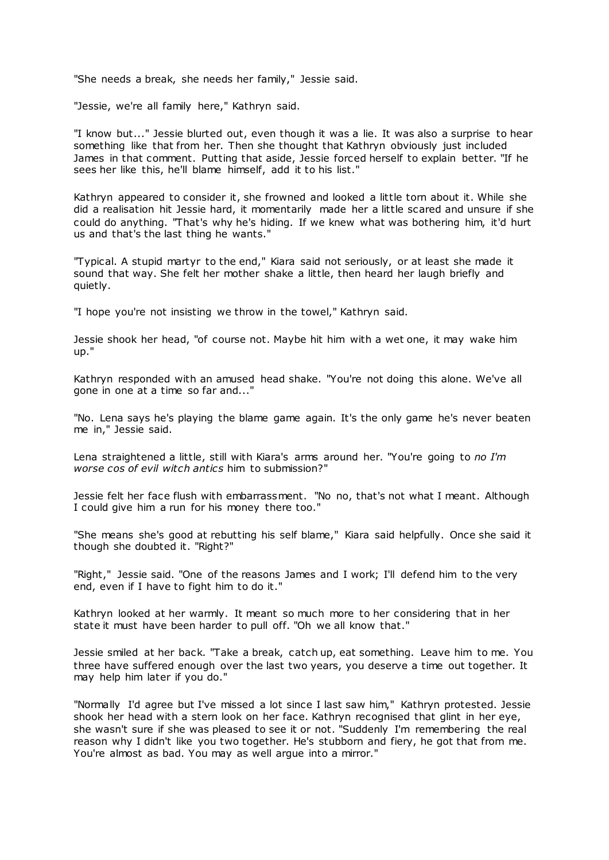"She needs a break, she needs her family," Jessie said.

"Jessie, we're all family here," Kathryn said.

"I know but..." Jessie blurted out, even though it was a lie. It was also a surprise to hear something like that from her. Then she thought that Kathryn obviously just included James in that comment. Putting that aside, Jessie forced herself to explain better. "If he sees her like this, he'll blame himself, add it to his list."

Kathryn appeared to consider it, she frowned and looked a little torn about it. While she did a realisation hit Jessie hard, it momentarily made her a little scared and unsure if she could do anything. "That's why he's hiding. If we knew what was bothering him, it'd hurt us and that's the last thing he wants."

"Typical. A stupid martyr to the end," Kiara said not seriously, or at least she made it sound that way. She felt her mother shake a little, then heard her laugh briefly and quietly.

"I hope you're not insisting we throw in the towel," Kathryn said.

Jessie shook her head, "of course not. Maybe hit him with a wet one, it may wake him up."

Kathryn responded with an amused head shake. "You're not doing this alone. We've all gone in one at a time so far and..."

"No. Lena says he's playing the blame game again. It's the only game he's never beaten me in," Jessie said.

Lena straightened a little, still with Kiara's arms around her. "You're going to *no I'm worse cos of evil witch antics* him to submission?"

Jessie felt her face flush with embarrassment. "No no, that's not what I meant. Although I could give him a run for his money there too."

"She means she's good at rebutting his self blame," Kiara said helpfully. Once she said it though she doubted it. "Right?"

"Right," Jessie said. "One of the reasons James and I work; I'll defend him to the very end, even if I have to fight him to do it."

Kathryn looked at her warmly. It meant so much more to her considering that in her state it must have been harder to pull off. "Oh we all know that."

Jessie smiled at her back. "Take a break, catch up, eat something. Leave him to me. You three have suffered enough over the last two years, you deserve a time out together. It may help him later if you do."

"Normally I'd agree but I've missed a lot since I last saw him," Kathryn protested. Jessie shook her head with a stern look on her face. Kathryn recognised that glint in her eye, she wasn't sure if she was pleased to see it or not. "Suddenly I'm remembering the real reason why I didn't like you two together. He's stubborn and fiery, he got that from me. You're almost as bad. You may as well argue into a mirror."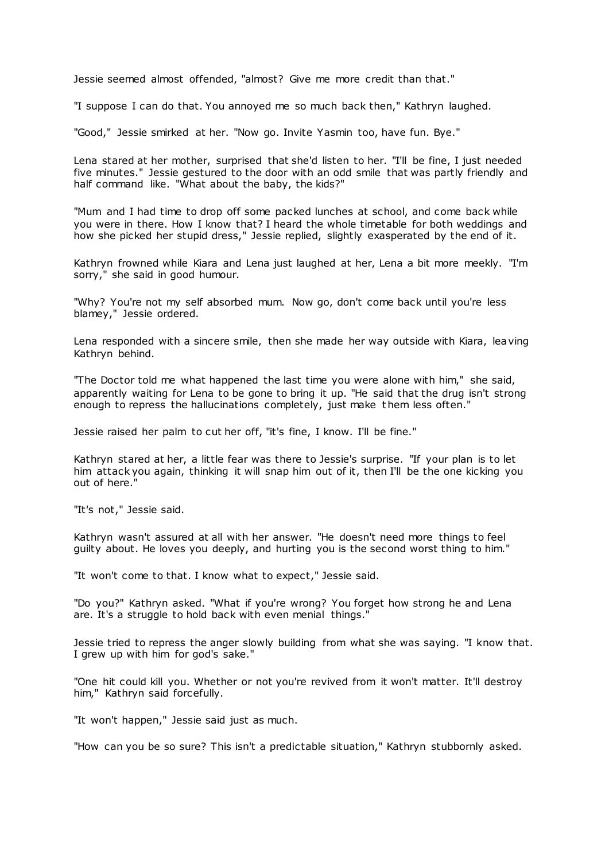Jessie seemed almost offended, "almost? Give me more credit than that."

"I suppose I can do that. You annoyed me so much back then," Kathryn laughed.

"Good," Jessie smirked at her. "Now go. Invite Yasmin too, have fun. Bye."

Lena stared at her mother, surprised that she'd listen to her. "I'll be fine, I just needed five minutes." Jessie gestured to the door with an odd smile that was partly friendly and half command like. "What about the baby, the kids?"

"Mum and I had time to drop off some packed lunches at school, and come back while you were in there. How I know that? I heard the whole timetable for both weddings and how she picked her stupid dress," Jessie replied, slightly exasperated by the end of it.

Kathryn frowned while Kiara and Lena just laughed at her, Lena a bit more meekly. "I'm sorry," she said in good humour.

"Why? You're not my self absorbed mum. Now go, don't come back until you're less blamey," Jessie ordered.

Lena responded with a sincere smile, then she made her way outside with Kiara, leaving Kathryn behind.

"The Doctor told me what happened the last time you were alone with him," she said, apparently waiting for Lena to be gone to bring it up. "He said that the drug isn't strong enough to repress the hallucinations completely, just make them less often."

Jessie raised her palm to cut her off, "it's fine, I know. I'll be fine."

Kathryn stared at her, a little fear was there to Jessie's surprise. "If your plan is to let him attack you again, thinking it will snap him out of it, then I'll be the one kicking you out of here."

"It's not," Jessie said.

Kathryn wasn't assured at all with her answer. "He doesn't need more things to feel guilty about. He loves you deeply, and hurting you is the second worst thing to him."

"It won't come to that. I know what to expect," Jessie said.

"Do you?" Kathryn asked. "What if you're wrong? You forget how strong he and Lena are. It's a struggle to hold back with even menial things."

Jessie tried to repress the anger slowly building from what she was saying. "I know that. I grew up with him for god's sake."

"One hit could kill you. Whether or not you're revived from it won't matter. It'll destroy him," Kathryn said forcefully.

"It won't happen," Jessie said just as much.

"How can you be so sure? This isn't a predictable situation," Kathryn stubbornly asked.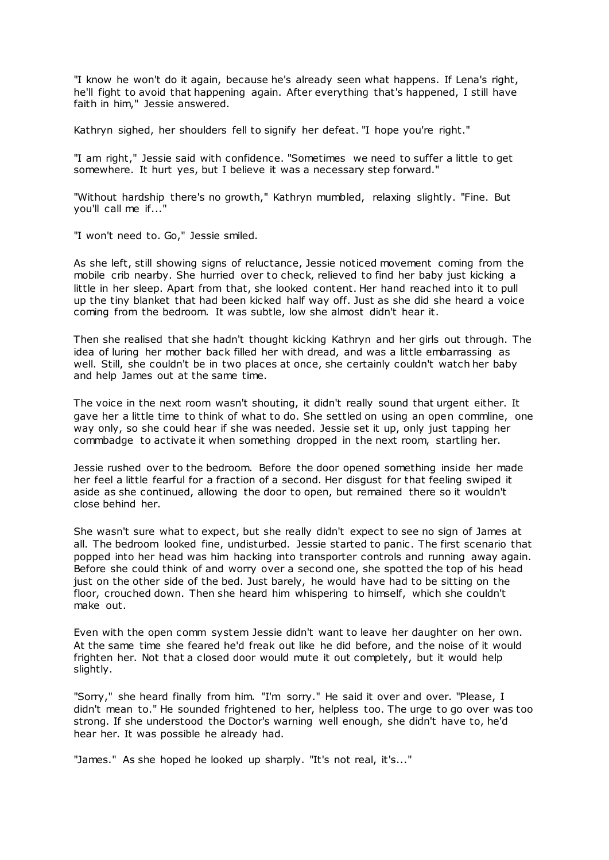"I know he won't do it again, because he's already seen what happens. If Lena's right, he'll fight to avoid that happening again. After everything that's happened, I still have faith in him," Jessie answered.

Kathryn sighed, her shoulders fell to signify her defeat. "I hope you're right."

"I am right," Jessie said with confidence. "Sometimes we need to suffer a little to get somewhere. It hurt yes, but I believe it was a necessary step forward."

"Without hardship there's no growth," Kathryn mumbled, relaxing slightly. "Fine. But you'll call me if..."

"I won't need to. Go," Jessie smiled.

As she left, still showing signs of reluctance, Jessie noticed movement coming from the mobile crib nearby. She hurried over to check, relieved to find her baby just kicking a little in her sleep. Apart from that, she looked content. Her hand reached into it to pull up the tiny blanket that had been kicked half way off. Just as she did she heard a voice coming from the bedroom. It was subtle, low she almost didn't hear it.

Then she realised that she hadn't thought kicking Kathryn and her girls out through. The idea of luring her mother back filled her with dread, and was a little embarrassing as well. Still, she couldn't be in two places at once, she certainly couldn't watch her baby and help James out at the same time.

The voice in the next room wasn't shouting, it didn't really sound that urgent either. It gave her a little time to think of what to do. She settled on using an open commline, one way only, so she could hear if she was needed. Jessie set it up, only just tapping her commbadge to activate it when something dropped in the next room, startling her.

Jessie rushed over to the bedroom. Before the door opened something inside her made her feel a little fearful for a fraction of a second. Her disgust for that feeling swiped it aside as she continued, allowing the door to open, but remained there so it wouldn't close behind her.

She wasn't sure what to expect, but she really didn't expect to see no sign of James at all. The bedroom looked fine, undisturbed. Jessie started to panic . The first scenario that popped into her head was him hacking into transporter controls and running away again. Before she could think of and worry over a second one, she spotted the top of his head just on the other side of the bed. Just barely, he would have had to be sitting on the floor, crouched down. Then she heard him whispering to himself, which she couldn't make out.

Even with the open comm system Jessie didn't want to leave her daughter on her own. At the same time she feared he'd freak out like he did before, and the noise of it would frighten her. Not that a closed door would mute it out completely, but it would help slightly.

"Sorry," she heard finally from him. "I'm sorry." He said it over and over. "Please, I didn't mean to." He sounded frightened to her, helpless too. The urge to go over was too strong. If she understood the Doctor's warning well enough, she didn't have to, he'd hear her. It was possible he already had.

"James." As she hoped he looked up sharply. "It's not real, it's..."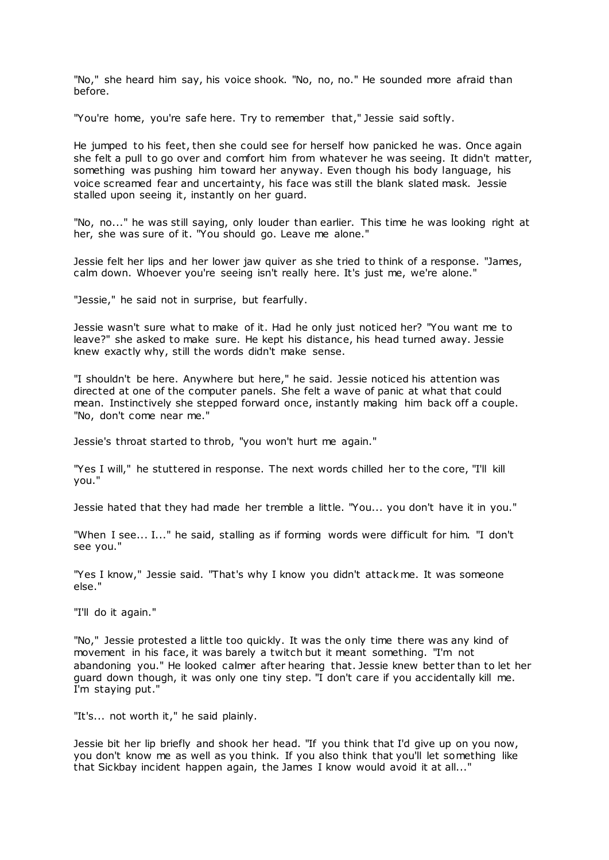"No," she heard him say, his voice shook. "No, no, no." He sounded more afraid than before.

"You're home, you're safe here. Try to remember that," Jessie said softly.

He jumped to his feet, then she could see for herself how panicked he was. Once again she felt a pull to go over and comfort him from whatever he was seeing. It didn't matter, something was pushing him toward her anyway. Even though his body language, his voice screamed fear and uncertainty, his face was still the blank slated mask. Jessie stalled upon seeing it, instantly on her guard.

"No, no..." he was still saying, only louder than earlier. This time he was looking right at her, she was sure of it. "You should go. Leave me alone."

Jessie felt her lips and her lower jaw quiver as she tried to think of a response. "James, calm down. Whoever you're seeing isn't really here. It's just me, we're alone."

"Jessie," he said not in surprise, but fearfully.

Jessie wasn't sure what to make of it. Had he only just noticed her? "You want me to leave?" she asked to make sure. He kept his distance, his head turned away. Jessie knew exactly why, still the words didn't make sense.

"I shouldn't be here. Anywhere but here," he said. Jessie noticed his attention was directed at one of the computer panels. She felt a wave of panic at what that could mean. Instinctively she stepped forward once, instantly making him back off a couple. "No, don't come near me."

Jessie's throat started to throb, "you won't hurt me again."

"Yes I will," he stuttered in response. The next words chilled her to the core, "I'll kill you."

Jessie hated that they had made her tremble a little. "You... you don't have it in you."

"When I see... I..." he said, stalling as if forming words were difficult for him. "I don't see you."

"Yes I know," Jessie said. "That's why I know you didn't attack me. It was someone else."

"I'll do it again."

"No," Jessie protested a little too quickly. It was the only time there was any kind of movement in his face, it was barely a twitch but it meant something. "I'm not abandoning you." He looked calmer after hearing that. Jessie knew better than to let her guard down though, it was only one tiny step. "I don't care if you accidentally kill me. I'm staying put."

"It's... not worth it," he said plainly.

Jessie bit her lip briefly and shook her head. "If you think that I'd give up on you now, you don't know me as well as you think. If you also think that you'll let something like that Sickbay incident happen again, the James I know would avoid it at all..."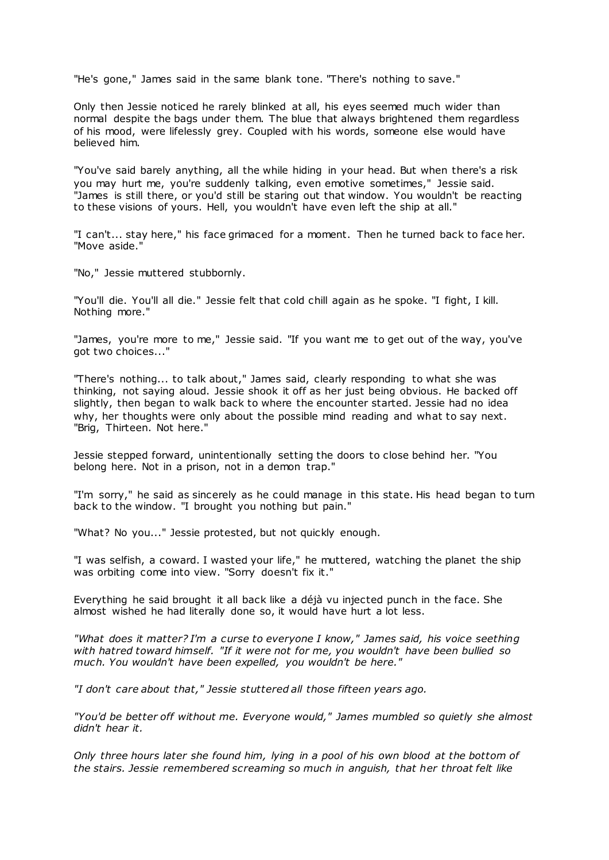"He's gone," James said in the same blank tone. "There's nothing to save."

Only then Jessie noticed he rarely blinked at all, his eyes seemed much wider than normal despite the bags under them. The blue that always brightened them regardless of his mood, were lifelessly grey. Coupled with his words, someone else would have believed him.

"You've said barely anything, all the while hiding in your head. But when there's a risk you may hurt me, you're suddenly talking, even emotive sometimes," Jessie said. "James is still there, or you'd still be staring out that window. You wouldn't be reacting to these visions of yours. Hell, you wouldn't have even left the ship at all."

"I can't... stay here," his face grimaced for a moment. Then he turned back to face her. "Move aside."

"No," Jessie muttered stubbornly.

"You'll die. You'll all die." Jessie felt that cold chill again as he spoke. "I fight, I kill. Nothing more."

"James, you're more to me," Jessie said. "If you want me to get out of the way, you've got two choices..."

"There's nothing... to talk about," James said, clearly responding to what she was thinking, not saying aloud. Jessie shook it off as her just being obvious. He backed off slightly, then began to walk back to where the encounter started. Jessie had no idea why, her thoughts were only about the possible mind reading and what to say next. "Brig, Thirteen. Not here."

Jessie stepped forward, unintentionally setting the doors to close behind her. "You belong here. Not in a prison, not in a demon trap."

"I'm sorry," he said as sincerely as he could manage in this state. His head began to turn back to the window. "I brought you nothing but pain."

"What? No you..." Jessie protested, but not quickly enough.

"I was selfish, a coward. I wasted your life," he muttered, watching the planet the ship was orbiting come into view. "Sorry doesn't fix it."

Everything he said brought it all back like a déjà vu injected punch in the face. She almost wished he had literally done so, it would have hurt a lot less.

*"What does it matter? I'm a curse to everyone I know," James said, his voice seething with hatred toward himself. "If it were not for me, you wouldn't have been bullied so much. You wouldn't have been expelled, you wouldn't be here."*

*"I don't care about that," Jessie stuttered all those fifteen years ago.*

*"You'd be better off without me. Everyone would," James mumbled so quietly she almost didn't hear it.*

*Only three hours later she found him, lying in a pool of his own blood at the bottom of the stairs. Jessie remembered screaming so much in anguish, that her throat felt like*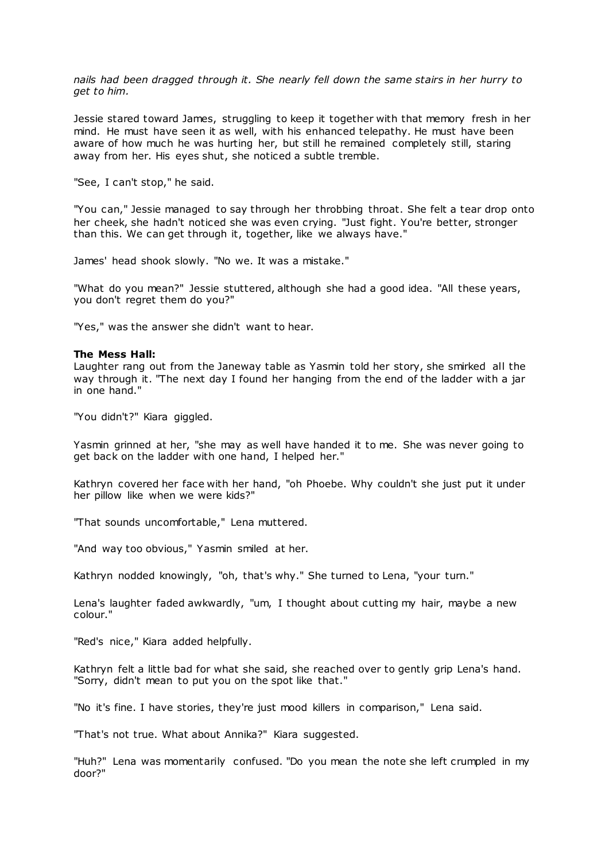*nails had been dragged through it. She nearly fell down the same stairs in her hurry to get to him.*

Jessie stared toward James, struggling to keep it together with that memory fresh in her mind. He must have seen it as well, with his enhanced telepathy. He must have been aware of how much he was hurting her, but still he remained completely still, staring away from her. His eyes shut, she noticed a subtle tremble.

"See, I can't stop," he said.

"You can," Jessie managed to say through her throbbing throat. She felt a tear drop onto her cheek, she hadn't noticed she was even crying. "Just fight. You're better, stronger than this. We can get through it, together, like we always have."

James' head shook slowly. "No we. It was a mistake."

"What do you mean?" Jessie stuttered, although she had a good idea. "All these years, you don't regret them do you?"

"Yes," was the answer she didn't want to hear.

## **The Mess Hall:**

Laughter rang out from the Janeway table as Yasmin told her story, she smirked all the way through it. "The next day I found her hanging from the end of the ladder with a jar in one hand."

"You didn't?" Kiara giggled.

Yasmin grinned at her, "she may as well have handed it to me. She was never going to get back on the ladder with one hand, I helped her."

Kathryn covered her face with her hand, "oh Phoebe. Why couldn't she just put it under her pillow like when we were kids?"

"That sounds uncomfortable," Lena muttered.

"And way too obvious," Yasmin smiled at her.

Kathryn nodded knowingly, "oh, that's why." She turned to Lena, "your turn."

Lena's laughter faded awkwardly, "um, I thought about cutting my hair, maybe a new colour."

"Red's nice," Kiara added helpfully.

Kathryn felt a little bad for what she said, she reached over to gently grip Lena's hand. "Sorry, didn't mean to put you on the spot like that."

"No it's fine. I have stories, they're just mood killers in comparison," Lena said.

"That's not true. What about Annika?" Kiara suggested.

"Huh?" Lena was momentarily confused. "Do you mean the note she left crumpled in my door?"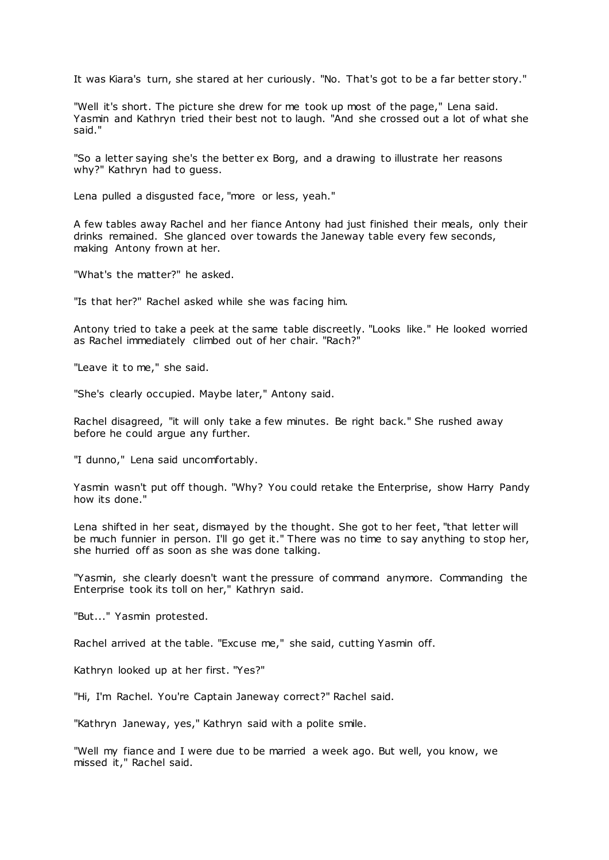It was Kiara's turn, she stared at her curiously. "No. That's got to be a far better story."

"Well it's short. The picture she drew for me took up most of the page," Lena said. Yasmin and Kathryn tried their best not to laugh. "And she crossed out a lot of what she said."

"So a letter saying she's the better ex Borg, and a drawing to illustrate her reasons why?" Kathryn had to guess.

Lena pulled a disgusted face, "more or less, yeah."

A few tables away Rachel and her fiance Antony had just finished their meals, only their drinks remained. She glanced over towards the Janeway table every few seconds, making Antony frown at her.

"What's the matter?" he asked.

"Is that her?" Rachel asked while she was facing him.

Antony tried to take a peek at the same table discreetly. "Looks like." He looked worried as Rachel immediately climbed out of her chair. "Rach?"

"Leave it to me," she said.

"She's clearly occupied. Maybe later," Antony said.

Rachel disagreed, "it will only take a few minutes. Be right back." She rushed away before he could argue any further.

"I dunno," Lena said uncomfortably.

Yasmin wasn't put off though. "Why? You could retake the Enterprise, show Harry Pandy how its done."

Lena shifted in her seat, dismayed by the thought. She got to her feet, "that letter will be much funnier in person. I'll go get it." There was no time to say anything to stop her, she hurried off as soon as she was done talking.

"Yasmin, she clearly doesn't want the pressure of command anymore. Commanding the Enterprise took its toll on her," Kathryn said.

"But..." Yasmin protested.

Rachel arrived at the table. "Excuse me," she said, cutting Yasmin off.

Kathryn looked up at her first. "Yes?"

"Hi, I'm Rachel. You're Captain Janeway correct?" Rachel said.

"Kathryn Janeway, yes," Kathryn said with a polite smile.

"Well my fiance and I were due to be married a week ago. But well, you know, we missed it," Rachel said.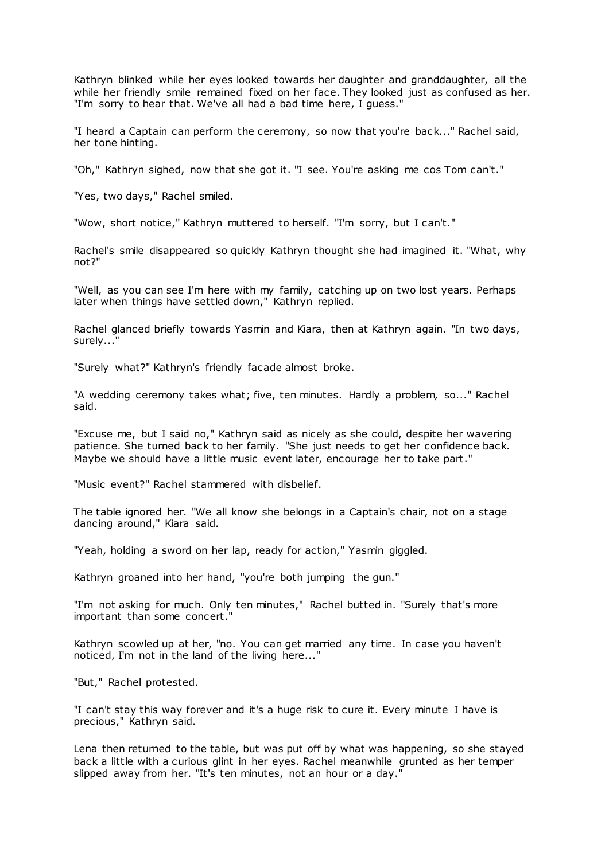Kathryn blinked while her eyes looked towards her daughter and granddaughter, all the while her friendly smile remained fixed on her face. They looked just as confused as her. "I'm sorry to hear that. We've all had a bad time here, I guess."

"I heard a Captain can perform the ceremony, so now that you're back..." Rachel said, her tone hinting.

"Oh," Kathryn sighed, now that she got it. "I see. You're asking me cos Tom can't."

"Yes, two days," Rachel smiled.

"Wow, short notice," Kathryn muttered to herself. "I'm sorry, but I can't."

Rachel's smile disappeared so quickly Kathryn thought she had imagined it. "What, why not?"

"Well, as you can see I'm here with my family, catching up on two lost years. Perhaps later when things have settled down," Kathryn replied.

Rachel glanced briefly towards Yasmin and Kiara, then at Kathryn again. "In two days, surely..."

"Surely what?" Kathryn's friendly facade almost broke.

"A wedding ceremony takes what; five, ten minutes. Hardly a problem, so..." Rachel said.

"Excuse me, but I said no," Kathryn said as nicely as she could, despite her wavering patience. She turned back to her family. "She just needs to get her confidence back. Maybe we should have a little music event later, encourage her to take part."

"Music event?" Rachel stammered with disbelief.

The table ignored her. "We all know she belongs in a Captain's chair, not on a stage dancing around," Kiara said.

"Yeah, holding a sword on her lap, ready for action," Yasmin giggled.

Kathryn groaned into her hand, "you're both jumping the gun."

"I'm not asking for much. Only ten minutes," Rachel butted in. "Surely that's more important than some concert."

Kathryn scowled up at her, "no. You can get married any time. In case you haven't noticed, I'm not in the land of the living here..."

"But," Rachel protested.

"I can't stay this way forever and it's a huge risk to cure it. Every minute I have is precious," Kathryn said.

Lena then returned to the table, but was put off by what was happening, so she stayed back a little with a curious glint in her eyes. Rachel meanwhile grunted as her temper slipped away from her. "It's ten minutes, not an hour or a day."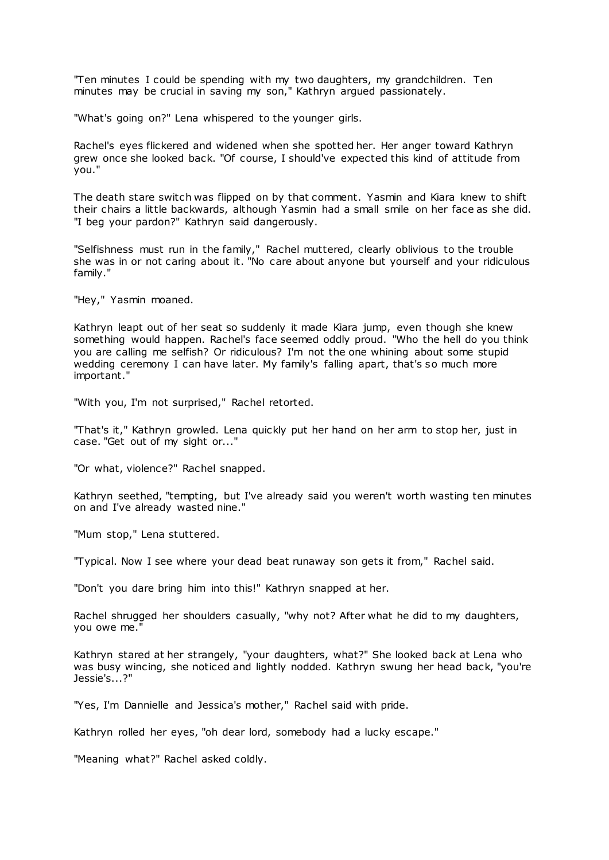"Ten minutes I could be spending with my two daughters, my grandchildren. Ten minutes may be crucial in saving my son," Kathryn argued passionately.

"What's going on?" Lena whispered to the younger girls.

Rachel's eyes flickered and widened when she spotted her. Her anger toward Kathryn grew once she looked back. "Of course, I should've expected this kind of attitude from you."

The death stare switch was flipped on by that comment. Yasmin and Kiara knew to shift their chairs a little backwards, although Yasmin had a small smile on her face as she did. "I beg your pardon?" Kathryn said dangerously.

"Selfishness must run in the family," Rachel muttered, clearly oblivious to the trouble she was in or not caring about it. "No care about anyone but yourself and your ridiculous family."

"Hey," Yasmin moaned.

Kathryn leapt out of her seat so suddenly it made Kiara jump, even though she knew something would happen. Rachel's face seemed oddly proud. "Who the hell do you think you are calling me selfish? Or ridiculous? I'm not the one whining about some stupid wedding ceremony I can have later. My family's falling apart, that's so much more important."

"With you, I'm not surprised," Rachel retorted.

"That's it," Kathryn growled. Lena quickly put her hand on her arm to stop her, just in case. "Get out of my sight or..."

"Or what, violence?" Rachel snapped.

Kathryn seethed, "tempting, but I've already said you weren't worth wasting ten minutes on and I've already wasted nine."

"Mum stop," Lena stuttered.

"Typical. Now I see where your dead beat runaway son gets it from," Rachel said.

"Don't you dare bring him into this!" Kathryn snapped at her.

Rachel shrugged her shoulders casually, "why not? After what he did to my daughters, you owe me."

Kathryn stared at her strangely, "your daughters, what?" She looked back at Lena who was busy wincing, she noticed and lightly nodded. Kathryn swung her head back, "you're Jessie's...?"

"Yes, I'm Dannielle and Jessica's mother," Rachel said with pride.

Kathryn rolled her eyes, "oh dear lord, somebody had a lucky escape."

"Meaning what?" Rachel asked coldly.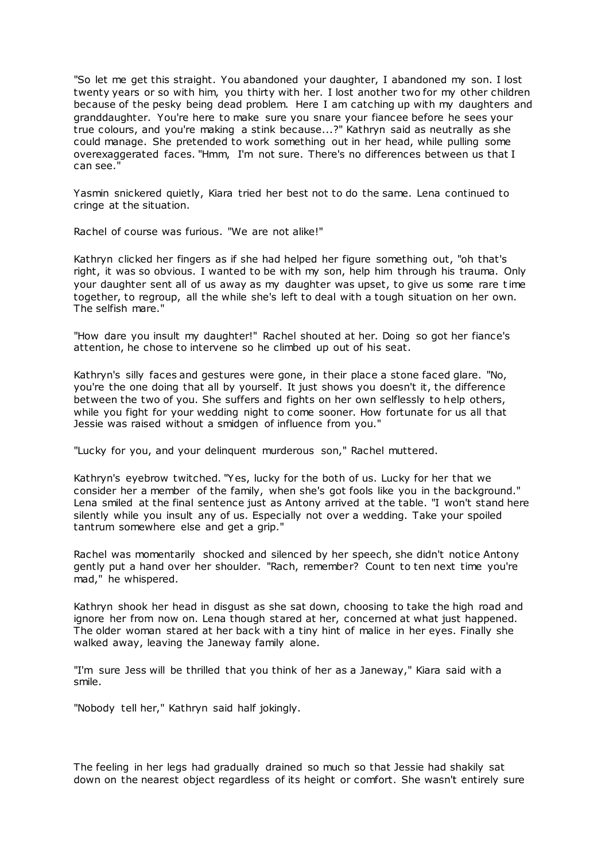"So let me get this straight. You abandoned your daughter, I abandoned my son. I lost twenty years or so with him, you thirty with her. I lost another two for my other children because of the pesky being dead problem. Here I am catching up with my daughters and granddaughter. You're here to make sure you snare your fiancee before he sees your true colours, and you're making a stink because...?" Kathryn said as neutrally as she could manage. She pretended to work something out in her head, while pulling some overexaggerated faces. "Hmm, I'm not sure. There's no differences between us that I can see."

Yasmin snickered quietly, Kiara tried her best not to do the same. Lena continued to cringe at the situation.

Rachel of course was furious. "We are not alike!"

Kathryn clicked her fingers as if she had helped her figure something out, "oh that's right, it was so obvious. I wanted to be with my son, help him through his trauma. Only your daughter sent all of us away as my daughter was upset, to give us some rare time together, to regroup, all the while she's left to deal with a tough situation on her own. The selfish mare."

"How dare you insult my daughter!" Rachel shouted at her. Doing so got her fiance's attention, he chose to intervene so he climbed up out of his seat.

Kathryn's silly faces and gestures were gone, in their place a stone faced glare. "No, you're the one doing that all by yourself. It just shows you doesn't it, the difference between the two of you. She suffers and fights on her own selflessly to help others, while you fight for your wedding night to come sooner. How fortunate for us all that Jessie was raised without a smidgen of influence from you."

"Lucky for you, and your delinquent murderous son," Rachel muttered.

Kathryn's eyebrow twitched. "Yes, lucky for the both of us. Lucky for her that we consider her a member of the family, when she's got fools like you in the background." Lena smiled at the final sentence just as Antony arrived at the table. "I won't stand here silently while you insult any of us. Especially not over a wedding. Take your spoiled tantrum somewhere else and get a grip."

Rachel was momentarily shocked and silenced by her speech, she didn't notice Antony gently put a hand over her shoulder. "Rach, remember? Count to ten next time you're mad," he whispered.

Kathryn shook her head in disgust as she sat down, choosing to take the high road and ignore her from now on. Lena though stared at her, concerned at what just happened. The older woman stared at her back with a tiny hint of malice in her eyes. Finally she walked away, leaving the Janeway family alone.

"I'm sure Jess will be thrilled that you think of her as a Janeway," Kiara said with a smile.

"Nobody tell her," Kathryn said half jokingly.

The feeling in her legs had gradually drained so much so that Jessie had shakily sat down on the nearest object regardless of its height or comfort. She wasn't entirely sure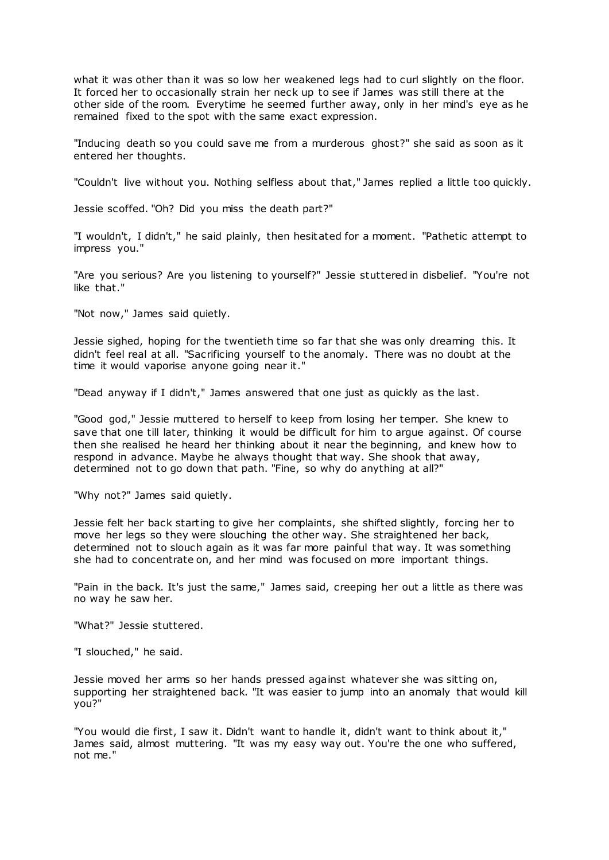what it was other than it was so low her weakened legs had to curl slightly on the floor. It forced her to occasionally strain her neck up to see if James was still there at the other side of the room. Everytime he seemed further away, only in her mind's eye as he remained fixed to the spot with the same exact expression.

"Inducing death so you could save me from a murderous ghost?" she said as soon as it entered her thoughts.

"Couldn't live without you. Nothing selfless about that," James replied a little too quickly.

Jessie scoffed. "Oh? Did you miss the death part?"

"I wouldn't, I didn't," he said plainly, then hesitated for a moment. "Pathetic attempt to impress you."

"Are you serious? Are you listening to yourself?" Jessie stuttered in disbelief. "You're not like that."

"Not now," James said quietly.

Jessie sighed, hoping for the twentieth time so far that she was only dreaming this. It didn't feel real at all. "Sacrificing yourself to the anomaly. There was no doubt at the time it would vaporise anyone going near it."

"Dead anyway if I didn't," James answered that one just as quickly as the last.

"Good god," Jessie muttered to herself to keep from losing her temper. She knew to save that one till later, thinking it would be difficult for him to argue against. Of course then she realised he heard her thinking about it near the beginning, and knew how to respond in advance. Maybe he always thought that way. She shook that away, determined not to go down that path. "Fine, so why do anything at all?"

"Why not?" James said quietly.

Jessie felt her back starting to give her complaints, she shifted slightly, forcing her to move her legs so they were slouching the other way. She straightened her back, determined not to slouch again as it was far more painful that way. It was something she had to concentrate on, and her mind was focused on more important things.

"Pain in the back. It's just the same," James said, creeping her out a little as there was no way he saw her.

"What?" Jessie stuttered.

"I slouched," he said.

Jessie moved her arms so her hands pressed against whatever she was sitting on, supporting her straightened back. "It was easier to jump into an anomaly that would kill you?"

"You would die first, I saw it. Didn't want to handle it, didn't want to think about it," James said, almost muttering. "It was my easy way out. You're the one who suffered, not me."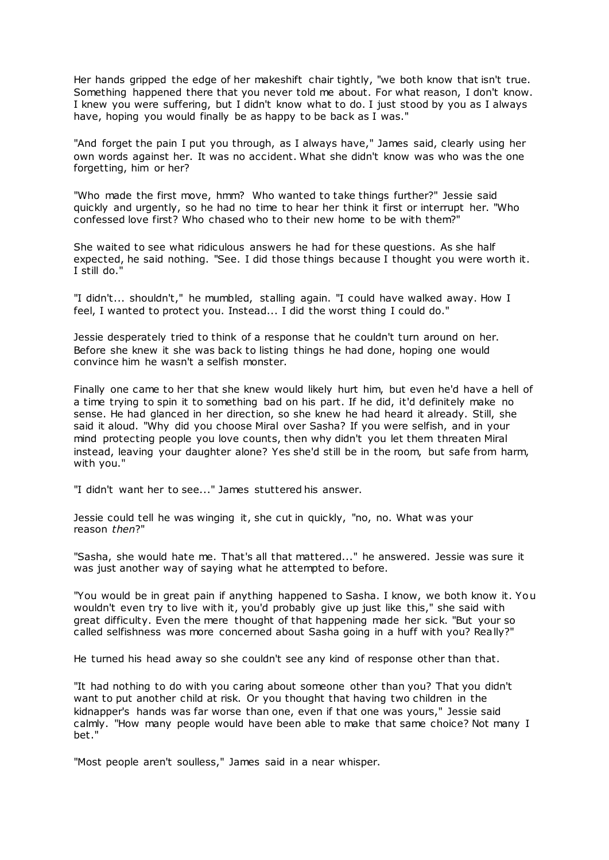Her hands gripped the edge of her makeshift chair tightly, "we both know that isn't true. Something happened there that you never told me about. For what reason, I don't know. I knew you were suffering, but I didn't know what to do. I just stood by you as I always have, hoping you would finally be as happy to be back as I was."

"And forget the pain I put you through, as I always have," James said, clearly using her own words against her. It was no accident. What she didn't know was who was the one forgetting, him or her?

"Who made the first move, hmm? Who wanted to take things further?" Jessie said quickly and urgently, so he had no time to hear her think it first or interrupt her. "Who confessed love first? Who chased who to their new home to be with them?"

She waited to see what ridiculous answers he had for these questions. As she half expected, he said nothing. "See. I did those things because I thought you were worth it. I still do."

"I didn't... shouldn't," he mumbled, stalling again. "I could have walked away. How I feel, I wanted to protect you. Instead... I did the worst thing I could do."

Jessie desperately tried to think of a response that he couldn't turn around on her. Before she knew it she was back to listing things he had done, hoping one would convince him he wasn't a selfish monster.

Finally one came to her that she knew would likely hurt him, but even he'd have a hell of a time trying to spin it to something bad on his part. If he did, it'd definitely make no sense. He had glanced in her direction, so she knew he had heard it already. Still, she said it aloud. "Why did you choose Miral over Sasha? If you were selfish, and in your mind protecting people you love counts, then why didn't you let them threaten Miral instead, leaving your daughter alone? Yes she'd still be in the room, but safe from harm, with you."

"I didn't want her to see..." James stuttered his answer.

Jessie could tell he was winging it, she cut in quickly, "no, no. What was your reason *then*?"

"Sasha, she would hate me. That's all that mattered..." he answered. Jessie was sure it was just another way of saying what he attempted to before.

"You would be in great pain if anything happened to Sasha. I know, we both know it. You wouldn't even try to live with it, you'd probably give up just like this," she said with great difficulty. Even the mere thought of that happening made her sick. "But your so called selfishness was more concerned about Sasha going in a huff with you? Really?"

He turned his head away so she couldn't see any kind of response other than that.

"It had nothing to do with you caring about someone other than you? That you didn't want to put another child at risk. Or you thought that having two children in the kidnapper's hands was far worse than one, even if that one was yours," Jessie said calmly. "How many people would have been able to make that same choice? Not many I bet."

"Most people aren't soulless," James said in a near whisper.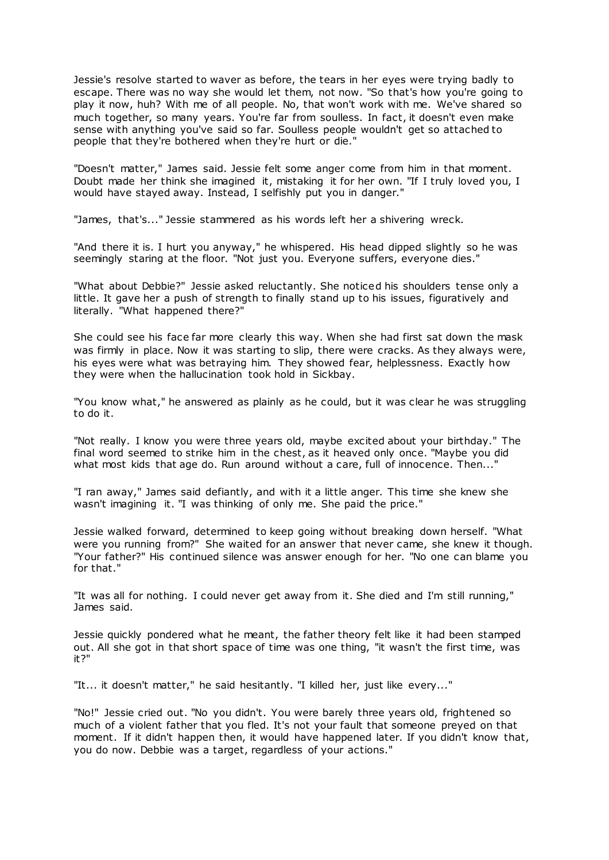Jessie's resolve started to waver as before, the tears in her eyes were trying badly to escape. There was no way she would let them, not now. "So that's how you're going to play it now, huh? With me of all people. No, that won't work with me. We've shared so much together, so many years. You're far from soulless. In fact, it doesn't even make sense with anything you've said so far. Soulless people wouldn't get so attached to people that they're bothered when they're hurt or die."

"Doesn't matter," James said. Jessie felt some anger come from him in that moment. Doubt made her think she imagined it, mistaking it for her own. "If I truly loved you, I would have stayed away. Instead, I selfishly put you in danger."

"James, that's..." Jessie stammered as his words left her a shivering wreck.

"And there it is. I hurt you anyway," he whispered. His head dipped slightly so he was seemingly staring at the floor. "Not just you. Everyone suffers, everyone dies."

"What about Debbie?" Jessie asked reluctantly. She noticed his shoulders tense only a little. It gave her a push of strength to finally stand up to his issues, figuratively and literally. "What happened there?"

She could see his face far more clearly this way. When she had first sat down the mask was firmly in place. Now it was starting to slip, there were cracks. As they always were, his eyes were what was betraying him. They showed fear, helplessness. Exactly how they were when the hallucination took hold in Sickbay.

"You know what," he answered as plainly as he could, but it was clear he was struggling to do it.

"Not really. I know you were three years old, maybe excited about your birthday." The final word seemed to strike him in the chest, as it heaved only once. "Maybe you did what most kids that age do. Run around without a care, full of innocence. Then..."

"I ran away," James said defiantly, and with it a little anger. This time she knew she wasn't imagining it. "I was thinking of only me. She paid the price."

Jessie walked forward, determined to keep going without breaking down herself. "What were you running from?" She waited for an answer that never came, she knew it though. "Your father?" His continued silence was answer enough for her. "No one can blame you for that."

"It was all for nothing. I could never get away from it. She died and I'm still running," James said.

Jessie quickly pondered what he meant, the father theory felt like it had been stamped out. All she got in that short space of time was one thing, "it wasn't the first time, was it?"

"It... it doesn't matter," he said hesitantly. "I killed her, just like every..."

"No!" Jessie cried out. "No you didn't. You were barely three years old, frightened so much of a violent father that you fled. It's not your fault that someone preyed on that moment. If it didn't happen then, it would have happened later. If you didn't know that, you do now. Debbie was a target, regardless of your actions."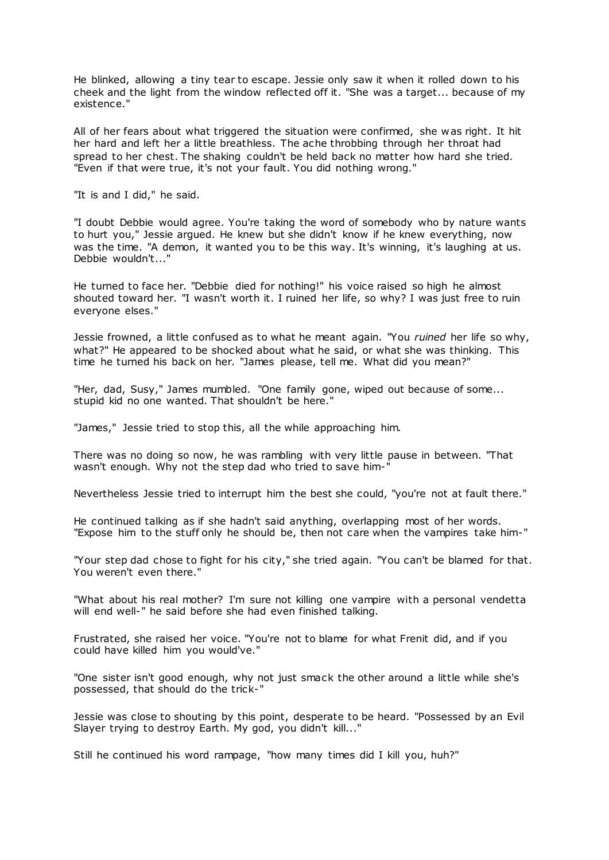He blinked, allowing a tiny tear to escape. Jessie only saw it when it rolled down to his cheek and the light from the window reflected off it. "She was a target... because of my existence."

All of her fears about what triggered the situation were confirmed, she was right. It hit her hard and left her a little breathless. The ache throbbing through her throat had spread to her chest. The shaking couldn't be held back no matter how hard she tried. "Even if that were true, it's not your fault. You did nothing wrong."

"It is and I did," he said.

"I doubt Debbie would agree. You're taking the word of somebody who by nature wants to hurt you," Jessie argued. He knew but she didn't know if he knew everything, now was the time. "A demon, it wanted you to be this way. It's winning, it's laughing at us. Debbie wouldn't...'

He turned to face her. "Debbie died for nothing!" his voice raised so high he almost shouted toward her. "I wasn't worth it. I ruined her life, so why? I was just free to ruin everyone elses."

Jessie frowned, a little confused as to what he meant again. "You *ruined* her life so why, what?" He appeared to be shocked about what he said, or what she was thinking. This time he turned his back on her. "James please, tell me. What did you mean?"

"Her, dad, Susy," James mumbled. "One family gone, wiped out because of some... stupid kid no one wanted. That shouldn't be here."

"James," Jessie tried to stop this, all the while approaching him.

There was no doing so now, he was rambling with very little pause in between. "That wasn't enough. Why not the step dad who tried to save him-"

Nevertheless Jessie tried to interrupt him the best she could, "you're not at fault there."

He continued talking as if she hadn't said anything, overlapping most of her words. "Expose him to the stuff only he should be, then not care when the vampires take him-"

"Your step dad chose to fight for his city," she tried again. "You can't be blamed for that. You weren't even there."

"What about his real mother? I'm sure not killing one vampire with a personal vendetta will end well-" he said before she had even finished talking.

Frustrated, she raised her voice. "You're not to blame for what Frenit did, and if you could have killed him you would've."

"One sister isn't good enough, why not just smack the other around a little while she's possessed, that should do the trick-"

Jessie was close to shouting by this point, desperate to be heard. "Possessed by an Evil Slayer trying to destroy Earth. My god, you didn't kill..."

Still he continued his word rampage, "how many times did I kill you, huh?"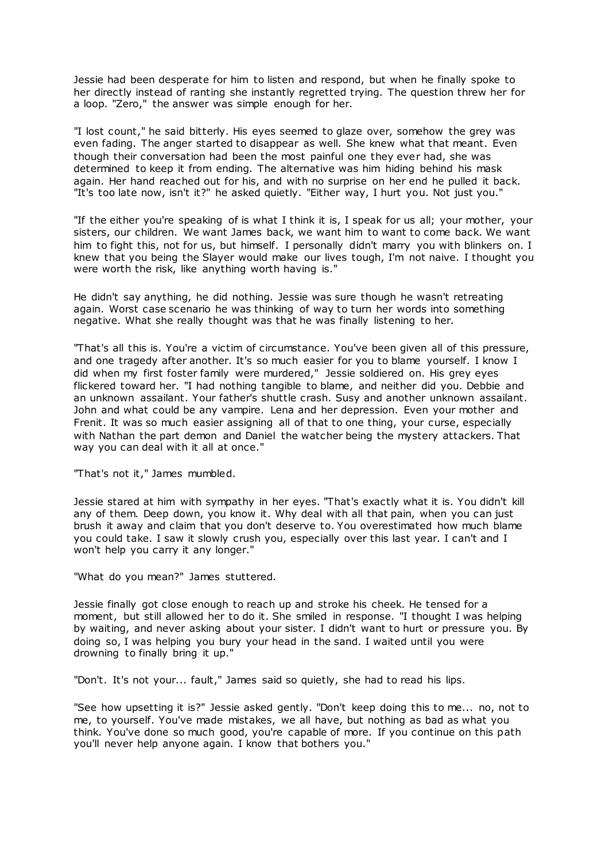Jessie had been desperate for him to listen and respond, but when he finally spoke to her directly instead of ranting she instantly regretted trying. The question threw her for a loop. "Zero," the answer was simple enough for her.

"I lost count," he said bitterly. His eyes seemed to glaze over, somehow the grey was even fading. The anger started to disappear as well. She knew what that meant. Even though their conversation had been the most painful one they ever had, she was determined to keep it from ending. The alternative was him hiding behind his mask again. Her hand reached out for his, and with no surprise on her end he pulled it back. "It's too late now, isn't it?" he asked quietly. "Either way, I hurt you. Not just you."

"If the either you're speaking of is what I think it is, I speak for us all; your mother, your sisters, our children. We want James back, we want him to want to come back. We want him to fight this, not for us, but himself. I personally didn't marry you with blinkers on. I knew that you being the Slayer would make our lives tough, I'm not naive. I thought you were worth the risk, like anything worth having is."

He didn't say anything, he did nothing. Jessie was sure though he wasn't retreating again. Worst case scenario he was thinking of way to turn her words into something negative. What she really thought was that he was finally listening to her.

"That's all this is. You're a victim of circumstance. You've been given all of this pressure, and one tragedy after another. It's so much easier for you to blame yourself. I know I did when my first foster family were murdered," Jessie soldiered on. His grey eyes flickered toward her. "I had nothing tangible to blame, and neither did you. Debbie and an unknown assailant. Your father's shuttle crash. Susy and another unknown assailant. John and what could be any vampire. Lena and her depression. Even your mother and Frenit. It was so much easier assigning all of that to one thing, your curse, especially with Nathan the part demon and Daniel the watcher being the mystery attackers. That way you can deal with it all at once."

"That's not it," James mumbled.

Jessie stared at him with sympathy in her eyes. "That's exactly what it is. You didn't kill any of them. Deep down, you know it. Why deal with all that pain, when you can just brush it away and claim that you don't deserve to. You overestimated how much blame you could take. I saw it slowly crush you, especially over this last year. I can't and I won't help you carry it any longer."

"What do you mean?" James stuttered.

Jessie finally got close enough to reach up and stroke his cheek. He tensed for a moment, but still allowed her to do it. She smiled in response. "I thought I was helping by waiting, and never asking about your sister. I didn't want to hurt or pressure you. By doing so, I was helping you bury your head in the sand. I waited until you were drowning to finally bring it up."

"Don't. It's not your... fault," James said so quietly, she had to read his lips.

"See how upsetting it is?" Jessie asked gently. "Don't keep doing this to me... no, not to me, to yourself. You've made mistakes, we all have, but nothing as bad as what you think. You've done so much good, you're capable of more. If you continue on this path you'll never help anyone again. I know that bothers you."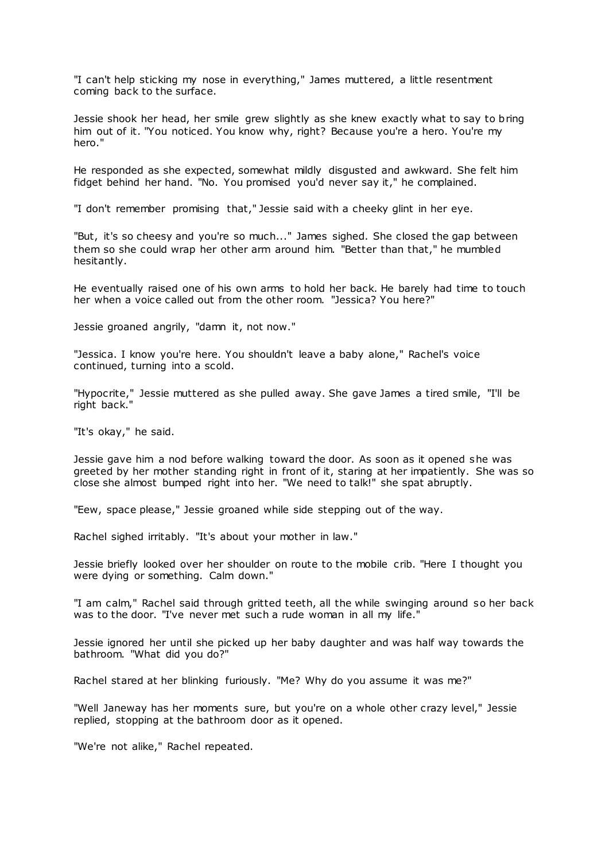"I can't help sticking my nose in everything," James muttered, a little resentment coming back to the surface.

Jessie shook her head, her smile grew slightly as she knew exactly what to say to bring him out of it. "You noticed. You know why, right? Because you're a hero. You're my hero."

He responded as she expected, somewhat mildly disgusted and awkward. She felt him fidget behind her hand. "No. You promised you'd never say it," he complained.

"I don't remember promising that," Jessie said with a cheeky glint in her eye.

"But, it's so cheesy and you're so much..." James sighed. She closed the gap between them so she could wrap her other arm around him. "Better than that," he mumbled hesitantly.

He eventually raised one of his own arms to hold her back. He barely had time to touch her when a voice called out from the other room. "Jessica? You here?"

Jessie groaned angrily, "damn it, not now."

"Jessica. I know you're here. You shouldn't leave a baby alone," Rachel's voice continued, turning into a scold.

"Hypocrite," Jessie muttered as she pulled away. She gave James a tired smile, "I'll be right back."

"It's okay," he said.

Jessie gave him a nod before walking toward the door. As soon as it opened she was greeted by her mother standing right in front of it, staring at her impatiently. She was so close she almost bumped right into her. "We need to talk!" she spat abruptly.

"Eew, space please," Jessie groaned while side stepping out of the way.

Rachel sighed irritably. "It's about your mother in law."

Jessie briefly looked over her shoulder on route to the mobile crib. "Here I thought you were dying or something. Calm down."

"I am calm," Rachel said through gritted teeth, all the while swinging around so her back was to the door. "I've never met such a rude woman in all my life."

Jessie ignored her until she picked up her baby daughter and was half way towards the bathroom. "What did you do?"

Rachel stared at her blinking furiously. "Me? Why do you assume it was me?"

"Well Janeway has her moments sure, but you're on a whole other crazy level," Jessie replied, stopping at the bathroom door as it opened.

"We're not alike," Rachel repeated.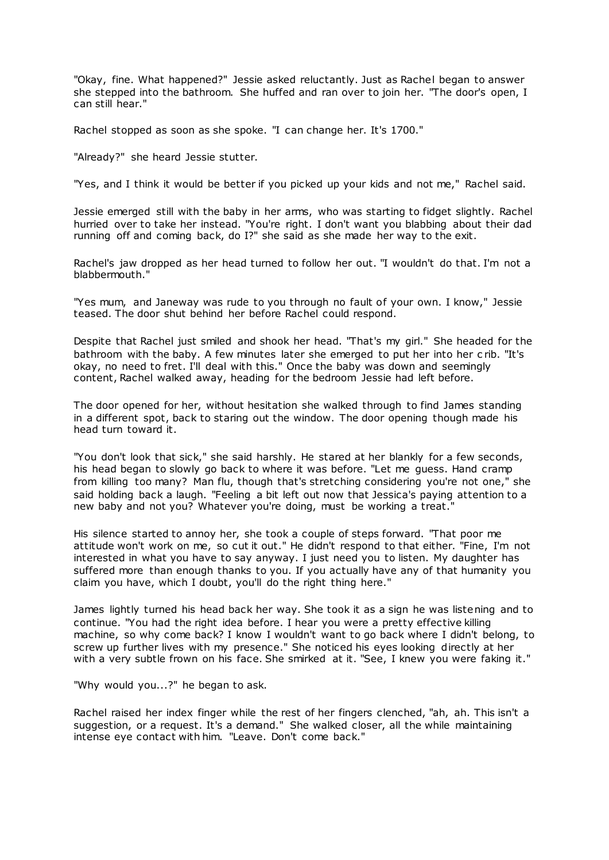"Okay, fine. What happened?" Jessie asked reluctantly. Just as Rachel began to answer she stepped into the bathroom. She huffed and ran over to join her. "The door's open, I can still hear."

Rachel stopped as soon as she spoke. "I can change her. It's 1700."

"Already?" she heard Jessie stutter.

"Yes, and I think it would be better if you picked up your kids and not me," Rachel said.

Jessie emerged still with the baby in her arms, who was starting to fidget slightly. Rachel hurried over to take her instead. "You're right. I don't want you blabbing about their dad running off and coming back, do I?" she said as she made her way to the exit.

Rachel's jaw dropped as her head turned to follow her out. "I wouldn't do that. I'm not a blabbermouth."

"Yes mum, and Janeway was rude to you through no fault of your own. I know," Jessie teased. The door shut behind her before Rachel could respond.

Despite that Rachel just smiled and shook her head. "That's my girl." She headed for the bathroom with the baby. A few minutes later she emerged to put her into her c rib. "It's okay, no need to fret. I'll deal with this." Once the baby was down and seemingly content, Rachel walked away, heading for the bedroom Jessie had left before.

The door opened for her, without hesitation she walked through to find James standing in a different spot, back to staring out the window. The door opening though made his head turn toward it.

"You don't look that sick," she said harshly. He stared at her blankly for a few seconds, his head began to slowly go back to where it was before. "Let me guess. Hand cramp from killing too many? Man flu, though that's stretching considering you're not one," she said holding back a laugh. "Feeling a bit left out now that Jessica's paying attention to a new baby and not you? Whatever you're doing, must be working a treat."

His silence started to annoy her, she took a couple of steps forward. "That poor me attitude won't work on me, so cut it out." He didn't respond to that either. "Fine, I'm not interested in what you have to say anyway. I just need you to listen. My daughter has suffered more than enough thanks to you. If you actually have any of that humanity you claim you have, which I doubt, you'll do the right thing here."

James lightly turned his head back her way. She took it as a sign he was listening and to continue. "You had the right idea before. I hear you were a pretty effective killing machine, so why come back? I know I wouldn't want to go back where I didn't belong, to screw up further lives with my presence." She noticed his eyes looking directly at her with a very subtle frown on his face. She smirked at it. "See, I knew you were faking it."

"Why would you...?" he began to ask.

Rachel raised her index finger while the rest of her fingers clenched, "ah, ah. This isn't a suggestion, or a request. It's a demand." She walked closer, all the while maintaining intense eye contact with him. "Leave. Don't come back."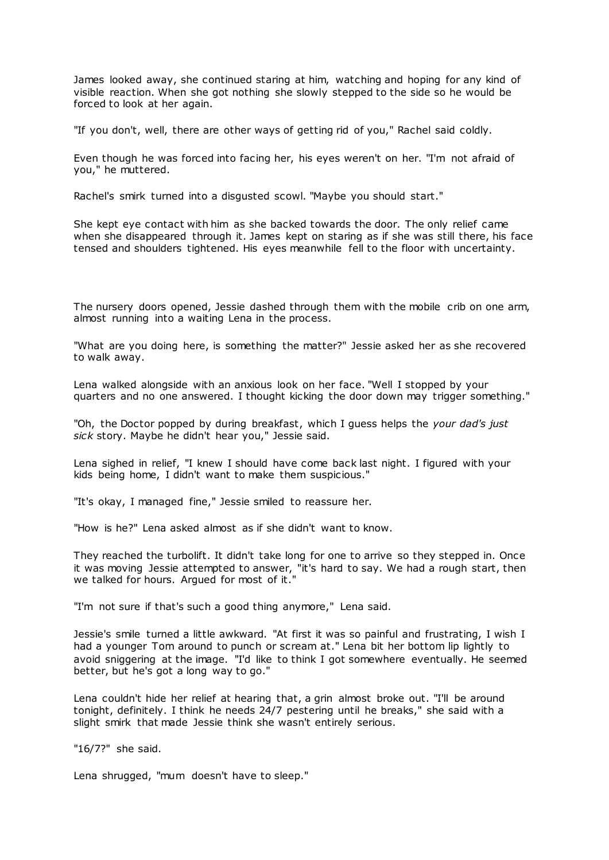James looked away, she continued staring at him, watching and hoping for any kind of visible reaction. When she got nothing she slowly stepped to the side so he would be forced to look at her again.

"If you don't, well, there are other ways of getting rid of you," Rachel said coldly.

Even though he was forced into facing her, his eyes weren't on her. "I'm not afraid of you," he muttered.

Rachel's smirk turned into a disgusted scowl. "Maybe you should start."

She kept eye contact with him as she backed towards the door. The only relief came when she disappeared through it. James kept on staring as if she was still there, his face tensed and shoulders tightened. His eyes meanwhile fell to the floor with uncertainty.

The nursery doors opened, Jessie dashed through them with the mobile crib on one arm, almost running into a waiting Lena in the process.

"What are you doing here, is something the matter?" Jessie asked her as she recovered to walk away.

Lena walked alongside with an anxious look on her face. "Well I stopped by your quarters and no one answered. I thought kicking the door down may trigger something."

"Oh, the Doctor popped by during breakfast, which I guess helps the *your dad's just sick* story. Maybe he didn't hear you," Jessie said.

Lena sighed in relief, "I knew I should have come back last night. I figured with your kids being home, I didn't want to make them suspicious."

"It's okay, I managed fine," Jessie smiled to reassure her.

"How is he?" Lena asked almost as if she didn't want to know.

They reached the turbolift. It didn't take long for one to arrive so they stepped in. Once it was moving Jessie attempted to answer, "it's hard to say. We had a rough start, then we talked for hours. Argued for most of it."

"I'm not sure if that's such a good thing anymore," Lena said.

Jessie's smile turned a little awkward. "At first it was so painful and frustrating, I wish I had a younger Tom around to punch or scream at." Lena bit her bottom lip lightly to avoid sniggering at the image. "I'd like to think I got somewhere eventually. He seemed better, but he's got a long way to go."

Lena couldn't hide her relief at hearing that, a grin almost broke out. "I'll be around tonight, definitely. I think he needs 24/7 pestering until he breaks," she said with a slight smirk that made Jessie think she wasn't entirely serious.

"16/7?" she said.

Lena shrugged, "mum doesn't have to sleep."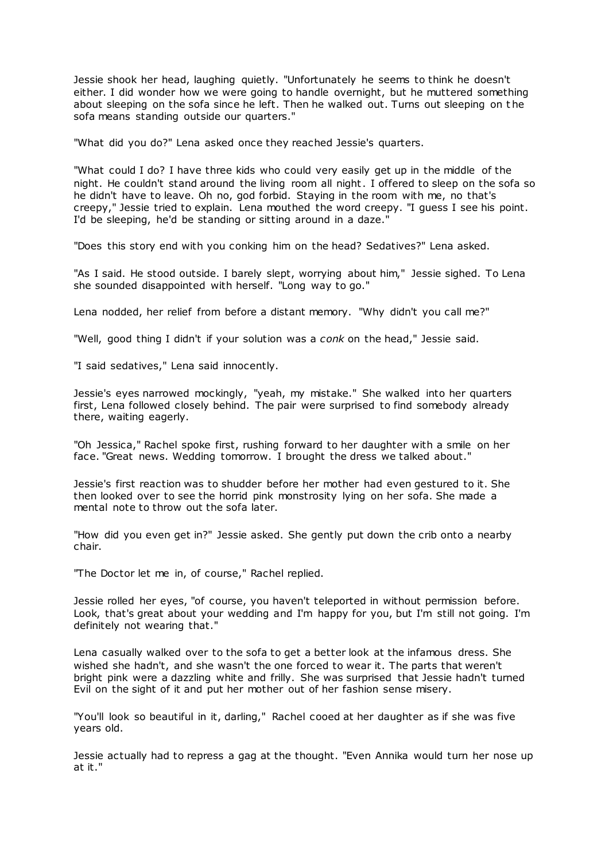Jessie shook her head, laughing quietly. "Unfortunately he seems to think he doesn't either. I did wonder how we were going to handle overnight, but he muttered something about sleeping on the sofa since he left. Then he walked out. Turns out sleeping on t he sofa means standing outside our quarters."

"What did you do?" Lena asked once they reached Jessie's quarters.

"What could I do? I have three kids who could very easily get up in the middle of the night. He couldn't stand around the living room all night. I offered to sleep on the sofa so he didn't have to leave. Oh no, god forbid. Staying in the room with me, no that's creepy," Jessie tried to explain. Lena mouthed the word creepy. "I guess I see his point. I'd be sleeping, he'd be standing or sitting around in a daze."

"Does this story end with you conking him on the head? Sedatives?" Lena asked.

"As I said. He stood outside. I barely slept, worrying about him," Jessie sighed. To Lena she sounded disappointed with herself. "Long way to go."

Lena nodded, her relief from before a distant memory. "Why didn't you call me?"

"Well, good thing I didn't if your solution was a *conk* on the head," Jessie said.

"I said sedatives," Lena said innocently.

Jessie's eyes narrowed mockingly, "yeah, my mistake." She walked into her quarters first, Lena followed closely behind. The pair were surprised to find somebody already there, waiting eagerly.

"Oh Jessica," Rachel spoke first, rushing forward to her daughter with a smile on her face. "Great news. Wedding tomorrow. I brought the dress we talked about."

Jessie's first reaction was to shudder before her mother had even gestured to it. She then looked over to see the horrid pink monstrosity lying on her sofa. She made a mental note to throw out the sofa later.

"How did you even get in?" Jessie asked. She gently put down the crib onto a nearby chair.

"The Doctor let me in, of course," Rachel replied.

Jessie rolled her eyes, "of course, you haven't teleported in without permission before. Look, that's great about your wedding and I'm happy for you, but I'm still not going. I'm definitely not wearing that."

Lena casually walked over to the sofa to get a better look at the infamous dress. She wished she hadn't, and she wasn't the one forced to wear it. The parts that weren't bright pink were a dazzling white and frilly. She was surprised that Jessie hadn't turned Evil on the sight of it and put her mother out of her fashion sense misery.

"You'll look so beautiful in it, darling," Rachel cooed at her daughter as if she was five years old.

Jessie actually had to repress a gag at the thought. "Even Annika would turn her nose up at it."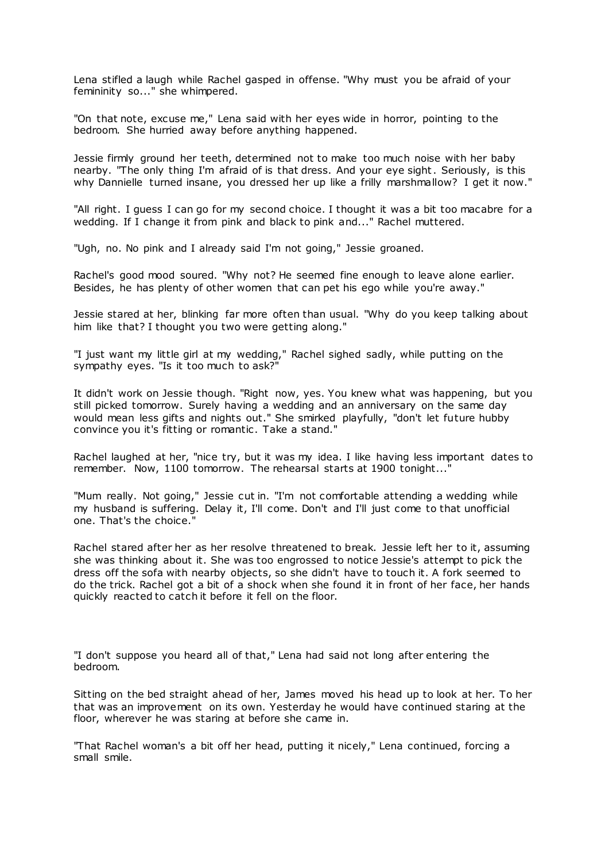Lena stifled a laugh while Rachel gasped in offense. "Why must you be afraid of your femininity so..." she whimpered.

"On that note, excuse me," Lena said with her eyes wide in horror, pointing to the bedroom. She hurried away before anything happened.

Jessie firmly ground her teeth, determined not to make too much noise with her baby nearby. "The only thing I'm afraid of is that dress. And your eye sight. Seriously, is this why Dannielle turned insane, you dressed her up like a frilly marshmallow? I get it now."

"All right. I guess I can go for my second choice. I thought it was a bit too macabre for a wedding. If I change it from pink and black to pink and..." Rachel muttered.

"Ugh, no. No pink and I already said I'm not going," Jessie groaned.

Rachel's good mood soured. "Why not? He seemed fine enough to leave alone earlier. Besides, he has plenty of other women that can pet his ego while you're away."

Jessie stared at her, blinking far more often than usual. "Why do you keep talking about him like that? I thought you two were getting along."

"I just want my little girl at my wedding," Rachel sighed sadly, while putting on the sympathy eyes. "Is it too much to ask?"

It didn't work on Jessie though. "Right now, yes. You knew what was happening, but you still picked tomorrow. Surely having a wedding and an anniversary on the same day would mean less gifts and nights out." She smirked playfully, "don't let future hubby convince you it's fitting or romantic. Take a stand."

Rachel laughed at her, "nice try, but it was my idea. I like having less important dates to remember. Now, 1100 tomorrow. The rehearsal starts at 1900 tonight...'

"Mum really. Not going," Jessie cut in. "I'm not comfortable attending a wedding while my husband is suffering. Delay it, I'll come. Don't and I'll just come to that unofficial one. That's the choice."

Rachel stared after her as her resolve threatened to break. Jessie left her to it, assuming she was thinking about it. She was too engrossed to notice Jessie's attempt to pick the dress off the sofa with nearby objects, so she didn't have to touch it. A fork seemed to do the trick. Rachel got a bit of a shock when she found it in front of her face, her hands quickly reacted to catch it before it fell on the floor.

"I don't suppose you heard all of that," Lena had said not long after entering the bedroom.

Sitting on the bed straight ahead of her, James moved his head up to look at her. To her that was an improvement on its own. Yesterday he would have continued staring at the floor, wherever he was staring at before she came in.

"That Rachel woman's a bit off her head, putting it nicely," Lena continued, forcing a small smile.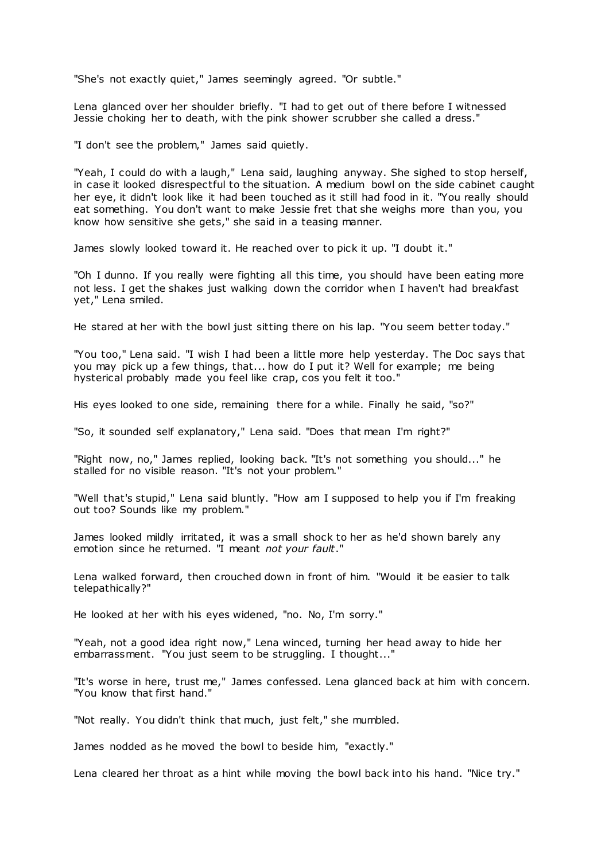"She's not exactly quiet," James seemingly agreed. "Or subtle."

Lena glanced over her shoulder briefly. "I had to get out of there before I witnessed Jessie choking her to death, with the pink shower scrubber she called a dress."

"I don't see the problem," James said quietly.

"Yeah, I could do with a laugh," Lena said, laughing anyway. She sighed to stop herself, in case it looked disrespectful to the situation. A medium bowl on the side cabinet caught her eye, it didn't look like it had been touched as it still had food in it. "You really should eat something. You don't want to make Jessie fret that she weighs more than you, you know how sensitive she gets," she said in a teasing manner.

James slowly looked toward it. He reached over to pick it up. "I doubt it."

"Oh I dunno. If you really were fighting all this time, you should have been eating more not less. I get the shakes just walking down the corridor when I haven't had breakfast yet," Lena smiled.

He stared at her with the bowl just sitting there on his lap. "You seem better today."

"You too," Lena said. "I wish I had been a little more help yesterday. The Doc says that you may pick up a few things, that... how do I put it? Well for example; me being hysterical probably made you feel like crap, cos you felt it too."

His eyes looked to one side, remaining there for a while. Finally he said, "so?"

"So, it sounded self explanatory," Lena said. "Does that mean I'm right?"

"Right now, no," James replied, looking back. "It's not something you should..." he stalled for no visible reason. "It's not your problem."

"Well that's stupid," Lena said bluntly. "How am I supposed to help you if I'm freaking out too? Sounds like my problem."

James looked mildly irritated, it was a small shock to her as he'd shown barely any emotion since he returned. "I meant *not your fault*."

Lena walked forward, then crouched down in front of him. "Would it be easier to talk telepathically?"

He looked at her with his eyes widened, "no. No, I'm sorry."

"Yeah, not a good idea right now," Lena winced, turning her head away to hide her embarrassment. "You just seem to be struggling. I thought..."

"It's worse in here, trust me," James confessed. Lena glanced back at him with concern. "You know that first hand."

"Not really. You didn't think that much, just felt," she mumbled.

James nodded as he moved the bowl to beside him, "exactly."

Lena cleared her throat as a hint while moving the bowl back into his hand. "Nice try."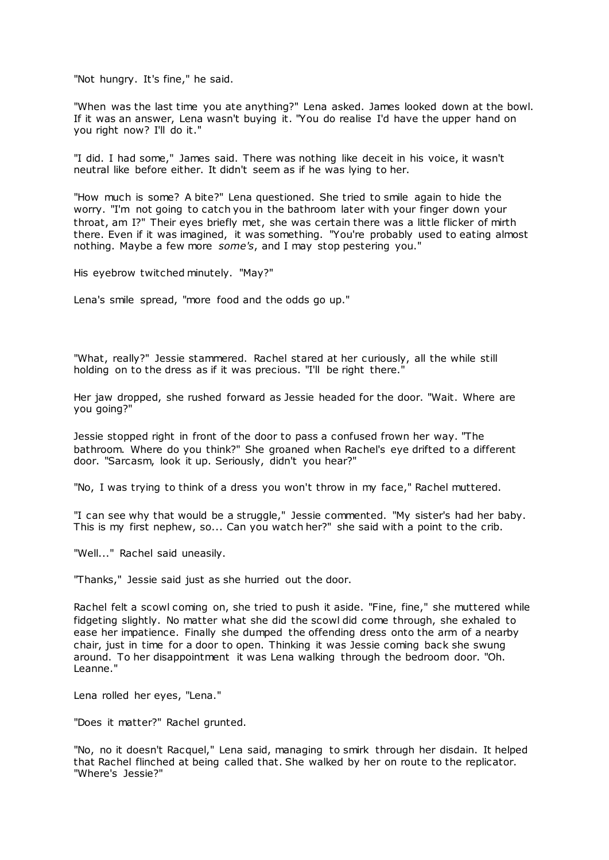"Not hungry. It's fine," he said.

"When was the last time you ate anything?" Lena asked. James looked down at the bowl. If it was an answer, Lena wasn't buying it. "You do realise I'd have the upper hand on you right now? I'll do it."

"I did. I had some," James said. There was nothing like deceit in his voice, it wasn't neutral like before either. It didn't seem as if he was lying to her.

"How much is some? A bite?" Lena questioned. She tried to smile again to hide the worry. "I'm not going to catch you in the bathroom later with your finger down your throat, am I?" Their eyes briefly met, she was certain there was a little flicker of mirth there. Even if it was imagined, it was something. "You're probably used to eating almost nothing. Maybe a few more *some's*, and I may stop pestering you."

His eyebrow twitched minutely. "May?"

Lena's smile spread, "more food and the odds go up."

"What, really?" Jessie stammered. Rachel stared at her curiously, all the while still holding on to the dress as if it was precious. "I'll be right there."

Her jaw dropped, she rushed forward as Jessie headed for the door. "Wait. Where are you going?"

Jessie stopped right in front of the door to pass a confused frown her way. "The bathroom. Where do you think?" She groaned when Rachel's eye drifted to a different door. "Sarcasm, look it up. Seriously, didn't you hear?"

"No, I was trying to think of a dress you won't throw in my face," Rachel muttered.

"I can see why that would be a struggle," Jessie commented. "My sister's had her baby. This is my first nephew, so... Can you watch her?" she said with a point to the crib.

"Well..." Rachel said uneasily.

"Thanks," Jessie said just as she hurried out the door.

Rachel felt a scowl coming on, she tried to push it aside. "Fine, fine," she muttered while fidgeting slightly. No matter what she did the scowl did come through, she exhaled to ease her impatience. Finally she dumped the offending dress onto the arm of a nearby chair, just in time for a door to open. Thinking it was Jessie coming back she swung around. To her disappointment it was Lena walking through the bedroom door. "Oh. Leanne."

Lena rolled her eyes, "Lena."

"Does it matter?" Rachel grunted.

"No, no it doesn't Racquel," Lena said, managing to smirk through her disdain. It helped that Rachel flinched at being called that. She walked by her on route to the replicator. "Where's Jessie?"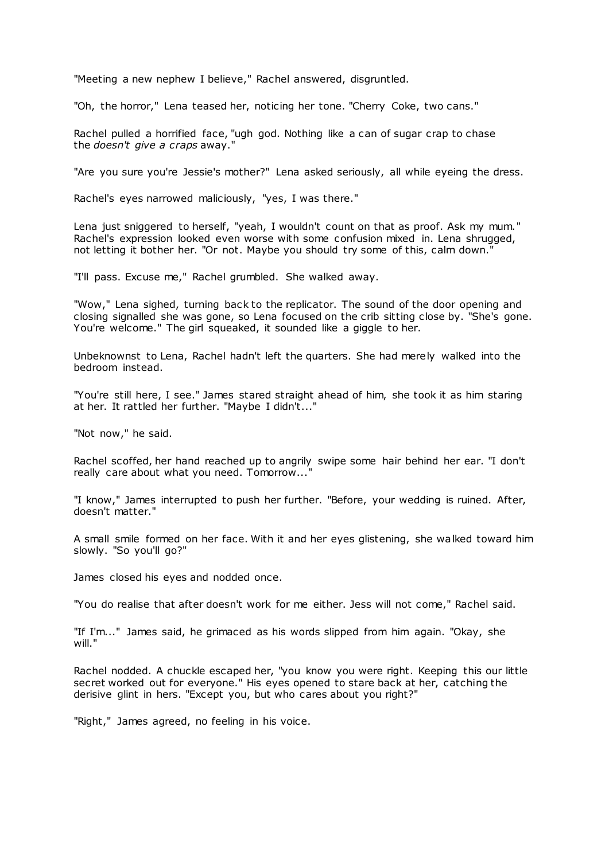"Meeting a new nephew I believe," Rachel answered, disgruntled.

"Oh, the horror," Lena teased her, noticing her tone. "Cherry Coke, two cans."

Rachel pulled a horrified face, "ugh god. Nothing like a can of sugar crap to chase the *doesn't give a craps* away."

"Are you sure you're Jessie's mother?" Lena asked seriously, all while eyeing the dress.

Rachel's eyes narrowed maliciously, "yes, I was there."

Lena just sniggered to herself, "yeah, I wouldn't count on that as proof. Ask my mum." Rachel's expression looked even worse with some confusion mixed in. Lena shrugged, not letting it bother her. "Or not. Maybe you should try some of this, calm down."

"I'll pass. Excuse me," Rachel grumbled. She walked away.

"Wow," Lena sighed, turning back to the replicator. The sound of the door opening and closing signalled she was gone, so Lena focused on the crib sitting close by. "She's gone. You're welcome." The girl squeaked, it sounded like a giggle to her.

Unbeknownst to Lena, Rachel hadn't left the quarters. She had merely walked into the bedroom instead.

"You're still here, I see." James stared straight ahead of him, she took it as him staring at her. It rattled her further. "Maybe I didn't..."

"Not now," he said.

Rachel scoffed, her hand reached up to angrily swipe some hair behind her ear. "I don't really care about what you need. Tomorrow..."

"I know," James interrupted to push her further. "Before, your wedding is ruined. After, doesn't matter."

A small smile formed on her face. With it and her eyes glistening, she walked toward him slowly. "So you'll go?"

James closed his eyes and nodded once.

"You do realise that after doesn't work for me either. Jess will not come," Rachel said.

"If I'm..." James said, he grimaced as his words slipped from him again. "Okay, she will."

Rachel nodded. A chuckle escaped her, "you know you were right. Keeping this our little secret worked out for everyone." His eyes opened to stare back at her, catching the derisive glint in hers. "Except you, but who cares about you right?"

"Right," James agreed, no feeling in his voice.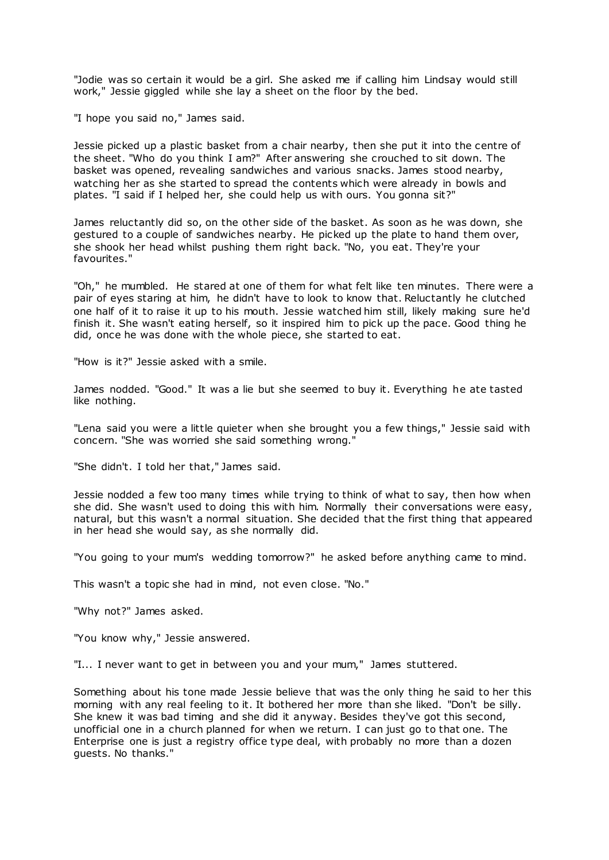"Jodie was so certain it would be a girl. She asked me if calling him Lindsay would still work," Jessie giggled while she lay a sheet on the floor by the bed.

"I hope you said no," James said.

Jessie picked up a plastic basket from a chair nearby, then she put it into the centre of the sheet. "Who do you think I am?" After answering she crouched to sit down. The basket was opened, revealing sandwiches and various snacks. James stood nearby, watching her as she started to spread the contents which were already in bowls and plates. "I said if I helped her, she could help us with ours. You gonna sit?"

James reluctantly did so, on the other side of the basket. As soon as he was down, she gestured to a couple of sandwiches nearby. He picked up the plate to hand them over, she shook her head whilst pushing them right back. "No, you eat. They're your favourites."

"Oh," he mumbled. He stared at one of them for what felt like ten minutes. There were a pair of eyes staring at him, he didn't have to look to know that. Reluctantly he clutched one half of it to raise it up to his mouth. Jessie watched him still, likely making sure he'd finish it. She wasn't eating herself, so it inspired him to pick up the pace. Good thing he did, once he was done with the whole piece, she started to eat.

"How is it?" Jessie asked with a smile.

James nodded. "Good." It was a lie but she seemed to buy it. Everything he ate tasted like nothing.

"Lena said you were a little quieter when she brought you a few things," Jessie said with concern. "She was worried she said something wrong."

"She didn't. I told her that," James said.

Jessie nodded a few too many times while trying to think of what to say, then how when she did. She wasn't used to doing this with him. Normally their conversations were easy, natural, but this wasn't a normal situation. She decided that the first thing that appeared in her head she would say, as she normally did.

"You going to your mum's wedding tomorrow?" he asked before anything came to mind.

This wasn't a topic she had in mind, not even close. "No."

"Why not?" James asked.

"You know why," Jessie answered.

"I... I never want to get in between you and your mum," James stuttered.

Something about his tone made Jessie believe that was the only thing he said to her this morning with any real feeling to it. It bothered her more than she liked. "Don't be silly. She knew it was bad timing and she did it anyway. Besides they've got this second, unofficial one in a church planned for when we return. I can just go to that one. The Enterprise one is just a registry office type deal, with probably no more than a dozen guests. No thanks."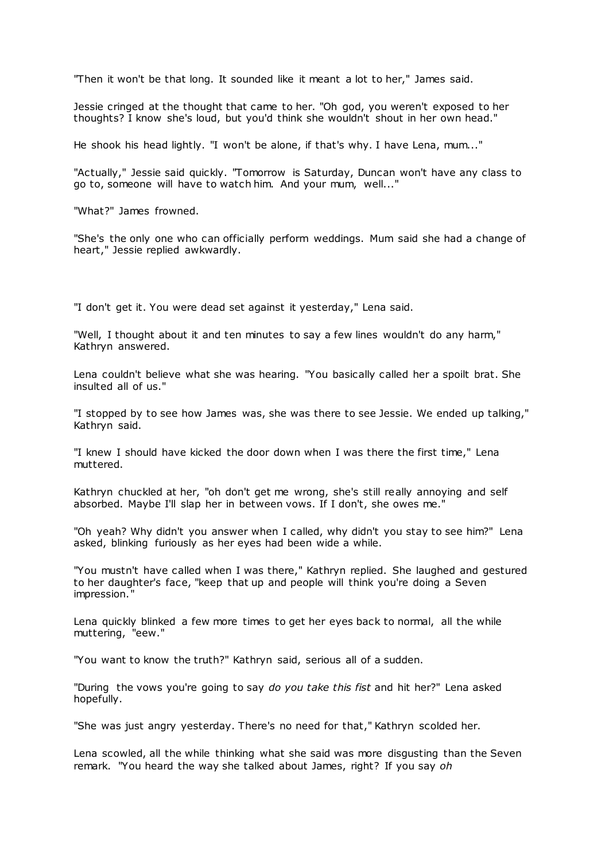"Then it won't be that long. It sounded like it meant a lot to her," James said.

Jessie cringed at the thought that came to her. "Oh god, you weren't exposed to her thoughts? I know she's loud, but you'd think she wouldn't shout in her own head."

He shook his head lightly. "I won't be alone, if that's why. I have Lena, mum..."

"Actually," Jessie said quickly. "Tomorrow is Saturday, Duncan won't have any class to go to, someone will have to watch him. And your mum, well..."

"What?" James frowned.

"She's the only one who can officially perform weddings. Mum said she had a change of heart," Jessie replied awkwardly.

"I don't get it. You were dead set against it yesterday," Lena said.

"Well, I thought about it and ten minutes to say a few lines wouldn't do any harm," Kathryn answered.

Lena couldn't believe what she was hearing. "You basically called her a spoilt brat. She insulted all of us."

"I stopped by to see how James was, she was there to see Jessie. We ended up talking," Kathryn said.

"I knew I should have kicked the door down when I was there the first time," Lena muttered.

Kathryn chuckled at her, "oh don't get me wrong, she's still really annoying and self absorbed. Maybe I'll slap her in between vows. If I don't, she owes me."

"Oh yeah? Why didn't you answer when I called, why didn't you stay to see him?" Lena asked, blinking furiously as her eyes had been wide a while.

"You mustn't have called when I was there," Kathryn replied. She laughed and gestured to her daughter's face, "keep that up and people will think you're doing a Seven impression."

Lena quickly blinked a few more times to get her eyes back to normal, all the while muttering, "eew."

"You want to know the truth?" Kathryn said, serious all of a sudden.

"During the vows you're going to say *do you take this fist* and hit her?" Lena asked hopefully.

"She was just angry yesterday. There's no need for that," Kathryn scolded her.

Lena scowled, all the while thinking what she said was more disgusting than the Seven remark. "You heard the way she talked about James, right? If you say *oh*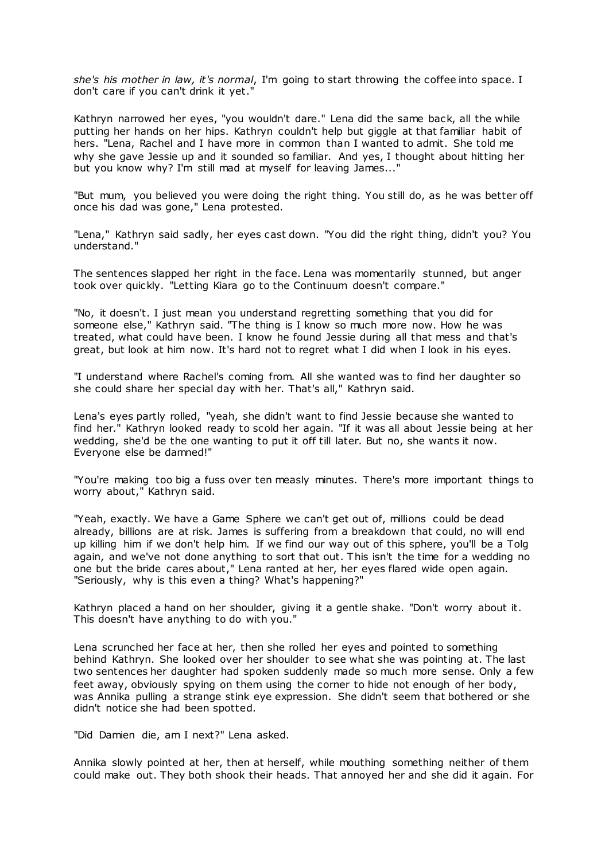*she's his mother in law, it's normal*, I'm going to start throwing the coffee into space. I don't care if you can't drink it yet."

Kathryn narrowed her eyes, "you wouldn't dare." Lena did the same back, all the while putting her hands on her hips. Kathryn couldn't help but giggle at that familiar habit of hers. "Lena, Rachel and I have more in common than I wanted to admit. She told me why she gave Jessie up and it sounded so familiar. And yes, I thought about hitting her but you know why? I'm still mad at myself for leaving James..."

"But mum, you believed you were doing the right thing. You still do, as he was better off once his dad was gone," Lena protested.

"Lena," Kathryn said sadly, her eyes cast down. "You did the right thing, didn't you? You understand."

The sentences slapped her right in the face. Lena was momentarily stunned, but anger took over quickly. "Letting Kiara go to the Continuum doesn't compare."

"No, it doesn't. I just mean you understand regretting something that you did for someone else," Kathryn said. "The thing is I know so much more now. How he was treated, what could have been. I know he found Jessie during all that mess and that's great, but look at him now. It's hard not to regret what I did when I look in his eyes.

"I understand where Rachel's coming from. All she wanted was to find her daughter so she could share her special day with her. That's all," Kathryn said.

Lena's eyes partly rolled, "yeah, she didn't want to find Jessie because she wanted to find her." Kathryn looked ready to scold her again. "If it was all about Jessie being at her wedding, she'd be the one wanting to put it off till later. But no, she wants it now. Everyone else be damned!"

"You're making too big a fuss over ten measly minutes. There's more important things to worry about," Kathryn said.

"Yeah, exactly. We have a Game Sphere we can't get out of, millions could be dead already, billions are at risk. James is suffering from a breakdown that could, no will end up killing him if we don't help him. If we find our way out of this sphere, you'll be a Tolg again, and we've not done anything to sort that out. This isn't the time for a wedding no one but the bride cares about," Lena ranted at her, her eyes flared wide open again. "Seriously, why is this even a thing? What's happening?"

Kathryn placed a hand on her shoulder, giving it a gentle shake. "Don't worry about it. This doesn't have anything to do with you."

Lena scrunched her face at her, then she rolled her eyes and pointed to something behind Kathryn. She looked over her shoulder to see what she was pointing at. The last two sentences her daughter had spoken suddenly made so much more sense. Only a few feet away, obviously spying on them using the corner to hide not enough of her body, was Annika pulling a strange stink eye expression. She didn't seem that bothered or she didn't notice she had been spotted.

"Did Damien die, am I next?" Lena asked.

Annika slowly pointed at her, then at herself, while mouthing something neither of them could make out. They both shook their heads. That annoyed her and she did it again. For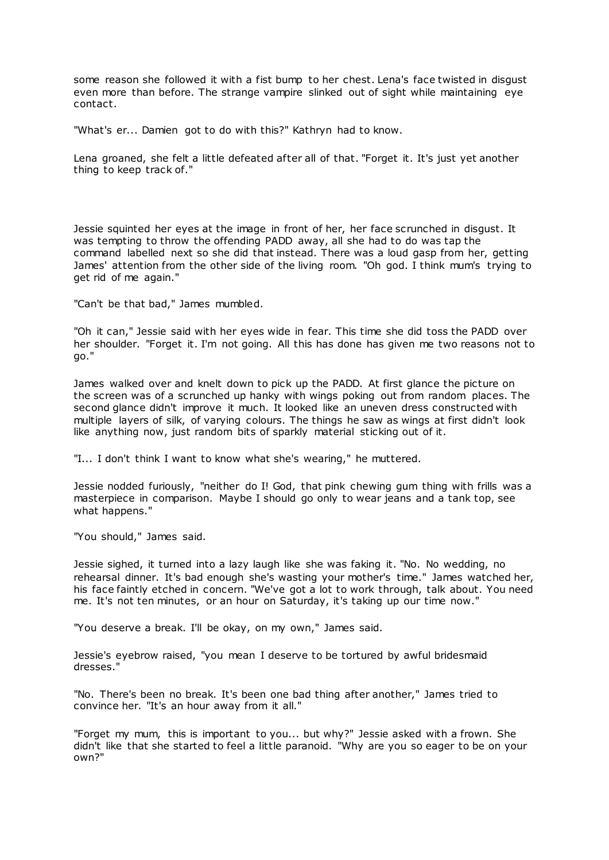some reason she followed it with a fist bump to her chest. Lena's face twisted in disgust even more than before. The strange vampire slinked out of sight while maintaining eye contact.

"What's er... Damien got to do with this?" Kathryn had to know.

Lena groaned, she felt a little defeated after all of that. "Forget it. It's just yet another thing to keep track of."

Jessie squinted her eyes at the image in front of her, her face scrunched in disgust. It was tempting to throw the offending PADD away, all she had to do was tap the command labelled next so she did that instead. There was a loud gasp from her, getting James' attention from the other side of the living room. "Oh god. I think mum's trying to get rid of me again."

"Can't be that bad," James mumbled.

"Oh it can," Jessie said with her eyes wide in fear. This time she did toss the PADD over her shoulder. "Forget it. I'm not going. All this has done has given me two reasons not to go."

James walked over and knelt down to pick up the PADD. At first glance the picture on the screen was of a scrunched up hanky with wings poking out from random places. The second glance didn't improve it much. It looked like an uneven dress constructed with multiple layers of silk, of varying colours. The things he saw as wings at first didn't look like anything now, just random bits of sparkly material sticking out of it.

"I... I don't think I want to know what she's wearing," he muttered.

Jessie nodded furiously, "neither do I! God, that pink chewing gum thing with frills was a masterpiece in comparison. Maybe I should go only to wear jeans and a tank top, see what happens."

"You should," James said.

Jessie sighed, it turned into a lazy laugh like she was faking it. "No. No wedding, no rehearsal dinner. It's bad enough she's wasting your mother's time." James watched her, his face faintly etched in concern. "We've got a lot to work through, talk about. You need me. It's not ten minutes, or an hour on Saturday, it's taking up our time now."

"You deserve a break. I'll be okay, on my own," James said.

Jessie's eyebrow raised, "you mean I deserve to be tortured by awful bridesmaid dresses."

"No. There's been no break. It's been one bad thing after another," James tried to convince her. "It's an hour away from it all."

"Forget my mum, this is important to you... but why?" Jessie asked with a frown. She didn't like that she started to feel a little paranoid. "Why are you so eager to be on your own?"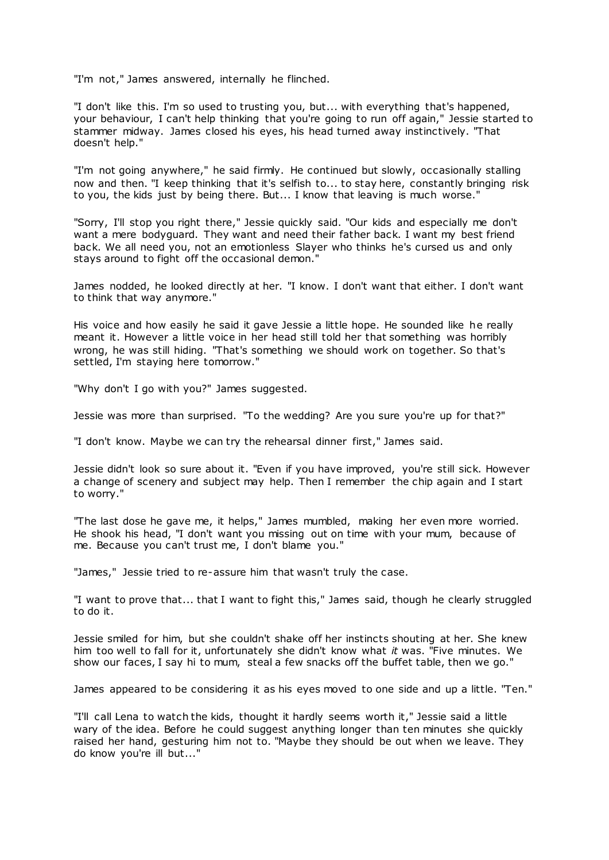"I'm not," James answered, internally he flinched.

"I don't like this. I'm so used to trusting you, but... with everything that's happened, your behaviour, I can't help thinking that you're going to run off again," Jessie started to stammer midway. James closed his eyes, his head turned away instinctively. "That doesn't help."

"I'm not going anywhere," he said firmly. He continued but slowly, occasionally stalling now and then. "I keep thinking that it's selfish to... to stay here, constantly bringing risk to you, the kids just by being there. But... I know that leaving is much worse."

"Sorry, I'll stop you right there," Jessie quickly said. "Our kids and especially me don't want a mere bodyguard. They want and need their father back. I want my best friend back. We all need you, not an emotionless Slayer who thinks he's cursed us and only stays around to fight off the occasional demon."

James nodded, he looked directly at her. "I know. I don't want that either. I don't want to think that way anymore."

His voice and how easily he said it gave Jessie a little hope. He sounded like he really meant it. However a little voice in her head still told her that something was horribly wrong, he was still hiding. "That's something we should work on together. So that's settled, I'm staying here tomorrow."

"Why don't I go with you?" James suggested.

Jessie was more than surprised. "To the wedding? Are you sure you're up for that?"

"I don't know. Maybe we can try the rehearsal dinner first," James said.

Jessie didn't look so sure about it. "Even if you have improved, you're still sick. However a change of scenery and subject may help. Then I remember the chip again and I start to worry."

"The last dose he gave me, it helps," James mumbled, making her even more worried. He shook his head, "I don't want you missing out on time with your mum, because of me. Because you can't trust me, I don't blame you."

"James," Jessie tried to re-assure him that wasn't truly the case.

"I want to prove that... that I want to fight this," James said, though he clearly struggled to do it.

Jessie smiled for him, but she couldn't shake off her instincts shouting at her. She knew him too well to fall for it, unfortunately she didn't know what *it* was. "Five minutes. We show our faces, I say hi to mum, steal a few snacks off the buffet table, then we go."

James appeared to be considering it as his eyes moved to one side and up a little. "Ten."

"I'll call Lena to watch the kids, thought it hardly seems worth it," Jessie said a little wary of the idea. Before he could suggest anything longer than ten minutes she quickly raised her hand, gesturing him not to. "Maybe they should be out when we leave. They do know you're ill but..."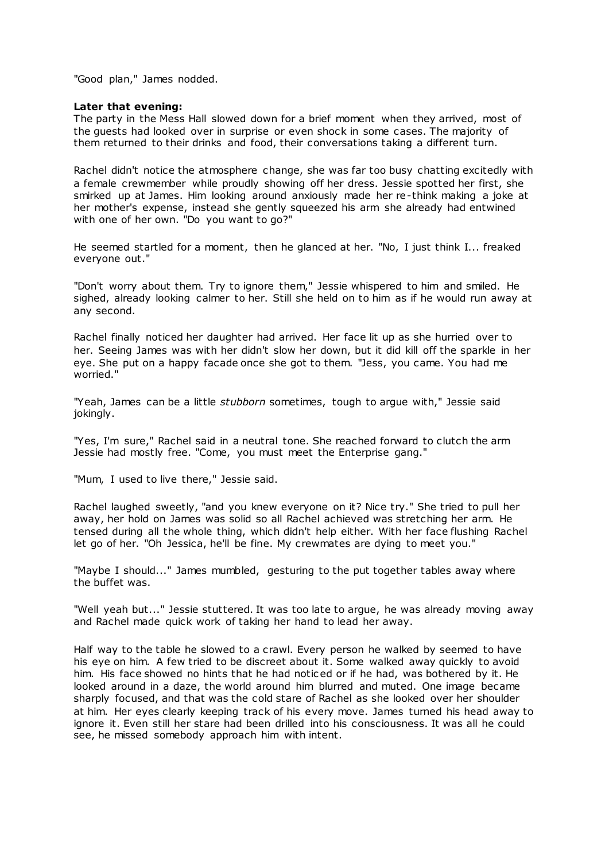"Good plan," James nodded.

## **Later that evening:**

The party in the Mess Hall slowed down for a brief moment when they arrived, most of the guests had looked over in surprise or even shock in some cases. The majority of them returned to their drinks and food, their conversations taking a different turn.

Rachel didn't notice the atmosphere change, she was far too busy chatting excitedly with a female crewmember while proudly showing off her dress. Jessie spotted her first, she smirked up at James. Him looking around anxiously made her re-think making a joke at her mother's expense, instead she gently squeezed his arm she already had entwined with one of her own. "Do you want to go?"

He seemed startled for a moment, then he glanced at her. "No, I just think I... freaked everyone out."

"Don't worry about them. Try to ignore them," Jessie whispered to him and smiled. He sighed, already looking calmer to her. Still she held on to him as if he would run away at any second.

Rachel finally noticed her daughter had arrived. Her face lit up as she hurried over to her. Seeing James was with her didn't slow her down, but it did kill off the sparkle in her eye. She put on a happy facade once she got to them. "Jess, you came. You had me worried."

"Yeah, James can be a little *stubborn* sometimes, tough to argue with," Jessie said jokingly.

"Yes, I'm sure," Rachel said in a neutral tone. She reached forward to clutch the arm Jessie had mostly free. "Come, you must meet the Enterprise gang."

"Mum, I used to live there," Jessie said.

Rachel laughed sweetly, "and you knew everyone on it? Nice try." She tried to pull her away, her hold on James was solid so all Rachel achieved was stretching her arm. He tensed during all the whole thing, which didn't help either. With her face flushing Rachel let go of her. "Oh Jessica, he'll be fine. My crewmates are dying to meet you."

"Maybe I should..." James mumbled, gesturing to the put together tables away where the buffet was.

"Well yeah but..." Jessie stuttered. It was too late to argue, he was already moving away and Rachel made quick work of taking her hand to lead her away.

Half way to the table he slowed to a crawl. Every person he walked by seemed to have his eye on him. A few tried to be discreet about it. Some walked away quickly to avoid him. His face showed no hints that he had notic ed or if he had, was bothered by it. He looked around in a daze, the world around him blurred and muted. One image became sharply focused, and that was the cold stare of Rachel as she looked over her shoulder at him. Her eyes clearly keeping track of his every move. James turned his head away to ignore it. Even still her stare had been drilled into his consciousness. It was all he could see, he missed somebody approach him with intent.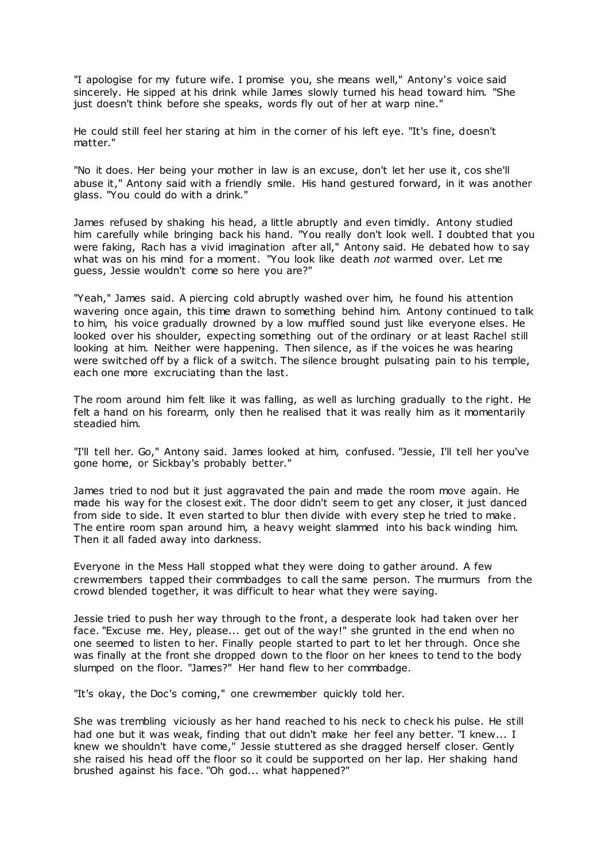"I apologise for my future wife. I promise you, she means well," Antony's voice said sincerely. He sipped at his drink while James slowly turned his head toward him. "She just doesn't think before she speaks, words fly out of her at warp nine."

He could still feel her staring at him in the corner of his left eye. "It's fine, doesn't matter."

"No it does. Her being your mother in law is an excuse, don't let her use it, cos she'll abuse it," Antony said with a friendly smile. His hand gestured forward, in it was another glass. "You could do with a drink."

James refused by shaking his head, a little abruptly and even timidly. Antony studied him carefully while bringing back his hand. "You really don't look well. I doubted that you were faking, Rach has a vivid imagination after all," Antony said. He debated how to say what was on his mind for a moment. "You look like death *not* warmed over. Let me guess, Jessie wouldn't come so here you are?"

"Yeah," James said. A piercing cold abruptly washed over him, he found his attention wavering once again, this time drawn to something behind him. Antony continued to talk to him, his voice gradually drowned by a low muffled sound just like everyone elses. He looked over his shoulder, expecting something out of the ordinary or at least Rachel still looking at him. Neither were happening. Then silence, as if the voices he was hearing were switched off by a flick of a switch. The silence brought pulsating pain to his temple, each one more excruciating than the last.

The room around him felt like it was falling, as well as lurching gradually to the right. He felt a hand on his forearm, only then he realised that it was really him as it momentarily steadied him.

"I'll tell her. Go," Antony said. James looked at him, confused. "Jessie, I'll tell her you've gone home, or Sickbay's probably better."

James tried to nod but it just aggravated the pain and made the room move again. He made his way for the closest exit. The door didn't seem to get any closer, it just danced from side to side. It even started to blur then divide with every step he tried to make. The entire room span around him, a heavy weight slammed into his back winding him. Then it all faded away into darkness.

Everyone in the Mess Hall stopped what they were doing to gather around. A few crewmembers tapped their commbadges to call the same person. The murmurs from the crowd blended together, it was difficult to hear what they were saying.

Jessie tried to push her way through to the front, a desperate look had taken over her face. "Excuse me. Hey, please... get out of the way!" she grunted in the end when no one seemed to listen to her. Finally people started to part to let her through. Once she was finally at the front she dropped down to the floor on her knees to tend to the body slumped on the floor. "James?" Her hand flew to her commbadge.

"It's okay, the Doc's coming," one crewmember quickly told her.

She was trembling viciously as her hand reached to his neck to check his pulse. He still had one but it was weak, finding that out didn't make her feel any better. "I knew... I knew we shouldn't have come," Jessie stuttered as she dragged herself closer. Gently she raised his head off the floor so it could be supported on her lap. Her shaking hand brushed against his face. "Oh god... what happened?"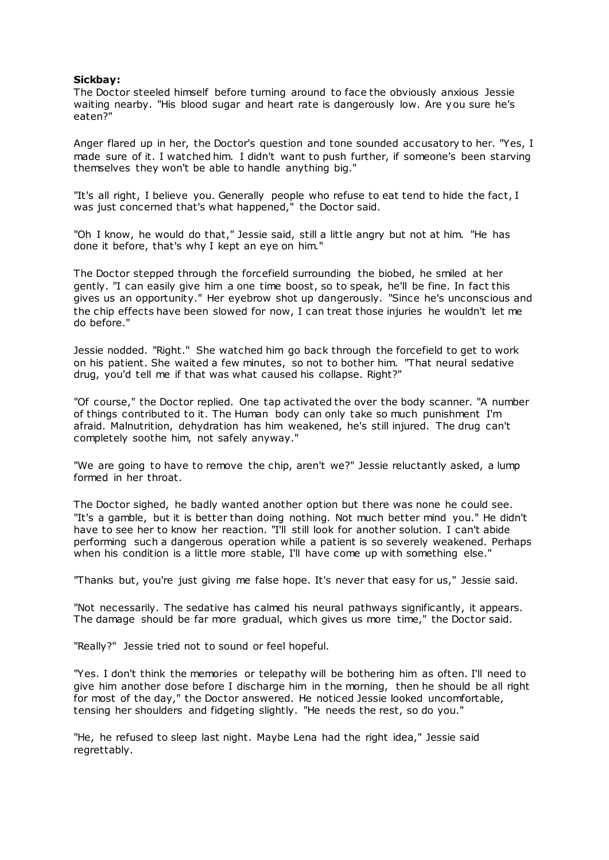## **Sickbay:**

The Doctor steeled himself before turning around to face the obviously anxious Jessie waiting nearby. "His blood sugar and heart rate is dangerously low. Are you sure he's eaten?"

Anger flared up in her, the Doctor's question and tone sounded accusatory to her. "Yes, I made sure of it. I watched him. I didn't want to push further, if someone's been starving themselves they won't be able to handle anything big."

"It's all right, I believe you. Generally people who refuse to eat tend to hide the fact, I was just concerned that's what happened," the Doctor said.

"Oh I know, he would do that," Jessie said, still a little angry but not at him. "He has done it before, that's why I kept an eye on him."

The Doctor stepped through the forcefield surrounding the biobed, he smiled at her gently. "I can easily give him a one time boost, so to speak, he'll be fine. In fact this gives us an opportunity." Her eyebrow shot up dangerously. "Since he's unconscious and the chip effects have been slowed for now, I can treat those injuries he wouldn't let me do before."

Jessie nodded. "Right." She watched him go back through the forcefield to get to work on his patient. She waited a few minutes, so not to bother him. "That neural sedative drug, you'd tell me if that was what caused his collapse. Right?"

"Of course," the Doctor replied. One tap activated the over the body scanner. "A number of things contributed to it. The Human body can only take so much punishment I'm afraid. Malnutrition, dehydration has him weakened, he's still injured. The drug can't completely soothe him, not safely anyway."

"We are going to have to remove the chip, aren't we?" Jessie reluctantly asked, a lump formed in her throat.

The Doctor sighed, he badly wanted another option but there was none he could see. "It's a gamble, but it is better than doing nothing. Not much better mind you." He didn't have to see her to know her reaction. "I'll still look for another solution. I can't abide performing such a dangerous operation while a patient is so severely weakened. Perhaps when his condition is a little more stable, I'll have come up with something else."

"Thanks but, you're just giving me false hope. It's never that easy for us," Jessie said.

"Not necessarily. The sedative has calmed his neural pathways significantly, it appears. The damage should be far more gradual, which gives us more time," the Doctor said.

"Really?" Jessie tried not to sound or feel hopeful.

"Yes. I don't think the memories or telepathy will be bothering him as often. I'll need to give him another dose before I discharge him in the morning, then he should be all right for most of the day," the Doctor answered. He noticed Jessie looked uncomfortable, tensing her shoulders and fidgeting slightly. "He needs the rest, so do you."

"He, he refused to sleep last night. Maybe Lena had the right idea," Jessie said regrettably.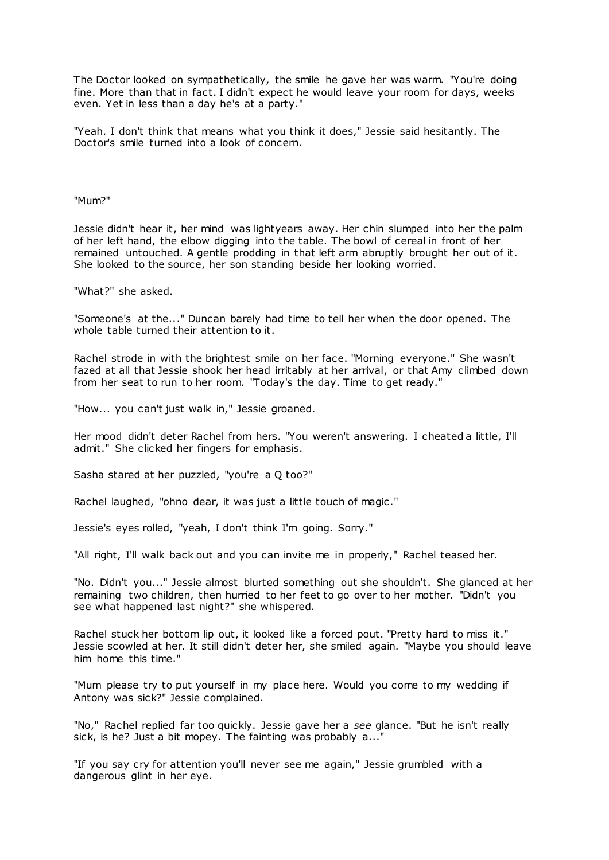The Doctor looked on sympathetically, the smile he gave her was warm. "You're doing fine. More than that in fact. I didn't expect he would leave your room for days, weeks even. Yet in less than a day he's at a party."

"Yeah. I don't think that means what you think it does," Jessie said hesitantly. The Doctor's smile turned into a look of concern.

"Mum?"

Jessie didn't hear it, her mind was lightyears away. Her chin slumped into her the palm of her left hand, the elbow digging into the table. The bowl of cereal in front of her remained untouched. A gentle prodding in that left arm abruptly brought her out of it. She looked to the source, her son standing beside her looking worried.

"What?" she asked.

"Someone's at the..." Duncan barely had time to tell her when the door opened. The whole table turned their attention to it.

Rachel strode in with the brightest smile on her face. "Morning everyone." She wasn't fazed at all that Jessie shook her head irritably at her arrival, or that Amy climbed down from her seat to run to her room. "Today's the day. Time to get ready."

"How... you can't just walk in," Jessie groaned.

Her mood didn't deter Rachel from hers. "You weren't answering. I cheated a little, I'll admit." She clicked her fingers for emphasis.

Sasha stared at her puzzled, "you're a Q too?"

Rachel laughed, "ohno dear, it was just a little touch of magic ."

Jessie's eyes rolled, "yeah, I don't think I'm going. Sorry."

"All right, I'll walk back out and you can invite me in properly," Rachel teased her.

"No. Didn't you..." Jessie almost blurted something out she shouldn't. She glanced at her remaining two children, then hurried to her feet to go over to her mother. "Didn't you see what happened last night?" she whispered.

Rachel stuck her bottom lip out, it looked like a forced pout. "Pretty hard to miss it." Jessie scowled at her. It still didn't deter her, she smiled again. "Maybe you should leave him home this time."

"Mum please try to put yourself in my place here. Would you come to my wedding if Antony was sick?" Jessie complained.

"No," Rachel replied far too quickly. Jessie gave her a *see* glance. "But he isn't really sick, is he? Just a bit mopey. The fainting was probably a..."

"If you say cry for attention you'll never see me again," Jessie grumbled with a dangerous glint in her eye.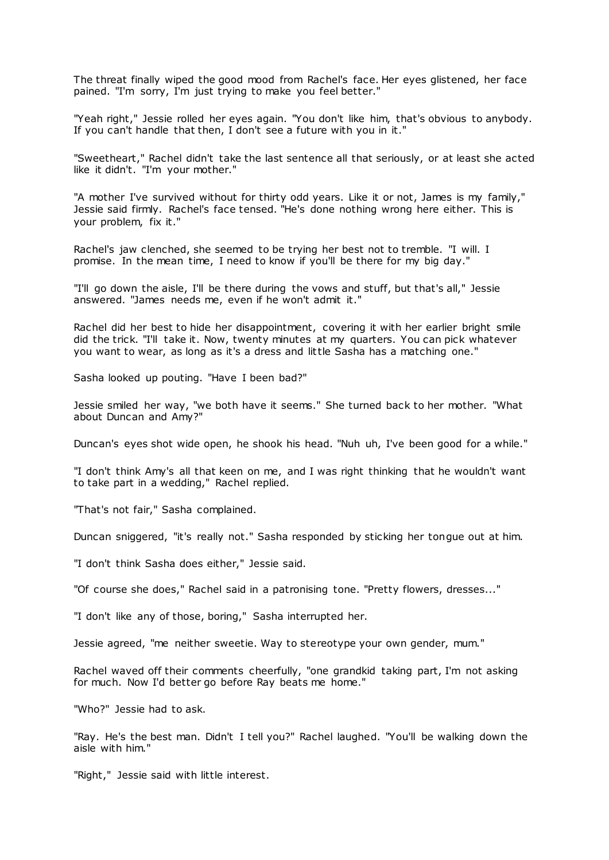The threat finally wiped the good mood from Rachel's face. Her eyes glistened, her face pained. "I'm sorry, I'm just trying to make you feel better."

"Yeah right," Jessie rolled her eyes again. "You don't like him, that's obvious to anybody. If you can't handle that then, I don't see a future with you in it."

"Sweetheart," Rachel didn't take the last sentence all that seriously, or at least she acted like it didn't. "I'm your mother."

"A mother I've survived without for thirty odd years. Like it or not, James is my family," Jessie said firmly. Rachel's face tensed. "He's done nothing wrong here either. This is your problem, fix it."

Rachel's jaw clenched, she seemed to be trying her best not to tremble. "I will. I promise. In the mean time, I need to know if you'll be there for my big day."

"I'll go down the aisle, I'll be there during the vows and stuff, but that's all," Jessie answered. "James needs me, even if he won't admit it."

Rachel did her best to hide her disappointment, covering it with her earlier bright smile did the trick. "I'll take it. Now, twenty minutes at my quarters. You can pick whatever you want to wear, as long as it's a dress and little Sasha has a matching one."

Sasha looked up pouting. "Have I been bad?"

Jessie smiled her way, "we both have it seems." She turned back to her mother. "What about Duncan and Amy?"

Duncan's eyes shot wide open, he shook his head. "Nuh uh, I've been good for a while."

"I don't think Amy's all that keen on me, and I was right thinking that he wouldn't want to take part in a wedding," Rachel replied.

"That's not fair," Sasha complained.

Duncan sniggered, "it's really not." Sasha responded by sticking her tongue out at him.

"I don't think Sasha does either," Jessie said.

"Of course she does," Rachel said in a patronising tone. "Pretty flowers, dresses..."

"I don't like any of those, boring," Sasha interrupted her.

Jessie agreed, "me neither sweetie. Way to stereotype your own gender, mum."

Rachel waved off their comments cheerfully, "one grandkid taking part, I'm not asking for much. Now I'd better go before Ray beats me home."

"Who?" Jessie had to ask.

"Ray. He's the best man. Didn't I tell you?" Rachel laughed. "You'll be walking down the aisle with him."

"Right," Jessie said with little interest.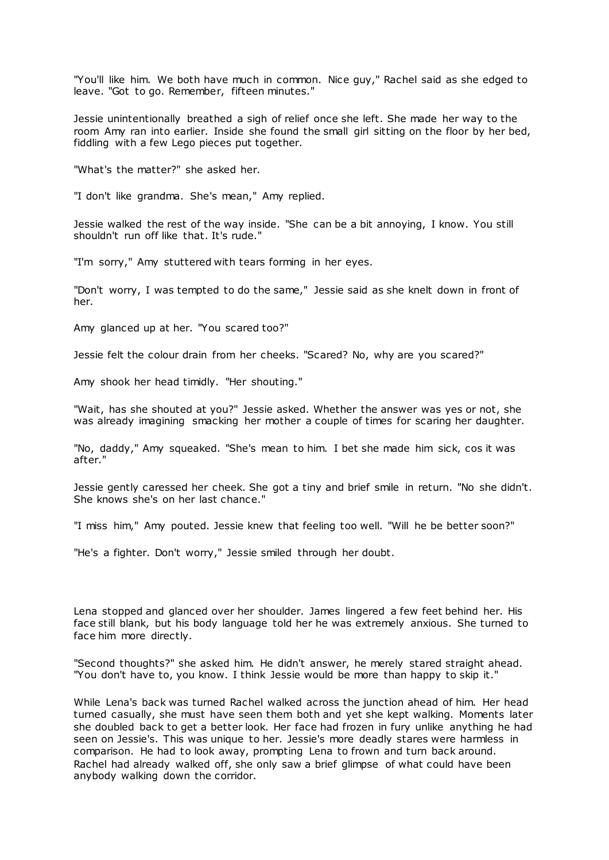"You'll like him. We both have much in common. Nice guy," Rachel said as she edged to leave. "Got to go. Remember, fifteen minutes."

Jessie unintentionally breathed a sigh of relief once she left. She made her way to the room Amy ran into earlier. Inside she found the small girl sitting on the floor by her bed, fiddling with a few Lego pieces put together.

"What's the matter?" she asked her.

"I don't like grandma. She's mean," Amy replied.

Jessie walked the rest of the way inside. "She can be a bit annoying, I know. You still shouldn't run off like that. It's rude."

"I'm sorry," Amy stuttered with tears forming in her eyes.

"Don't worry, I was tempted to do the same," Jessie said as she knelt down in front of her.

Amy glanced up at her. "You scared too?"

Jessie felt the colour drain from her cheeks. "Scared? No, why are you scared?"

Amy shook her head timidly. "Her shouting."

"Wait, has she shouted at you?" Jessie asked. Whether the answer was yes or not, she was already imagining smacking her mother a couple of times for scaring her daughter.

"No, daddy," Amy squeaked. "She's mean to him. I bet she made him sick, cos it was after."

Jessie gently caressed her cheek. She got a tiny and brief smile in return. "No she didn't. She knows she's on her last chance."

"I miss him," Amy pouted. Jessie knew that feeling too well. "Will he be better soon?"

"He's a fighter. Don't worry," Jessie smiled through her doubt.

Lena stopped and glanced over her shoulder. James lingered a few feet behind her. His face still blank, but his body language told her he was extremely anxious. She turned to face him more directly.

"Second thoughts?" she asked him. He didn't answer, he merely stared straight ahead. "You don't have to, you know. I think Jessie would be more than happy to skip it."

While Lena's back was turned Rachel walked across the junction ahead of him. Her head turned casually, she must have seen them both and yet she kept walking. Moments later she doubled back to get a better look. Her face had frozen in fury unlike anything he had seen on Jessie's. This was unique to her. Jessie's more deadly stares were harmless in comparison. He had to look away, prompting Lena to frown and turn back around. Rachel had already walked off, she only saw a brief glimpse of what could have been anybody walking down the corridor.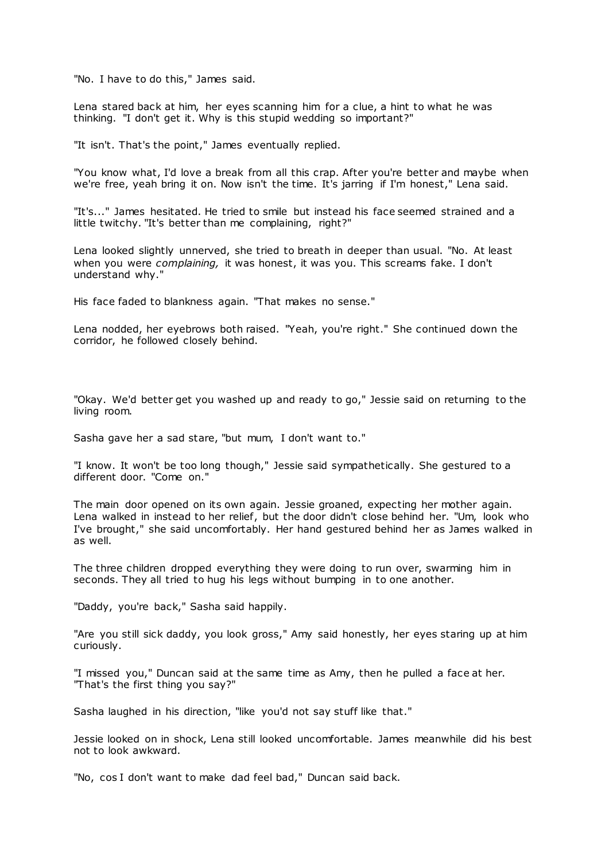"No. I have to do this," James said.

Lena stared back at him, her eyes scanning him for a clue, a hint to what he was thinking. "I don't get it. Why is this stupid wedding so important?"

"It isn't. That's the point," James eventually replied.

"You know what, I'd love a break from all this crap. After you're better and maybe when we're free, yeah bring it on. Now isn't the time. It's jarring if I'm honest," Lena said.

"It's..." James hesitated. He tried to smile but instead his face seemed strained and a little twitchy. "It's better than me complaining, right?"

Lena looked slightly unnerved, she tried to breath in deeper than usual. "No. At least when you were *complaining,* it was honest, it was you. This screams fake. I don't understand why."

His face faded to blankness again. "That makes no sense."

Lena nodded, her eyebrows both raised. "Yeah, you're right." She continued down the corridor, he followed closely behind.

"Okay. We'd better get you washed up and ready to go," Jessie said on returning to the living room.

Sasha gave her a sad stare, "but mum, I don't want to."

"I know. It won't be too long though," Jessie said sympathetically. She gestured to a different door. "Come on."

The main door opened on its own again. Jessie groaned, expecting her mother again. Lena walked in instead to her relief, but the door didn't close behind her. "Um, look who I've brought," she said uncomfortably. Her hand gestured behind her as James walked in as well.

The three children dropped everything they were doing to run over, swarming him in seconds. They all tried to hug his legs without bumping in to one another.

"Daddy, you're back," Sasha said happily.

"Are you still sick daddy, you look gross," Amy said honestly, her eyes staring up at him curiously.

"I missed you," Duncan said at the same time as Amy, then he pulled a face at her. "That's the first thing you say?"

Sasha laughed in his direction, "like you'd not say stuff like that."

Jessie looked on in shock, Lena still looked uncomfortable. James meanwhile did his best not to look awkward.

"No, cos I don't want to make dad feel bad," Duncan said back.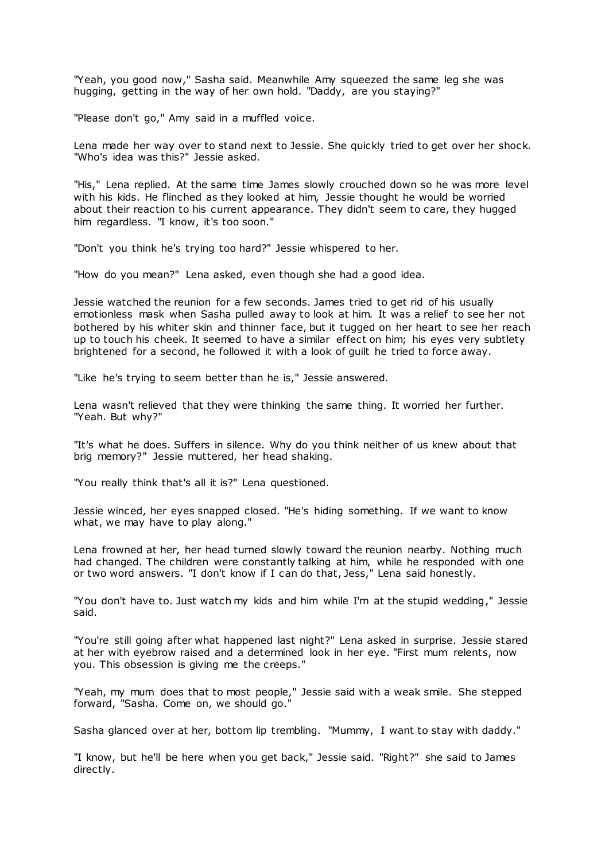"Yeah, you good now," Sasha said. Meanwhile Amy squeezed the same leg she was hugging, getting in the way of her own hold. "Daddy, are you staying?"

"Please don't go," Amy said in a muffled voice.

Lena made her way over to stand next to Jessie. She quickly tried to get over her shock. "Who's idea was this?" Jessie asked.

"His," Lena replied. At the same time James slowly crouched down so he was more level with his kids. He flinched as they looked at him, Jessie thought he would be worried about their reaction to his current appearance. They didn't seem to care, they hugged him regardless. "I know, it's too soon."

"Don't you think he's trying too hard?" Jessie whispered to her.

"How do you mean?" Lena asked, even though she had a good idea.

Jessie watched the reunion for a few seconds. James tried to get rid of his usually emotionless mask when Sasha pulled away to look at him. It was a relief to see her not bothered by his whiter skin and thinner face, but it tugged on her heart to see her reach up to touch his cheek. It seemed to have a similar effect on him; his eyes very subtlety brightened for a second, he followed it with a look of guilt he tried to force away.

"Like he's trying to seem better than he is," Jessie answered.

Lena wasn't relieved that they were thinking the same thing. It worried her further. "Yeah. But why?"

"It's what he does. Suffers in silence. Why do you think neither of us knew about that brig memory?" Jessie muttered, her head shaking.

"You really think that's all it is?" Lena questioned.

Jessie winced, her eyes snapped closed. "He's hiding something. If we want to know what, we may have to play along."

Lena frowned at her, her head turned slowly toward the reunion nearby. Nothing much had changed. The children were constantly talking at him, while he responded with one or two word answers. "I don't know if I can do that, Jess," Lena said honestly.

"You don't have to. Just watch my kids and him while I'm at the stupid wedding," Jessie said.

"You're still going after what happened last night?" Lena asked in surprise. Jessie stared at her with eyebrow raised and a determined look in her eye. "First mum relents, now you. This obsession is giving me the creeps."

"Yeah, my mum does that to most people," Jessie said with a weak smile. She stepped forward, "Sasha. Come on, we should go."

Sasha glanced over at her, bottom lip trembling. "Mummy, I want to stay with daddy."

"I know, but he'll be here when you get back," Jessie said. "Right?" she said to James directly.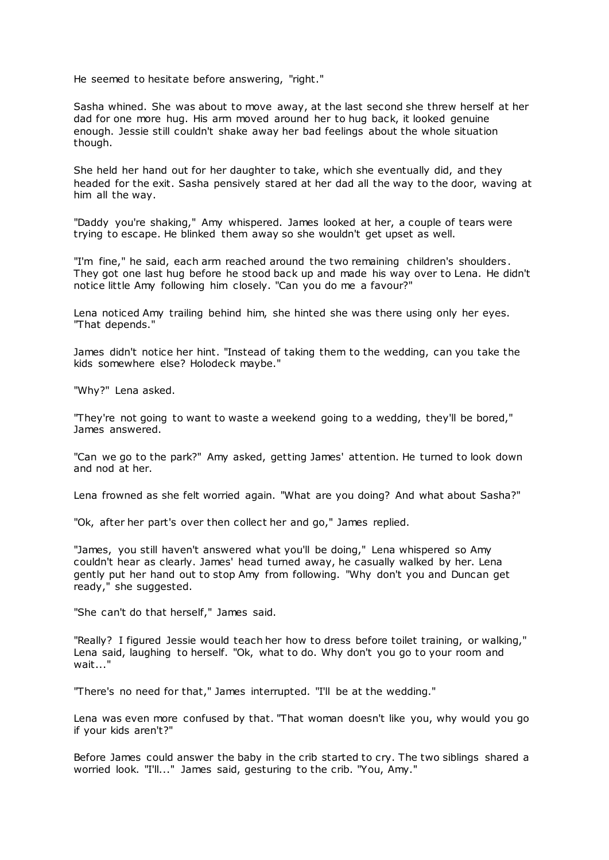He seemed to hesitate before answering, "right."

Sasha whined. She was about to move away, at the last second she threw herself at her dad for one more hug. His arm moved around her to hug back, it looked genuine enough. Jessie still couldn't shake away her bad feelings about the whole situation though.

She held her hand out for her daughter to take, which she eventually did, and they headed for the exit. Sasha pensively stared at her dad all the way to the door, waving at him all the way.

"Daddy you're shaking," Amy whispered. James looked at her, a couple of tears were trying to escape. He blinked them away so she wouldn't get upset as well.

"I'm fine," he said, each arm reached around the two remaining children's shoulders. They got one last hug before he stood back up and made his way over to Lena. He didn't notice little Amy following him closely. "Can you do me a favour?"

Lena noticed Amy trailing behind him, she hinted she was there using only her eyes. "That depends."

James didn't notice her hint. "Instead of taking them to the wedding, can you take the kids somewhere else? Holodeck maybe."

"Why?" Lena asked.

"They're not going to want to waste a weekend going to a wedding, they'll be bored," James answered.

"Can we go to the park?" Amy asked, getting James' attention. He turned to look down and nod at her.

Lena frowned as she felt worried again. "What are you doing? And what about Sasha?"

"Ok, after her part's over then collect her and go," James replied.

"James, you still haven't answered what you'll be doing," Lena whispered so Amy couldn't hear as clearly. James' head turned away, he casually walked by her. Lena gently put her hand out to stop Amy from following. "Why don't you and Duncan get ready," she suggested.

"She can't do that herself," James said.

"Really? I figured Jessie would teach her how to dress before toilet training, or walking," Lena said, laughing to herself. "Ok, what to do. Why don't you go to your room and wait..."

"There's no need for that," James interrupted. "I'll be at the wedding."

Lena was even more confused by that. "That woman doesn't like you, why would you go if your kids aren't?"

Before James could answer the baby in the crib started to cry. The two siblings shared a worried look. "I'll..." James said, gesturing to the crib. "You, Amy."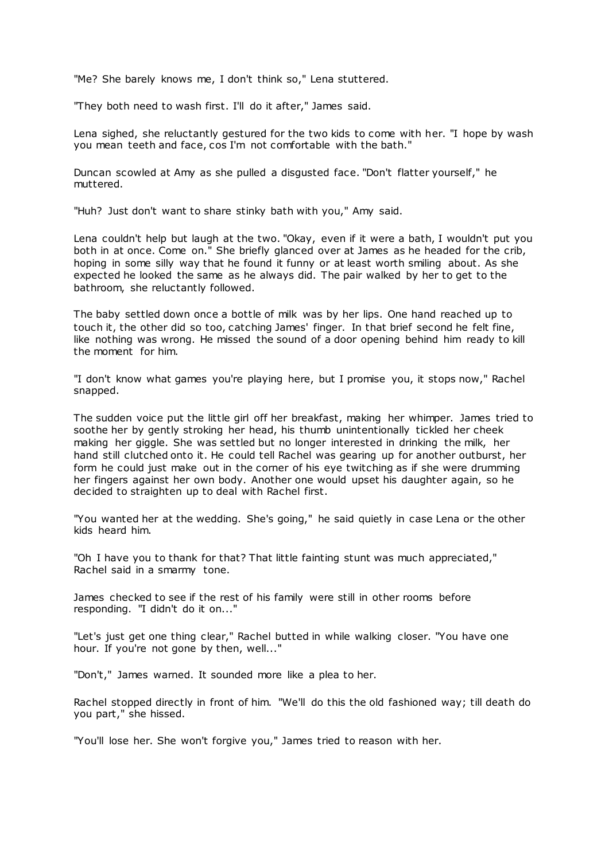"Me? She barely knows me, I don't think so," Lena stuttered.

"They both need to wash first. I'll do it after," James said.

Lena sighed, she reluctantly gestured for the two kids to come with her. "I hope by wash you mean teeth and face, cos I'm not comfortable with the bath."

Duncan scowled at Amy as she pulled a disgusted face. "Don't flatter yourself," he muttered.

"Huh? Just don't want to share stinky bath with you," Amy said.

Lena couldn't help but laugh at the two. "Okay, even if it were a bath, I wouldn't put you both in at once. Come on." She briefly glanced over at James as he headed for the crib, hoping in some silly way that he found it funny or at least worth smiling about. As she expected he looked the same as he always did. The pair walked by her to get to the bathroom, she reluctantly followed.

The baby settled down once a bottle of milk was by her lips. One hand reached up to touch it, the other did so too, catching James' finger. In that brief second he felt fine, like nothing was wrong. He missed the sound of a door opening behind him ready to kill the moment for him.

"I don't know what games you're playing here, but I promise you, it stops now," Rachel snapped.

The sudden voice put the little girl off her breakfast, making her whimper. James tried to soothe her by gently stroking her head, his thumb unintentionally tickled her cheek making her giggle. She was settled but no longer interested in drinking the milk, her hand still clutched onto it. He could tell Rachel was gearing up for another outburst, her form he could just make out in the corner of his eye twitching as if she were drumming her fingers against her own body. Another one would upset his daughter again, so he decided to straighten up to deal with Rachel first.

"You wanted her at the wedding. She's going," he said quietly in case Lena or the other kids heard him.

"Oh I have you to thank for that? That little fainting stunt was much appreciated," Rachel said in a smarmy tone.

James checked to see if the rest of his family were still in other rooms before responding. "I didn't do it on..."

"Let's just get one thing clear," Rachel butted in while walking closer. "You have one hour. If you're not gone by then, well..."

"Don't," James warned. It sounded more like a plea to her.

Rachel stopped directly in front of him. "We'll do this the old fashioned way; till death do you part," she hissed.

"You'll lose her. She won't forgive you," James tried to reason with her.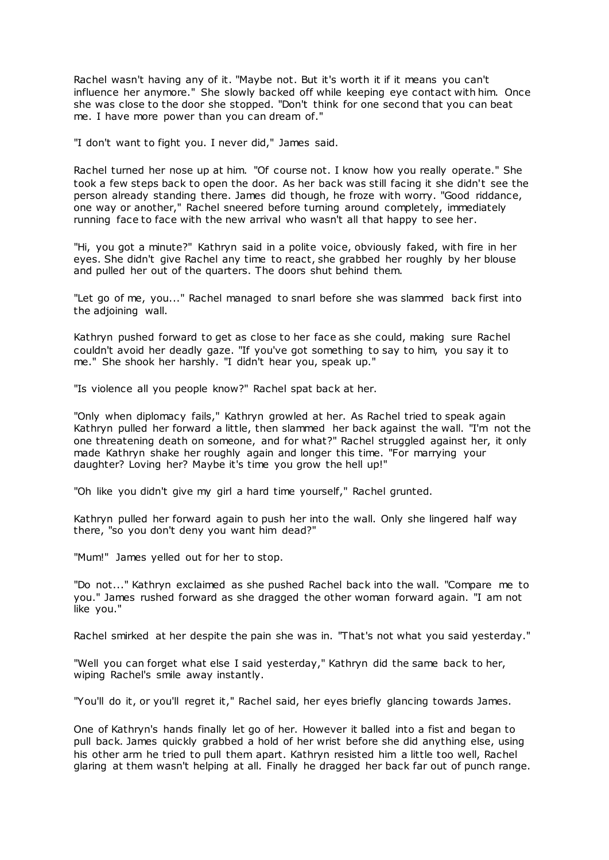Rachel wasn't having any of it. "Maybe not. But it's worth it if it means you can't influence her anymore." She slowly backed off while keeping eye contact with him. Once she was close to the door she stopped. "Don't think for one second that you can beat me. I have more power than you can dream of."

"I don't want to fight you. I never did," James said.

Rachel turned her nose up at him. "Of course not. I know how you really operate." She took a few steps back to open the door. As her back was still facing it she didn't see the person already standing there. James did though, he froze with worry. "Good riddance, one way or another," Rachel sneered before turning around completely, immediately running face to face with the new arrival who wasn't all that happy to see her.

"Hi, you got a minute?" Kathryn said in a polite voice, obviously faked, with fire in her eyes. She didn't give Rachel any time to react, she grabbed her roughly by her blouse and pulled her out of the quarters. The doors shut behind them.

"Let go of me, you..." Rachel managed to snarl before she was slammed back first into the adjoining wall.

Kathryn pushed forward to get as close to her face as she could, making sure Rachel couldn't avoid her deadly gaze. "If you've got something to say to him, you say it to me." She shook her harshly. "I didn't hear you, speak up."

"Is violence all you people know?" Rachel spat back at her.

"Only when diplomacy fails," Kathryn growled at her. As Rachel tried to speak again Kathryn pulled her forward a little, then slammed her back against the wall. "I'm not the one threatening death on someone, and for what?" Rachel struggled against her, it only made Kathryn shake her roughly again and longer this time. "For marrying your daughter? Loving her? Maybe it's time you grow the hell up!"

"Oh like you didn't give my girl a hard time yourself," Rachel grunted.

Kathryn pulled her forward again to push her into the wall. Only she lingered half way there, "so you don't deny you want him dead?"

"Mum!" James yelled out for her to stop.

"Do not..." Kathryn exclaimed as she pushed Rachel back into the wall. "Compare me to you." James rushed forward as she dragged the other woman forward again. "I am not like you."

Rachel smirked at her despite the pain she was in. "That's not what you said yesterday."

"Well you can forget what else I said yesterday," Kathryn did the same back to her, wiping Rachel's smile away instantly.

"You'll do it, or you'll regret it," Rachel said, her eyes briefly glancing towards James.

One of Kathryn's hands finally let go of her. However it balled into a fist and began to pull back. James quickly grabbed a hold of her wrist before she did anything else, using his other arm he tried to pull them apart. Kathryn resisted him a little too well, Rachel glaring at them wasn't helping at all. Finally he dragged her back far out of punch range.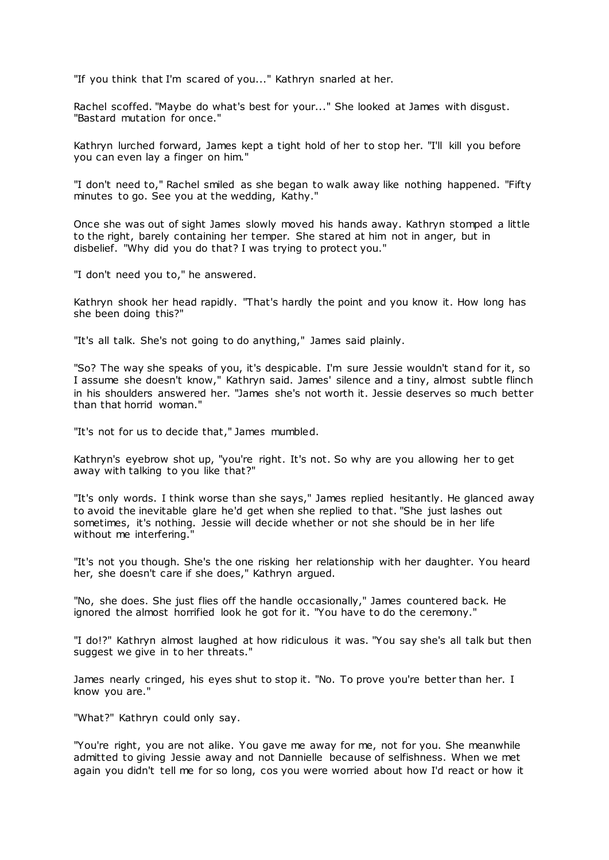"If you think that I'm scared of you..." Kathryn snarled at her.

Rachel scoffed. "Maybe do what's best for your..." She looked at James with disgust. "Bastard mutation for once."

Kathryn lurched forward, James kept a tight hold of her to stop her. "I'll kill you before you can even lay a finger on him."

"I don't need to," Rachel smiled as she began to walk away like nothing happened. "Fifty minutes to go. See you at the wedding, Kathy."

Once she was out of sight James slowly moved his hands away. Kathryn stomped a little to the right, barely containing her temper. She stared at him not in anger, but in disbelief. "Why did you do that? I was trying to protect you."

"I don't need you to," he answered.

Kathryn shook her head rapidly. "That's hardly the point and you know it. How long has she been doing this?"

"It's all talk. She's not going to do anything," James said plainly.

"So? The way she speaks of you, it's despicable. I'm sure Jessie wouldn't stand for it, so I assume she doesn't know," Kathryn said. James' silence and a tiny, almost subtle flinch in his shoulders answered her. "James she's not worth it. Jessie deserves so much better than that horrid woman."

"It's not for us to decide that," James mumbled.

Kathryn's eyebrow shot up, "you're right. It's not. So why are you allowing her to get away with talking to you like that?"

"It's only words. I think worse than she says," James replied hesitantly. He glanced away to avoid the inevitable glare he'd get when she replied to that. "She just lashes out sometimes, it's nothing. Jessie will decide whether or not she should be in her life without me interfering."

"It's not you though. She's the one risking her relationship with her daughter. You heard her, she doesn't care if she does," Kathryn argued.

"No, she does. She just flies off the handle occasionally," James countered back. He ignored the almost horrified look he got for it. "You have to do the ceremony."

"I do!?" Kathryn almost laughed at how ridiculous it was. "You say she's all talk but then suggest we give in to her threats."

James nearly cringed, his eyes shut to stop it. "No. To prove you're better than her. I know you are."

"What?" Kathryn could only say.

"You're right, you are not alike. You gave me away for me, not for you. She meanwhile admitted to giving Jessie away and not Dannielle because of selfishness. When we met again you didn't tell me for so long, cos you were worried about how I'd react or how it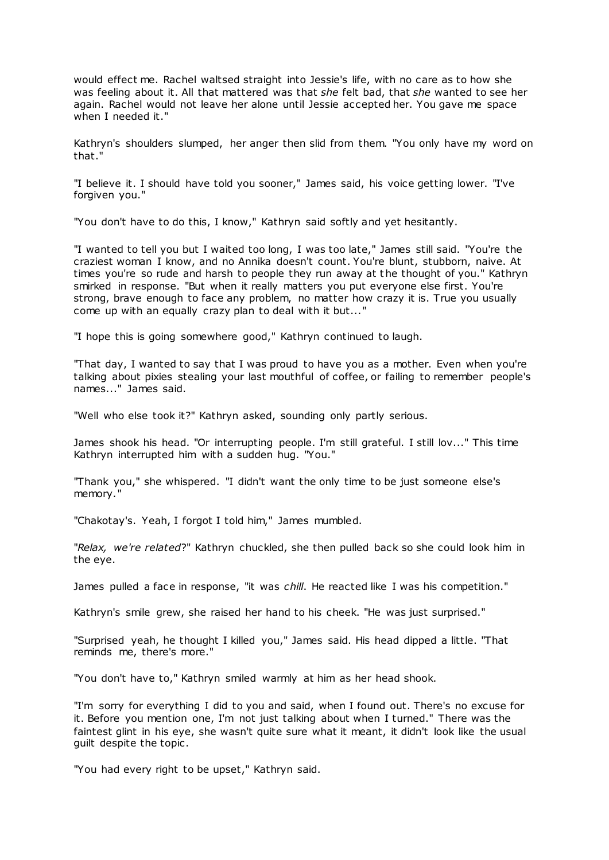would effect me. Rachel waltsed straight into Jessie's life, with no care as to how she was feeling about it. All that mattered was that *she* felt bad, that *she* wanted to see her again. Rachel would not leave her alone until Jessie accepted her. You gave me space when I needed it."

Kathryn's shoulders slumped, her anger then slid from them. "You only have my word on that."

"I believe it. I should have told you sooner," James said, his voice getting lower. "I've forgiven you."

"You don't have to do this, I know," Kathryn said softly and yet hesitantly.

"I wanted to tell you but I waited too long, I was too late," James still said. "You're the craziest woman I know, and no Annika doesn't count. You're blunt, stubborn, naive. At times you're so rude and harsh to people they run away at the thought of you." Kathryn smirked in response. "But when it really matters you put everyone else first. You're strong, brave enough to face any problem, no matter how crazy it is. True you usually come up with an equally crazy plan to deal with it but..."

"I hope this is going somewhere good," Kathryn continued to laugh.

"That day, I wanted to say that I was proud to have you as a mother. Even when you're talking about pixies stealing your last mouthful of coffee, or failing to remember people's names..." James said.

"Well who else took it?" Kathryn asked, sounding only partly serious.

James shook his head. "Or interrupting people. I'm still grateful. I still lov..." This time Kathryn interrupted him with a sudden hug. "You."

"Thank you," she whispered. "I didn't want the only time to be just someone else's memory."

"Chakotay's. Yeah, I forgot I told him," James mumbled.

"*Relax, we're related*?" Kathryn chuckled, she then pulled back so she could look him in the eye.

James pulled a face in response, "it was *chill*. He reacted like I was his competition."

Kathryn's smile grew, she raised her hand to his cheek. "He was just surprised."

"Surprised yeah, he thought I killed you," James said. His head dipped a little. "That reminds me, there's more."

"You don't have to," Kathryn smiled warmly at him as her head shook.

"I'm sorry for everything I did to you and said, when I found out. There's no excuse for it. Before you mention one, I'm not just talking about when I turned." There was the faintest glint in his eye, she wasn't quite sure what it meant, it didn't look like the usual guilt despite the topic .

"You had every right to be upset," Kathryn said.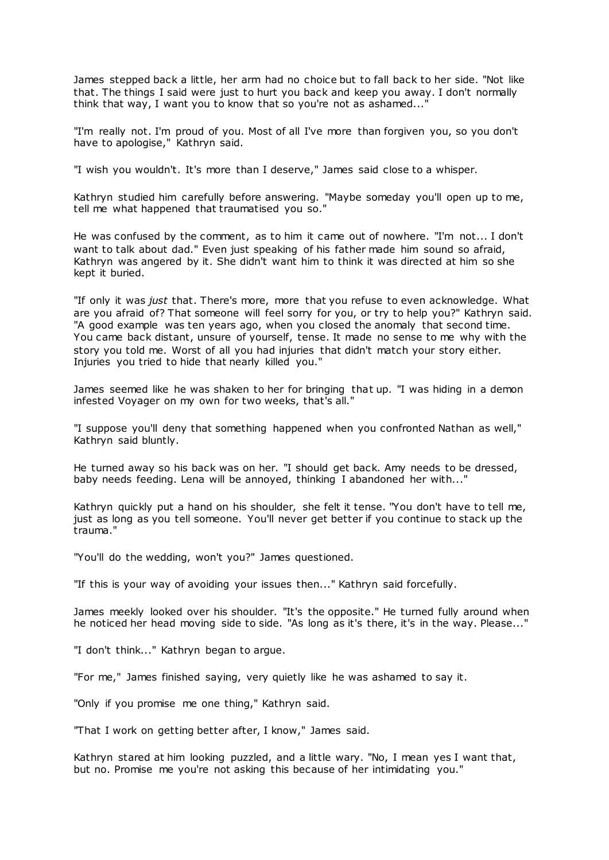James stepped back a little, her arm had no choice but to fall back to her side. "Not like that. The things I said were just to hurt you back and keep you away. I don't normally think that way, I want you to know that so you're not as ashamed...'

"I'm really not. I'm proud of you. Most of all I've more than forgiven you, so you don't have to apologise," Kathryn said.

"I wish you wouldn't. It's more than I deserve," James said close to a whisper.

Kathryn studied him carefully before answering. "Maybe someday you'll open up to me, tell me what happened that traumatised you so."

He was confused by the comment, as to him it came out of nowhere. "I'm not... I don't want to talk about dad." Even just speaking of his father made him sound so afraid, Kathryn was angered by it. She didn't want him to think it was directed at him so she kept it buried.

"If only it was *just* that. There's more, more that you refuse to even acknowledge. What are you afraid of? That someone will feel sorry for you, or try to help you?" Kathryn said. "A good example was ten years ago, when you closed the anomaly that second time. You came back distant, unsure of yourself, tense. It made no sense to me why with the story you told me. Worst of all you had injuries that didn't match your story either. Injuries you tried to hide that nearly killed you."

James seemed like he was shaken to her for bringing that up. "I was hiding in a demon infested Voyager on my own for two weeks, that's all."

"I suppose you'll deny that something happened when you confronted Nathan as well," Kathryn said bluntly.

He turned away so his back was on her. "I should get back. Amy needs to be dressed, baby needs feeding. Lena will be annoyed, thinking I abandoned her with..."

Kathryn quickly put a hand on his shoulder, she felt it tense. "You don't have to tell me, just as long as you tell someone. You'll never get better if you continue to stack up the trauma."

"You'll do the wedding, won't you?" James questioned.

"If this is your way of avoiding your issues then..." Kathryn said forcefully.

James meekly looked over his shoulder. "It's the opposite." He turned fully around when he noticed her head moving side to side. "As long as it's there, it's in the way. Please..."

"I don't think..." Kathryn began to argue.

"For me," James finished saying, very quietly like he was ashamed to say it.

"Only if you promise me one thing," Kathryn said.

"That I work on getting better after, I know," James said.

Kathryn stared at him looking puzzled, and a little wary. "No, I mean yes I want that, but no. Promise me you're not asking this because of her intimidating you."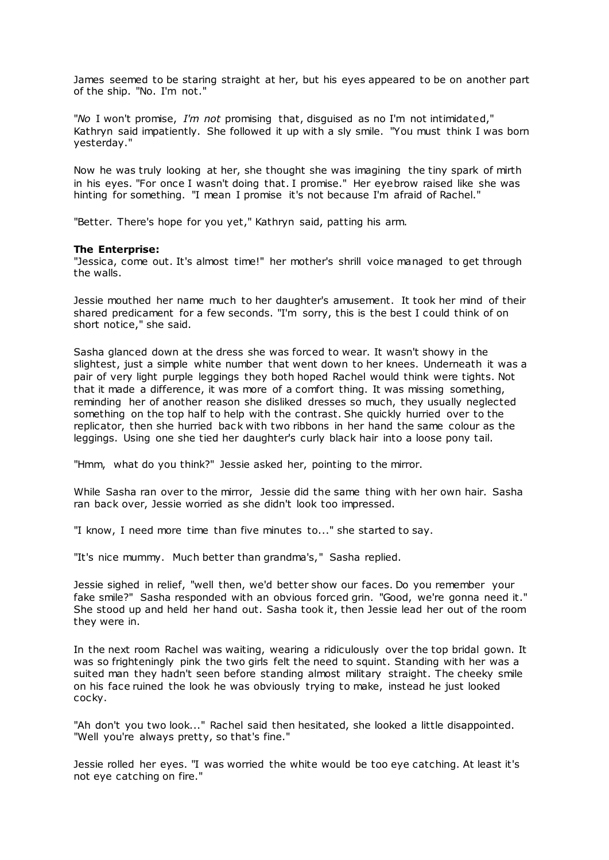James seemed to be staring straight at her, but his eyes appeared to be on another part of the ship. "No. I'm not."

"*No* I won't promise, *I'm not* promising that, disguised as no I'm not intimidated," Kathryn said impatiently. She followed it up with a sly smile. "You must think I was born yesterday."

Now he was truly looking at her, she thought she was imagining the tiny spark of mirth in his eyes. "For once I wasn't doing that. I promise." Her eyebrow raised like she was hinting for something. "I mean I promise it's not because I'm afraid of Rachel."

"Better. There's hope for you yet," Kathryn said, patting his arm.

## **The Enterprise:**

"Jessica, come out. It's almost time!" her mother's shrill voice managed to get through the walls.

Jessie mouthed her name much to her daughter's amusement. It took her mind of their shared predicament for a few seconds. "I'm sorry, this is the best I could think of on short notice," she said.

Sasha glanced down at the dress she was forced to wear. It wasn't showy in the slightest, just a simple white number that went down to her knees. Underneath it was a pair of very light purple leggings they both hoped Rachel would think were tights. Not that it made a difference, it was more of a comfort thing. It was missing something, reminding her of another reason she disliked dresses so much, they usually neglected something on the top half to help with the contrast. She quickly hurried over to the replicator, then she hurried back with two ribbons in her hand the same colour as the leggings. Using one she tied her daughter's curly black hair into a loose pony tail.

"Hmm, what do you think?" Jessie asked her, pointing to the mirror.

While Sasha ran over to the mirror, Jessie did the same thing with her own hair. Sasha ran back over, Jessie worried as she didn't look too impressed.

"I know, I need more time than five minutes to..." she started to say.

"It's nice mummy. Much better than grandma's," Sasha replied.

Jessie sighed in relief, "well then, we'd better show our faces. Do you remember your fake smile?" Sasha responded with an obvious forced grin. "Good, we're gonna need it." She stood up and held her hand out. Sasha took it, then Jessie lead her out of the room they were in.

In the next room Rachel was waiting, wearing a ridiculously over the top bridal gown. It was so frighteningly pink the two girls felt the need to squint. Standing with her was a suited man they hadn't seen before standing almost military straight. The cheeky smile on his face ruined the look he was obviously trying to make, instead he just looked cocky.

"Ah don't you two look..." Rachel said then hesitated, she looked a little disappointed. "Well you're always pretty, so that's fine."

Jessie rolled her eyes. "I was worried the white would be too eye catching. At least it's not eye catching on fire."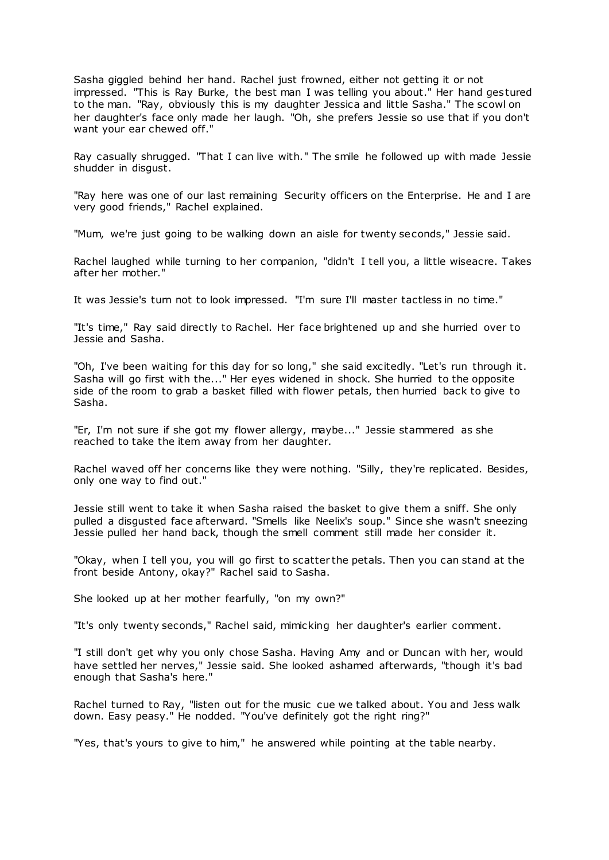Sasha giggled behind her hand. Rachel just frowned, either not getting it or not impressed. "This is Ray Burke, the best man I was telling you about." Her hand gestured to the man. "Ray, obviously this is my daughter Jessica and little Sasha." The scowl on her daughter's face only made her laugh. "Oh, she prefers Jessie so use that if you don't want your ear chewed off."

Ray casually shrugged. "That I can live with." The smile he followed up with made Jessie shudder in disgust.

"Ray here was one of our last remaining Security officers on the Enterprise. He and I are very good friends," Rachel explained.

"Mum, we're just going to be walking down an aisle for twenty seconds," Jessie said.

Rachel laughed while turning to her companion, "didn't I tell you, a little wiseacre. Takes after her mother."

It was Jessie's turn not to look impressed. "I'm sure I'll master tactless in no time."

"It's time," Ray said directly to Rachel. Her face brightened up and she hurried over to Jessie and Sasha.

"Oh, I've been waiting for this day for so long," she said excitedly. "Let's run through it. Sasha will go first with the..." Her eyes widened in shock. She hurried to the opposite side of the room to grab a basket filled with flower petals, then hurried back to give to Sasha.

"Er, I'm not sure if she got my flower allergy, maybe..." Jessie stammered as she reached to take the item away from her daughter.

Rachel waved off her concerns like they were nothing. "Silly, they're replicated. Besides, only one way to find out."

Jessie still went to take it when Sasha raised the basket to give them a sniff. She only pulled a disgusted face afterward. "Smells like Neelix's soup." Since she wasn't sneezing Jessie pulled her hand back, though the smell comment still made her consider it.

"Okay, when I tell you, you will go first to scatter the petals. Then you can stand at the front beside Antony, okay?" Rachel said to Sasha.

She looked up at her mother fearfully, "on my own?"

"It's only twenty seconds," Rachel said, mimicking her daughter's earlier comment.

"I still don't get why you only chose Sasha. Having Amy and or Duncan with her, would have settled her nerves," Jessie said. She looked ashamed afterwards, "though it's bad enough that Sasha's here."

Rachel turned to Ray, "listen out for the music cue we talked about. You and Jess walk down. Easy peasy." He nodded. "You've definitely got the right ring?"

"Yes, that's yours to give to him," he answered while pointing at the table nearby.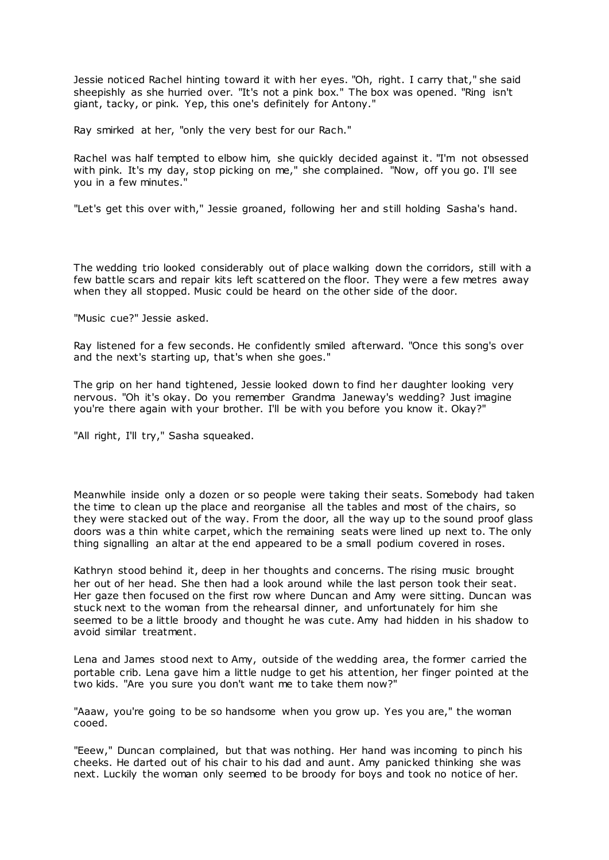Jessie noticed Rachel hinting toward it with her eyes. "Oh, right. I carry that," she said sheepishly as she hurried over. "It's not a pink box." The box was opened. "Ring isn't giant, tacky, or pink. Yep, this one's definitely for Antony."

Ray smirked at her, "only the very best for our Rach."

Rachel was half tempted to elbow him, she quickly decided against it. "I'm not obsessed with pink. It's my day, stop picking on me," she complained. "Now, off you go. I'll see you in a few minutes."

"Let's get this over with," Jessie groaned, following her and still holding Sasha's hand.

The wedding trio looked considerably out of place walking down the corridors, still with a few battle scars and repair kits left scattered on the floor. They were a few metres away when they all stopped. Music could be heard on the other side of the door.

"Music cue?" Jessie asked.

Ray listened for a few seconds. He confidently smiled afterward. "Once this song's over and the next's starting up, that's when she goes."

The grip on her hand tightened, Jessie looked down to find her daughter looking very nervous. "Oh it's okay. Do you remember Grandma Janeway's wedding? Just imagine you're there again with your brother. I'll be with you before you know it. Okay?"

"All right, I'll try," Sasha squeaked.

Meanwhile inside only a dozen or so people were taking their seats. Somebody had taken the time to clean up the place and reorganise all the tables and most of the chairs, so they were stacked out of the way. From the door, all the way up to the sound proof glass doors was a thin white carpet, which the remaining seats were lined up next to. The only thing signalling an altar at the end appeared to be a small podium covered in roses.

Kathryn stood behind it, deep in her thoughts and concerns. The rising music brought her out of her head. She then had a look around while the last person took their seat. Her gaze then focused on the first row where Duncan and Amy were sitting. Duncan was stuck next to the woman from the rehearsal dinner, and unfortunately for him she seemed to be a little broody and thought he was cute. Amy had hidden in his shadow to avoid similar treatment.

Lena and James stood next to Amy, outside of the wedding area, the former carried the portable crib. Lena gave him a little nudge to get his attention, her finger pointed at the two kids. "Are you sure you don't want me to take them now?"

"Aaaw, you're going to be so handsome when you grow up. Yes you are," the woman cooed.

"Eeew," Duncan complained, but that was nothing. Her hand was incoming to pinch his cheeks. He darted out of his chair to his dad and aunt. Amy panicked thinking she was next. Luckily the woman only seemed to be broody for boys and took no notice of her.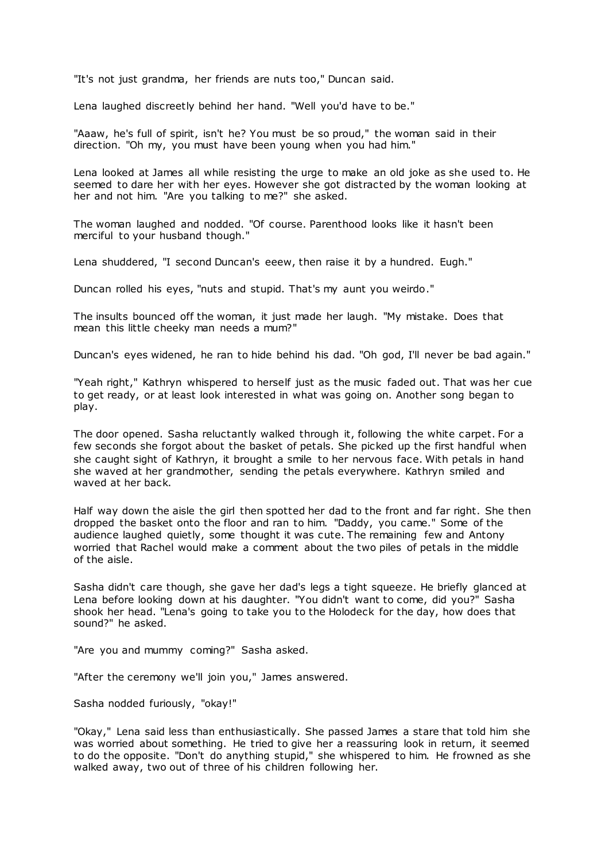"It's not just grandma, her friends are nuts too," Duncan said.

Lena laughed discreetly behind her hand. "Well you'd have to be."

"Aaaw, he's full of spirit, isn't he? You must be so proud," the woman said in their direction. "Oh my, you must have been young when you had him."

Lena looked at James all while resisting the urge to make an old joke as she used to. He seemed to dare her with her eyes. However she got distracted by the woman looking at her and not him. "Are you talking to me?" she asked.

The woman laughed and nodded. "Of course. Parenthood looks like it hasn't been merciful to your husband though."

Lena shuddered, "I second Duncan's eeew, then raise it by a hundred. Eugh."

Duncan rolled his eyes, "nuts and stupid. That's my aunt you weirdo."

The insults bounced off the woman, it just made her laugh. "My mistake. Does that mean this little cheeky man needs a mum?"

Duncan's eyes widened, he ran to hide behind his dad. "Oh god, I'll never be bad again."

"Yeah right," Kathryn whispered to herself just as the music faded out. That was her cue to get ready, or at least look interested in what was going on. Another song began to play.

The door opened. Sasha reluctantly walked through it, following the white carpet. For a few seconds she forgot about the basket of petals. She picked up the first handful when she caught sight of Kathryn, it brought a smile to her nervous face. With petals in hand she waved at her grandmother, sending the petals everywhere. Kathryn smiled and waved at her back.

Half way down the aisle the girl then spotted her dad to the front and far right. She then dropped the basket onto the floor and ran to him. "Daddy, you came." Some of the audience laughed quietly, some thought it was cute. The remaining few and Antony worried that Rachel would make a comment about the two piles of petals in the middle of the aisle.

Sasha didn't care though, she gave her dad's legs a tight squeeze. He briefly glanced at Lena before looking down at his daughter. "You didn't want to come, did you?" Sasha shook her head. "Lena's going to take you to the Holodeck for the day, how does that sound?" he asked.

"Are you and mummy coming?" Sasha asked.

"After the ceremony we'll join you," James answered.

Sasha nodded furiously, "okay!"

"Okay," Lena said less than enthusiastically. She passed James a stare that told him she was worried about something. He tried to give her a reassuring look in return, it seemed to do the opposite. "Don't do anything stupid," she whispered to him. He frowned as she walked away, two out of three of his children following her.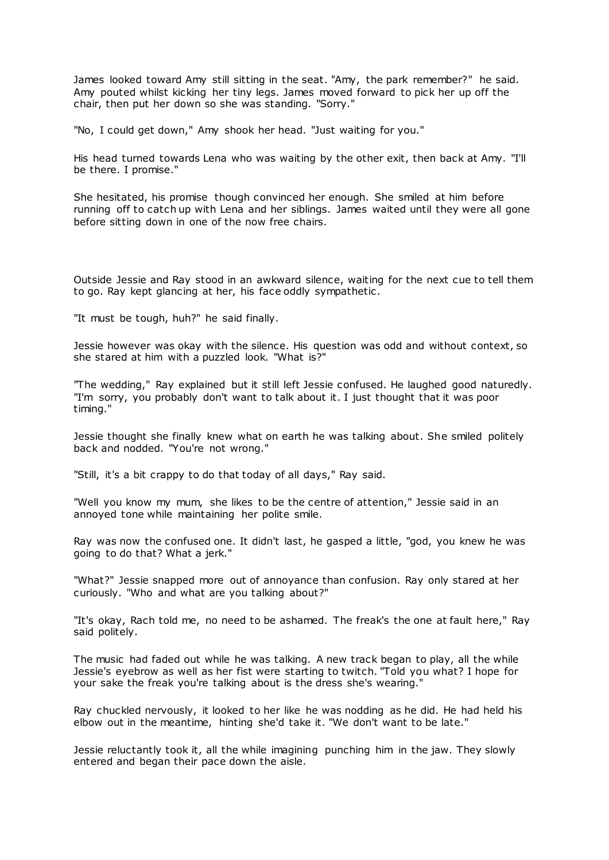James looked toward Amy still sitting in the seat. "Amy, the park remember?" he said. Amy pouted whilst kicking her tiny legs. James moved forward to pick her up off the chair, then put her down so she was standing. "Sorry."

"No, I could get down," Amy shook her head. "Just waiting for you."

His head turned towards Lena who was waiting by the other exit, then back at Amy. "I'll be there. I promise."

She hesitated, his promise though convinced her enough. She smiled at him before running off to catch up with Lena and her siblings. James waited until they were all gone before sitting down in one of the now free chairs.

Outside Jessie and Ray stood in an awkward silence, waiting for the next cue to tell them to go. Ray kept glancing at her, his face oddly sympathetic .

"It must be tough, huh?" he said finally.

Jessie however was okay with the silence. His question was odd and without context, so she stared at him with a puzzled look. "What is?"

"The wedding," Ray explained but it still left Jessie confused. He laughed good naturedly. "I'm sorry, you probably don't want to talk about it. I just thought that it was poor timing."

Jessie thought she finally knew what on earth he was talking about. She smiled politely back and nodded. "You're not wrong."

"Still, it's a bit crappy to do that today of all days," Ray said.

"Well you know my mum, she likes to be the centre of attention," Jessie said in an annoyed tone while maintaining her polite smile.

Ray was now the confused one. It didn't last, he gasped a little, "god, you knew he was going to do that? What a jerk."

"What?" Jessie snapped more out of annoyance than confusion. Ray only stared at her curiously. "Who and what are you talking about?"

"It's okay, Rach told me, no need to be ashamed. The freak's the one at fault here," Ray said politely.

The music had faded out while he was talking. A new track began to play, all the while Jessie's eyebrow as well as her fist were starting to twitch. "Told you what? I hope for your sake the freak you're talking about is the dress she's wearing."

Ray chuckled nervously, it looked to her like he was nodding as he did. He had held his elbow out in the meantime, hinting she'd take it. "We don't want to be late."

Jessie reluctantly took it, all the while imagining punching him in the jaw. They slowly entered and began their pace down the aisle.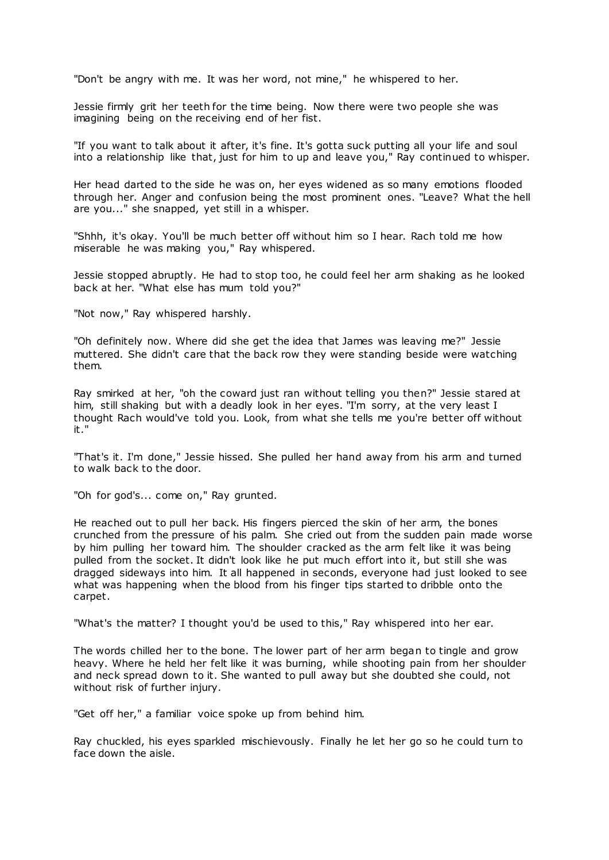"Don't be angry with me. It was her word, not mine," he whispered to her.

Jessie firmly grit her teeth for the time being. Now there were two people she was imagining being on the receiving end of her fist.

"If you want to talk about it after, it's fine. It's gotta suck putting all your life and soul into a relationship like that, just for him to up and leave you," Ray continued to whisper.

Her head darted to the side he was on, her eyes widened as so many emotions flooded through her. Anger and confusion being the most prominent ones. "Leave? What the hell are you..." she snapped, yet still in a whisper.

"Shhh, it's okay. You'll be much better off without him so I hear. Rach told me how miserable he was making you," Ray whispered.

Jessie stopped abruptly. He had to stop too, he could feel her arm shaking as he looked back at her. "What else has mum told you?"

"Not now," Ray whispered harshly.

"Oh definitely now. Where did she get the idea that James was leaving me?" Jessie muttered. She didn't care that the back row they were standing beside were watching them.

Ray smirked at her, "oh the coward just ran without telling you then?" Jessie stared at him, still shaking but with a deadly look in her eyes. "I'm sorry, at the very least I thought Rach would've told you. Look, from what she tells me you're better off without it."

"That's it. I'm done," Jessie hissed. She pulled her hand away from his arm and turned to walk back to the door.

"Oh for god's... come on," Ray grunted.

He reached out to pull her back. His fingers pierced the skin of her arm, the bones crunched from the pressure of his palm. She cried out from the sudden pain made worse by him pulling her toward him. The shoulder cracked as the arm felt like it was being pulled from the socket. It didn't look like he put much effort into it, but still she was dragged sideways into him. It all happened in seconds, everyone had just looked to see what was happening when the blood from his finger tips started to dribble onto the carpet.

"What's the matter? I thought you'd be used to this," Ray whispered into her ear.

The words chilled her to the bone. The lower part of her arm began to tingle and grow heavy. Where he held her felt like it was burning, while shooting pain from her shoulder and neck spread down to it. She wanted to pull away but she doubted she could, not without risk of further injury.

"Get off her," a familiar voice spoke up from behind him.

Ray chuckled, his eyes sparkled mischievously. Finally he let her go so he could turn to face down the aisle.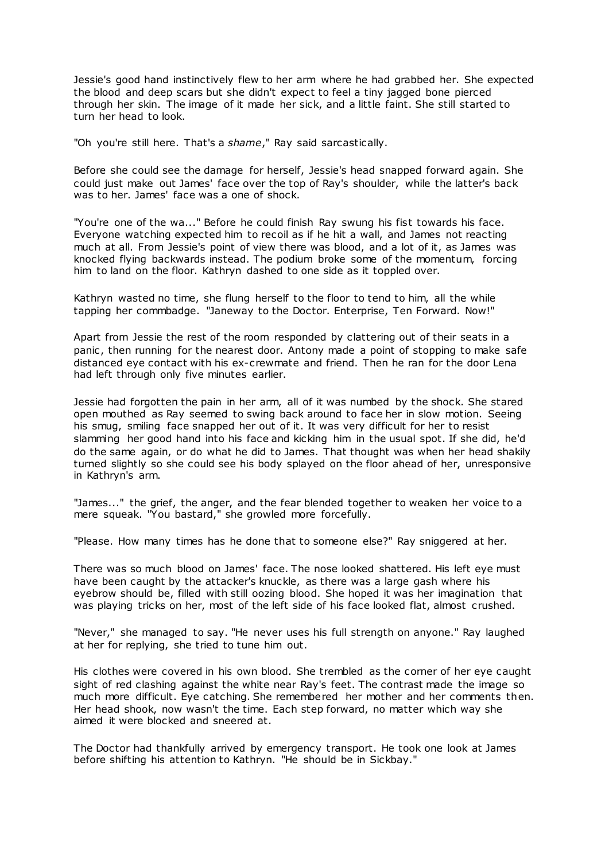Jessie's good hand instinctively flew to her arm where he had grabbed her. She expected the blood and deep scars but she didn't expect to feel a tiny jagged bone pierced through her skin. The image of it made her sick, and a little faint. She still started to turn her head to look.

"Oh you're still here. That's a *shame*," Ray said sarcastically.

Before she could see the damage for herself, Jessie's head snapped forward again. She could just make out James' face over the top of Ray's shoulder, while the latter's back was to her. James' face was a one of shock.

"You're one of the wa..." Before he could finish Ray swung his fist towards his face. Everyone watching expected him to recoil as if he hit a wall, and James not reacting much at all. From Jessie's point of view there was blood, and a lot of it, as James was knocked flying backwards instead. The podium broke some of the momentum, forcing him to land on the floor. Kathryn dashed to one side as it toppled over.

Kathryn wasted no time, she flung herself to the floor to tend to him, all the while tapping her commbadge. "Janeway to the Doctor. Enterprise, Ten Forward. Now!"

Apart from Jessie the rest of the room responded by clattering out of their seats in a panic , then running for the nearest door. Antony made a point of stopping to make safe distanced eye contact with his ex-crewmate and friend. Then he ran for the door Lena had left through only five minutes earlier.

Jessie had forgotten the pain in her arm, all of it was numbed by the shock. She stared open mouthed as Ray seemed to swing back around to face her in slow motion. Seeing his smug, smiling face snapped her out of it. It was very difficult for her to resist slamming her good hand into his face and kicking him in the usual spot. If she did, he'd do the same again, or do what he did to James. That thought was when her head shakily turned slightly so she could see his body splayed on the floor ahead of her, unresponsive in Kathryn's arm.

"James..." the grief, the anger, and the fear blended together to weaken her voice to a mere squeak. "You bastard," she growled more forcefully.

"Please. How many times has he done that to someone else?" Ray sniggered at her.

There was so much blood on James' face. The nose looked shattered. His left eye must have been caught by the attacker's knuckle, as there was a large gash where his eyebrow should be, filled with still oozing blood. She hoped it was her imagination that was playing tricks on her, most of the left side of his face looked flat, almost crushed.

"Never," she managed to say. "He never uses his full strength on anyone." Ray laughed at her for replying, she tried to tune him out.

His clothes were covered in his own blood. She trembled as the corner of her eye caught sight of red clashing against the white near Ray's feet. The contrast made the image so much more difficult. Eye catching. She remembered her mother and her comments then. Her head shook, now wasn't the time. Each step forward, no matter which way she aimed it were blocked and sneered at.

The Doctor had thankfully arrived by emergency transport. He took one look at James before shifting his attention to Kathryn. "He should be in Sickbay."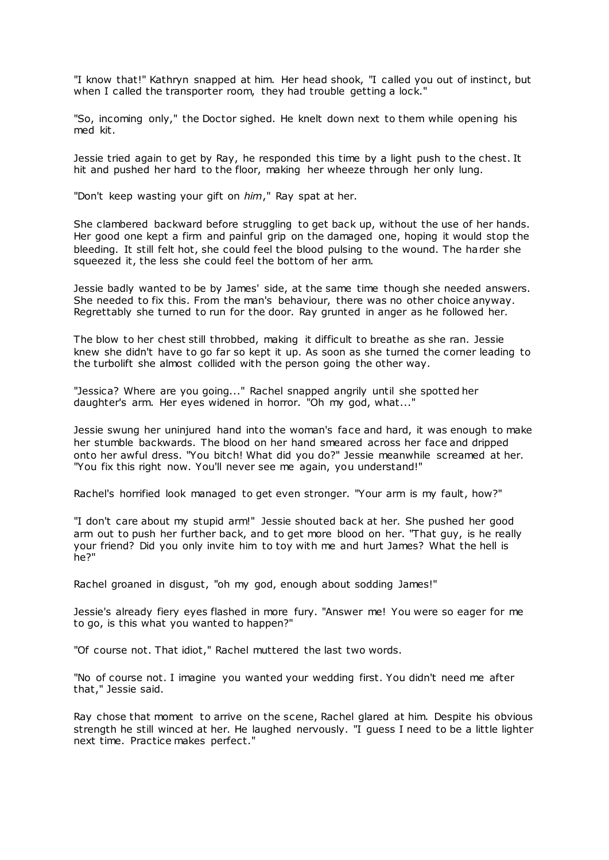"I know that!" Kathryn snapped at him. Her head shook, "I called you out of instinct, but when I called the transporter room, they had trouble getting a lock."

"So, incoming only," the Doctor sighed. He knelt down next to them while opening his med kit.

Jessie tried again to get by Ray, he responded this time by a light push to the chest. It hit and pushed her hard to the floor, making her wheeze through her only lung.

"Don't keep wasting your gift on *him*," Ray spat at her.

She clambered backward before struggling to get back up, without the use of her hands. Her good one kept a firm and painful grip on the damaged one, hoping it would stop the bleeding. It still felt hot, she could feel the blood pulsing to the wound. The harder she squeezed it, the less she could feel the bottom of her arm.

Jessie badly wanted to be by James' side, at the same time though she needed answers. She needed to fix this. From the man's behaviour, there was no other choice anyway. Regrettably she turned to run for the door. Ray grunted in anger as he followed her.

The blow to her chest still throbbed, making it difficult to breathe as she ran. Jessie knew she didn't have to go far so kept it up. As soon as she turned the corner leading to the turbolift she almost collided with the person going the other way.

"Jessica? Where are you going..." Rachel snapped angrily until she spotted her daughter's arm. Her eyes widened in horror. "Oh my god, what..."

Jessie swung her uninjured hand into the woman's face and hard, it was enough to make her stumble backwards. The blood on her hand smeared across her face and dripped onto her awful dress. "You bitch! What did you do?" Jessie meanwhile screamed at her. "You fix this right now. You'll never see me again, you understand!"

Rachel's horrified look managed to get even stronger. "Your arm is my fault, how?"

"I don't care about my stupid arm!" Jessie shouted back at her. She pushed her good arm out to push her further back, and to get more blood on her. "That guy, is he really your friend? Did you only invite him to toy with me and hurt James? What the hell is he?"

Rachel groaned in disgust, "oh my god, enough about sodding James!"

Jessie's already fiery eyes flashed in more fury. "Answer me! You were so eager for me to go, is this what you wanted to happen?"

"Of course not. That idiot," Rachel muttered the last two words.

"No of course not. I imagine you wanted your wedding first. You didn't need me after that," Jessie said.

Ray chose that moment to arrive on the scene, Rachel glared at him. Despite his obvious strength he still winced at her. He laughed nervously. "I guess I need to be a little lighter next time. Practice makes perfect."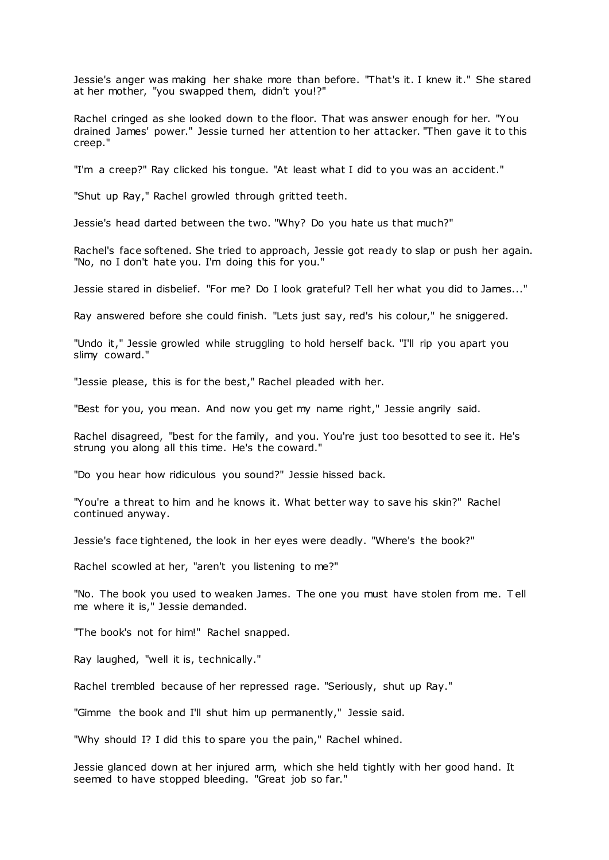Jessie's anger was making her shake more than before. "That's it. I knew it." She stared at her mother, "you swapped them, didn't you!?"

Rachel cringed as she looked down to the floor. That was answer enough for her. "You drained James' power." Jessie turned her attention to her attacker. "Then gave it to this creep."

"I'm a creep?" Ray clicked his tongue. "At least what I did to you was an accident."

"Shut up Ray," Rachel growled through gritted teeth.

Jessie's head darted between the two. "Why? Do you hate us that much?"

Rachel's face softened. She tried to approach, Jessie got ready to slap or push her again. "No, no I don't hate you. I'm doing this for you."

Jessie stared in disbelief. "For me? Do I look grateful? Tell her what you did to James..."

Ray answered before she could finish. "Lets just say, red's his colour," he sniggered.

"Undo it," Jessie growled while struggling to hold herself back. "I'll rip you apart you slimy coward."

"Jessie please, this is for the best," Rachel pleaded with her.

"Best for you, you mean. And now you get my name right," Jessie angrily said.

Rachel disagreed, "best for the family, and you. You're just too besotted to see it. He's strung you along all this time. He's the coward."

"Do you hear how ridiculous you sound?" Jessie hissed back.

"You're a threat to him and he knows it. What better way to save his skin?" Rachel continued anyway.

Jessie's face tightened, the look in her eyes were deadly. "Where's the book?"

Rachel scowled at her, "aren't you listening to me?"

"No. The book you used to weaken James. The one you must have stolen from me. T ell me where it is," Jessie demanded.

"The book's not for him!" Rachel snapped.

Ray laughed, "well it is, technically."

Rachel trembled because of her repressed rage. "Seriously, shut up Ray."

"Gimme the book and I'll shut him up permanently," Jessie said.

"Why should I? I did this to spare you the pain," Rachel whined.

Jessie glanced down at her injured arm, which she held tightly with her good hand. It seemed to have stopped bleeding. "Great job so far."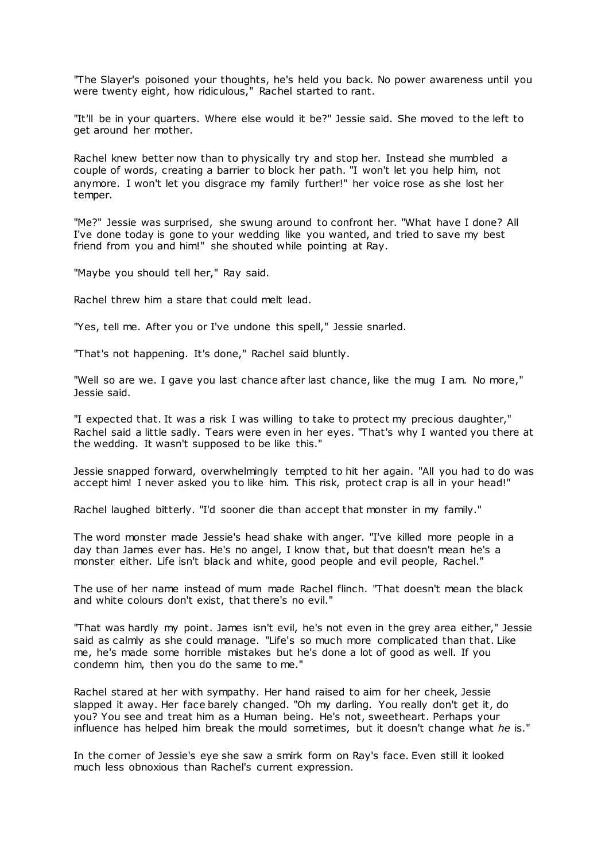"The Slayer's poisoned your thoughts, he's held you back. No power awareness until you were twenty eight, how ridiculous," Rachel started to rant.

"It'll be in your quarters. Where else would it be?" Jessie said. She moved to the left to get around her mother.

Rachel knew better now than to physically try and stop her. Instead she mumbled a couple of words, creating a barrier to block her path. "I won't let you help him, not anymore. I won't let you disgrace my family further!" her voice rose as she lost her temper.

"Me?" Jessie was surprised, she swung around to confront her. "What have I done? All I've done today is gone to your wedding like you wanted, and tried to save my best friend from you and him!" she shouted while pointing at Ray.

"Maybe you should tell her," Ray said.

Rachel threw him a stare that could melt lead.

"Yes, tell me. After you or I've undone this spell," Jessie snarled.

"That's not happening. It's done," Rachel said bluntly.

"Well so are we. I gave you last chance after last chance, like the mug I am. No more," Jessie said.

"I expected that. It was a risk I was willing to take to protect my precious daughter," Rachel said a little sadly. Tears were even in her eyes. "That's why I wanted you there at the wedding. It wasn't supposed to be like this."

Jessie snapped forward, overwhelmingly tempted to hit her again. "All you had to do was accept him! I never asked you to like him. This risk, protect crap is all in your head!"

Rachel laughed bitterly. "I'd sooner die than accept that monster in my family."

The word monster made Jessie's head shake with anger. "I've killed more people in a day than James ever has. He's no angel, I know that, but that doesn't mean he's a monster either. Life isn't black and white, good people and evil people, Rachel."

The use of her name instead of mum made Rachel flinch. "That doesn't mean the black and white colours don't exist, that there's no evil."

"That was hardly my point. James isn't evil, he's not even in the grey area either," Jessie said as calmly as she could manage. "Life's so much more complicated than that. Like me, he's made some horrible mistakes but he's done a lot of good as well. If you condemn him, then you do the same to me."

Rachel stared at her with sympathy. Her hand raised to aim for her cheek, Jessie slapped it away. Her face barely changed. "Oh my darling. You really don't get it, do you? You see and treat him as a Human being. He's not, sweetheart. Perhaps your influence has helped him break the mould sometimes, but it doesn't change what *he* is."

In the corner of Jessie's eye she saw a smirk form on Ray's face. Even still it looked much less obnoxious than Rachel's current expression.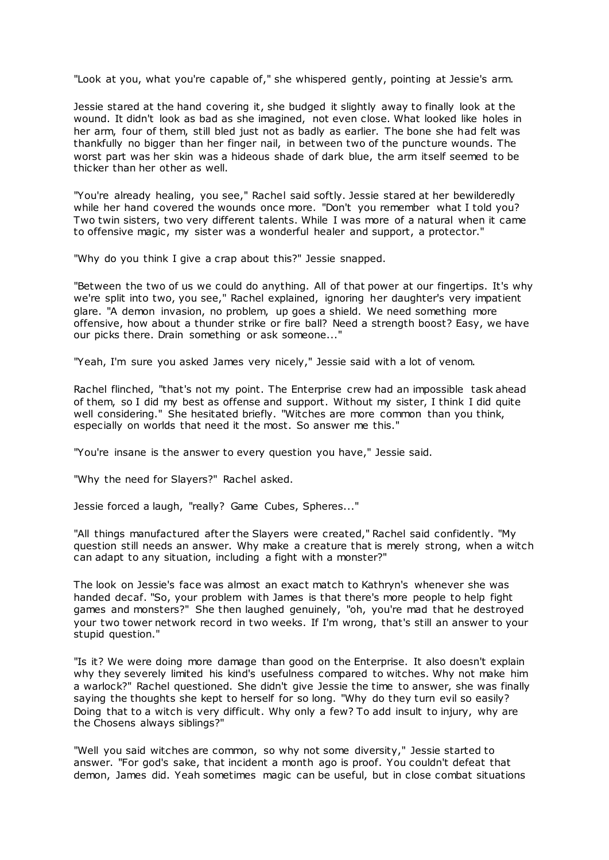"Look at you, what you're capable of," she whispered gently, pointing at Jessie's arm.

Jessie stared at the hand covering it, she budged it slightly away to finally look at the wound. It didn't look as bad as she imagined, not even close. What looked like holes in her arm, four of them, still bled just not as badly as earlier. The bone she had felt was thankfully no bigger than her finger nail, in between two of the puncture wounds. The worst part was her skin was a hideous shade of dark blue, the arm itself seemed to be thicker than her other as well.

"You're already healing, you see," Rachel said softly. Jessie stared at her bewilderedly while her hand covered the wounds once more. "Don't you remember what I told you? Two twin sisters, two very different talents. While I was more of a natural when it came to offensive magic , my sister was a wonderful healer and support, a protector."

"Why do you think I give a crap about this?" Jessie snapped.

"Between the two of us we could do anything. All of that power at our fingertips. It's why we're split into two, you see," Rachel explained, ignoring her daughter's very impatient glare. "A demon invasion, no problem, up goes a shield. We need something more offensive, how about a thunder strike or fire ball? Need a strength boost? Easy, we have our picks there. Drain something or ask someone..."

"Yeah, I'm sure you asked James very nicely," Jessie said with a lot of venom.

Rachel flinched, "that's not my point. The Enterprise crew had an impossible task ahead of them, so I did my best as offense and support. Without my sister, I think I did quite well considering." She hesitated briefly. "Witches are more common than you think, especially on worlds that need it the most. So answer me this."

"You're insane is the answer to every question you have," Jessie said.

"Why the need for Slayers?" Rachel asked.

Jessie forced a laugh, "really? Game Cubes, Spheres..."

"All things manufactured after the Slayers were created," Rachel said confidently. "My question still needs an answer. Why make a creature that is merely strong, when a witch can adapt to any situation, including a fight with a monster?"

The look on Jessie's face was almost an exact match to Kathryn's whenever she was handed decaf. "So, your problem with James is that there's more people to help fight games and monsters?" She then laughed genuinely, "oh, you're mad that he destroyed your two tower network record in two weeks. If I'm wrong, that's still an answer to your stupid question."

"Is it? We were doing more damage than good on the Enterprise. It also doesn't explain why they severely limited his kind's usefulness compared to witches. Why not make him a warlock?" Rachel questioned. She didn't give Jessie the time to answer, she was finally saying the thoughts she kept to herself for so long. "Why do they turn evil so easily? Doing that to a witch is very difficult. Why only a few? To add insult to injury, why are the Chosens always siblings?"

"Well you said witches are common, so why not some diversity," Jessie started to answer. "For god's sake, that incident a month ago is proof. You couldn't defeat that demon, James did. Yeah sometimes magic can be useful, but in close combat situations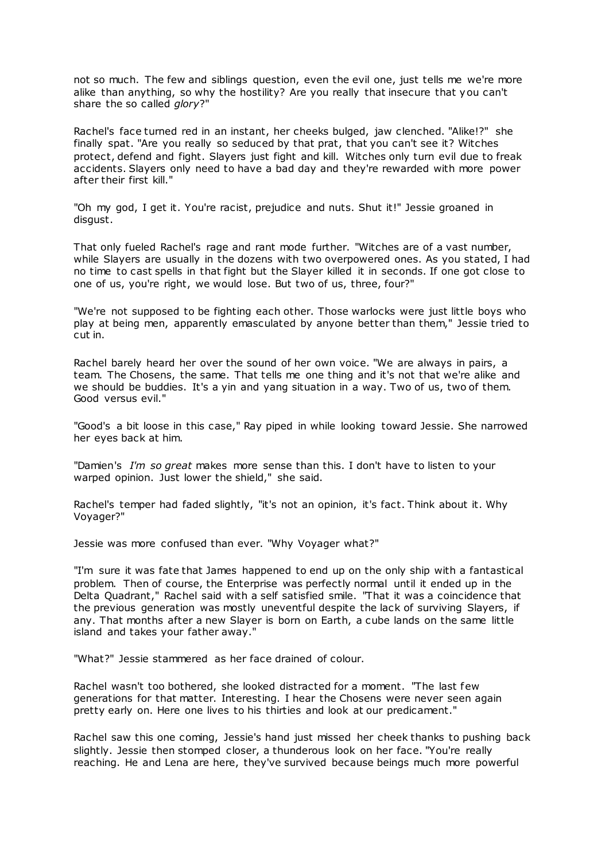not so much. The few and siblings question, even the evil one, just tells me we're more alike than anything, so why the hostility? Are you really that insecure that you can't share the so called *glory*?"

Rachel's face turned red in an instant, her cheeks bulged, jaw clenched. "Alike!?" she finally spat. "Are you really so seduced by that prat, that you can't see it? Witches protect, defend and fight. Slayers just fight and kill. Witches only turn evil due to freak accidents. Slayers only need to have a bad day and they're rewarded with more power after their first kill."

"Oh my god, I get it. You're racist, prejudice and nuts. Shut it!" Jessie groaned in disgust.

That only fueled Rachel's rage and rant mode further. "Witches are of a vast number, while Slayers are usually in the dozens with two overpowered ones. As you stated, I had no time to cast spells in that fight but the Slayer killed it in seconds. If one got close to one of us, you're right, we would lose. But two of us, three, four?"

"We're not supposed to be fighting each other. Those warlocks were just little boys who play at being men, apparently emasculated by anyone better than them," Jessie tried to cut in.

Rachel barely heard her over the sound of her own voice. "We are always in pairs, a team. The Chosens, the same. That tells me one thing and it's not that we're alike and we should be buddies. It's a yin and yang situation in a way. Two of us, two of them. Good versus evil."

"Good's a bit loose in this case," Ray piped in while looking toward Jessie. She narrowed her eyes back at him.

"Damien's *I'm so great* makes more sense than this. I don't have to listen to your warped opinion. Just lower the shield," she said.

Rachel's temper had faded slightly, "it's not an opinion, it's fact. Think about it. Why Voyager?"

Jessie was more confused than ever. "Why Voyager what?"

"I'm sure it was fate that James happened to end up on the only ship with a fantastical problem. Then of course, the Enterprise was perfectly normal until it ended up in the Delta Quadrant," Rachel said with a self satisfied smile. "That it was a coincidence that the previous generation was mostly uneventful despite the lack of surviving Slayers, if any. That months after a new Slayer is born on Earth, a cube lands on the same little island and takes your father away."

"What?" Jessie stammered as her face drained of colour.

Rachel wasn't too bothered, she looked distracted for a moment. "The last few generations for that matter. Interesting. I hear the Chosens were never seen again pretty early on. Here one lives to his thirties and look at our predicament."

Rachel saw this one coming, Jessie's hand just missed her cheek thanks to pushing back slightly. Jessie then stomped closer, a thunderous look on her face. "You're really reaching. He and Lena are here, they've survived because beings much more powerful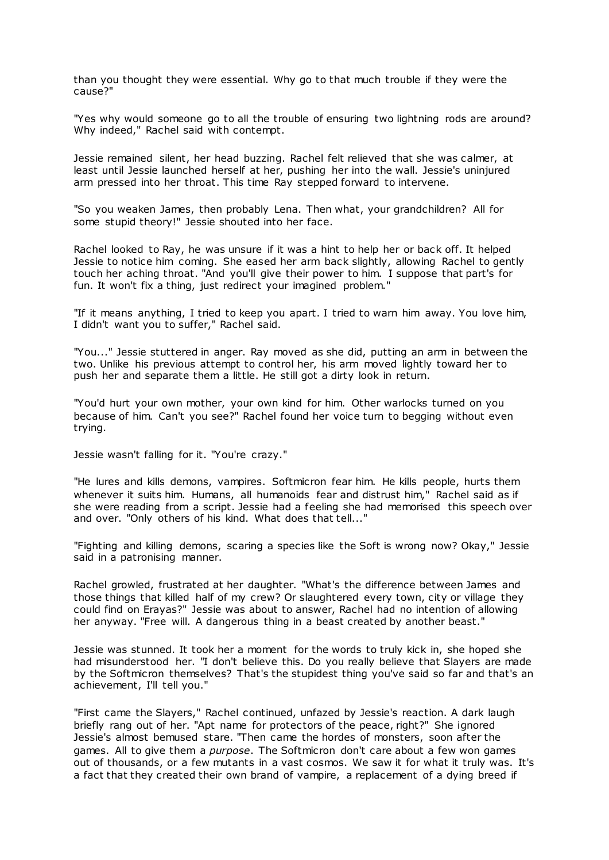than you thought they were essential. Why go to that much trouble if they were the cause?"

"Yes why would someone go to all the trouble of ensuring two lightning rods are around? Why indeed," Rachel said with contempt.

Jessie remained silent, her head buzzing. Rachel felt relieved that she was calmer, at least until Jessie launched herself at her, pushing her into the wall. Jessie's uninjured arm pressed into her throat. This time Ray stepped forward to intervene.

"So you weaken James, then probably Lena. Then what, your grandchildren? All for some stupid theory!" Jessie shouted into her face.

Rachel looked to Ray, he was unsure if it was a hint to help her or back off. It helped Jessie to notice him coming. She eased her arm back slightly, allowing Rachel to gently touch her aching throat. "And you'll give their power to him. I suppose that part's for fun. It won't fix a thing, just redirect your imagined problem."

"If it means anything, I tried to keep you apart. I tried to warn him away. You love him, I didn't want you to suffer," Rachel said.

"You..." Jessie stuttered in anger. Ray moved as she did, putting an arm in between the two. Unlike his previous attempt to control her, his arm moved lightly toward her to push her and separate them a little. He still got a dirty look in return.

"You'd hurt your own mother, your own kind for him. Other warlocks turned on you because of him. Can't you see?" Rachel found her voice turn to begging without even trying.

Jessie wasn't falling for it. "You're crazy."

"He lures and kills demons, vampires. Softmicron fear him. He kills people, hurts them whenever it suits him. Humans, all humanoids fear and distrust him," Rachel said as if she were reading from a script. Jessie had a feeling she had memorised this speech over and over. "Only others of his kind. What does that tell..."

"Fighting and killing demons, scaring a species like the Soft is wrong now? Okay," Jessie said in a patronising manner.

Rachel growled, frustrated at her daughter. "What's the difference between James and those things that killed half of my crew? Or slaughtered every town, city or village they could find on Erayas?" Jessie was about to answer, Rachel had no intention of allowing her anyway. "Free will. A dangerous thing in a beast created by another beast."

Jessie was stunned. It took her a moment for the words to truly kick in, she hoped she had misunderstood her. "I don't believe this. Do you really believe that Slayers are made by the Softmicron themselves? That's the stupidest thing you've said so far and that's an achievement, I'll tell you."

"First came the Slayers," Rachel continued, unfazed by Jessie's reaction. A dark laugh briefly rang out of her. "Apt name for protectors of the peace, right?" She ignored Jessie's almost bemused stare. "Then came the hordes of monsters, soon after the games. All to give them a *purpose*. The Softmicron don't care about a few won games out of thousands, or a few mutants in a vast cosmos. We saw it for what it truly was. It's a fact that they created their own brand of vampire, a replacement of a dying breed if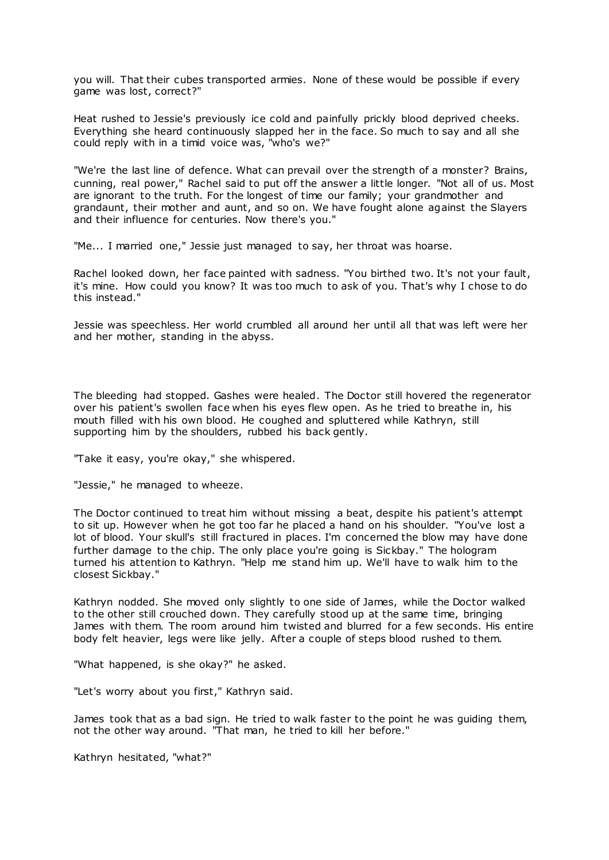you will. That their cubes transported armies. None of these would be possible if every game was lost, correct?"

Heat rushed to Jessie's previously ice cold and painfully prickly blood deprived cheeks. Everything she heard continuously slapped her in the face. So much to say and all she could reply with in a timid voice was, "who's we?"

"We're the last line of defence. What can prevail over the strength of a monster? Brains, cunning, real power," Rachel said to put off the answer a little longer. "Not all of us. Most are ignorant to the truth. For the longest of time our family; your grandmother and grandaunt, their mother and aunt, and so on. We have fought alone against the Slayers and their influence for centuries. Now there's you."

"Me... I married one," Jessie just managed to say, her throat was hoarse.

Rachel looked down, her face painted with sadness. "You birthed two. It's not your fault, it's mine. How could you know? It was too much to ask of you. That's why I chose to do this instead."

Jessie was speechless. Her world crumbled all around her until all that was left were her and her mother, standing in the abyss.

The bleeding had stopped. Gashes were healed. The Doctor still hovered the regenerator over his patient's swollen face when his eyes flew open. As he tried to breathe in, his mouth filled with his own blood. He coughed and spluttered while Kathryn, still supporting him by the shoulders, rubbed his back gently.

"Take it easy, you're okay," she whispered.

"Jessie," he managed to wheeze.

The Doctor continued to treat him without missing a beat, despite his patient's attempt to sit up. However when he got too far he placed a hand on his shoulder. "You've lost a lot of blood. Your skull's still fractured in places. I'm concerned the blow may have done further damage to the chip. The only place you're going is Sickbay." The hologram turned his attention to Kathryn. "Help me stand him up. We'll have to walk him to the closest Sickbay."

Kathryn nodded. She moved only slightly to one side of James, while the Doctor walked to the other still crouched down. They carefully stood up at the same time, bringing James with them. The room around him twisted and blurred for a few seconds. His entire body felt heavier, legs were like jelly. After a couple of steps blood rushed to them.

"What happened, is she okay?" he asked.

"Let's worry about you first," Kathryn said.

James took that as a bad sign. He tried to walk faster to the point he was guiding them, not the other way around. "That man, he tried to kill her before."

Kathryn hesitated, "what?"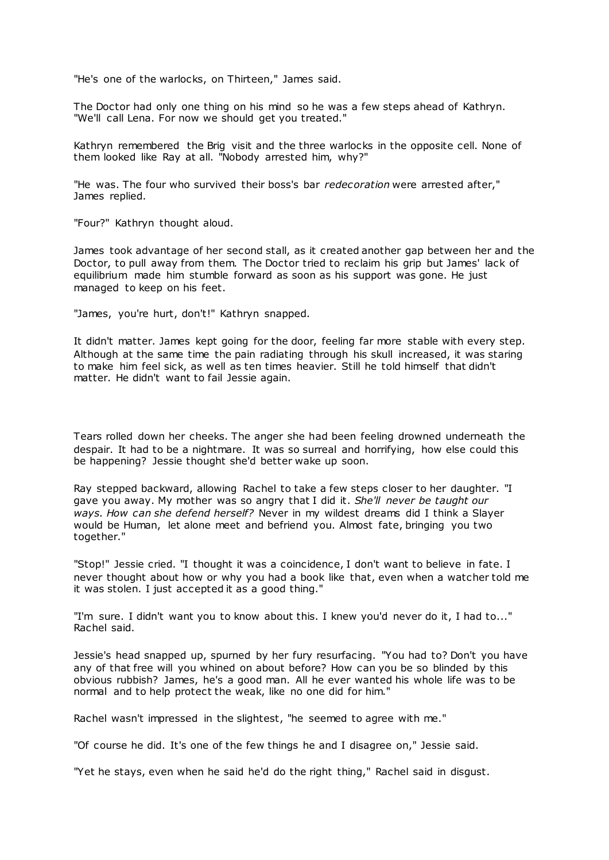"He's one of the warlocks, on Thirteen," James said.

The Doctor had only one thing on his mind so he was a few steps ahead of Kathryn. "We'll call Lena. For now we should get you treated."

Kathryn remembered the Brig visit and the three warlocks in the opposite cell. None of them looked like Ray at all. "Nobody arrested him, why?"

"He was. The four who survived their boss's bar *redecoration* were arrested after," James replied.

"Four?" Kathryn thought aloud.

James took advantage of her second stall, as it created another gap between her and the Doctor, to pull away from them. The Doctor tried to reclaim his grip but James' lack of equilibrium made him stumble forward as soon as his support was gone. He just managed to keep on his feet.

"James, you're hurt, don't!" Kathryn snapped.

It didn't matter. James kept going for the door, feeling far more stable with every step. Although at the same time the pain radiating through his skull increased, it was staring to make him feel sick, as well as ten times heavier. Still he told himself that didn't matter. He didn't want to fail Jessie again.

Tears rolled down her cheeks. The anger she had been feeling drowned underneath the despair. It had to be a nightmare. It was so surreal and horrifying, how else could this be happening? Jessie thought she'd better wake up soon.

Ray stepped backward, allowing Rachel to take a few steps closer to her daughter. "I gave you away. My mother was so angry that I did it. *She'll never be taught our ways. How can she defend herself?* Never in my wildest dreams did I think a Slayer would be Human, let alone meet and befriend you. Almost fate, bringing you two together."

"Stop!" Jessie cried. "I thought it was a coincidence, I don't want to believe in fate. I never thought about how or why you had a book like that, even when a watcher told me it was stolen. I just accepted it as a good thing."

"I'm sure. I didn't want you to know about this. I knew you'd never do it, I had to..." Rachel said.

Jessie's head snapped up, spurned by her fury resurfacing. "You had to? Don't you have any of that free will you whined on about before? How can you be so blinded by this obvious rubbish? James, he's a good man. All he ever wanted his whole life was to be normal and to help protect the weak, like no one did for him."

Rachel wasn't impressed in the slightest, "he seemed to agree with me."

"Of course he did. It's one of the few things he and I disagree on," Jessie said.

"Yet he stays, even when he said he'd do the right thing," Rachel said in disgust.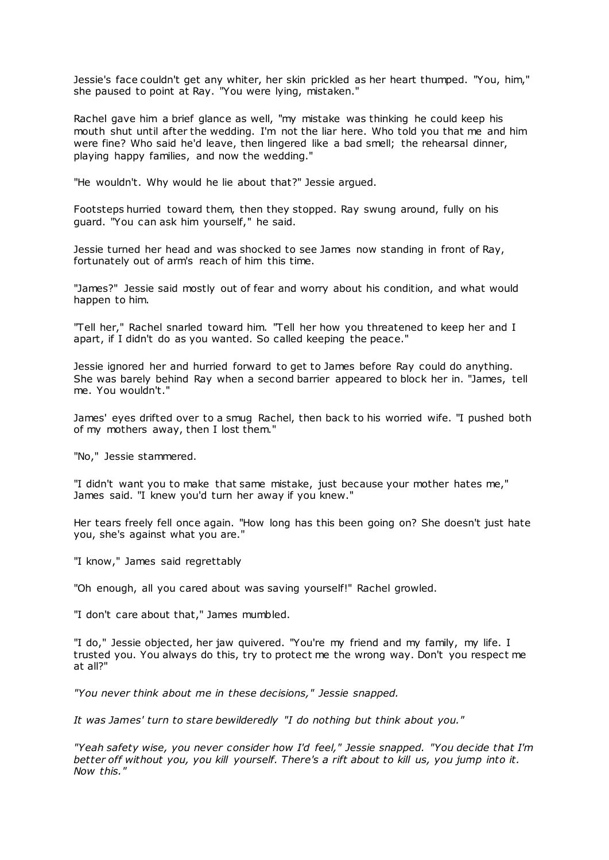Jessie's face couldn't get any whiter, her skin prickled as her heart thumped. "You, him," she paused to point at Ray. "You were lying, mistaken."

Rachel gave him a brief glance as well, "my mistake was thinking he could keep his mouth shut until after the wedding. I'm not the liar here. Who told you that me and him were fine? Who said he'd leave, then lingered like a bad smell; the rehearsal dinner, playing happy families, and now the wedding."

"He wouldn't. Why would he lie about that?" Jessie argued.

Footsteps hurried toward them, then they stopped. Ray swung around, fully on his guard. "You can ask him yourself," he said.

Jessie turned her head and was shocked to see James now standing in front of Ray, fortunately out of arm's reach of him this time.

"James?" Jessie said mostly out of fear and worry about his condition, and what would happen to him.

"Tell her," Rachel snarled toward him. "Tell her how you threatened to keep her and I apart, if I didn't do as you wanted. So called keeping the peace."

Jessie ignored her and hurried forward to get to James before Ray could do anything. She was barely behind Ray when a second barrier appeared to block her in. "James, tell me. You wouldn't."

James' eyes drifted over to a smug Rachel, then back to his worried wife. "I pushed both of my mothers away, then I lost them."

"No," Jessie stammered.

"I didn't want you to make that same mistake, just because your mother hates me," James said. "I knew you'd turn her away if you knew."

Her tears freely fell once again. "How long has this been going on? She doesn't just hate you, she's against what you are."

"I know," James said regrettably

"Oh enough, all you cared about was saving yourself!" Rachel growled.

"I don't care about that," James mumbled.

"I do," Jessie objected, her jaw quivered. "You're my friend and my family, my life. I trusted you. You always do this, try to protect me the wrong way. Don't you respect me at all?"

*"You never think about me in these decisions," Jessie snapped.*

*It was James' turn to stare bewilderedly "I do nothing but think about you."*

*"Yeah safety wise, you never consider how I'd feel," Jessie snapped. "You decide that I'm better off without you, you kill yourself. There's a rift about to kill us, you jump into it. Now this."*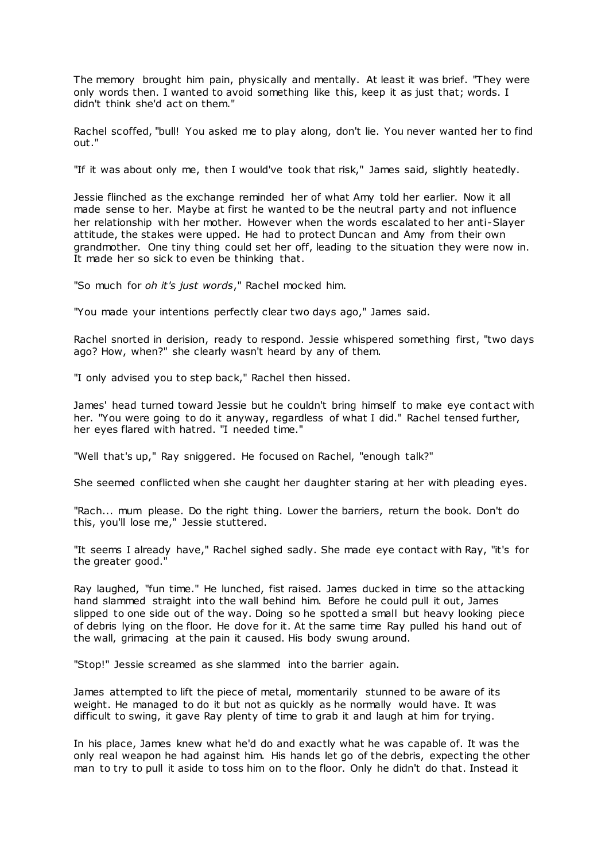The memory brought him pain, physically and mentally. At least it was brief. "They were only words then. I wanted to avoid something like this, keep it as just that; words. I didn't think she'd act on them."

Rachel scoffed, "bull! You asked me to play along, don't lie. You never wanted her to find out."

"If it was about only me, then I would've took that risk," James said, slightly heatedly.

Jessie flinched as the exchange reminded her of what Amy told her earlier. Now it all made sense to her. Maybe at first he wanted to be the neutral party and not influence her relationship with her mother. However when the words escalated to her anti-Slayer attitude, the stakes were upped. He had to protect Duncan and Amy from their own grandmother. One tiny thing could set her off, leading to the situation they were now in. It made her so sick to even be thinking that.

"So much for *oh it's just words*," Rachel mocked him.

"You made your intentions perfectly clear two days ago," James said.

Rachel snorted in derision, ready to respond. Jessie whispered something first, "two days ago? How, when?" she clearly wasn't heard by any of them.

"I only advised you to step back," Rachel then hissed.

James' head turned toward Jessie but he couldn't bring himself to make eye cont act with her. "You were going to do it anyway, regardless of what I did." Rachel tensed further, her eyes flared with hatred. "I needed time."

"Well that's up," Ray sniggered. He focused on Rachel, "enough talk?"

She seemed conflicted when she caught her daughter staring at her with pleading eyes.

"Rach... mum please. Do the right thing. Lower the barriers, return the book. Don't do this, you'll lose me," Jessie stuttered.

"It seems I already have," Rachel sighed sadly. She made eye contact with Ray, "it's for the greater good."

Ray laughed, "fun time." He lunched, fist raised. James ducked in time so the attacking hand slammed straight into the wall behind him. Before he could pull it out, James slipped to one side out of the way. Doing so he spotted a small but heavy looking piece of debris lying on the floor. He dove for it. At the same time Ray pulled his hand out of the wall, grimacing at the pain it caused. His body swung around.

"Stop!" Jessie screamed as she slammed into the barrier again.

James attempted to lift the piece of metal, momentarily stunned to be aware of its weight. He managed to do it but not as quickly as he normally would have. It was difficult to swing, it gave Ray plenty of time to grab it and laugh at him for trying.

In his place, James knew what he'd do and exactly what he was capable of. It was the only real weapon he had against him. His hands let go of the debris, expecting the other man to try to pull it aside to toss him on to the floor. Only he didn't do that. Instead it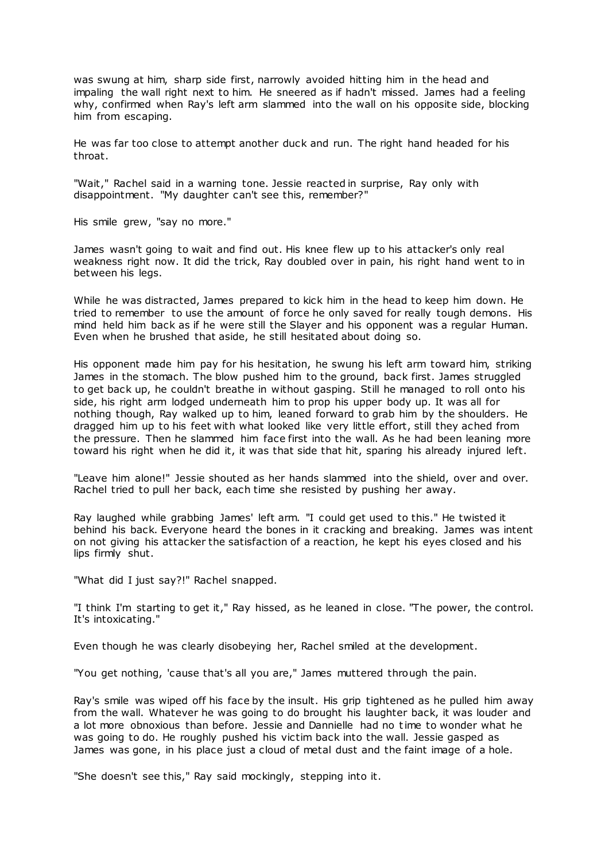was swung at him, sharp side first, narrowly avoided hitting him in the head and impaling the wall right next to him. He sneered as if hadn't missed. James had a feeling why, confirmed when Ray's left arm slammed into the wall on his opposite side, blocking him from escaping.

He was far too close to attempt another duck and run. The right hand headed for his throat.

"Wait," Rachel said in a warning tone. Jessie reacted in surprise, Ray only with disappointment. "My daughter can't see this, remember?"

His smile grew, "say no more."

James wasn't going to wait and find out. His knee flew up to his attacker's only real weakness right now. It did the trick, Ray doubled over in pain, his right hand went to in between his legs.

While he was distracted, James prepared to kick him in the head to keep him down. He tried to remember to use the amount of force he only saved for really tough demons. His mind held him back as if he were still the Slayer and his opponent was a regular Human. Even when he brushed that aside, he still hesitated about doing so.

His opponent made him pay for his hesitation, he swung his left arm toward him, striking James in the stomach. The blow pushed him to the ground, back first. James struggled to get back up, he couldn't breathe in without gasping. Still he managed to roll onto his side, his right arm lodged underneath him to prop his upper body up. It was all for nothing though, Ray walked up to him, leaned forward to grab him by the shoulders. He dragged him up to his feet with what looked like very little effort, still they ached from the pressure. Then he slammed him face first into the wall. As he had been leaning more toward his right when he did it, it was that side that hit, sparing his already injured left.

"Leave him alone!" Jessie shouted as her hands slammed into the shield, over and over. Rachel tried to pull her back, each time she resisted by pushing her away.

Ray laughed while grabbing James' left arm. "I could get used to this." He twisted it behind his back. Everyone heard the bones in it cracking and breaking. James was intent on not giving his attacker the satisfaction of a reaction, he kept his eyes closed and his lips firmly shut.

"What did I just say?!" Rachel snapped.

"I think I'm starting to get it," Ray hissed, as he leaned in close. "The power, the control. It's intoxicating."

Even though he was clearly disobeying her, Rachel smiled at the development.

"You get nothing, 'cause that's all you are," James muttered through the pain.

Ray's smile was wiped off his face by the insult. His grip tightened as he pulled him away from the wall. Whatever he was going to do brought his laughter back, it was louder and a lot more obnoxious than before. Jessie and Dannielle had no time to wonder what he was going to do. He roughly pushed his victim back into the wall. Jessie gasped as James was gone, in his place just a cloud of metal dust and the faint image of a hole.

"She doesn't see this," Ray said mockingly, stepping into it.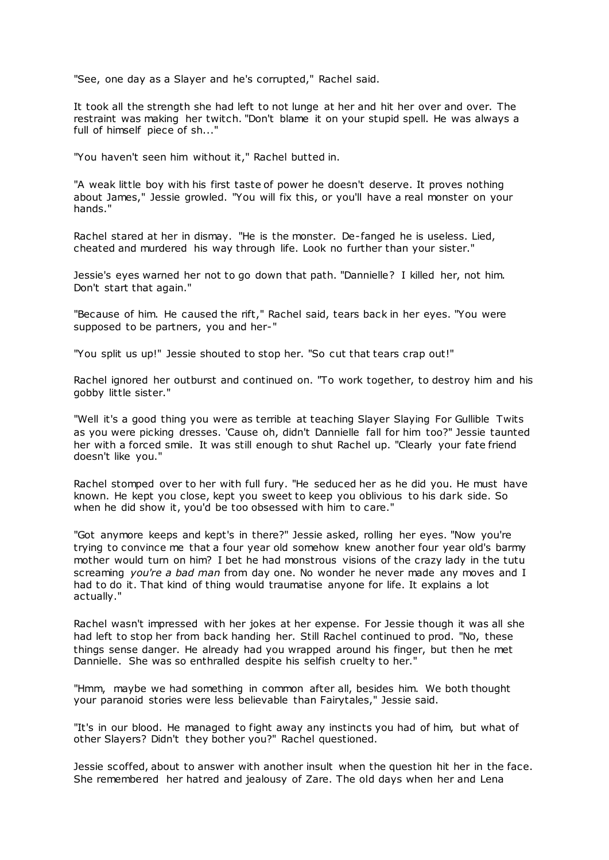"See, one day as a Slayer and he's corrupted," Rachel said.

It took all the strength she had left to not lunge at her and hit her over and over. The restraint was making her twitch. "Don't blame it on your stupid spell. He was always a full of himself piece of sh..."

"You haven't seen him without it," Rachel butted in.

"A weak little boy with his first taste of power he doesn't deserve. It proves nothing about James," Jessie growled. "You will fix this, or you'll have a real monster on your hands."

Rachel stared at her in dismay. "He is the monster. De-fanged he is useless. Lied, cheated and murdered his way through life. Look no further than your sister."

Jessie's eyes warned her not to go down that path. "Dannielle? I killed her, not him. Don't start that again."

"Because of him. He caused the rift," Rachel said, tears back in her eyes. "You were supposed to be partners, you and her-"

"You split us up!" Jessie shouted to stop her. "So cut that tears crap out!"

Rachel ignored her outburst and continued on. "To work together, to destroy him and his gobby little sister."

"Well it's a good thing you were as terrible at teaching Slayer Slaying For Gullible Twits as you were picking dresses. 'Cause oh, didn't Dannielle fall for him too?" Jessie taunted her with a forced smile. It was still enough to shut Rachel up. "Clearly your fate friend doesn't like you."

Rachel stomped over to her with full fury. "He seduced her as he did you. He must have known. He kept you close, kept you sweet to keep you oblivious to his dark side. So when he did show it, you'd be too obsessed with him to care."

"Got anymore keeps and kept's in there?" Jessie asked, rolling her eyes. "Now you're trying to convince me that a four year old somehow knew another four year old's barmy mother would turn on him? I bet he had monstrous visions of the crazy lady in the tutu screaming *you're a bad man* from day one. No wonder he never made any moves and I had to do it. That kind of thing would traumatise anyone for life. It explains a lot actually."

Rachel wasn't impressed with her jokes at her expense. For Jessie though it was all she had left to stop her from back handing her. Still Rachel continued to prod. "No, these things sense danger. He already had you wrapped around his finger, but then he met Dannielle. She was so enthralled despite his selfish cruelty to her."

"Hmm, maybe we had something in common after all, besides him. We both thought your paranoid stories were less believable than Fairytales," Jessie said.

"It's in our blood. He managed to fight away any instincts you had of him, but what of other Slayers? Didn't they bother you?" Rachel questioned.

Jessie scoffed, about to answer with another insult when the question hit her in the face. She remembered her hatred and jealousy of Zare. The old days when her and Lena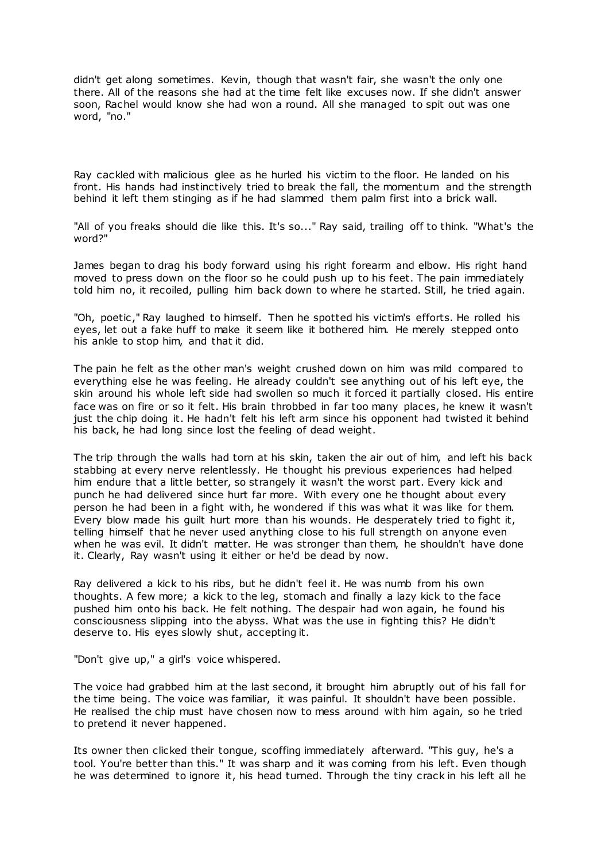didn't get along sometimes. Kevin, though that wasn't fair, she wasn't the only one there. All of the reasons she had at the time felt like excuses now. If she didn't answer soon, Rachel would know she had won a round. All she managed to spit out was one word, "no."

Ray cackled with malicious glee as he hurled his victim to the floor. He landed on his front. His hands had instinctively tried to break the fall, the momentum and the strength behind it left them stinging as if he had slammed them palm first into a brick wall.

"All of you freaks should die like this. It's so..." Ray said, trailing off to think. "What's the word?"

James began to drag his body forward using his right forearm and elbow. His right hand moved to press down on the floor so he could push up to his feet. The pain immediately told him no, it recoiled, pulling him back down to where he started. Still, he tried again.

"Oh, poetic ," Ray laughed to himself. Then he spotted his victim's efforts. He rolled his eyes, let out a fake huff to make it seem like it bothered him. He merely stepped onto his ankle to stop him, and that it did.

The pain he felt as the other man's weight crushed down on him was mild compared to everything else he was feeling. He already couldn't see anything out of his left eye, the skin around his whole left side had swollen so much it forced it partially closed. His entire face was on fire or so it felt. His brain throbbed in far too many places, he knew it wasn't just the chip doing it. He hadn't felt his left arm since his opponent had twisted it behind his back, he had long since lost the feeling of dead weight.

The trip through the walls had torn at his skin, taken the air out of him, and left his back stabbing at every nerve relentlessly. He thought his previous experiences had helped him endure that a little better, so strangely it wasn't the worst part. Every kick and punch he had delivered since hurt far more. With every one he thought about every person he had been in a fight with, he wondered if this was what it was like for them. Every blow made his guilt hurt more than his wounds. He desperately tried to fight it, telling himself that he never used anything close to his full strength on anyone even when he was evil. It didn't matter. He was stronger than them, he shouldn't have done it. Clearly, Ray wasn't using it either or he'd be dead by now.

Ray delivered a kick to his ribs, but he didn't feel it. He was numb from his own thoughts. A few more; a kick to the leg, stomach and finally a lazy kick to the face pushed him onto his back. He felt nothing. The despair had won again, he found his consciousness slipping into the abyss. What was the use in fighting this? He didn't deserve to. His eyes slowly shut, accepting it.

"Don't give up," a girl's voice whispered.

The voice had grabbed him at the last second, it brought him abruptly out of his fall for the time being. The voice was familiar, it was painful. It shouldn't have been possible. He realised the chip must have chosen now to mess around with him again, so he tried to pretend it never happened.

Its owner then clicked their tongue, scoffing immediately afterward. "This guy, he's a tool. You're better than this." It was sharp and it was coming from his left. Even though he was determined to ignore it, his head turned. Through the tiny crack in his left all he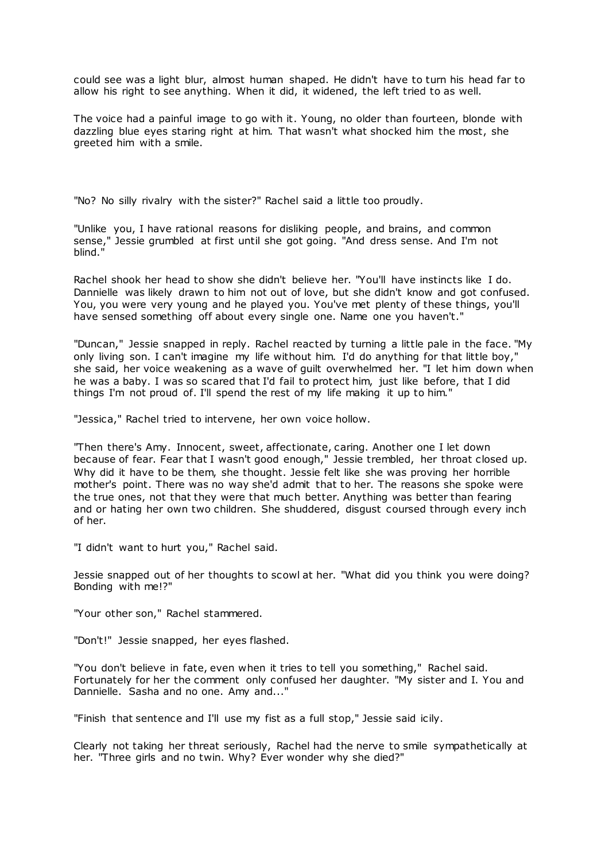could see was a light blur, almost human shaped. He didn't have to turn his head far to allow his right to see anything. When it did, it widened, the left tried to as well.

The voice had a painful image to go with it. Young, no older than fourteen, blonde with dazzling blue eyes staring right at him. That wasn't what shocked him the most, she greeted him with a smile.

"No? No silly rivalry with the sister?" Rachel said a little too proudly.

"Unlike you, I have rational reasons for disliking people, and brains, and common sense," Jessie grumbled at first until she got going. "And dress sense. And I'm not blind."

Rachel shook her head to show she didn't believe her. "You'll have instincts like I do. Dannielle was likely drawn to him not out of love, but she didn't know and got confused. You, you were very young and he played you. You've met plenty of these things, you'll have sensed something off about every single one. Name one you haven't."

"Duncan," Jessie snapped in reply. Rachel reacted by turning a little pale in the face. "My only living son. I can't imagine my life without him. I'd do anything for that little boy," she said, her voice weakening as a wave of guilt overwhelmed her. "I let him down when he was a baby. I was so scared that I'd fail to protect him, just like before, that I did things I'm not proud of. I'll spend the rest of my life making it up to him."

"Jessica," Rachel tried to intervene, her own voice hollow.

"Then there's Amy. Innocent, sweet, affectionate, caring. Another one I let down because of fear. Fear that I wasn't good enough," Jessie trembled, her throat closed up. Why did it have to be them, she thought. Jessie felt like she was proving her horrible mother's point. There was no way she'd admit that to her. The reasons she spoke were the true ones, not that they were that much better. Anything was better than fearing and or hating her own two children. She shuddered, disgust coursed through every inch of her.

"I didn't want to hurt you," Rachel said.

Jessie snapped out of her thoughts to scowl at her. "What did you think you were doing? Bonding with me!?"

"Your other son," Rachel stammered.

"Don't!" Jessie snapped, her eyes flashed.

"You don't believe in fate, even when it tries to tell you something," Rachel said. Fortunately for her the comment only confused her daughter. "My sister and I. You and Dannielle. Sasha and no one. Amy and..."

"Finish that sentence and I'll use my fist as a full stop," Jessie said icily.

Clearly not taking her threat seriously, Rachel had the nerve to smile sympathetically at her. "Three girls and no twin. Why? Ever wonder why she died?"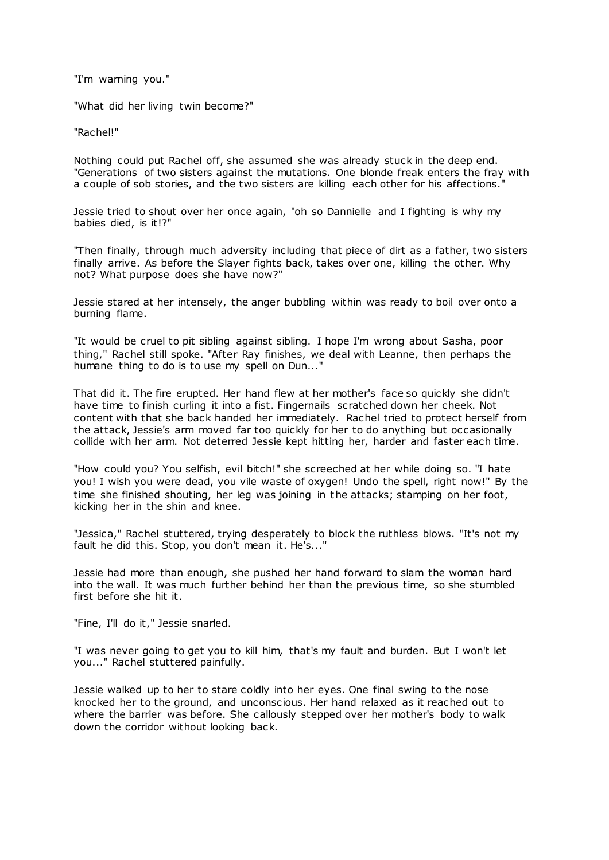"I'm warning you."

"What did her living twin become?"

"Rachel!"

Nothing could put Rachel off, she assumed she was already stuck in the deep end. "Generations of two sisters against the mutations. One blonde freak enters the fray with a couple of sob stories, and the two sisters are killing each other for his affections."

Jessie tried to shout over her once again, "oh so Dannielle and I fighting is why my babies died, is it!?"

"Then finally, through much adversity including that piece of dirt as a father, two sisters finally arrive. As before the Slayer fights back, takes over one, killing the other. Why not? What purpose does she have now?"

Jessie stared at her intensely, the anger bubbling within was ready to boil over onto a burning flame.

"It would be cruel to pit sibling against sibling. I hope I'm wrong about Sasha, poor thing," Rachel still spoke. "After Ray finishes, we deal with Leanne, then perhaps the humane thing to do is to use my spell on Dun..."

That did it. The fire erupted. Her hand flew at her mother's face so quickly she didn't have time to finish curling it into a fist. Fingernails scratched down her cheek. Not content with that she back handed her immediately. Rachel tried to protect herself from the attack, Jessie's arm moved far too quickly for her to do anything but occasionally collide with her arm. Not deterred Jessie kept hitting her, harder and faster each time.

"How could you? You selfish, evil bitch!" she screeched at her while doing so. "I hate you! I wish you were dead, you vile waste of oxygen! Undo the spell, right now!" By the time she finished shouting, her leg was joining in the attacks; stamping on her foot, kicking her in the shin and knee.

"Jessica," Rachel stuttered, trying desperately to block the ruthless blows. "It's not my fault he did this. Stop, you don't mean it. He's..."

Jessie had more than enough, she pushed her hand forward to slam the woman hard into the wall. It was much further behind her than the previous time, so she stumbled first before she hit it.

"Fine, I'll do it," Jessie snarled.

"I was never going to get you to kill him, that's my fault and burden. But I won't let you..." Rachel stuttered painfully.

Jessie walked up to her to stare coldly into her eyes. One final swing to the nose knocked her to the ground, and unconscious. Her hand relaxed as it reached out to where the barrier was before. She callously stepped over her mother's body to walk down the corridor without looking back.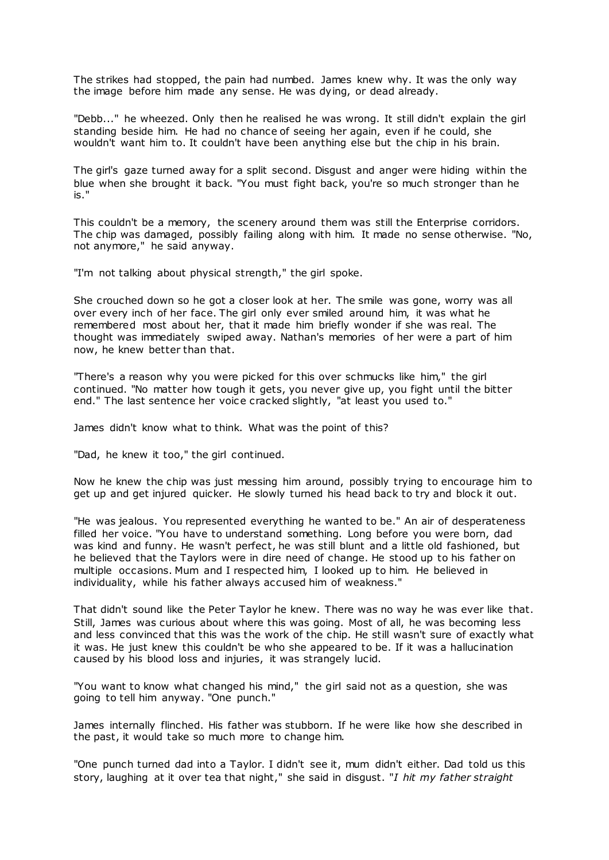The strikes had stopped, the pain had numbed. James knew why. It was the only way the image before him made any sense. He was dying, or dead already.

"Debb..." he wheezed. Only then he realised he was wrong. It still didn't explain the girl standing beside him. He had no chance of seeing her again, even if he could, she wouldn't want him to. It couldn't have been anything else but the chip in his brain.

The girl's gaze turned away for a split second. Disgust and anger were hiding within the blue when she brought it back. "You must fight back, you're so much stronger than he is."

This couldn't be a memory, the scenery around them was still the Enterprise corridors. The chip was damaged, possibly failing along with him. It made no sense otherwise. "No, not anymore," he said anyway.

"I'm not talking about physical strength," the girl spoke.

She crouched down so he got a closer look at her. The smile was gone, worry was all over every inch of her face. The girl only ever smiled around him, it was what he remembered most about her, that it made him briefly wonder if she was real. The thought was immediately swiped away. Nathan's memories of her were a part of him now, he knew better than that.

"There's a reason why you were picked for this over schmucks like him," the girl continued. "No matter how tough it gets, you never give up, you fight until the bitter end." The last sentence her voice cracked slightly, "at least you used to."

James didn't know what to think. What was the point of this?

"Dad, he knew it too," the girl continued.

Now he knew the chip was just messing him around, possibly trying to encourage him to get up and get injured quicker. He slowly turned his head back to try and block it out.

"He was jealous. You represented everything he wanted to be." An air of desperateness filled her voice. "You have to understand something. Long before you were born, dad was kind and funny. He wasn't perfect, he was still blunt and a little old fashioned, but he believed that the Taylors were in dire need of change. He stood up to his father on multiple occasions. Mum and I respected him, I looked up to him. He believed in individuality, while his father always accused him of weakness."

That didn't sound like the Peter Taylor he knew. There was no way he was ever like that. Still, James was curious about where this was going. Most of all, he was becoming less and less convinced that this was the work of the chip. He still wasn't sure of exactly what it was. He just knew this couldn't be who she appeared to be. If it was a hallucination caused by his blood loss and injuries, it was strangely lucid.

"You want to know what changed his mind," the girl said not as a question, she was going to tell him anyway. "One punch."

James internally flinched. His father was stubborn. If he were like how she described in the past, it would take so much more to change him.

"One punch turned dad into a Taylor. I didn't see it, mum didn't either. Dad told us this story, laughing at it over tea that night," she said in disgust. "*I hit my father straight*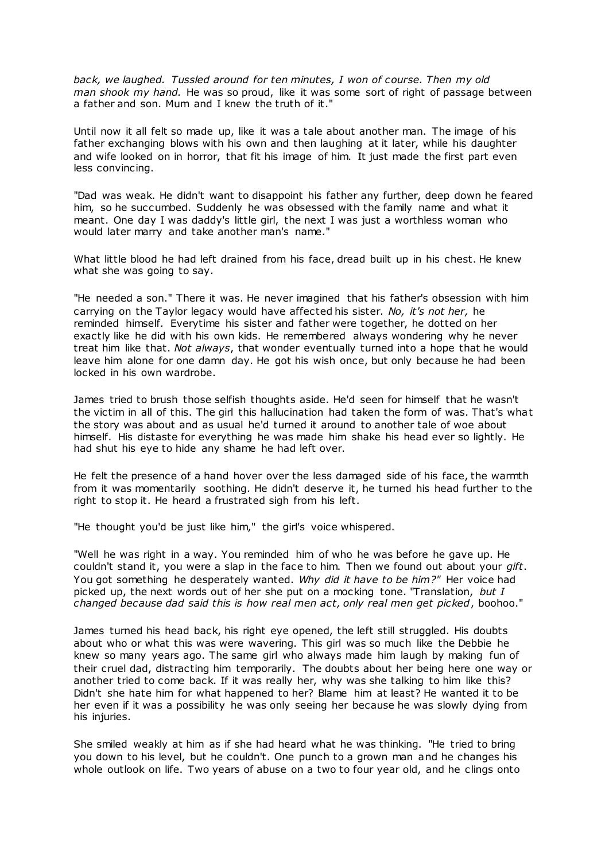*back, we laughed. Tussled around for ten minutes, I won of course. Then my old man shook my hand.* He was so proud, like it was some sort of right of passage between a father and son. Mum and I knew the truth of it."

Until now it all felt so made up, like it was a tale about another man. The image of his father exchanging blows with his own and then laughing at it later, while his daughter and wife looked on in horror, that fit his image of him. It just made the first part even less convincing.

"Dad was weak. He didn't want to disappoint his father any further, deep down he feared him, so he succumbed. Suddenly he was obsessed with the family name and what it meant. One day I was daddy's little girl, the next I was just a worthless woman who would later marry and take another man's name."

What little blood he had left drained from his face, dread built up in his chest. He knew what she was going to say.

"He needed a son." There it was. He never imagined that his father's obsession with him carrying on the Taylor legacy would have affected his sister. *No, it's not her,* he reminded himself*.* Everytime his sister and father were together, he dotted on her exactly like he did with his own kids. He remembered always wondering why he never treat him like that. *Not always*, that wonder eventually turned into a hope that he would leave him alone for one damn day. He got his wish once, but only because he had been locked in his own wardrobe.

James tried to brush those selfish thoughts aside. He'd seen for himself that he wasn't the victim in all of this. The girl this hallucination had taken the form of was. That's what the story was about and as usual he'd turned it around to another tale of woe about himself. His distaste for everything he was made him shake his head ever so lightly. He had shut his eye to hide any shame he had left over.

He felt the presence of a hand hover over the less damaged side of his face, the warmth from it was momentarily soothing. He didn't deserve it, he turned his head further to the right to stop it. He heard a frustrated sigh from his left.

"He thought you'd be just like him," the girl's voice whispered.

"Well he was right in a way. You reminded him of who he was before he gave up. He couldn't stand it, you were a slap in the face to him. Then we found out about your *gift*. You got something he desperately wanted. *Why did it have to be him?"* Her voice had picked up, the next words out of her she put on a mocking tone. "Translation, *but I changed because dad said this is how real men act, only real men get picked*, boohoo."

James turned his head back, his right eye opened, the left still struggled. His doubts about who or what this was were wavering. This girl was so much like the Debbie he knew so many years ago. The same girl who always made him laugh by making fun of their cruel dad, distracting him temporarily. The doubts about her being here one way or another tried to come back. If it was really her, why was she talking to him like this? Didn't she hate him for what happened to her? Blame him at least? He wanted it to be her even if it was a possibility he was only seeing her because he was slowly dying from his injuries.

She smiled weakly at him as if she had heard what he was thinking. "He tried to bring you down to his level, but he couldn't. One punch to a grown man and he changes his whole outlook on life. Two years of abuse on a two to four year old, and he clings onto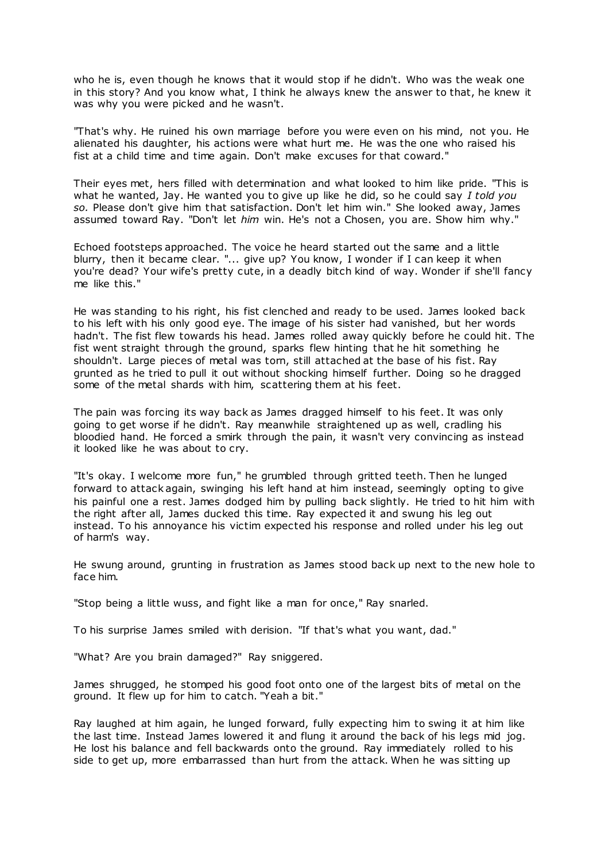who he is, even though he knows that it would stop if he didn't. Who was the weak one in this story? And you know what, I think he always knew the answer to that, he knew it was why you were picked and he wasn't.

"That's why. He ruined his own marriage before you were even on his mind, not you. He alienated his daughter, his actions were what hurt me. He was the one who raised his fist at a child time and time again. Don't make excuses for that coward."

Their eyes met, hers filled with determination and what looked to him like pride. "This is what he wanted, Jay. He wanted you to give up like he did, so he could say *I told you so.* Please don't give him that satisfaction. Don't let him win." She looked away, James assumed toward Ray. "Don't let *him* win. He's not a Chosen, you are. Show him why."

Echoed footsteps approached. The voice he heard started out the same and a little blurry, then it became clear. "... give up? You know, I wonder if I can keep it when you're dead? Your wife's pretty cute, in a deadly bitch kind of way. Wonder if she'll fancy me like this."

He was standing to his right, his fist clenched and ready to be used. James looked back to his left with his only good eye. The image of his sister had vanished, but her words hadn't. The fist flew towards his head. James rolled away quickly before he could hit. The fist went straight through the ground, sparks flew hinting that he hit something he shouldn't. Large pieces of metal was torn, still attached at the base of his fist. Ray grunted as he tried to pull it out without shocking himself further. Doing so he dragged some of the metal shards with him, scattering them at his feet.

The pain was forcing its way back as James dragged himself to his feet. It was only going to get worse if he didn't. Ray meanwhile straightened up as well, cradling his bloodied hand. He forced a smirk through the pain, it wasn't very convincing as instead it looked like he was about to cry.

"It's okay. I welcome more fun," he grumbled through gritted teeth. Then he lunged forward to attack again, swinging his left hand at him instead, seemingly opting to give his painful one a rest. James dodged him by pulling back slightly. He tried to hit him with the right after all, James ducked this time. Ray expected it and swung his leg out instead. To his annoyance his victim expected his response and rolled under his leg out of harm's way.

He swung around, grunting in frustration as James stood back up next to the new hole to face him.

"Stop being a little wuss, and fight like a man for once," Ray snarled.

To his surprise James smiled with derision. "If that's what you want, dad."

"What? Are you brain damaged?" Ray sniggered.

James shrugged, he stomped his good foot onto one of the largest bits of metal on the ground. It flew up for him to catch. "Yeah a bit."

Ray laughed at him again, he lunged forward, fully expecting him to swing it at him like the last time. Instead James lowered it and flung it around the back of his legs mid jog. He lost his balance and fell backwards onto the ground. Ray immediately rolled to his side to get up, more embarrassed than hurt from the attack. When he was sitting up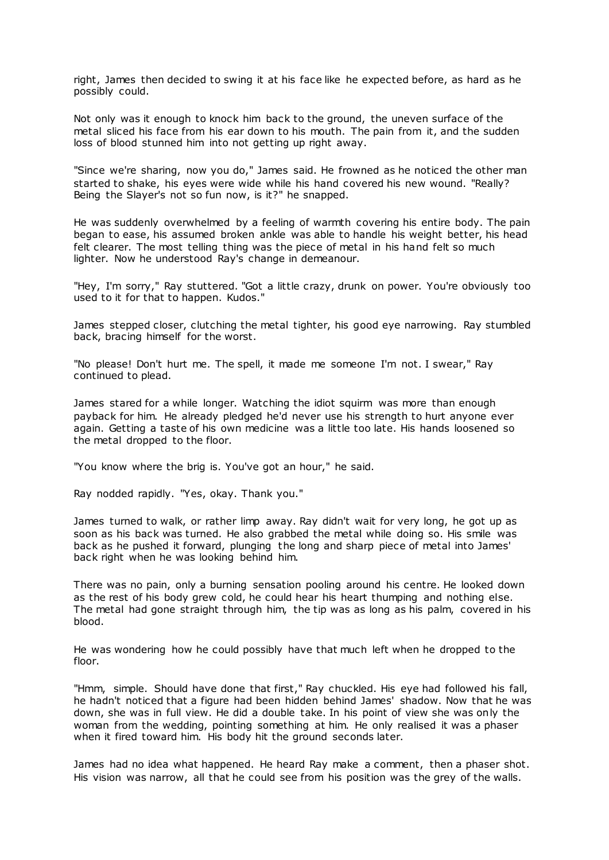right, James then decided to swing it at his face like he expected before, as hard as he possibly could.

Not only was it enough to knock him back to the ground, the uneven surface of the metal sliced his face from his ear down to his mouth. The pain from it, and the sudden loss of blood stunned him into not getting up right away.

"Since we're sharing, now you do," James said. He frowned as he noticed the other man started to shake, his eyes were wide while his hand covered his new wound. "Really? Being the Slayer's not so fun now, is it?" he snapped.

He was suddenly overwhelmed by a feeling of warmth covering his entire body. The pain began to ease, his assumed broken ankle was able to handle his weight better, his head felt clearer. The most telling thing was the piece of metal in his hand felt so much lighter. Now he understood Ray's change in demeanour.

"Hey, I'm sorry," Ray stuttered. "Got a little crazy, drunk on power. You're obviously too used to it for that to happen. Kudos."

James stepped closer, clutching the metal tighter, his good eye narrowing. Ray stumbled back, bracing himself for the worst.

"No please! Don't hurt me. The spell, it made me someone I'm not. I swear," Ray continued to plead.

James stared for a while longer. Watching the idiot squirm was more than enough payback for him. He already pledged he'd never use his strength to hurt anyone ever again. Getting a taste of his own medicine was a little too late. His hands loosened so the metal dropped to the floor.

"You know where the brig is. You've got an hour," he said.

Ray nodded rapidly. "Yes, okay. Thank you."

James turned to walk, or rather limp away. Ray didn't wait for very long, he got up as soon as his back was turned. He also grabbed the metal while doing so. His smile was back as he pushed it forward, plunging the long and sharp piece of metal into James' back right when he was looking behind him.

There was no pain, only a burning sensation pooling around his centre. He looked down as the rest of his body grew cold, he could hear his heart thumping and nothing else. The metal had gone straight through him, the tip was as long as his palm, covered in his blood.

He was wondering how he could possibly have that much left when he dropped to the floor.

"Hmm, simple. Should have done that first," Ray chuckled. His eye had followed his fall, he hadn't noticed that a figure had been hidden behind James' shadow. Now that he was down, she was in full view. He did a double take. In his point of view she was only the woman from the wedding, pointing something at him. He only realised it was a phaser when it fired toward him. His body hit the ground seconds later.

James had no idea what happened. He heard Ray make a comment, then a phaser shot. His vision was narrow, all that he could see from his position was the grey of the walls.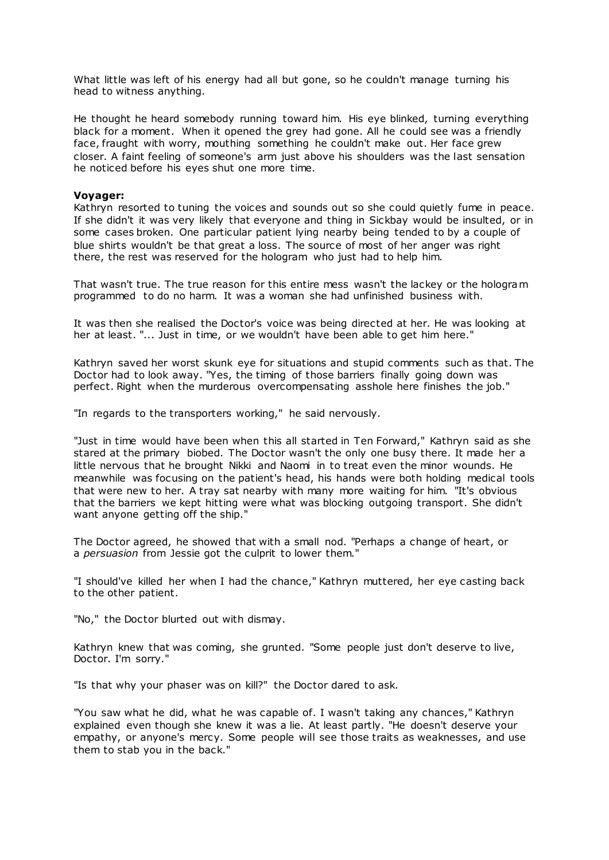What little was left of his energy had all but gone, so he couldn't manage turning his head to witness anything.

He thought he heard somebody running toward him. His eye blinked, turning everything black for a moment. When it opened the grey had gone. All he could see was a friendly face, fraught with worry, mouthing something he couldn't make out. Her face grew closer. A faint feeling of someone's arm just above his shoulders was the last sensation he noticed before his eyes shut one more time.

## **Voyager:**

Kathryn resorted to tuning the voices and sounds out so she could quietly fume in peace. If she didn't it was very likely that everyone and thing in Sickbay would be insulted, or in some cases broken. One particular patient lying nearby being tended to by a couple of blue shirts wouldn't be that great a loss. The source of most of her anger was right there, the rest was reserved for the hologram who just had to help him.

That wasn't true. The true reason for this entire mess wasn't the lackey or the hologram programmed to do no harm. It was a woman she had unfinished business with.

It was then she realised the Doctor's voice was being directed at her. He was looking at her at least. "... Just in time, or we wouldn't have been able to get him here."

Kathryn saved her worst skunk eye for situations and stupid comments such as that. The Doctor had to look away. "Yes, the timing of those barriers finally going down was perfect. Right when the murderous overcompensating asshole here finishes the job."

"In regards to the transporters working," he said nervously.

"Just in time would have been when this all started in Ten Forward," Kathryn said as she stared at the primary biobed. The Doctor wasn't the only one busy there. It made her a little nervous that he brought Nikki and Naomi in to treat even the minor wounds. He meanwhile was focusing on the patient's head, his hands were both holding medical tools that were new to her. A tray sat nearby with many more waiting for him. "It's obvious that the barriers we kept hitting were what was blocking outgoing transport. She didn't want anyone getting off the ship."

The Doctor agreed, he showed that with a small nod. "Perhaps a change of heart, or a *persuasion* from Jessie got the culprit to lower them."

"I should've killed her when I had the chance," Kathryn muttered, her eye casting back to the other patient.

"No," the Doctor blurted out with dismay.

Kathryn knew that was coming, she grunted. "Some people just don't deserve to live, Doctor. I'm sorry."

"Is that why your phaser was on kill?" the Doctor dared to ask.

"You saw what he did, what he was capable of. I wasn't taking any chances," Kathryn explained even though she knew it was a lie. At least partly. "He doesn't deserve your empathy, or anyone's mercy. Some people will see those traits as weaknesses, and use them to stab you in the back."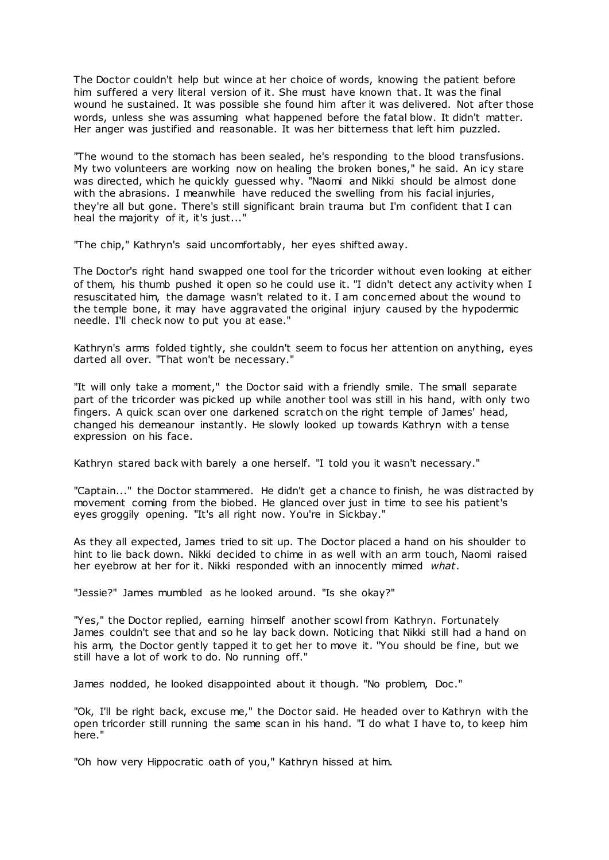The Doctor couldn't help but wince at her choice of words, knowing the patient before him suffered a very literal version of it. She must have known that. It was the final wound he sustained. It was possible she found him after it was delivered. Not after those words, unless she was assuming what happened before the fatal blow. It didn't matter. Her anger was justified and reasonable. It was her bitterness that left him puzzled.

"The wound to the stomach has been sealed, he's responding to the blood transfusions. My two volunteers are working now on healing the broken bones," he said. An icy stare was directed, which he quickly guessed why. "Naomi and Nikki should be almost done with the abrasions. I meanwhile have reduced the swelling from his facial injuries, they're all but gone. There's still significant brain trauma but I'm confident that I can heal the majority of it, it's just..."

"The chip," Kathryn's said uncomfortably, her eyes shifted away.

The Doctor's right hand swapped one tool for the tricorder without even looking at either of them, his thumb pushed it open so he could use it. "I didn't detect any activity when I resuscitated him, the damage wasn't related to it. I am conc erned about the wound to the temple bone, it may have aggravated the original injury caused by the hypodermic needle. I'll check now to put you at ease."

Kathryn's arms folded tightly, she couldn't seem to focus her attention on anything, eyes darted all over. "That won't be necessary."

"It will only take a moment," the Doctor said with a friendly smile. The small separate part of the tricorder was picked up while another tool was still in his hand, with only two fingers. A quick scan over one darkened scratch on the right temple of James' head, changed his demeanour instantly. He slowly looked up towards Kathryn with a tense expression on his face.

Kathryn stared back with barely a one herself. "I told you it wasn't necessary."

"Captain..." the Doctor stammered. He didn't get a chance to finish, he was distracted by movement coming from the biobed. He glanced over just in time to see his patient's eyes groggily opening. "It's all right now. You're in Sickbay."

As they all expected, James tried to sit up. The Doctor placed a hand on his shoulder to hint to lie back down. Nikki decided to chime in as well with an arm touch, Naomi raised her eyebrow at her for it. Nikki responded with an innocently mimed *what*.

"Jessie?" James mumbled as he looked around. "Is she okay?"

"Yes," the Doctor replied, earning himself another scowl from Kathryn. Fortunately James couldn't see that and so he lay back down. Noticing that Nikki still had a hand on his arm, the Doctor gently tapped it to get her to move it. "You should be fine, but we still have a lot of work to do. No running off."

James nodded, he looked disappointed about it though. "No problem, Doc ."

"Ok, I'll be right back, excuse me," the Doctor said. He headed over to Kathryn with the open tricorder still running the same scan in his hand. "I do what I have to, to keep him here."

"Oh how very Hippocratic oath of you," Kathryn hissed at him.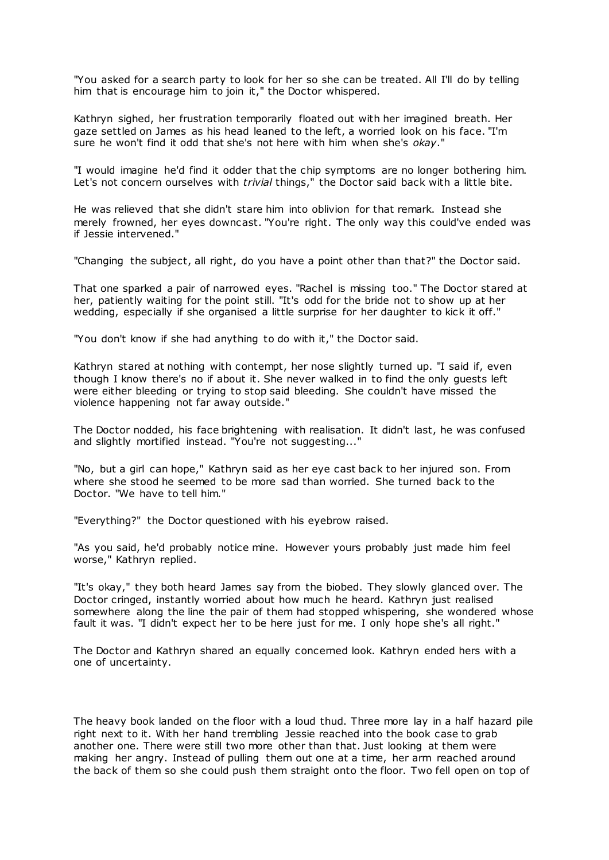"You asked for a search party to look for her so she can be treated. All I'll do by telling him that is encourage him to join it," the Doctor whispered.

Kathryn sighed, her frustration temporarily floated out with her imagined breath. Her gaze settled on James as his head leaned to the left, a worried look on his face. "I'm sure he won't find it odd that she's not here with him when she's *okay*."

"I would imagine he'd find it odder that the chip symptoms are no longer bothering him. Let's not concern ourselves with *trivial* things," the Doctor said back with a little bite.

He was relieved that she didn't stare him into oblivion for that remark. Instead she merely frowned, her eyes downcast. "You're right. The only way this could've ended was if Jessie intervened."

"Changing the subject, all right, do you have a point other than that?" the Doctor said.

That one sparked a pair of narrowed eyes. "Rachel is missing too." The Doctor stared at her, patiently waiting for the point still. "It's odd for the bride not to show up at her wedding, especially if she organised a little surprise for her daughter to kick it off."

"You don't know if she had anything to do with it," the Doctor said.

Kathryn stared at nothing with contempt, her nose slightly turned up. "I said if, even though I know there's no if about it. She never walked in to find the only guests left were either bleeding or trying to stop said bleeding. She couldn't have missed the violence happening not far away outside."

The Doctor nodded, his face brightening with realisation. It didn't last, he was confused and slightly mortified instead. "You're not suggesting..."

"No, but a girl can hope," Kathryn said as her eye cast back to her injured son. From where she stood he seemed to be more sad than worried. She turned back to the Doctor. "We have to tell him."

"Everything?" the Doctor questioned with his eyebrow raised.

"As you said, he'd probably notice mine. However yours probably just made him feel worse," Kathryn replied.

"It's okay," they both heard James say from the biobed. They slowly glanced over. The Doctor cringed, instantly worried about how much he heard. Kathryn just realised somewhere along the line the pair of them had stopped whispering, she wondered whose fault it was. "I didn't expect her to be here just for me. I only hope she's all right."

The Doctor and Kathryn shared an equally concerned look. Kathryn ended hers with a one of uncertainty.

The heavy book landed on the floor with a loud thud. Three more lay in a half hazard pile right next to it. With her hand trembling Jessie reached into the book case to grab another one. There were still two more other than that. Just looking at them were making her angry. Instead of pulling them out one at a time, her arm reached around the back of them so she could push them straight onto the floor. Two fell open on top of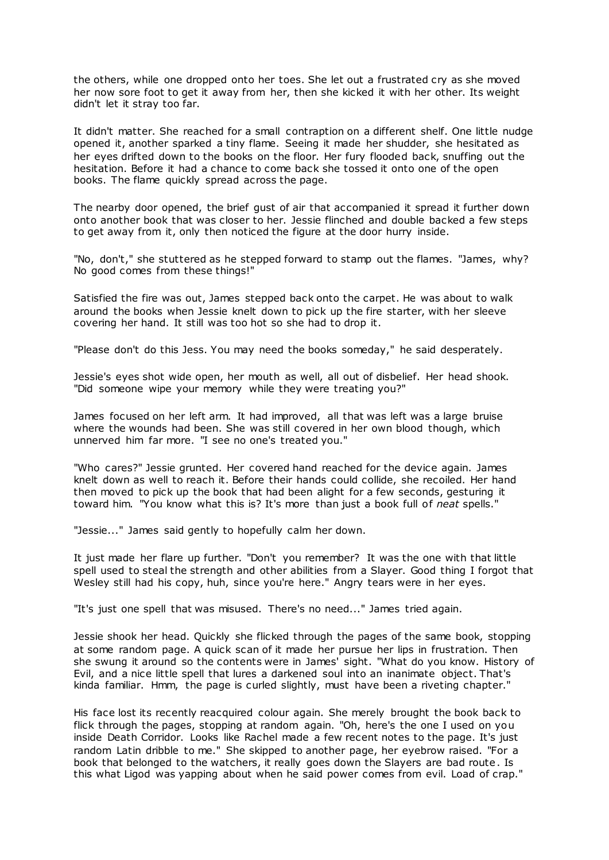the others, while one dropped onto her toes. She let out a frustrated cry as she moved her now sore foot to get it away from her, then she kicked it with her other. Its weight didn't let it stray too far.

It didn't matter. She reached for a small contraption on a different shelf. One little nudge opened it, another sparked a tiny flame. Seeing it made her shudder, she hesitated as her eyes drifted down to the books on the floor. Her fury flooded back, snuffing out the hesitation. Before it had a chance to come back she tossed it onto one of the open books. The flame quickly spread across the page.

The nearby door opened, the brief gust of air that accompanied it spread it further down onto another book that was closer to her. Jessie flinched and double backed a few steps to get away from it, only then noticed the figure at the door hurry inside.

"No, don't," she stuttered as he stepped forward to stamp out the flames. "James, why? No good comes from these things!"

Satisfied the fire was out, James stepped back onto the carpet. He was about to walk around the books when Jessie knelt down to pick up the fire starter, with her sleeve covering her hand. It still was too hot so she had to drop it.

"Please don't do this Jess. You may need the books someday," he said desperately.

Jessie's eyes shot wide open, her mouth as well, all out of disbelief. Her head shook. "Did someone wipe your memory while they were treating you?"

James focused on her left arm. It had improved, all that was left was a large bruise where the wounds had been. She was still covered in her own blood though, which unnerved him far more. "I see no one's treated you."

"Who cares?" Jessie grunted. Her covered hand reached for the device again. James knelt down as well to reach it. Before their hands could collide, she recoiled. Her hand then moved to pick up the book that had been alight for a few seconds, gesturing it toward him. "You know what this is? It's more than just a book full of *neat* spells."

"Jessie..." James said gently to hopefully calm her down.

It just made her flare up further. "Don't you remember? It was the one with that little spell used to steal the strength and other abilities from a Slayer. Good thing I forgot that Wesley still had his copy, huh, since you're here." Angry tears were in her eyes.

"It's just one spell that was misused. There's no need..." James tried again.

Jessie shook her head. Quickly she flicked through the pages of the same book, stopping at some random page. A quick scan of it made her pursue her lips in frustration. Then she swung it around so the contents were in James' sight. "What do you know. History of Evil, and a nice little spell that lures a darkened soul into an inanimate object. That's kinda familiar. Hmm, the page is curled slightly, must have been a riveting chapter."

His face lost its recently reacquired colour again. She merely brought the book back to flick through the pages, stopping at random again. "Oh, here's the one I used on you inside Death Corridor. Looks like Rachel made a few recent notes to the page. It's just random Latin dribble to me." She skipped to another page, her eyebrow raised. "For a book that belonged to the watchers, it really goes down the Slayers are bad route. Is this what Ligod was yapping about when he said power comes from evil. Load of crap."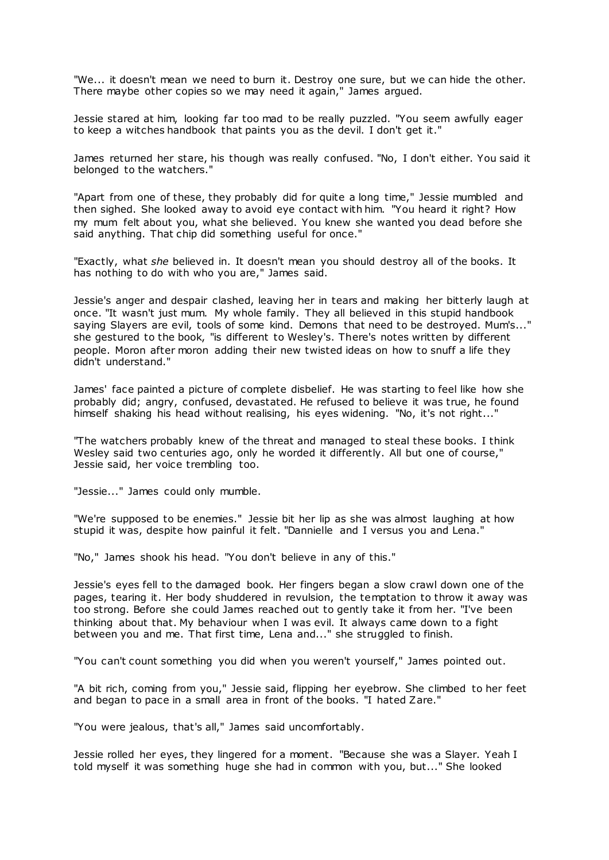"We... it doesn't mean we need to burn it. Destroy one sure, but we can hide the other. There maybe other copies so we may need it again," James argued.

Jessie stared at him, looking far too mad to be really puzzled. "You seem awfully eager to keep a witches handbook that paints you as the devil. I don't get it."

James returned her stare, his though was really confused. "No, I don't either. You said it belonged to the watchers."

"Apart from one of these, they probably did for quite a long time," Jessie mumbled and then sighed. She looked away to avoid eye contact with him. "You heard it right? How my mum felt about you, what she believed. You knew she wanted you dead before she said anything. That chip did something useful for once."

"Exactly, what *she* believed in. It doesn't mean you should destroy all of the books. It has nothing to do with who you are," James said.

Jessie's anger and despair clashed, leaving her in tears and making her bitterly laugh at once. "It wasn't just mum. My whole family. They all believed in this stupid handbook saying Slayers are evil, tools of some kind. Demons that need to be destroyed. Mum's..." she gestured to the book, "is different to Wesley's. There's notes written by different people. Moron after moron adding their new twisted ideas on how to snuff a life they didn't understand."

James' face painted a picture of complete disbelief. He was starting to feel like how she probably did; angry, confused, devastated. He refused to believe it was true, he found himself shaking his head without realising, his eyes widening. "No, it's not right..."

"The watchers probably knew of the threat and managed to steal these books. I think Wesley said two centuries ago, only he worded it differently. All but one of course," Jessie said, her voice trembling too.

"Jessie..." James could only mumble.

"We're supposed to be enemies." Jessie bit her lip as she was almost laughing at how stupid it was, despite how painful it felt. "Dannielle and I versus you and Lena."

"No," James shook his head. "You don't believe in any of this."

Jessie's eyes fell to the damaged book. Her fingers began a slow crawl down one of the pages, tearing it. Her body shuddered in revulsion, the temptation to throw it away was too strong. Before she could James reached out to gently take it from her. "I've been thinking about that. My behaviour when I was evil. It always came down to a fight between you and me. That first time, Lena and..." she struggled to finish.

"You can't count something you did when you weren't yourself," James pointed out.

"A bit rich, coming from you," Jessie said, flipping her eyebrow. She climbed to her feet and began to pace in a small area in front of the books. "I hated Zare."

"You were jealous, that's all," James said uncomfortably.

Jessie rolled her eyes, they lingered for a moment. "Because she was a Slayer. Yeah I told myself it was something huge she had in common with you, but..." She looked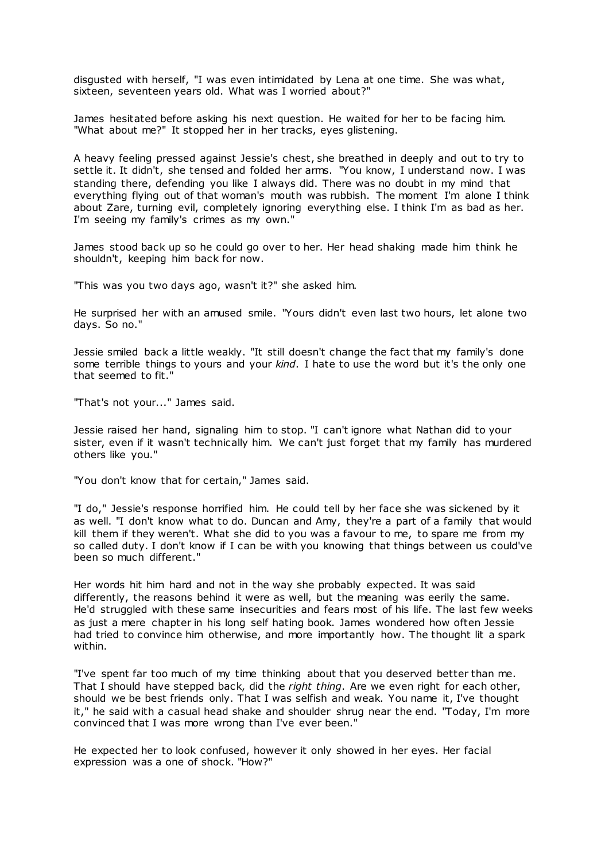disgusted with herself, "I was even intimidated by Lena at one time. She was what, sixteen, seventeen years old. What was I worried about?"

James hesitated before asking his next question. He waited for her to be facing him. "What about me?" It stopped her in her tracks, eyes glistening.

A heavy feeling pressed against Jessie's chest, she breathed in deeply and out to try to settle it. It didn't, she tensed and folded her arms. "You know, I understand now. I was standing there, defending you like I always did. There was no doubt in my mind that everything flying out of that woman's mouth was rubbish. The moment I'm alone I think about Zare, turning evil, completely ignoring everything else. I think I'm as bad as her. I'm seeing my family's crimes as my own."

James stood back up so he could go over to her. Her head shaking made him think he shouldn't, keeping him back for now.

"This was you two days ago, wasn't it?" she asked him.

He surprised her with an amused smile. "Yours didn't even last two hours, let alone two days. So no."

Jessie smiled back a little weakly. "It still doesn't change the fact that my family's done some terrible things to yours and your *kind*. I hate to use the word but it's the only one that seemed to fit."

"That's not your..." James said.

Jessie raised her hand, signaling him to stop. "I can't ignore what Nathan did to your sister, even if it wasn't technically him. We can't just forget that my family has murdered others like you."

"You don't know that for certain," James said.

"I do," Jessie's response horrified him. He could tell by her face she was sickened by it as well. "I don't know what to do. Duncan and Amy, they're a part of a family that would kill them if they weren't. What she did to you was a favour to me, to spare me from my so called duty. I don't know if I can be with you knowing that things between us could've been so much different."

Her words hit him hard and not in the way she probably expected. It was said differently, the reasons behind it were as well, but the meaning was eerily the same. He'd struggled with these same insecurities and fears most of his life. The last few weeks as just a mere chapter in his long self hating book. James wondered how often Jessie had tried to convince him otherwise, and more importantly how. The thought lit a spark within.

"I've spent far too much of my time thinking about that you deserved better than me. That I should have stepped back, did the *right thing*. Are we even right for each other, should we be best friends only. That I was selfish and weak. You name it, I've thought it," he said with a casual head shake and shoulder shrug near the end. "Today, I'm more convinced that I was more wrong than I've ever been."

He expected her to look confused, however it only showed in her eyes. Her facial expression was a one of shock. "How?"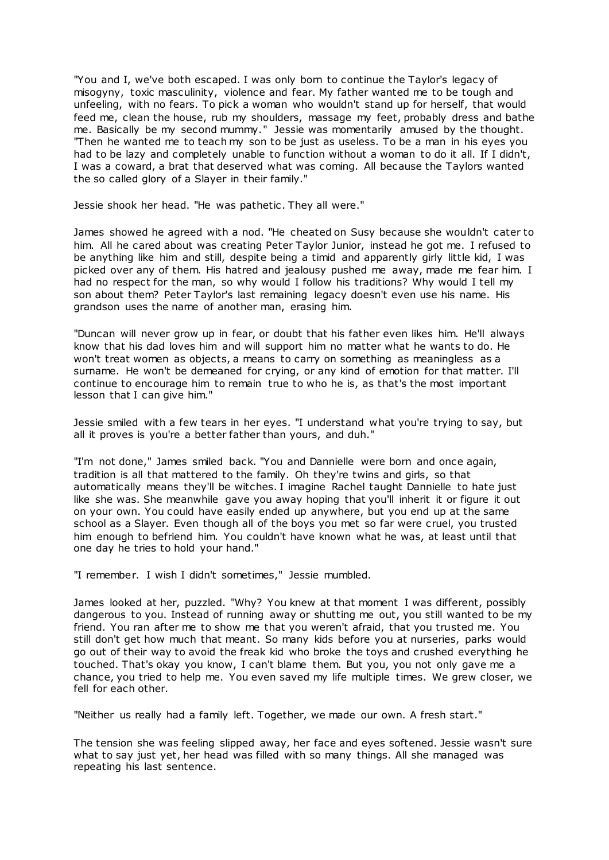"You and I, we've both escaped. I was only born to continue the Taylor's legacy of misogyny, toxic masculinity, violence and fear. My father wanted me to be tough and unfeeling, with no fears. To pick a woman who wouldn't stand up for herself, that would feed me, clean the house, rub my shoulders, massage my feet, probably dress and bathe me. Basically be my second mummy." Jessie was momentarily amused by the thought. "Then he wanted me to teach my son to be just as useless. To be a man in his eyes you had to be lazy and completely unable to function without a woman to do it all. If I didn't, I was a coward, a brat that deserved what was coming. All because the Taylors wanted the so called glory of a Slayer in their family."

Jessie shook her head. "He was pathetic . They all were."

James showed he agreed with a nod. "He cheated on Susy because she wouldn't cater to him. All he cared about was creating Peter Taylor Junior, instead he got me. I refused to be anything like him and still, despite being a timid and apparently girly little kid, I was picked over any of them. His hatred and jealousy pushed me away, made me fear him. I had no respect for the man, so why would I follow his traditions? Why would I tell my son about them? Peter Taylor's last remaining legacy doesn't even use his name. His grandson uses the name of another man, erasing him.

"Duncan will never grow up in fear, or doubt that his father even likes him. He'll always know that his dad loves him and will support him no matter what he wants to do. He won't treat women as objects, a means to carry on something as meaningless as a surname. He won't be demeaned for crying, or any kind of emotion for that matter. I'll continue to encourage him to remain true to who he is, as that's the most important lesson that I can give him."

Jessie smiled with a few tears in her eyes. "I understand what you're trying to say, but all it proves is you're a better father than yours, and duh."

"I'm not done," James smiled back. "You and Dannielle were born and once again, tradition is all that mattered to the family. Oh they're twins and girls, so that automatically means they'll be witches. I imagine Rachel taught Dannielle to hate just like she was. She meanwhile gave you away hoping that you'll inherit it or figure it out on your own. You could have easily ended up anywhere, but you end up at the same school as a Slayer. Even though all of the boys you met so far were cruel, you trusted him enough to befriend him. You couldn't have known what he was, at least until that one day he tries to hold your hand."

"I remember. I wish I didn't sometimes," Jessie mumbled.

James looked at her, puzzled. "Why? You knew at that moment I was different, possibly dangerous to you. Instead of running away or shutting me out, you still wanted to be my friend. You ran after me to show me that you weren't afraid, that you trusted me. You still don't get how much that meant. So many kids before you at nurseries, parks would go out of their way to avoid the freak kid who broke the toys and crushed everything he touched. That's okay you know, I can't blame them. But you, you not only gave me a chance, you tried to help me. You even saved my life multiple times. We grew closer, we fell for each other.

"Neither us really had a family left. Together, we made our own. A fresh start."

The tension she was feeling slipped away, her face and eyes softened. Jessie wasn't sure what to say just yet, her head was filled with so many things. All she managed was repeating his last sentence.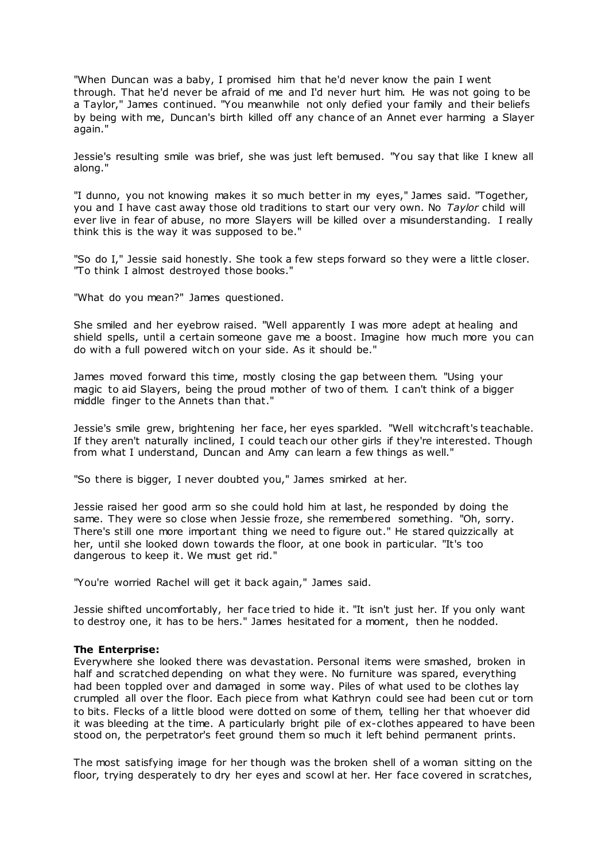"When Duncan was a baby, I promised him that he'd never know the pain I went through. That he'd never be afraid of me and I'd never hurt him. He was not going to be a Taylor," James continued. "You meanwhile not only defied your family and their beliefs by being with me, Duncan's birth killed off any chance of an Annet ever harming a Slayer again."

Jessie's resulting smile was brief, she was just left bemused. "You say that like I knew all along."

"I dunno, you not knowing makes it so much better in my eyes," James said. "Together, you and I have cast away those old traditions to start our very own. No *Taylor* child will ever live in fear of abuse, no more Slayers will be killed over a misunderstanding. I really think this is the way it was supposed to be."

"So do I," Jessie said honestly. She took a few steps forward so they were a little closer. "To think I almost destroyed those books."

"What do you mean?" James questioned.

She smiled and her eyebrow raised. "Well apparently I was more adept at healing and shield spells, until a certain someone gave me a boost. Imagine how much more you can do with a full powered witch on your side. As it should be."

James moved forward this time, mostly closing the gap between them. "Using your magic to aid Slayers, being the proud mother of two of them. I can't think of a bigger middle finger to the Annets than that."

Jessie's smile grew, brightening her face, her eyes sparkled. "Well witchcraft's teachable. If they aren't naturally inclined, I could teach our other girls if they're interested. Though from what I understand, Duncan and Amy can learn a few things as well."

"So there is bigger, I never doubted you," James smirked at her.

Jessie raised her good arm so she could hold him at last, he responded by doing the same. They were so close when Jessie froze, she remembered something. "Oh, sorry. There's still one more important thing we need to figure out." He stared quizzically at her, until she looked down towards the floor, at one book in particular. "It's too dangerous to keep it. We must get rid."

"You're worried Rachel will get it back again," James said.

Jessie shifted uncomfortably, her face tried to hide it. "It isn't just her. If you only want to destroy one, it has to be hers." James hesitated for a moment, then he nodded.

## **The Enterprise:**

Everywhere she looked there was devastation. Personal items were smashed, broken in half and scratched depending on what they were. No furniture was spared, everything had been toppled over and damaged in some way. Piles of what used to be clothes lay crumpled all over the floor. Each piece from what Kathryn could see had been cut or torn to bits. Flecks of a little blood were dotted on some of them, telling her that whoever did it was bleeding at the time. A particularly bright pile of ex-clothes appeared to have been stood on, the perpetrator's feet ground them so much it left behind permanent prints.

The most satisfying image for her though was the broken shell of a woman sitting on the floor, trying desperately to dry her eyes and scowl at her. Her face covered in scratches,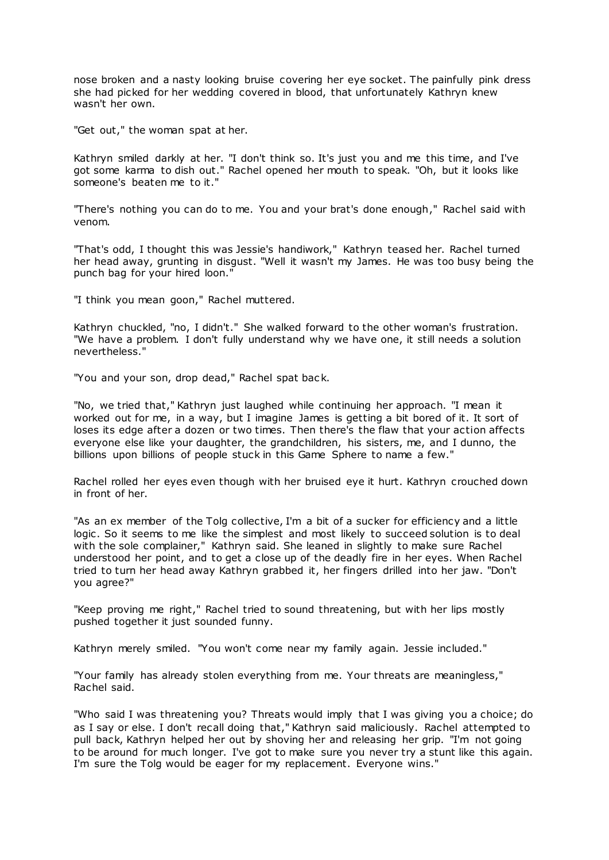nose broken and a nasty looking bruise covering her eye socket. The painfully pink dress she had picked for her wedding covered in blood, that unfortunately Kathryn knew wasn't her own.

"Get out," the woman spat at her.

Kathryn smiled darkly at her. "I don't think so. It's just you and me this time, and I've got some karma to dish out." Rachel opened her mouth to speak. "Oh, but it looks like someone's beaten me to it."

"There's nothing you can do to me. You and your brat's done enough," Rachel said with venom.

"That's odd, I thought this was Jessie's handiwork," Kathryn teased her. Rachel turned her head away, grunting in disgust. "Well it wasn't my James. He was too busy being the punch bag for your hired loon."

"I think you mean goon," Rachel muttered.

Kathryn chuckled, "no, I didn't." She walked forward to the other woman's frustration. "We have a problem. I don't fully understand why we have one, it still needs a solution nevertheless."

"You and your son, drop dead," Rachel spat bac k.

"No, we tried that," Kathryn just laughed while continuing her approach. "I mean it worked out for me, in a way, but I imagine James is getting a bit bored of it. It sort of loses its edge after a dozen or two times. Then there's the flaw that your action affects everyone else like your daughter, the grandchildren, his sisters, me, and I dunno, the billions upon billions of people stuck in this Game Sphere to name a few."

Rachel rolled her eyes even though with her bruised eye it hurt. Kathryn crouched down in front of her.

"As an ex member of the Tolg collective, I'm a bit of a sucker for efficiency and a little logic. So it seems to me like the simplest and most likely to succeed solution is to deal with the sole complainer," Kathryn said. She leaned in slightly to make sure Rachel understood her point, and to get a close up of the deadly fire in her eyes. When Rachel tried to turn her head away Kathryn grabbed it, her fingers drilled into her jaw. "Don't you agree?"

"Keep proving me right," Rachel tried to sound threatening, but with her lips mostly pushed together it just sounded funny.

Kathryn merely smiled. "You won't come near my family again. Jessie included."

"Your family has already stolen everything from me. Your threats are meaningless," Rachel said.

"Who said I was threatening you? Threats would imply that I was giving you a choice; do as I say or else. I don't recall doing that," Kathryn said maliciously. Rachel attempted to pull back, Kathryn helped her out by shoving her and releasing her grip. "I'm not going to be around for much longer. I've got to make sure you never try a stunt like this again. I'm sure the Tolg would be eager for my replacement. Everyone wins."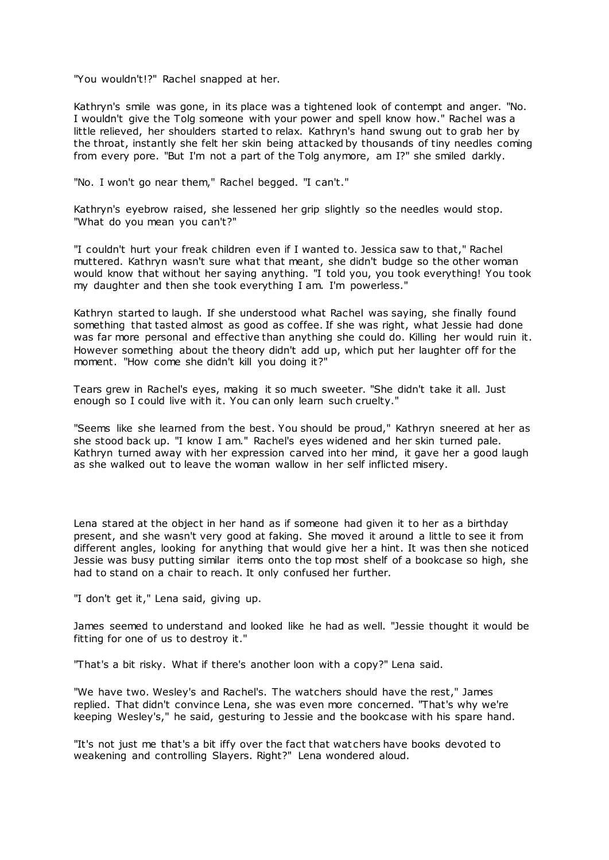"You wouldn't!?" Rachel snapped at her.

Kathryn's smile was gone, in its place was a tightened look of contempt and anger. "No. I wouldn't give the Tolg someone with your power and spell know how." Rachel was a little relieved, her shoulders started to relax. Kathryn's hand swung out to grab her by the throat, instantly she felt her skin being attacked by thousands of tiny needles coming from every pore. "But I'm not a part of the Tolg anymore, am I?" she smiled darkly.

"No. I won't go near them," Rachel begged. "I can't."

Kathryn's eyebrow raised, she lessened her grip slightly so the needles would stop. "What do you mean you can't?"

"I couldn't hurt your freak children even if I wanted to. Jessica saw to that," Rachel muttered. Kathryn wasn't sure what that meant, she didn't budge so the other woman would know that without her saying anything. "I told you, you took everything! You took my daughter and then she took everything I am. I'm powerless."

Kathryn started to laugh. If she understood what Rachel was saying, she finally found something that tasted almost as good as coffee. If she was right, what Jessie had done was far more personal and effective than anything she could do. Killing her would ruin it. However something about the theory didn't add up, which put her laughter off for the moment. "How come she didn't kill you doing it?"

Tears grew in Rachel's eyes, making it so much sweeter. "She didn't take it all. Just enough so I could live with it. You can only learn such cruelty."

"Seems like she learned from the best. You should be proud," Kathryn sneered at her as she stood back up. "I know I am." Rachel's eyes widened and her skin turned pale. Kathryn turned away with her expression carved into her mind, it gave her a good laugh as she walked out to leave the woman wallow in her self inflicted misery.

Lena stared at the object in her hand as if someone had given it to her as a birthday present, and she wasn't very good at faking. She moved it around a little to see it from different angles, looking for anything that would give her a hint. It was then she noticed Jessie was busy putting similar items onto the top most shelf of a bookcase so high, she had to stand on a chair to reach. It only confused her further.

"I don't get it," Lena said, giving up.

James seemed to understand and looked like he had as well. "Jessie thought it would be fitting for one of us to destroy it."

"That's a bit risky. What if there's another loon with a copy?" Lena said.

"We have two. Wesley's and Rachel's. The watchers should have the rest," James replied. That didn't convince Lena, she was even more concerned. "That's why we're keeping Wesley's," he said, gesturing to Jessie and the bookcase with his spare hand.

"It's not just me that's a bit iffy over the fact that wat chers have books devoted to weakening and controlling Slayers. Right?" Lena wondered aloud.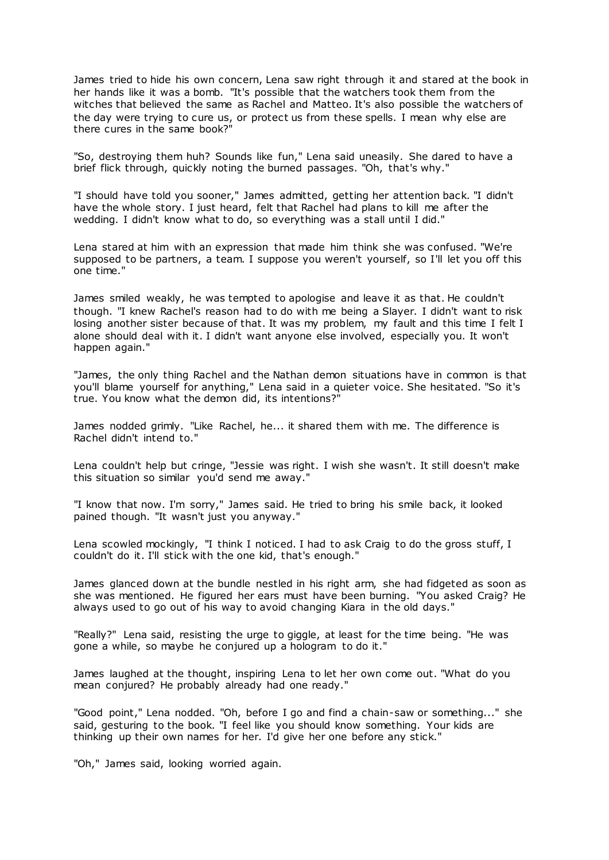James tried to hide his own concern, Lena saw right through it and stared at the book in her hands like it was a bomb. "It's possible that the watchers took them from the witches that believed the same as Rachel and Matteo. It's also possible the watchers of the day were trying to cure us, or protect us from these spells. I mean why else are there cures in the same book?"

"So, destroying them huh? Sounds like fun," Lena said uneasily. She dared to have a brief flick through, quickly noting the burned passages. "Oh, that's why."

"I should have told you sooner," James admitted, getting her attention back. "I didn't have the whole story. I just heard, felt that Rachel had plans to kill me after the wedding. I didn't know what to do, so everything was a stall until I did."

Lena stared at him with an expression that made him think she was confused. "We're supposed to be partners, a team. I suppose you weren't yourself, so I'll let you off this one time."

James smiled weakly, he was tempted to apologise and leave it as that. He couldn't though. "I knew Rachel's reason had to do with me being a Slayer. I didn't want to risk losing another sister because of that. It was my problem, my fault and this time I felt I alone should deal with it. I didn't want anyone else involved, especially you. It won't happen again."

"James, the only thing Rachel and the Nathan demon situations have in common is that you'll blame yourself for anything," Lena said in a quieter voice. She hesitated. "So it's true. You know what the demon did, its intentions?"

James nodded grimly. "Like Rachel, he... it shared them with me. The difference is Rachel didn't intend to."

Lena couldn't help but cringe, "Jessie was right. I wish she wasn't. It still doesn't make this situation so similar you'd send me away."

"I know that now. I'm sorry," James said. He tried to bring his smile back, it looked pained though. "It wasn't just you anyway."

Lena scowled mockingly, "I think I noticed. I had to ask Craig to do the gross stuff, I couldn't do it. I'll stick with the one kid, that's enough."

James glanced down at the bundle nestled in his right arm, she had fidgeted as soon as she was mentioned. He figured her ears must have been burning. "You asked Craig? He always used to go out of his way to avoid changing Kiara in the old days."

"Really?" Lena said, resisting the urge to giggle, at least for the time being. "He was gone a while, so maybe he conjured up a hologram to do it."

James laughed at the thought, inspiring Lena to let her own come out. "What do you mean conjured? He probably already had one ready."

"Good point," Lena nodded. "Oh, before I go and find a chain-saw or something..." she said, gesturing to the book. "I feel like you should know something. Your kids are thinking up their own names for her. I'd give her one before any stick."

"Oh," James said, looking worried again.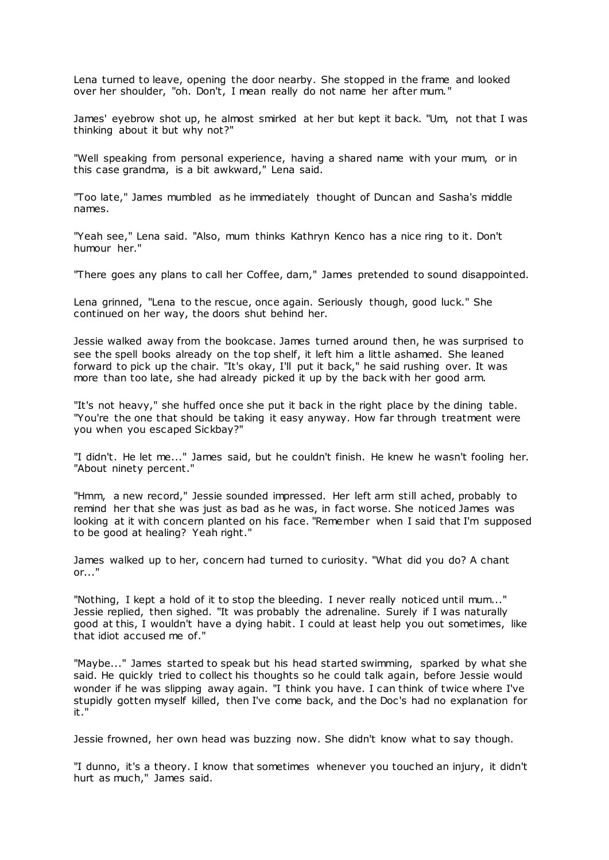Lena turned to leave, opening the door nearby. She stopped in the frame and looked over her shoulder, "oh. Don't, I mean really do not name her after mum."

James' eyebrow shot up, he almost smirked at her but kept it back. "Um, not that I was thinking about it but why not?"

"Well speaking from personal experience, having a shared name with your mum, or in this case grandma, is a bit awkward," Lena said.

"Too late," James mumbled as he immediately thought of Duncan and Sasha's middle names.

"Yeah see," Lena said. "Also, mum thinks Kathryn Kenco has a nice ring to it. Don't humour her."

"There goes any plans to call her Coffee, darn," James pretended to sound disappointed.

Lena grinned, "Lena to the rescue, once again. Seriously though, good luck." She continued on her way, the doors shut behind her.

Jessie walked away from the bookcase. James turned around then, he was surprised to see the spell books already on the top shelf, it left him a little ashamed. She leaned forward to pick up the chair. "It's okay, I'll put it back," he said rushing over. It was more than too late, she had already picked it up by the back with her good arm.

"It's not heavy," she huffed once she put it back in the right place by the dining table. "You're the one that should be taking it easy anyway. How far through treatment were you when you escaped Sickbay?"

"I didn't. He let me..." James said, but he couldn't finish. He knew he wasn't fooling her. "About ninety percent."

"Hmm, a new record," Jessie sounded impressed. Her left arm still ached, probably to remind her that she was just as bad as he was, in fact worse. She noticed James was looking at it with concern planted on his face. "Remember when I said that I'm supposed to be good at healing? Yeah right."

James walked up to her, concern had turned to curiosity. "What did you do? A chant or..."

"Nothing, I kept a hold of it to stop the bleeding. I never really noticed until mum..." Jessie replied, then sighed. "It was probably the adrenaline. Surely if I was naturally good at this, I wouldn't have a dying habit. I could at least help you out sometimes, like that idiot accused me of."

"Maybe..." James started to speak but his head started swimming, sparked by what she said. He quickly tried to collect his thoughts so he could talk again, before Jessie would wonder if he was slipping away again. "I think you have. I can think of twice where I've stupidly gotten myself killed, then I've come back, and the Doc's had no explanation for it."

Jessie frowned, her own head was buzzing now. She didn't know what to say though.

"I dunno, it's a theory. I know that sometimes whenever you touched an injury, it didn't hurt as much," James said.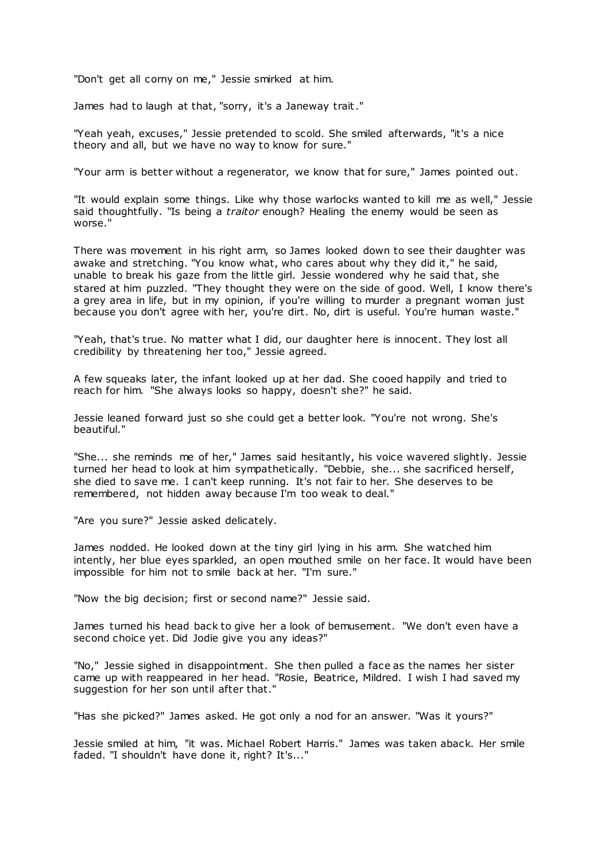"Don't get all corny on me," Jessie smirked at him.

James had to laugh at that, "sorry, it's a Janeway trait."

"Yeah yeah, excuses," Jessie pretended to scold. She smiled afterwards, "it's a nice theory and all, but we have no way to know for sure."

"Your arm is better without a regenerator, we know that for sure," James pointed out.

"It would explain some things. Like why those warlocks wanted to kill me as well," Jessie said thoughtfully. "Is being a *traitor* enough? Healing the enemy would be seen as worse."

There was movement in his right arm, so James looked down to see their daughter was awake and stretching. "You know what, who cares about why they did it," he said, unable to break his gaze from the little girl. Jessie wondered why he said that, she stared at him puzzled. "They thought they were on the side of good. Well, I know there's a grey area in life, but in my opinion, if you're willing to murder a pregnant woman just because you don't agree with her, you're dirt. No, dirt is useful. You're human waste."

"Yeah, that's true. No matter what I did, our daughter here is innocent. They lost all credibility by threatening her too," Jessie agreed.

A few squeaks later, the infant looked up at her dad. She cooed happily and tried to reach for him. "She always looks so happy, doesn't she?" he said.

Jessie leaned forward just so she could get a better look. "You're not wrong. She's beautiful."

"She... she reminds me of her," James said hesitantly, his voice wavered slightly. Jessie turned her head to look at him sympathetically. "Debbie, she... she sacrificed herself, she died to save me. I can't keep running. It's not fair to her. She deserves to be remembered, not hidden away because I'm too weak to deal."

"Are you sure?" Jessie asked delicately.

James nodded. He looked down at the tiny girl lying in his arm. She watched him intently, her blue eyes sparkled, an open mouthed smile on her face. It would have been impossible for him not to smile back at her. "I'm sure."

"Now the big decision; first or second name?" Jessie said.

James turned his head back to give her a look of bemusement. "We don't even have a second choice yet. Did Jodie give you any ideas?"

"No," Jessie sighed in disappointment. She then pulled a face as the names her sister came up with reappeared in her head. "Rosie, Beatrice, Mildred. I wish I had saved my suggestion for her son until after that."

"Has she picked?" James asked. He got only a nod for an answer. "Was it yours?"

Jessie smiled at him, "it was. Michael Robert Harris." James was taken aback. Her smile faded. "I shouldn't have done it, right? It's..."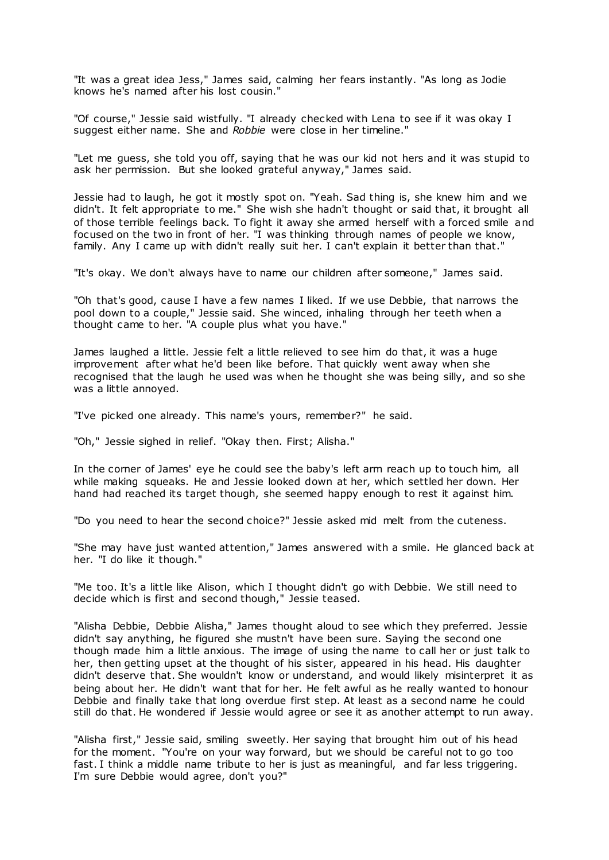"It was a great idea Jess," James said, calming her fears instantly. "As long as Jodie knows he's named after his lost cousin."

"Of course," Jessie said wistfully. "I already checked with Lena to see if it was okay I suggest either name. She and *Robbie* were close in her timeline."

"Let me guess, she told you off, saying that he was our kid not hers and it was stupid to ask her permission. But she looked grateful anyway," James said.

Jessie had to laugh, he got it mostly spot on. "Yeah. Sad thing is, she knew him and we didn't. It felt appropriate to me." She wish she hadn't thought or said that, it brought all of those terrible feelings back. To fight it away she armed herself with a forced smile and focused on the two in front of her. "I was thinking through names of people we know, family. Any I came up with didn't really suit her. I can't explain it better than that."

"It's okay. We don't always have to name our children after someone," James said.

"Oh that's good, cause I have a few names I liked. If we use Debbie, that narrows the pool down to a couple," Jessie said. She winced, inhaling through her teeth when a thought came to her. "A couple plus what you have."

James laughed a little. Jessie felt a little relieved to see him do that, it was a huge improvement after what he'd been like before. That quickly went away when she recognised that the laugh he used was when he thought she was being silly, and so she was a little annoyed.

"I've picked one already. This name's yours, remember?" he said.

"Oh," Jessie sighed in relief. "Okay then. First; Alisha."

In the corner of James' eye he could see the baby's left arm reach up to touch him, all while making squeaks. He and Jessie looked down at her, which settled her down. Her hand had reached its target though, she seemed happy enough to rest it against him.

"Do you need to hear the second choice?" Jessie asked mid melt from the cuteness.

"She may have just wanted attention," James answered with a smile. He glanced back at her. "I do like it though."

"Me too. It's a little like Alison, which I thought didn't go with Debbie. We still need to decide which is first and second though," Jessie teased.

"Alisha Debbie, Debbie Alisha," James thought aloud to see which they preferred. Jessie didn't say anything, he figured she mustn't have been sure. Saying the second one though made him a little anxious. The image of using the name to call her or just talk to her, then getting upset at the thought of his sister, appeared in his head. His daughter didn't deserve that. She wouldn't know or understand, and would likely misinterpret it as being about her. He didn't want that for her. He felt awful as he really wanted to honour Debbie and finally take that long overdue first step. At least as a second name he could still do that. He wondered if Jessie would agree or see it as another attempt to run away.

"Alisha first," Jessie said, smiling sweetly. Her saying that brought him out of his head for the moment. "You're on your way forward, but we should be careful not to go too fast. I think a middle name tribute to her is just as meaningful, and far less triggering. I'm sure Debbie would agree, don't you?"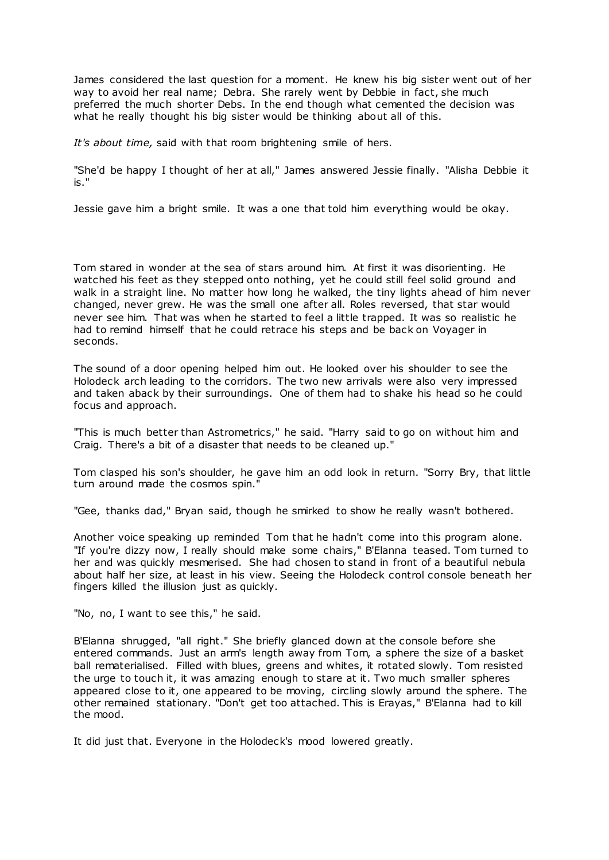James considered the last question for a moment. He knew his big sister went out of her way to avoid her real name; Debra. She rarely went by Debbie in fact, she much preferred the much shorter Debs. In the end though what cemented the decision was what he really thought his big sister would be thinking about all of this.

*It's about time,* said with that room brightening smile of hers.

"She'd be happy I thought of her at all," James answered Jessie finally. "Alisha Debbie it is."

Jessie gave him a bright smile. It was a one that told him everything would be okay.

Tom stared in wonder at the sea of stars around him. At first it was disorienting. He watched his feet as they stepped onto nothing, yet he could still feel solid ground and walk in a straight line. No matter how long he walked, the tiny lights ahead of him never changed, never grew. He was the small one after all. Roles reversed, that star would never see him. That was when he started to feel a little trapped. It was so realistic he had to remind himself that he could retrace his steps and be back on Voyager in seconds.

The sound of a door opening helped him out. He looked over his shoulder to see the Holodeck arch leading to the corridors. The two new arrivals were also very impressed and taken aback by their surroundings. One of them had to shake his head so he could focus and approach.

"This is much better than Astrometrics," he said. "Harry said to go on without him and Craig. There's a bit of a disaster that needs to be cleaned up."

Tom clasped his son's shoulder, he gave him an odd look in return. "Sorry Bry, that little turn around made the cosmos spin."

"Gee, thanks dad," Bryan said, though he smirked to show he really wasn't bothered.

Another voice speaking up reminded Tom that he hadn't come into this program alone. "If you're dizzy now, I really should make some chairs," B'Elanna teased. Tom turned to her and was quickly mesmerised. She had chosen to stand in front of a beautiful nebula about half her size, at least in his view. Seeing the Holodeck control console beneath her fingers killed the illusion just as quickly.

"No, no, I want to see this," he said.

B'Elanna shrugged, "all right." She briefly glanced down at the console before she entered commands. Just an arm's length away from Tom, a sphere the size of a basket ball rematerialised. Filled with blues, greens and whites, it rotated slowly. Tom resisted the urge to touch it, it was amazing enough to stare at it. Two much smaller spheres appeared close to it, one appeared to be moving, circling slowly around the sphere. The other remained stationary. "Don't get too attached. This is Erayas," B'Elanna had to kill the mood.

It did just that. Everyone in the Holodeck's mood lowered greatly.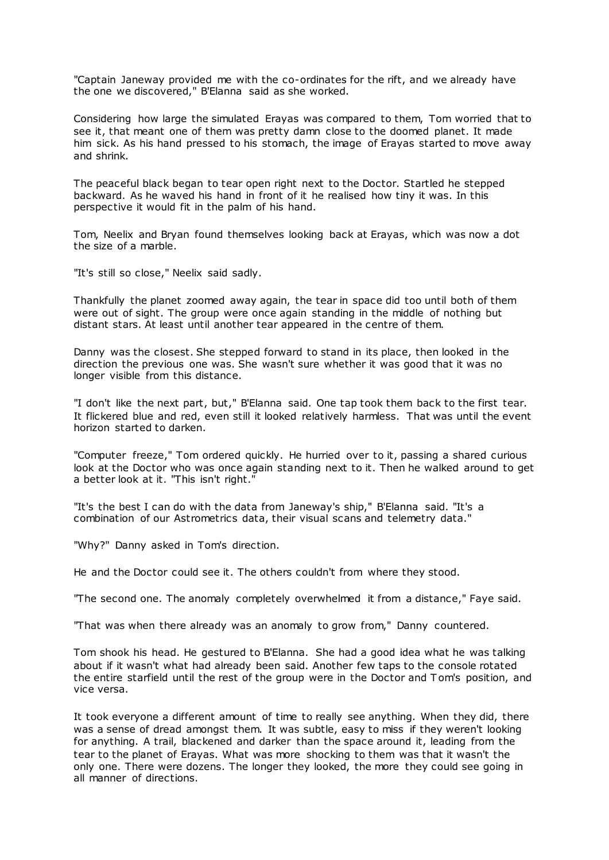"Captain Janeway provided me with the co-ordinates for the rift, and we already have the one we discovered," B'Elanna said as she worked.

Considering how large the simulated Erayas was compared to them, Tom worried that to see it, that meant one of them was pretty damn close to the doomed planet. It made him sick. As his hand pressed to his stomach, the image of Erayas started to move away and shrink.

The peaceful black began to tear open right next to the Doctor. Startled he stepped backward. As he waved his hand in front of it he realised how tiny it was. In this perspective it would fit in the palm of his hand.

Tom, Neelix and Bryan found themselves looking back at Erayas, which was now a dot the size of a marble.

"It's still so close," Neelix said sadly.

Thankfully the planet zoomed away again, the tear in space did too until both of them were out of sight. The group were once again standing in the middle of nothing but distant stars. At least until another tear appeared in the centre of them.

Danny was the closest. She stepped forward to stand in its place, then looked in the direction the previous one was. She wasn't sure whether it was good that it was no longer visible from this distance.

"I don't like the next part, but," B'Elanna said. One tap took them back to the first tear. It flickered blue and red, even still it looked relatively harmless. That was until the event horizon started to darken.

"Computer freeze," Tom ordered quickly. He hurried over to it, passing a shared curious look at the Doctor who was once again standing next to it. Then he walked around to get a better look at it. "This isn't right."

"It's the best I can do with the data from Janeway's ship," B'Elanna said. "It's a combination of our Astrometrics data, their visual scans and telemetry data."

"Why?" Danny asked in Tom's direction.

He and the Doctor could see it. The others couldn't from where they stood.

"The second one. The anomaly completely overwhelmed it from a distance," Faye said.

"That was when there already was an anomaly to grow from," Danny countered.

Tom shook his head. He gestured to B'Elanna. She had a good idea what he was talking about if it wasn't what had already been said. Another few taps to the console rotated the entire starfield until the rest of the group were in the Doctor and T om's position, and vice versa.

It took everyone a different amount of time to really see anything. When they did, there was a sense of dread amongst them. It was subtle, easy to miss if they weren't looking for anything. A trail, blackened and darker than the space around it, leading from the tear to the planet of Erayas. What was more shocking to them was that it wasn't the only one. There were dozens. The longer they looked, the more they could see going in all manner of directions.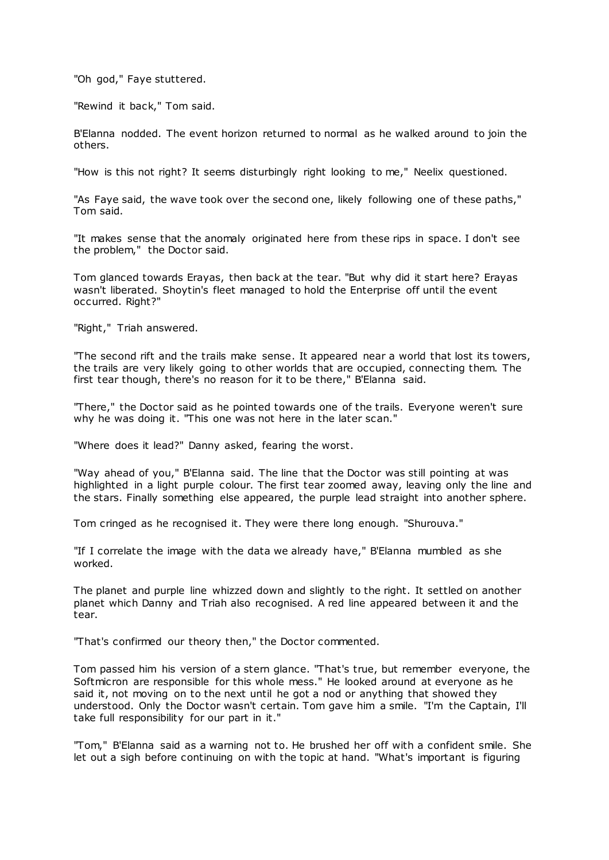"Oh god," Faye stuttered.

"Rewind it back," Tom said.

B'Elanna nodded. The event horizon returned to normal as he walked around to join the others.

"How is this not right? It seems disturbingly right looking to me," Neelix questioned.

"As Faye said, the wave took over the second one, likely following one of these paths," Tom said.

"It makes sense that the anomaly originated here from these rips in space. I don't see the problem," the Doctor said.

Tom glanced towards Erayas, then back at the tear. "But why did it start here? Erayas wasn't liberated. Shoytin's fleet managed to hold the Enterprise off until the event occurred. Right?"

"Right," Triah answered.

"The second rift and the trails make sense. It appeared near a world that lost its towers, the trails are very likely going to other worlds that are occupied, connecting them. The first tear though, there's no reason for it to be there," B'Elanna said.

"There," the Doctor said as he pointed towards one of the trails. Everyone weren't sure why he was doing it. "This one was not here in the later scan."

"Where does it lead?" Danny asked, fearing the worst.

"Way ahead of you," B'Elanna said. The line that the Doctor was still pointing at was highlighted in a light purple colour. The first tear zoomed away, leaving only the line and the stars. Finally something else appeared, the purple lead straight into another sphere.

Tom cringed as he recognised it. They were there long enough. "Shurouva."

"If I correlate the image with the data we already have," B'Elanna mumbled as she worked.

The planet and purple line whizzed down and slightly to the right. It settled on another planet which Danny and Triah also recognised. A red line appeared between it and the tear.

"That's confirmed our theory then," the Doctor commented.

Tom passed him his version of a stern glance. "That's true, but remember everyone, the Softmicron are responsible for this whole mess." He looked around at everyone as he said it, not moving on to the next until he got a nod or anything that showed they understood. Only the Doctor wasn't certain. Tom gave him a smile. "I'm the Captain, I'll take full responsibility for our part in it."

"Tom," B'Elanna said as a warning not to. He brushed her off with a confident smile. She let out a sigh before continuing on with the topic at hand. "What's important is figuring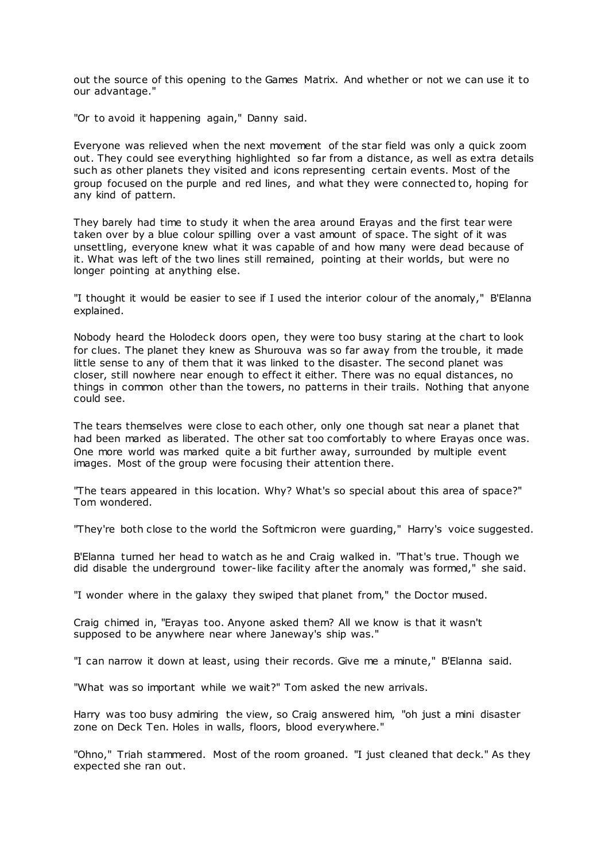out the source of this opening to the Games Matrix. And whether or not we can use it to our advantage."

"Or to avoid it happening again," Danny said.

Everyone was relieved when the next movement of the star field was only a quick zoom out. They could see everything highlighted so far from a distance, as well as extra details such as other planets they visited and icons representing certain events. Most of the group focused on the purple and red lines, and what they were connected to, hoping for any kind of pattern.

They barely had time to study it when the area around Erayas and the first tear were taken over by a blue colour spilling over a vast amount of space. The sight of it was unsettling, everyone knew what it was capable of and how many were dead because of it. What was left of the two lines still remained, pointing at their worlds, but were no longer pointing at anything else.

"I thought it would be easier to see if I used the interior colour of the anomaly," B'Elanna explained.

Nobody heard the Holodeck doors open, they were too busy staring at the chart to look for clues. The planet they knew as Shurouva was so far away from the trouble, it made little sense to any of them that it was linked to the disaster. The second planet was closer, still nowhere near enough to effect it either. There was no equal distances, no things in common other than the towers, no patterns in their trails. Nothing that anyone could see.

The tears themselves were close to each other, only one though sat near a planet that had been marked as liberated. The other sat too comfortably to where Erayas once was. One more world was marked quite a bit further away, surrounded by multiple event images. Most of the group were focusing their attention there.

"The tears appeared in this location. Why? What's so special about this area of space?" Tom wondered.

"They're both close to the world the Softmicron were guarding," Harry's voice suggested.

B'Elanna turned her head to watch as he and Craig walked in. "That's true. Though we did disable the underground tower-like facility after the anomaly was formed," she said.

"I wonder where in the galaxy they swiped that planet from," the Doctor mused.

Craig chimed in, "Erayas too. Anyone asked them? All we know is that it wasn't supposed to be anywhere near where Janeway's ship was."

"I can narrow it down at least, using their records. Give me a minute," B'Elanna said.

"What was so important while we wait?" Tom asked the new arrivals.

Harry was too busy admiring the view, so Craig answered him, "oh just a mini disaster zone on Deck Ten. Holes in walls, floors, blood everywhere."

"Ohno," Triah stammered. Most of the room groaned. "I just cleaned that deck." As they expected she ran out.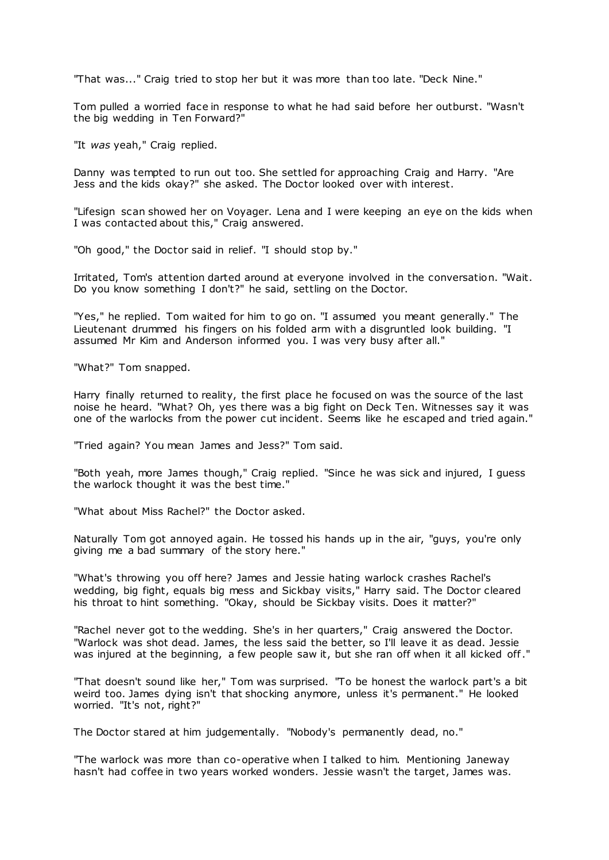"That was..." Craig tried to stop her but it was more than too late. "Deck Nine."

Tom pulled a worried face in response to what he had said before her outburst. "Wasn't the big wedding in Ten Forward?"

"It *was* yeah," Craig replied.

Danny was tempted to run out too. She settled for approaching Craig and Harry. "Are Jess and the kids okay?" she asked. The Doctor looked over with interest.

"Lifesign scan showed her on Voyager. Lena and I were keeping an eye on the kids when I was contacted about this," Craig answered.

"Oh good," the Doctor said in relief. "I should stop by."

Irritated, Tom's attention darted around at everyone involved in the conversation. "Wait. Do you know something I don't?" he said, settling on the Doctor.

"Yes," he replied. Tom waited for him to go on. "I assumed you meant generally." The Lieutenant drummed his fingers on his folded arm with a disgruntled look building. "I assumed Mr Kim and Anderson informed you. I was very busy after all."

"What?" Tom snapped.

Harry finally returned to reality, the first place he focused on was the source of the last noise he heard. "What? Oh, yes there was a big fight on Deck Ten. Witnesses say it was one of the warlocks from the power cut incident. Seems like he escaped and tried again."

"Tried again? You mean James and Jess?" Tom said.

"Both yeah, more James though," Craig replied. "Since he was sick and injured, I guess the warlock thought it was the best time."

"What about Miss Rachel?" the Doctor asked.

Naturally Tom got annoyed again. He tossed his hands up in the air, "guys, you're only giving me a bad summary of the story here."

"What's throwing you off here? James and Jessie hating warlock crashes Rachel's wedding, big fight, equals big mess and Sickbay visits," Harry said. The Doctor cleared his throat to hint something. "Okay, should be Sickbay visits. Does it matter?"

"Rachel never got to the wedding. She's in her quarters," Craig answered the Doctor. "Warlock was shot dead. James, the less said the better, so I'll leave it as dead. Jessie was injured at the beginning, a few people saw it, but she ran off when it all kicked off."

"That doesn't sound like her," Tom was surprised. "To be honest the warlock part's a bit weird too. James dying isn't that shocking anymore, unless it's permanent." He looked worried. "It's not, right?"

The Doctor stared at him judgementally. "Nobody's permanently dead, no."

"The warlock was more than co-operative when I talked to him. Mentioning Janeway hasn't had coffee in two years worked wonders. Jessie wasn't the target, James was.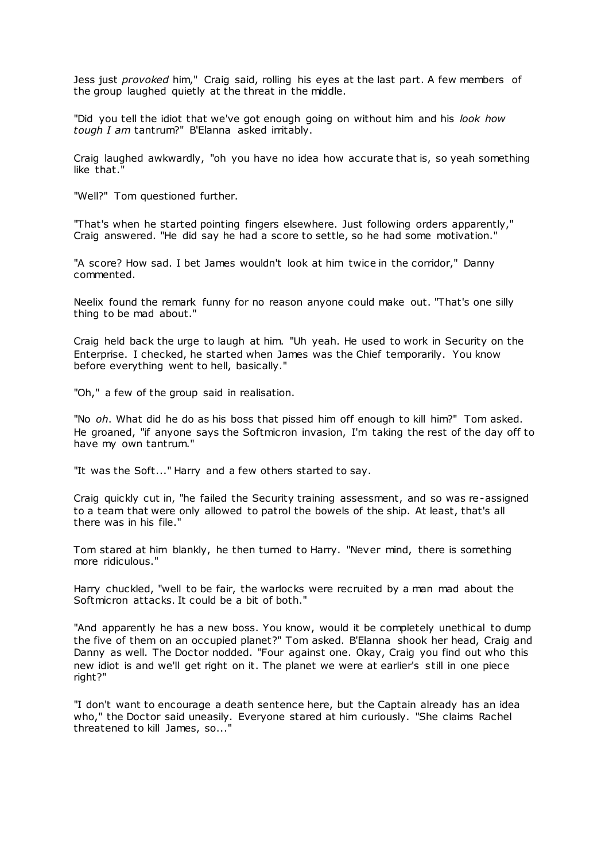Jess just *provoked* him," Craig said, rolling his eyes at the last part. A few members of the group laughed quietly at the threat in the middle.

"Did you tell the idiot that we've got enough going on without him and his *look how tough I am* tantrum?" B'Elanna asked irritably.

Craig laughed awkwardly, "oh you have no idea how accurate that is, so yeah something like that."

"Well?" Tom questioned further.

"That's when he started pointing fingers elsewhere. Just following orders apparently," Craig answered. "He did say he had a score to settle, so he had some motivation."

"A score? How sad. I bet James wouldn't look at him twice in the corridor," Danny commented.

Neelix found the remark funny for no reason anyone could make out. "That's one silly thing to be mad about."

Craig held back the urge to laugh at him. "Uh yeah. He used to work in Security on the Enterprise. I checked, he started when James was the Chief temporarily. You know before everything went to hell, basically."

"Oh," a few of the group said in realisation.

"No *oh*. What did he do as his boss that pissed him off enough to kill him?" Tom asked. He groaned, "if anyone says the Softmicron invasion, I'm taking the rest of the day off to have my own tantrum."

"It was the Soft..." Harry and a few others started to say.

Craig quickly cut in, "he failed the Security training assessment, and so was re-assigned to a team that were only allowed to patrol the bowels of the ship. At least, that's all there was in his file."

Tom stared at him blankly, he then turned to Harry. "Never mind, there is something more ridiculous."

Harry chuckled, "well to be fair, the warlocks were recruited by a man mad about the Softmicron attacks. It could be a bit of both."

"And apparently he has a new boss. You know, would it be completely unethical to dump the five of them on an occupied planet?" Tom asked. B'Elanna shook her head, Craig and Danny as well. The Doctor nodded. "Four against one. Okay, Craig you find out who this new idiot is and we'll get right on it. The planet we were at earlier's still in one piece right?"

"I don't want to encourage a death sentence here, but the Captain already has an idea who," the Doctor said uneasily. Everyone stared at him curiously. "She claims Rachel threatened to kill James, so...'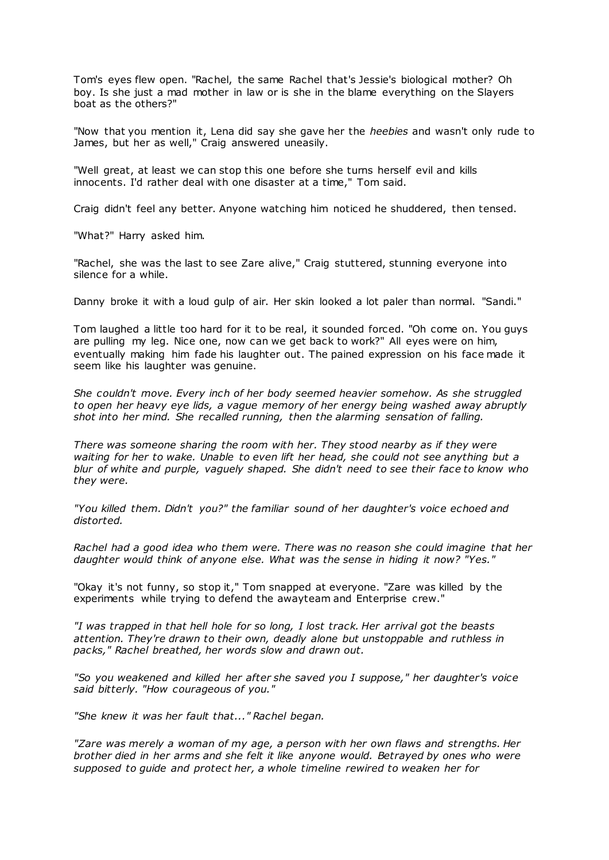Tom's eyes flew open. "Rachel, the same Rachel that's Jessie's biological mother? Oh boy. Is she just a mad mother in law or is she in the blame everything on the Slayers boat as the others?"

"Now that you mention it, Lena did say she gave her the *heebies* and wasn't only rude to James, but her as well," Craig answered uneasily.

"Well great, at least we can stop this one before she turns herself evil and kills innocents. I'd rather deal with one disaster at a time," Tom said.

Craig didn't feel any better. Anyone watching him noticed he shuddered, then tensed.

"What?" Harry asked him.

"Rachel, she was the last to see Zare alive," Craig stuttered, stunning everyone into silence for a while.

Danny broke it with a loud gulp of air. Her skin looked a lot paler than normal. "Sandi."

Tom laughed a little too hard for it to be real, it sounded forced. "Oh come on. You guys are pulling my leg. Nice one, now can we get back to work?" All eyes were on him, eventually making him fade his laughter out. The pained expression on his face made it seem like his laughter was genuine.

*She couldn't move. Every inch of her body seemed heavier somehow. As she struggled to open her heavy eye lids, a vague memory of her energy being washed away abruptly shot into her mind. She recalled running, then the alarming sensation of falling.*

*There was someone sharing the room with her. They stood nearby as if they were waiting for her to wake. Unable to even lift her head, she could not see anything but a blur of white and purple, vaguely shaped. She didn't need to see their face to know who they were.*

*"You killed them. Didn't you?" the familiar sound of her daughter's voice echoed and distorted.*

*Rachel had a good idea who them were. There was no reason she could imagine that her daughter would think of anyone else. What was the sense in hiding it now? "Yes."*

"Okay it's not funny, so stop it," Tom snapped at everyone. "Zare was killed by the experiments while trying to defend the awayteam and Enterprise crew."

*"I was trapped in that hell hole for so long, I lost track. Her arrival got the beasts attention. They're drawn to their own, deadly alone but unstoppable and ruthless in packs," Rachel breathed, her words slow and drawn out.*

*"So you weakened and killed her after she saved you I suppose," her daughter's voice said bitterly. "How courageous of you."*

*"She knew it was her fault that..." Rachel began.*

*"Zare was merely a woman of my age, a person with her own flaws and strengths. Her brother died in her arms and she felt it like anyone would. Betrayed by ones who were supposed to guide and protect her, a whole timeline rewired to weaken her for*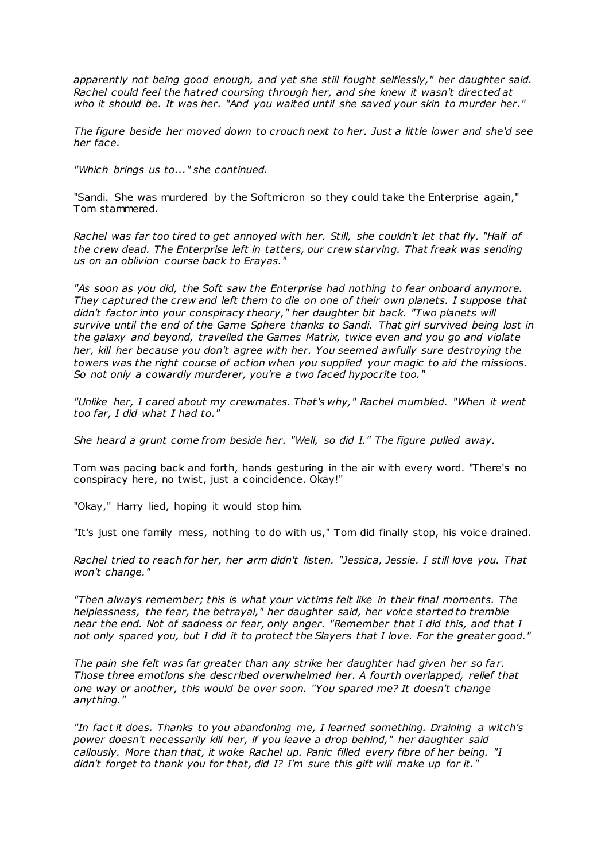*apparently not being good enough, and yet she still fought selflessly," her daughter said. Rachel could feel the hatred coursing through her, and she knew it wasn't directed at who it should be. It was her. "And you waited until she saved your skin to murder her."*

*The figure beside her moved down to crouch next to her. Just a little lower and she'd see her face.*

*"Which brings us to..." she continued.*

"Sandi. She was murdered by the Softmicron so they could take the Enterprise again," Tom stammered.

*Rachel was far too tired to get annoyed with her. Still, she couldn't let that fly. "Half of the crew dead. The Enterprise left in tatters, our crew starving. That freak was sending us on an oblivion course back to Erayas."*

*"As soon as you did, the Soft saw the Enterprise had nothing to fear onboard anymore. They captured the crew and left them to die on one of their own planets. I suppose that didn't factor into your conspiracy theory," her daughter bit back. "Two planets will survive until the end of the Game Sphere thanks to Sandi. That girl survived being lost in the galaxy and beyond, travelled the Games Matrix, twice even and you go and violate her, kill her because you don't agree with her. You seemed awfully sure destroying the towers was the right course of action when you supplied your magic to aid the missions. So not only a cowardly murderer, you're a two faced hypocrite too."*

*"Unlike her, I cared about my crewmates. That's why," Rachel mumbled. "When it went too far, I did what I had to."*

*She heard a grunt come from beside her. "Well, so did I." The figure pulled away.*

Tom was pacing back and forth, hands gesturing in the air with every word. "There's no conspiracy here, no twist, just a coincidence. Okay!"

"Okay," Harry lied, hoping it would stop him.

"It's just one family mess, nothing to do with us," Tom did finally stop, his voice drained.

*Rachel tried to reach for her, her arm didn't listen. "Jessica, Jessie. I still love you. That won't change."*

*"Then always remember; this is what your victims felt like in their final moments. The helplessness, the fear, the betrayal," her daughter said, her voice started to tremble near the end. Not of sadness or fear, only anger. "Remember that I did this, and that I not only spared you, but I did it to protect the Slayers that I love. For the greater good."*

*The pain she felt was far greater than any strike her daughter had given her so far. Those three emotions she described overwhelmed her. A fourth overlapped, relief that one way or another, this would be over soon. "You spared me? It doesn't change anything."*

*"In fact it does. Thanks to you abandoning me, I learned something. Draining a witch's power doesn't necessarily kill her, if you leave a drop behind," her daughter said callously. More than that, it woke Rachel up. Panic filled every fibre of her being. "I didn't forget to thank you for that, did I? I'm sure this gift will make up for it."*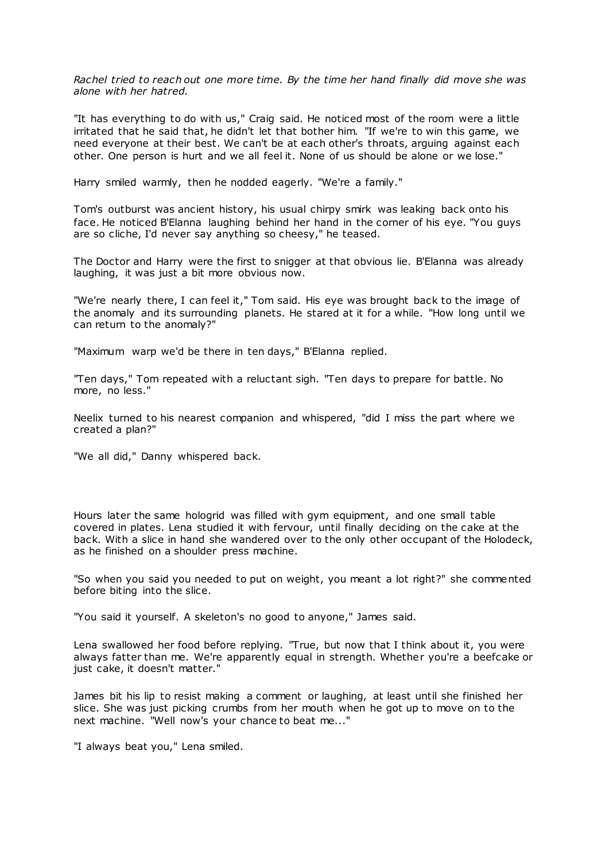*Rachel tried to reach out one more time. By the time her hand finally did move she was alone with her hatred.*

"It has everything to do with us," Craig said. He noticed most of the room were a little irritated that he said that, he didn't let that bother him. "If we're to win this game, we need everyone at their best. We can't be at each other's throats, arguing against each other. One person is hurt and we all feel it. None of us should be alone or we lose."

Harry smiled warmly, then he nodded eagerly. "We're a family."

Tom's outburst was ancient history, his usual chirpy smirk was leaking back onto his face. He noticed B'Elanna laughing behind her hand in the corner of his eye. "You guys are so cliche, I'd never say anything so cheesy," he teased.

The Doctor and Harry were the first to snigger at that obvious lie. B'Elanna was already laughing, it was just a bit more obvious now.

"We're nearly there, I can feel it," Tom said. His eye was brought back to the image of the anomaly and its surrounding planets. He stared at it for a while. "How long until we can return to the anomaly?"

"Maximum warp we'd be there in ten days," B'Elanna replied.

"Ten days," Tom repeated with a reluctant sigh. "Ten days to prepare for battle. No more, no less."

Neelix turned to his nearest companion and whispered, "did I miss the part where we created a plan?"

"We all did," Danny whispered back.

Hours later the same hologrid was filled with gym equipment, and one small table covered in plates. Lena studied it with fervour, until finally deciding on the cake at the back. With a slice in hand she wandered over to the only other occupant of the Holodeck, as he finished on a shoulder press machine.

"So when you said you needed to put on weight, you meant a lot right?" she commented before biting into the slice.

"You said it yourself. A skeleton's no good to anyone," James said.

Lena swallowed her food before replying. "True, but now that I think about it, you were always fatter than me. We're apparently equal in strength. Whether you're a beefcake or just cake, it doesn't matter."

James bit his lip to resist making a comment or laughing, at least until she finished her slice. She was just picking crumbs from her mouth when he got up to move on to the next machine. "Well now's your chance to beat me..."

"I always beat you," Lena smiled.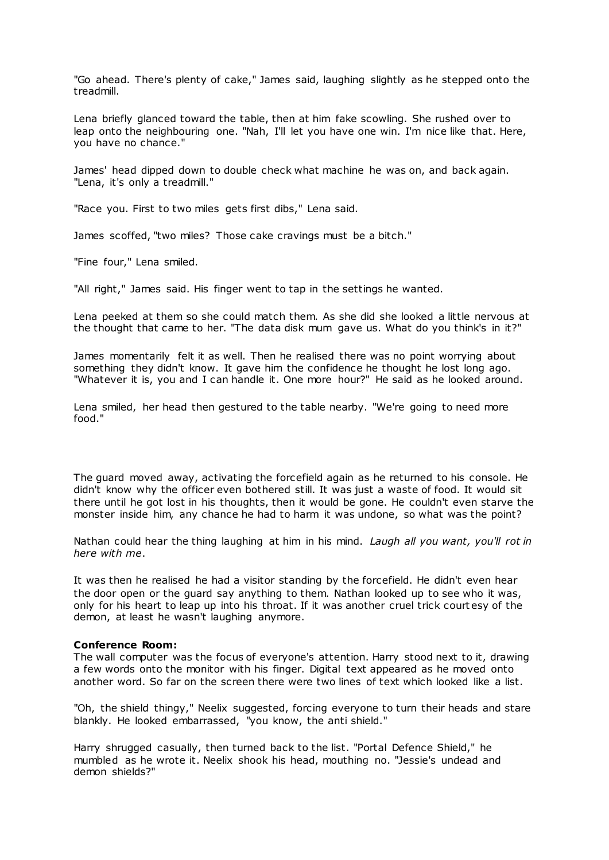"Go ahead. There's plenty of cake," James said, laughing slightly as he stepped onto the treadmill.

Lena briefly glanced toward the table, then at him fake scowling. She rushed over to leap onto the neighbouring one. "Nah, I'll let you have one win. I'm nice like that. Here, you have no chance."

James' head dipped down to double check what machine he was on, and back again. "Lena, it's only a treadmill."

"Race you. First to two miles gets first dibs," Lena said.

James scoffed, "two miles? Those cake cravings must be a bitch."

"Fine four," Lena smiled.

"All right," James said. His finger went to tap in the settings he wanted.

Lena peeked at them so she could match them. As she did she looked a little nervous at the thought that came to her. "The data disk mum gave us. What do you think's in it?"

James momentarily felt it as well. Then he realised there was no point worrying about something they didn't know. It gave him the confidence he thought he lost long ago. "Whatever it is, you and I can handle it. One more hour?" He said as he looked around.

Lena smiled, her head then gestured to the table nearby. "We're going to need more food."

The guard moved away, activating the forcefield again as he returned to his console. He didn't know why the officer even bothered still. It was just a waste of food. It would sit there until he got lost in his thoughts, then it would be gone. He couldn't even starve the monster inside him, any chance he had to harm it was undone, so what was the point?

Nathan could hear the thing laughing at him in his mind. *Laugh all you want, you'll rot in here with me*.

It was then he realised he had a visitor standing by the forcefield. He didn't even hear the door open or the guard say anything to them. Nathan looked up to see who it was, only for his heart to leap up into his throat. If it was another cruel trick court esy of the demon, at least he wasn't laughing anymore.

## **Conference Room:**

The wall computer was the focus of everyone's attention. Harry stood next to it, drawing a few words onto the monitor with his finger. Digital text appeared as he moved onto another word. So far on the screen there were two lines of text which looked like a list.

"Oh, the shield thingy," Neelix suggested, forcing everyone to turn their heads and stare blankly. He looked embarrassed, "you know, the anti shield."

Harry shrugged casually, then turned back to the list. "Portal Defence Shield," he mumbled as he wrote it. Neelix shook his head, mouthing no. "Jessie's undead and demon shields?"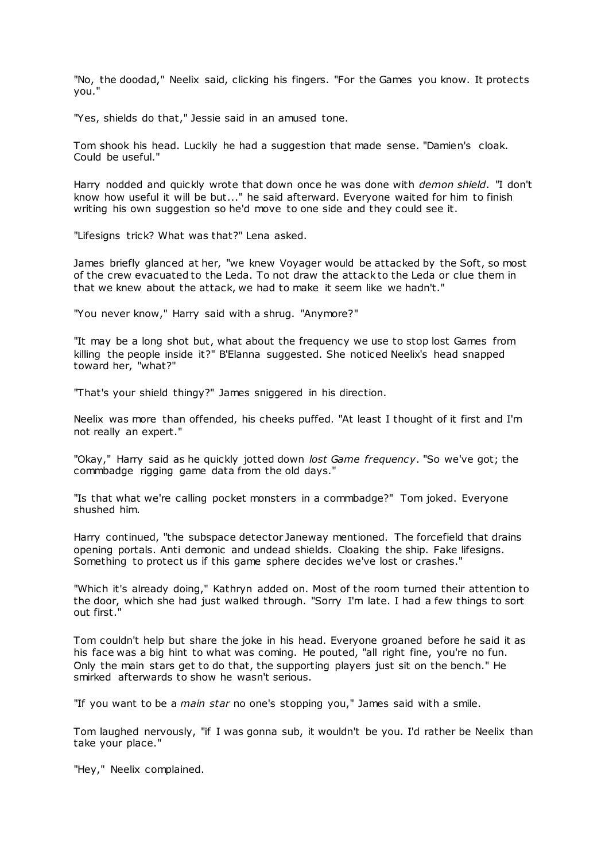"No, the doodad," Neelix said, clicking his fingers. "For the Games you know. It protects you."

"Yes, shields do that," Jessie said in an amused tone.

Tom shook his head. Luckily he had a suggestion that made sense. "Damien's cloak. Could be useful."

Harry nodded and quickly wrote that down once he was done with *demon shield*. "I don't know how useful it will be but..." he said afterward. Everyone waited for him to finish writing his own suggestion so he'd move to one side and they could see it.

"Lifesigns trick? What was that?" Lena asked.

James briefly glanced at her, "we knew Voyager would be attacked by the Soft, so most of the crew evacuated to the Leda. To not draw the attack to the Leda or clue them in that we knew about the attack, we had to make it seem like we hadn't."

"You never know," Harry said with a shrug. "Anymore?"

"It may be a long shot but, what about the frequency we use to stop lost Games from killing the people inside it?" B'Elanna suggested. She noticed Neelix's head snapped toward her, "what?"

"That's your shield thingy?" James sniggered in his direction.

Neelix was more than offended, his cheeks puffed. "At least I thought of it first and I'm not really an expert."

"Okay," Harry said as he quickly jotted down *lost Game frequency*. "So we've got; the commbadge rigging game data from the old days."

"Is that what we're calling pocket monsters in a commbadge?" Tom joked. Everyone shushed him.

Harry continued, "the subspace detector Janeway mentioned. The forcefield that drains opening portals. Anti demonic and undead shields. Cloaking the ship. Fake lifesigns. Something to protect us if this game sphere decides we've lost or crashes."

"Which it's already doing," Kathryn added on. Most of the room turned their attention to the door, which she had just walked through. "Sorry I'm late. I had a few things to sort out first."

Tom couldn't help but share the joke in his head. Everyone groaned before he said it as his face was a big hint to what was coming. He pouted, "all right fine, you're no fun. Only the main stars get to do that, the supporting players just sit on the bench." He smirked afterwards to show he wasn't serious.

"If you want to be a *main star* no one's stopping you," James said with a smile.

Tom laughed nervously, "if I was gonna sub, it wouldn't be you. I'd rather be Neelix than take your place."

"Hey," Neelix complained.